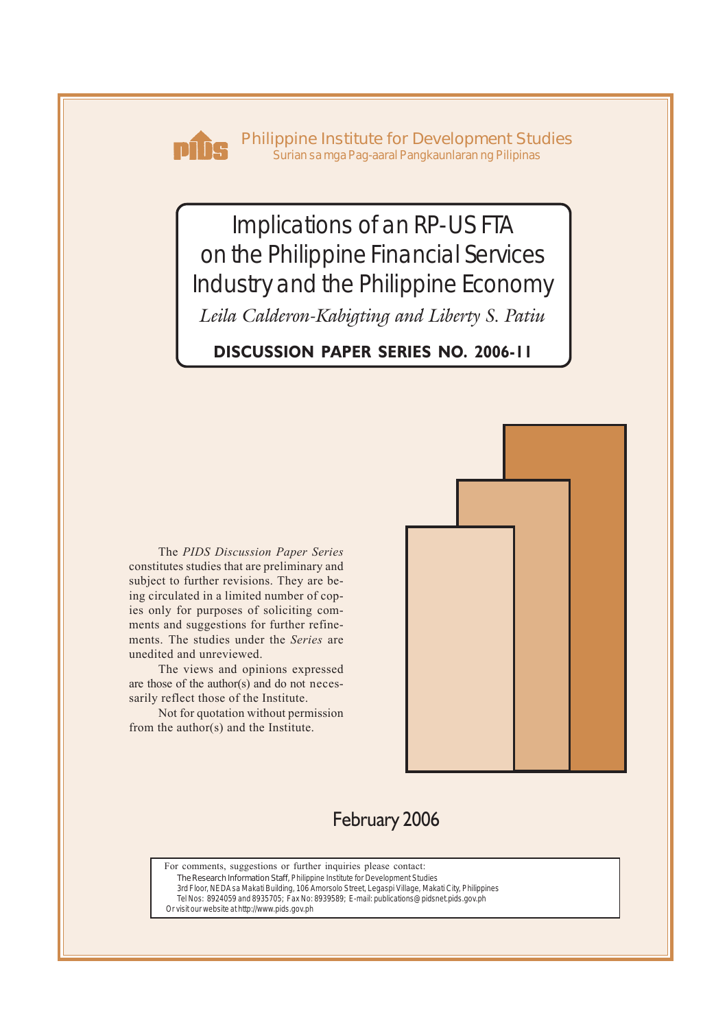

**Philippine Institute for Development Studies** *Surian sa mga Pag-aaral Pangkaunlaran ng Pilipinas*

Implications of an RP-US FTA on the Philippine Financial Services Industry and the Philippine Economy

*Leila Calderon-Kabigting and Liberty S. Patiu*

**DISCUSSION PAPER SERIES NO. 2006-11**

The *PIDS Discussion Paper Series* constitutes studies that are preliminary and subject to further revisions. They are being circulated in a limited number of copies only for purposes of soliciting comments and suggestions for further refinements. The studies under the *Series* are unedited and unreviewed.

The views and opinions expressed are those of the author(s) and do not necessarily reflect those of the Institute.

Not for quotation without permission from the author(s) and the Institute.



# February 2006

For comments, suggestions or further inquiries please contact:

**The Research Information Staff,** Philippine Institute for Development Studies

3rd Floor, NEDA sa Makati Building, 106 Amorsolo Street, Legaspi Village, Makati City, Philippines Tel Nos: 8924059 and 8935705; Fax No: 8939589; E-mail: publications@pidsnet.pids.gov.ph

Or visit our website at http://www.pids.gov.ph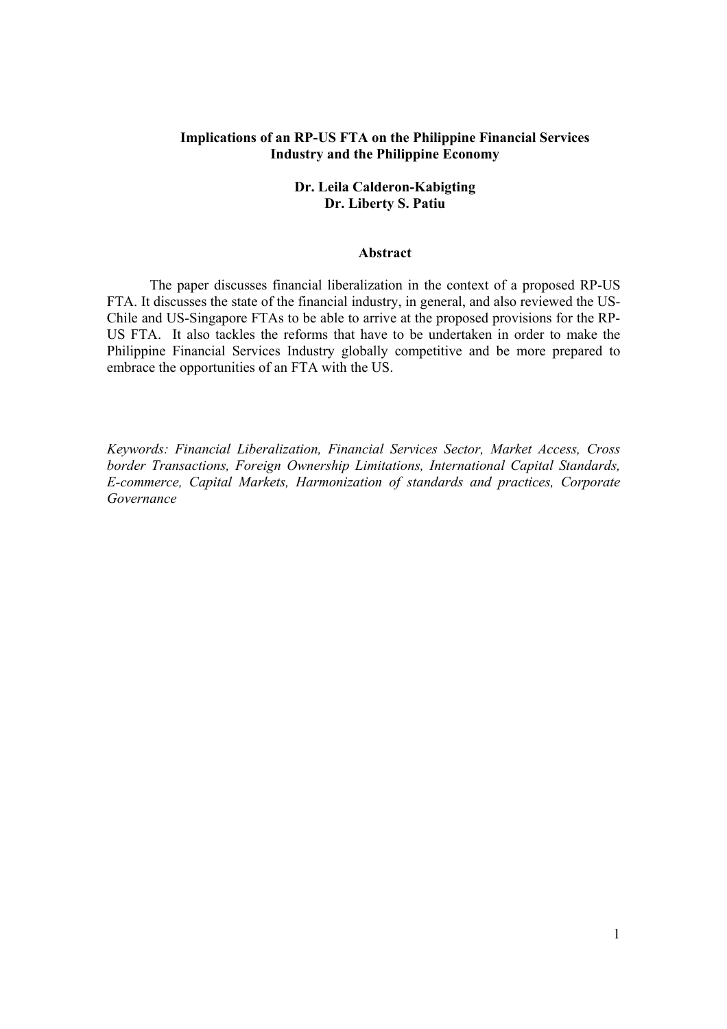# **Implications of an RP-US FTA on the Philippine Financial Services Industry and the Philippine Economy**

# **Dr. Leila Calderon-Kabigting Dr. Liberty S. Patiu**

#### **Abstract**

The paper discusses financial liberalization in the context of a proposed RP-US FTA. It discusses the state of the financial industry, in general, and also reviewed the US-Chile and US-Singapore FTAs to be able to arrive at the proposed provisions for the RP-US FTA. It also tackles the reforms that have to be undertaken in order to make the Philippine Financial Services Industry globally competitive and be more prepared to embrace the opportunities of an FTA with the US.

*Keywords: Financial Liberalization, Financial Services Sector, Market Access, Cross border Transactions, Foreign Ownership Limitations, International Capital Standards, E-commerce, Capital Markets, Harmonization of standards and practices, Corporate Governance*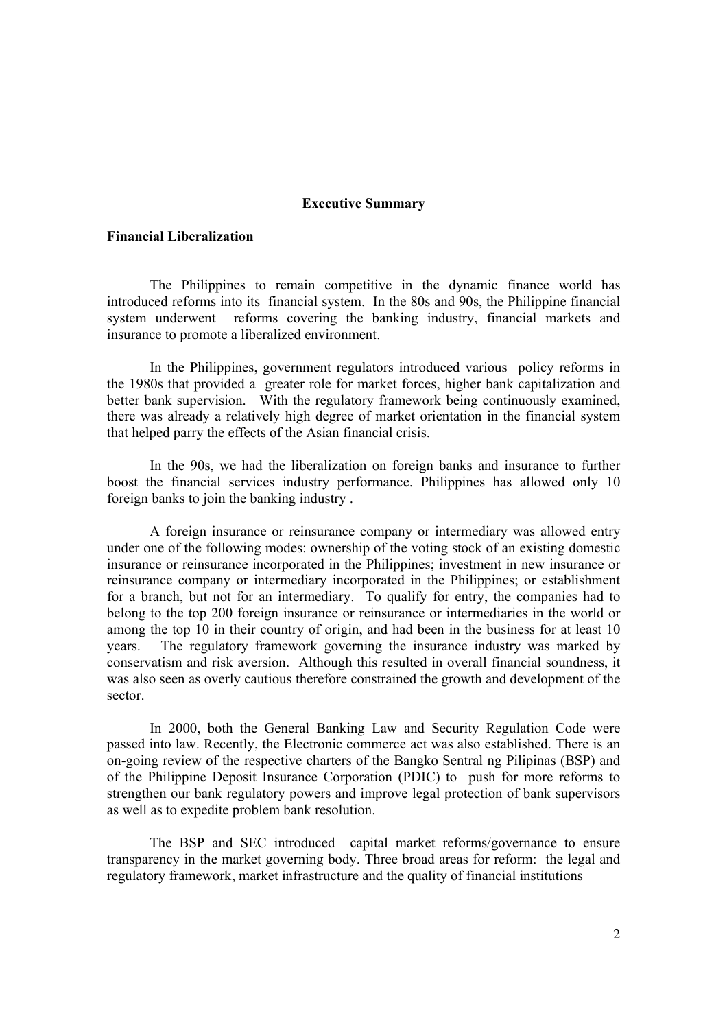#### **Executive Summary**

#### **Financial Liberalization**

 The Philippines to remain competitive in the dynamic finance world has introduced reforms into its financial system. In the 80s and 90s, the Philippine financial system underwent reforms covering the banking industry, financial markets and insurance to promote a liberalized environment.

In the Philippines, government regulators introduced various policy reforms in the 1980s that provided a greater role for market forces, higher bank capitalization and better bank supervision. With the regulatory framework being continuously examined, there was already a relatively high degree of market orientation in the financial system that helped parry the effects of the Asian financial crisis.

In the 90s, we had the liberalization on foreign banks and insurance to further boost the financial services industry performance. Philippines has allowed only 10 foreign banks to join the banking industry .

A foreign insurance or reinsurance company or intermediary was allowed entry under one of the following modes: ownership of the voting stock of an existing domestic insurance or reinsurance incorporated in the Philippines; investment in new insurance or reinsurance company or intermediary incorporated in the Philippines; or establishment for a branch, but not for an intermediary. To qualify for entry, the companies had to belong to the top 200 foreign insurance or reinsurance or intermediaries in the world or among the top 10 in their country of origin, and had been in the business for at least 10 years. The regulatory framework governing the insurance industry was marked by conservatism and risk aversion. Although this resulted in overall financial soundness, it was also seen as overly cautious therefore constrained the growth and development of the sector.

In 2000, both the General Banking Law and Security Regulation Code were passed into law. Recently, the Electronic commerce act was also established. There is an on-going review of the respective charters of the Bangko Sentral ng Pilipinas (BSP) and of the Philippine Deposit Insurance Corporation (PDIC) to push for more reforms to strengthen our bank regulatory powers and improve legal protection of bank supervisors as well as to expedite problem bank resolution.

The BSP and SEC introduced capital market reforms/governance to ensure transparency in the market governing body. Three broad areas for reform: the legal and regulatory framework, market infrastructure and the quality of financial institutions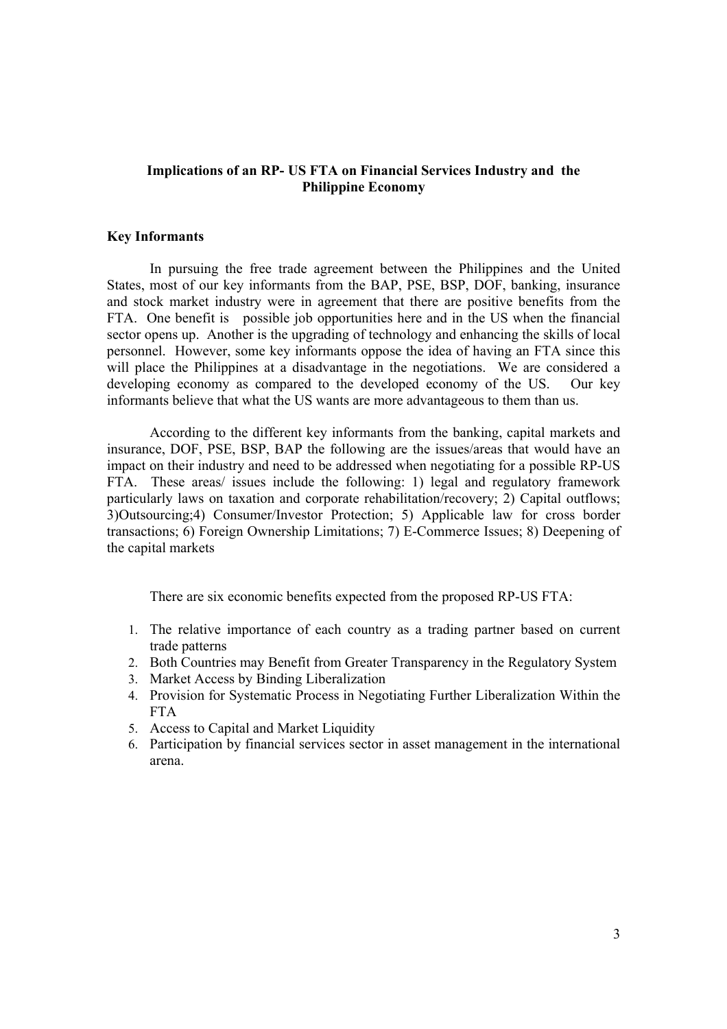# **Implications of an RP- US FTA on Financial Services Industry and the Philippine Economy**

### **Key Informants**

 In pursuing the free trade agreement between the Philippines and the United States, most of our key informants from the BAP, PSE, BSP, DOF, banking, insurance and stock market industry were in agreement that there are positive benefits from the FTA. One benefit is possible job opportunities here and in the US when the financial sector opens up. Another is the upgrading of technology and enhancing the skills of local personnel. However, some key informants oppose the idea of having an FTA since this will place the Philippines at a disadvantage in the negotiations. We are considered a developing economy as compared to the developed economy of the US. Our key informants believe that what the US wants are more advantageous to them than us.

According to the different key informants from the banking, capital markets and insurance, DOF, PSE, BSP, BAP the following are the issues/areas that would have an impact on their industry and need to be addressed when negotiating for a possible RP-US FTA. These areas/ issues include the following: 1) legal and regulatory framework particularly laws on taxation and corporate rehabilitation/recovery; 2) Capital outflows; 3)Outsourcing;4) Consumer/Investor Protection; 5) Applicable law for cross border transactions; 6) Foreign Ownership Limitations; 7) E-Commerce Issues; 8) Deepening of the capital markets

There are six economic benefits expected from the proposed RP-US FTA:

- 1. The relative importance of each country as a trading partner based on current trade patterns
- 2. Both Countries may Benefit from Greater Transparency in the Regulatory System
- 3. Market Access by Binding Liberalization
- 4. Provision for Systematic Process in Negotiating Further Liberalization Within the FTA
- 5. Access to Capital and Market Liquidity
- 6. Participation by financial services sector in asset management in the international arena.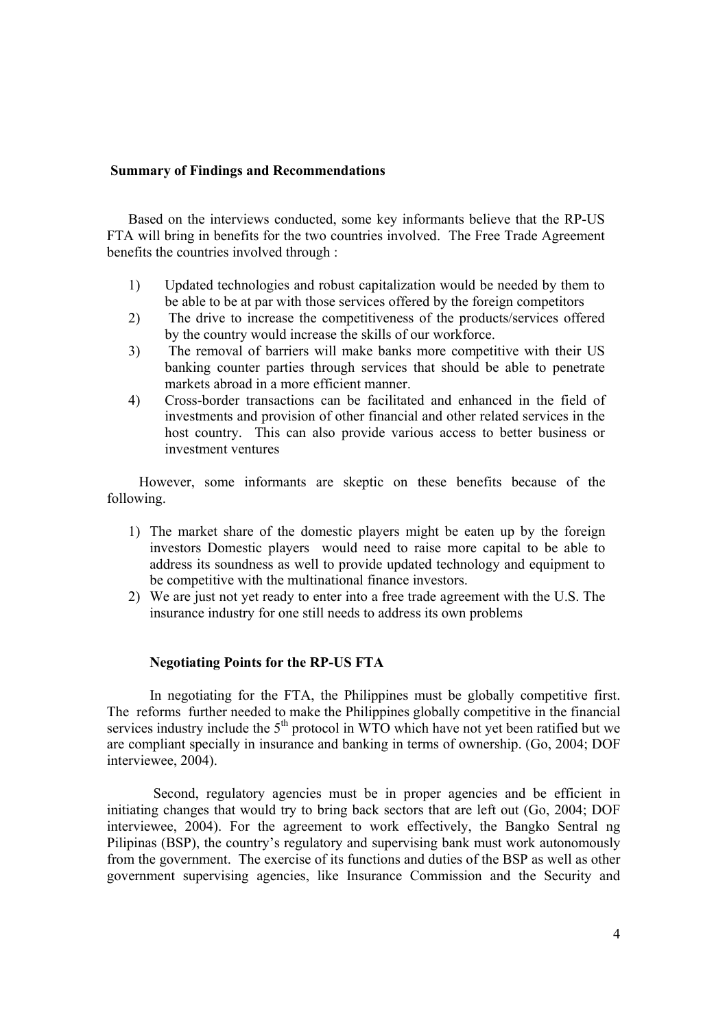# **Summary of Findings and Recommendations**

Based on the interviews conducted, some key informants believe that the RP-US FTA will bring in benefits for the two countries involved. The Free Trade Agreement benefits the countries involved through :

- 1) Updated technologies and robust capitalization would be needed by them to be able to be at par with those services offered by the foreign competitors
- 2) The drive to increase the competitiveness of the products/services offered by the country would increase the skills of our workforce.
- 3) The removal of barriers will make banks more competitive with their US banking counter parties through services that should be able to penetrate markets abroad in a more efficient manner.
- 4) Cross-border transactions can be facilitated and enhanced in the field of investments and provision of other financial and other related services in the host country. This can also provide various access to better business or investment ventures

 However, some informants are skeptic on these benefits because of the following.

- 1) The market share of the domestic players might be eaten up by the foreign investors Domestic players would need to raise more capital to be able to address its soundness as well to provide updated technology and equipment to be competitive with the multinational finance investors.
- 2) We are just not yet ready to enter into a free trade agreement with the U.S. The insurance industry for one still needs to address its own problems

### **Negotiating Points for the RP-US FTA**

In negotiating for the FTA, the Philippines must be globally competitive first. The reforms further needed to make the Philippines globally competitive in the financial services industry include the  $5<sup>th</sup>$  protocol in WTO which have not yet been ratified but we are compliant specially in insurance and banking in terms of ownership. (Go, 2004; DOF interviewee, 2004).

 Second, regulatory agencies must be in proper agencies and be efficient in initiating changes that would try to bring back sectors that are left out (Go, 2004; DOF interviewee, 2004). For the agreement to work effectively, the Bangko Sentral ng Pilipinas (BSP), the country's regulatory and supervising bank must work autonomously from the government. The exercise of its functions and duties of the BSP as well as other government supervising agencies, like Insurance Commission and the Security and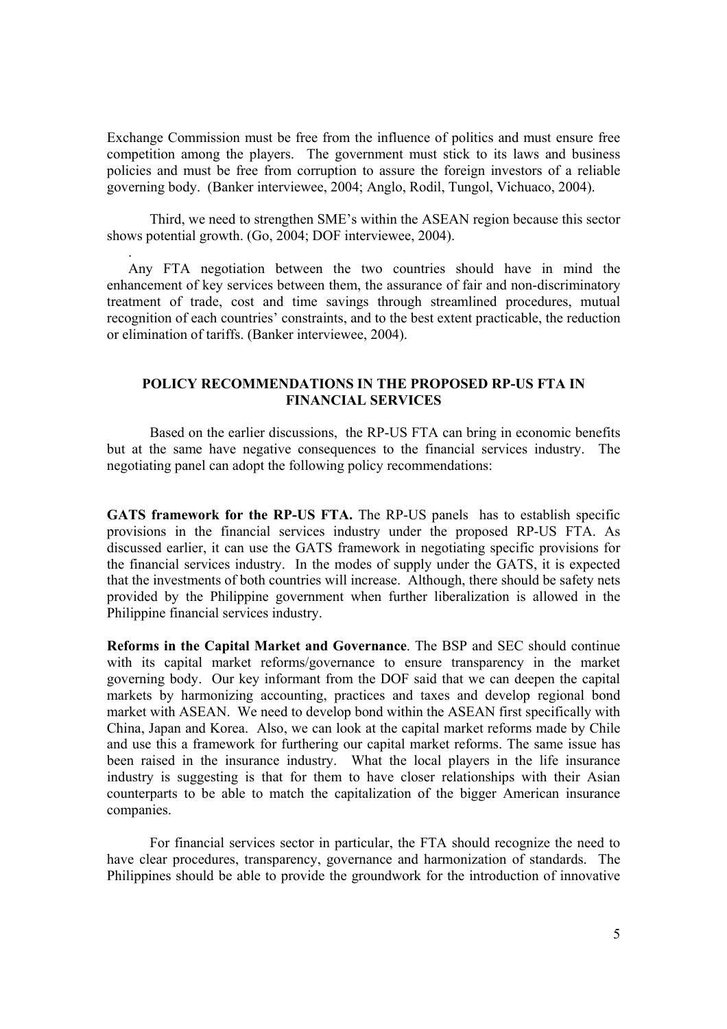Exchange Commission must be free from the influence of politics and must ensure free competition among the players. The government must stick to its laws and business policies and must be free from corruption to assure the foreign investors of a reliable governing body. (Banker interviewee, 2004; Anglo, Rodil, Tungol, Vichuaco, 2004).

Third, we need to strengthen SME's within the ASEAN region because this sector shows potential growth. (Go, 2004; DOF interviewee, 2004).

.

Any FTA negotiation between the two countries should have in mind the enhancement of key services between them, the assurance of fair and non-discriminatory treatment of trade, cost and time savings through streamlined procedures, mutual recognition of each countries' constraints, and to the best extent practicable, the reduction or elimination of tariffs. (Banker interviewee, 2004).

### **POLICY RECOMMENDATIONS IN THE PROPOSED RP-US FTA IN FINANCIAL SERVICES**

Based on the earlier discussions, the RP-US FTA can bring in economic benefits but at the same have negative consequences to the financial services industry. The negotiating panel can adopt the following policy recommendations:

GATS framework for the RP-US FTA. The RP-US panels has to establish specific provisions in the financial services industry under the proposed RP-US FTA. As discussed earlier, it can use the GATS framework in negotiating specific provisions for the financial services industry. In the modes of supply under the GATS, it is expected that the investments of both countries will increase. Although, there should be safety nets provided by the Philippine government when further liberalization is allowed in the Philippine financial services industry.

**Reforms in the Capital Market and Governance**. The BSP and SEC should continue with its capital market reforms/governance to ensure transparency in the market governing body. Our key informant from the DOF said that we can deepen the capital markets by harmonizing accounting, practices and taxes and develop regional bond market with ASEAN. We need to develop bond within the ASEAN first specifically with China, Japan and Korea. Also, we can look at the capital market reforms made by Chile and use this a framework for furthering our capital market reforms. The same issue has been raised in the insurance industry. What the local players in the life insurance industry is suggesting is that for them to have closer relationships with their Asian counterparts to be able to match the capitalization of the bigger American insurance companies.

For financial services sector in particular, the FTA should recognize the need to have clear procedures, transparency, governance and harmonization of standards. The Philippines should be able to provide the groundwork for the introduction of innovative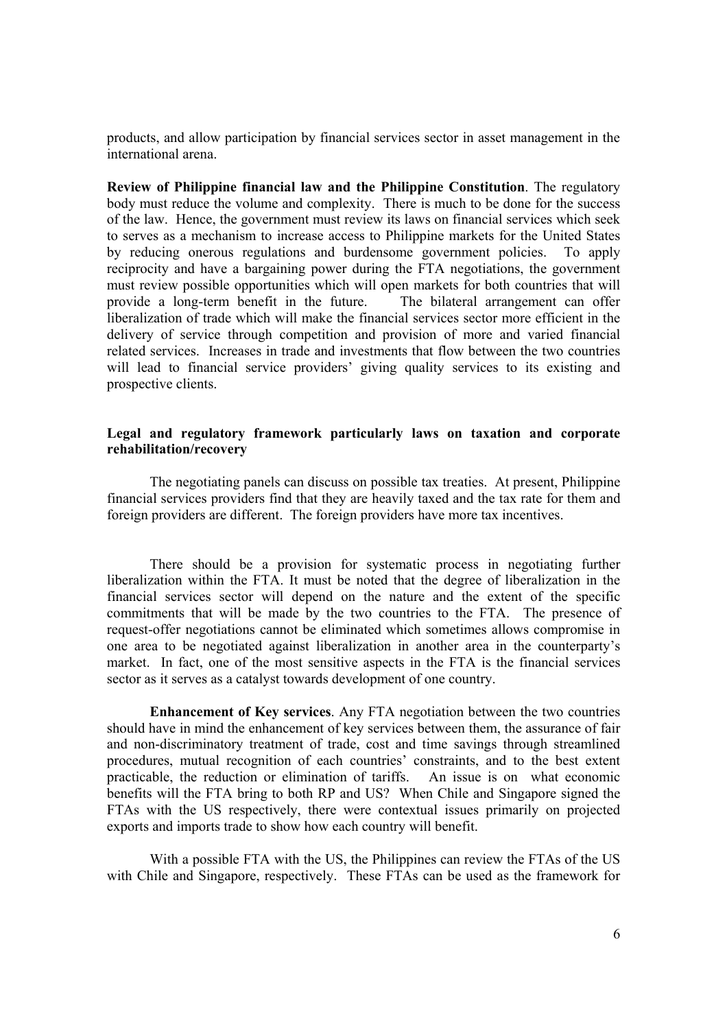products, and allow participation by financial services sector in asset management in the international arena.

**Review of Philippine financial law and the Philippine Constitution**. The regulatory body must reduce the volume and complexity. There is much to be done for the success of the law. Hence, the government must review its laws on financial services which seek to serves as a mechanism to increase access to Philippine markets for the United States by reducing onerous regulations and burdensome government policies. To apply reciprocity and have a bargaining power during the FTA negotiations, the government must review possible opportunities which will open markets for both countries that will provide a long-term benefit in the future. The bilateral arrangement can offer liberalization of trade which will make the financial services sector more efficient in the delivery of service through competition and provision of more and varied financial related services. Increases in trade and investments that flow between the two countries will lead to financial service providers' giving quality services to its existing and prospective clients.

# **Legal and regulatory framework particularly laws on taxation and corporate rehabilitation/recovery**

The negotiating panels can discuss on possible tax treaties. At present, Philippine financial services providers find that they are heavily taxed and the tax rate for them and foreign providers are different. The foreign providers have more tax incentives.

There should be a provision for systematic process in negotiating further liberalization within the FTA. It must be noted that the degree of liberalization in the financial services sector will depend on the nature and the extent of the specific commitments that will be made by the two countries to the FTA. The presence of request-offer negotiations cannot be eliminated which sometimes allows compromise in one area to be negotiated against liberalization in another area in the counterparty's market. In fact, one of the most sensitive aspects in the FTA is the financial services sector as it serves as a catalyst towards development of one country.

**Enhancement of Key services**. Any FTA negotiation between the two countries should have in mind the enhancement of key services between them, the assurance of fair and non-discriminatory treatment of trade, cost and time savings through streamlined procedures, mutual recognition of each countries' constraints, and to the best extent practicable, the reduction or elimination of tariffs. An issue is on what economic benefits will the FTA bring to both RP and US? When Chile and Singapore signed the FTAs with the US respectively, there were contextual issues primarily on projected exports and imports trade to show how each country will benefit.

With a possible FTA with the US, the Philippines can review the FTAs of the US with Chile and Singapore, respectively. These FTAs can be used as the framework for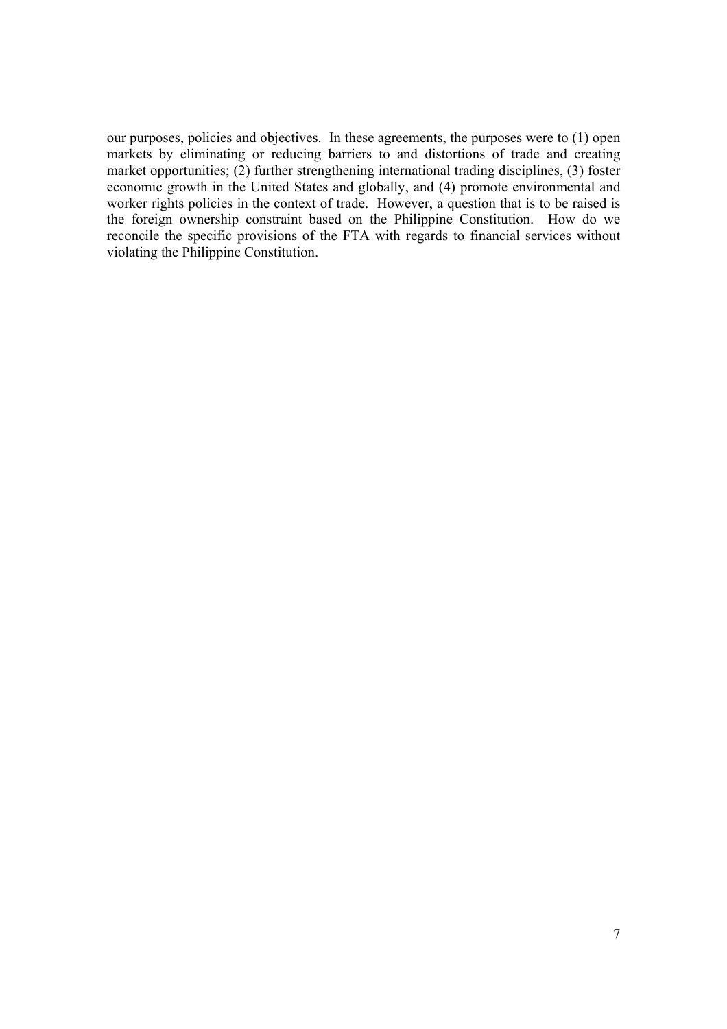our purposes, policies and objectives. In these agreements, the purposes were to (1) open markets by eliminating or reducing barriers to and distortions of trade and creating market opportunities; (2) further strengthening international trading disciplines, (3) foster economic growth in the United States and globally, and (4) promote environmental and worker rights policies in the context of trade. However, a question that is to be raised is the foreign ownership constraint based on the Philippine Constitution. How do we reconcile the specific provisions of the FTA with regards to financial services without violating the Philippine Constitution.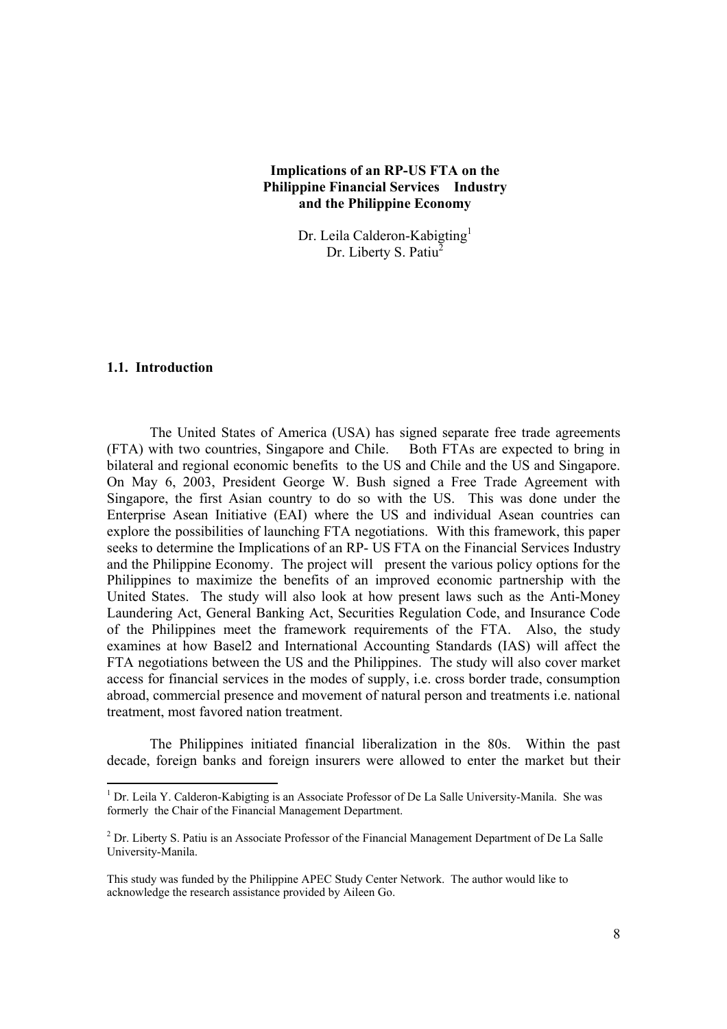# **Implications of an RP-US FTA on the Philippine Financial Services Industry and the Philippine Economy**

Dr. Leila Calderon-Kabigting<sup>1</sup> Dr. Liberty S. Patiu<sup>2</sup>

### **1.1. Introduction**

The United States of America (USA) has signed separate free trade agreements (FTA) with two countries, Singapore and Chile. Both FTAs are expected to bring in bilateral and regional economic benefits to the US and Chile and the US and Singapore. On May 6, 2003, President George W. Bush signed a Free Trade Agreement with Singapore, the first Asian country to do so with the US. This was done under the Enterprise Asean Initiative (EAI) where the US and individual Asean countries can explore the possibilities of launching FTA negotiations. With this framework, this paper seeks to determine the Implications of an RP- US FTA on the Financial Services Industry and the Philippine Economy. The project will present the various policy options for the Philippines to maximize the benefits of an improved economic partnership with the United States. The study will also look at how present laws such as the Anti-Money Laundering Act, General Banking Act, Securities Regulation Code, and Insurance Code of the Philippines meet the framework requirements of the FTA. Also, the study examines at how Basel2 and International Accounting Standards (IAS) will affect the FTA negotiations between the US and the Philippines. The study will also cover market access for financial services in the modes of supply, i.e. cross border trade, consumption abroad, commercial presence and movement of natural person and treatments i.e. national treatment, most favored nation treatment.

The Philippines initiated financial liberalization in the 80s. Within the past decade, foreign banks and foreign insurers were allowed to enter the market but their

<sup>&</sup>lt;sup>1</sup> Dr. Leila Y. Calderon-Kabigting is an Associate Professor of De La Salle University-Manila. She was formerly the Chair of the Financial Management Department.

 $2^{2}$  Dr. Liberty S. Patiu is an Associate Professor of the Financial Management Department of De La Salle University-Manila.

This study was funded by the Philippine APEC Study Center Network. The author would like to acknowledge the research assistance provided by Aileen Go.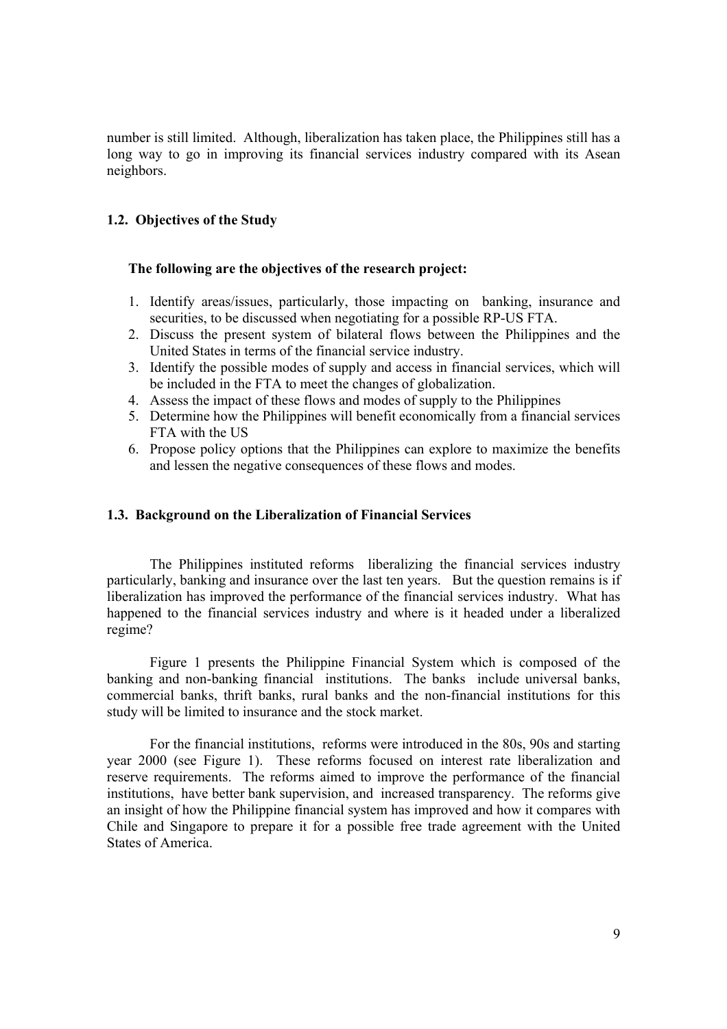number is still limited. Although, liberalization has taken place, the Philippines still has a long way to go in improving its financial services industry compared with its Asean neighbors.

# **1.2. Objectives of the Study**

### **The following are the objectives of the research project:**

- 1. Identify areas/issues, particularly, those impacting on banking, insurance and securities, to be discussed when negotiating for a possible RP-US FTA.
- 2. Discuss the present system of bilateral flows between the Philippines and the United States in terms of the financial service industry.
- 3. Identify the possible modes of supply and access in financial services, which will be included in the FTA to meet the changes of globalization.
- 4. Assess the impact of these flows and modes of supply to the Philippines
- 5. Determine how the Philippines will benefit economically from a financial services FTA with the US
- 6. Propose policy options that the Philippines can explore to maximize the benefits and lessen the negative consequences of these flows and modes.

### **1.3. Background on the Liberalization of Financial Services**

The Philippines instituted reforms liberalizing the financial services industry particularly, banking and insurance over the last ten years. But the question remains is if liberalization has improved the performance of the financial services industry. What has happened to the financial services industry and where is it headed under a liberalized regime?

 Figure 1 presents the Philippine Financial System which is composed of the banking and non-banking financial institutions. The banks include universal banks, commercial banks, thrift banks, rural banks and the non-financial institutions for this study will be limited to insurance and the stock market.

For the financial institutions, reforms were introduced in the 80s, 90s and starting year 2000 (see Figure 1). These reforms focused on interest rate liberalization and reserve requirements. The reforms aimed to improve the performance of the financial institutions, have better bank supervision, and increased transparency. The reforms give an insight of how the Philippine financial system has improved and how it compares with Chile and Singapore to prepare it for a possible free trade agreement with the United States of America.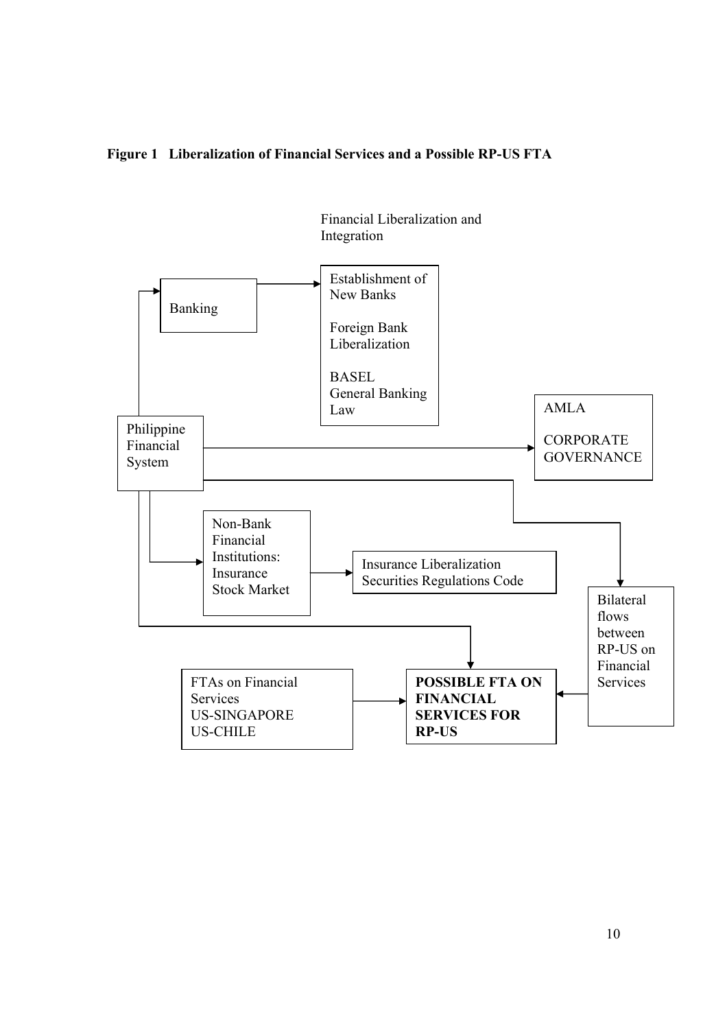

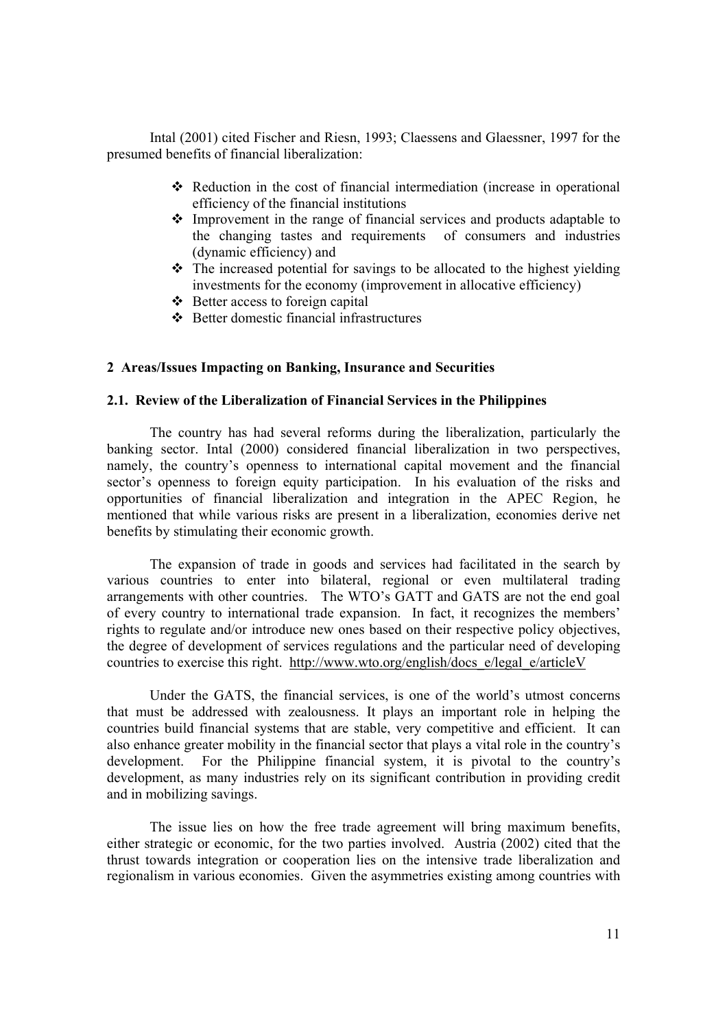Intal (2001) cited Fischer and Riesn, 1993; Claessens and Glaessner, 1997 for the presumed benefits of financial liberalization:

- Reduction in the cost of financial intermediation (increase in operational efficiency of the financial institutions
- Improvement in the range of financial services and products adaptable to the changing tastes and requirements of consumers and industries (dynamic efficiency) and
- \* The increased potential for savings to be allocated to the highest yielding investments for the economy (improvement in allocative efficiency)
- $\triangleleft$  Better access to foreign capital
- $\triangle$  Better domestic financial infrastructures

### **2 Areas/Issues Impacting on Banking, Insurance and Securities**

#### **2.1. Review of the Liberalization of Financial Services in the Philippines**

The country has had several reforms during the liberalization, particularly the banking sector. Intal (2000) considered financial liberalization in two perspectives, namely, the country's openness to international capital movement and the financial sector's openness to foreign equity participation. In his evaluation of the risks and opportunities of financial liberalization and integration in the APEC Region, he mentioned that while various risks are present in a liberalization, economies derive net benefits by stimulating their economic growth.

The expansion of trade in goods and services had facilitated in the search by various countries to enter into bilateral, regional or even multilateral trading arrangements with other countries. The WTO's GATT and GATS are not the end goal of every country to international trade expansion. In fact, it recognizes the members' rights to regulate and/or introduce new ones based on their respective policy objectives, the degree of development of services regulations and the particular need of developing countries to exercise this right. http://www.wto.org/english/docs\_e/legal\_e/articleV

Under the GATS, the financial services, is one of the world's utmost concerns that must be addressed with zealousness. It plays an important role in helping the countries build financial systems that are stable, very competitive and efficient. It can also enhance greater mobility in the financial sector that plays a vital role in the country's development. For the Philippine financial system, it is pivotal to the country's development, as many industries rely on its significant contribution in providing credit and in mobilizing savings.

The issue lies on how the free trade agreement will bring maximum benefits, either strategic or economic, for the two parties involved. Austria (2002) cited that the thrust towards integration or cooperation lies on the intensive trade liberalization and regionalism in various economies. Given the asymmetries existing among countries with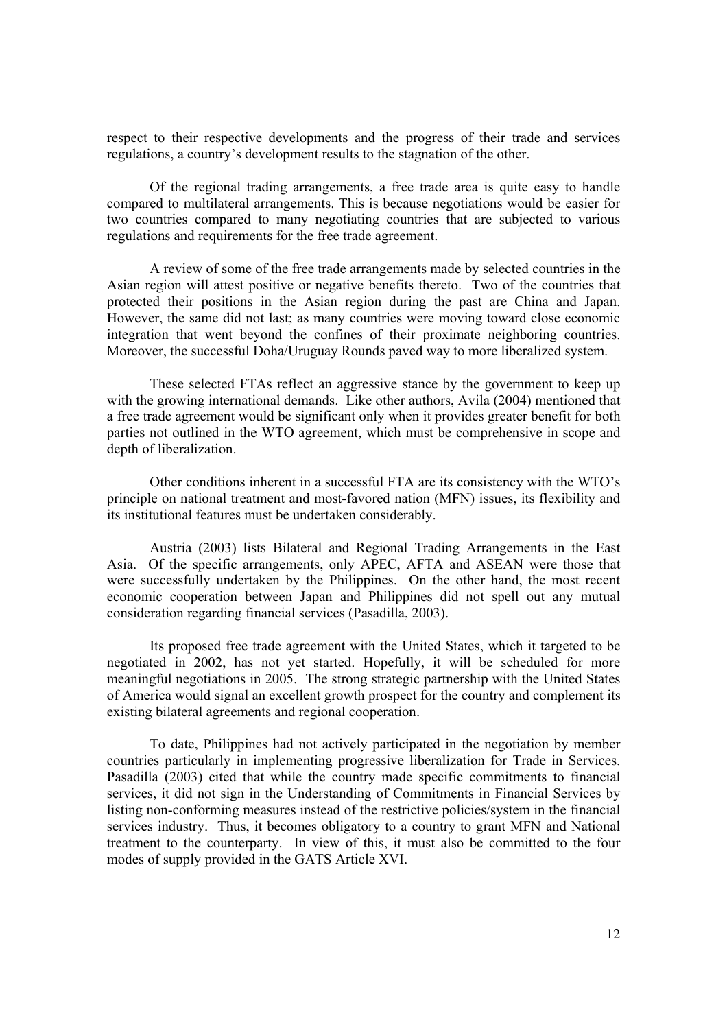respect to their respective developments and the progress of their trade and services regulations, a country's development results to the stagnation of the other.

Of the regional trading arrangements, a free trade area is quite easy to handle compared to multilateral arrangements. This is because negotiations would be easier for two countries compared to many negotiating countries that are subjected to various regulations and requirements for the free trade agreement.

A review of some of the free trade arrangements made by selected countries in the Asian region will attest positive or negative benefits thereto. Two of the countries that protected their positions in the Asian region during the past are China and Japan. However, the same did not last; as many countries were moving toward close economic integration that went beyond the confines of their proximate neighboring countries. Moreover, the successful Doha/Uruguay Rounds paved way to more liberalized system.

These selected FTAs reflect an aggressive stance by the government to keep up with the growing international demands. Like other authors, Avila (2004) mentioned that a free trade agreement would be significant only when it provides greater benefit for both parties not outlined in the WTO agreement, which must be comprehensive in scope and depth of liberalization.

Other conditions inherent in a successful FTA are its consistency with the WTO's principle on national treatment and most-favored nation (MFN) issues, its flexibility and its institutional features must be undertaken considerably.

Austria (2003) lists Bilateral and Regional Trading Arrangements in the East Asia. Of the specific arrangements, only APEC, AFTA and ASEAN were those that were successfully undertaken by the Philippines. On the other hand, the most recent economic cooperation between Japan and Philippines did not spell out any mutual consideration regarding financial services (Pasadilla, 2003).

Its proposed free trade agreement with the United States, which it targeted to be negotiated in 2002, has not yet started. Hopefully, it will be scheduled for more meaningful negotiations in 2005. The strong strategic partnership with the United States of America would signal an excellent growth prospect for the country and complement its existing bilateral agreements and regional cooperation.

To date, Philippines had not actively participated in the negotiation by member countries particularly in implementing progressive liberalization for Trade in Services. Pasadilla (2003) cited that while the country made specific commitments to financial services, it did not sign in the Understanding of Commitments in Financial Services by listing non-conforming measures instead of the restrictive policies/system in the financial services industry. Thus, it becomes obligatory to a country to grant MFN and National treatment to the counterparty. In view of this, it must also be committed to the four modes of supply provided in the GATS Article XVI.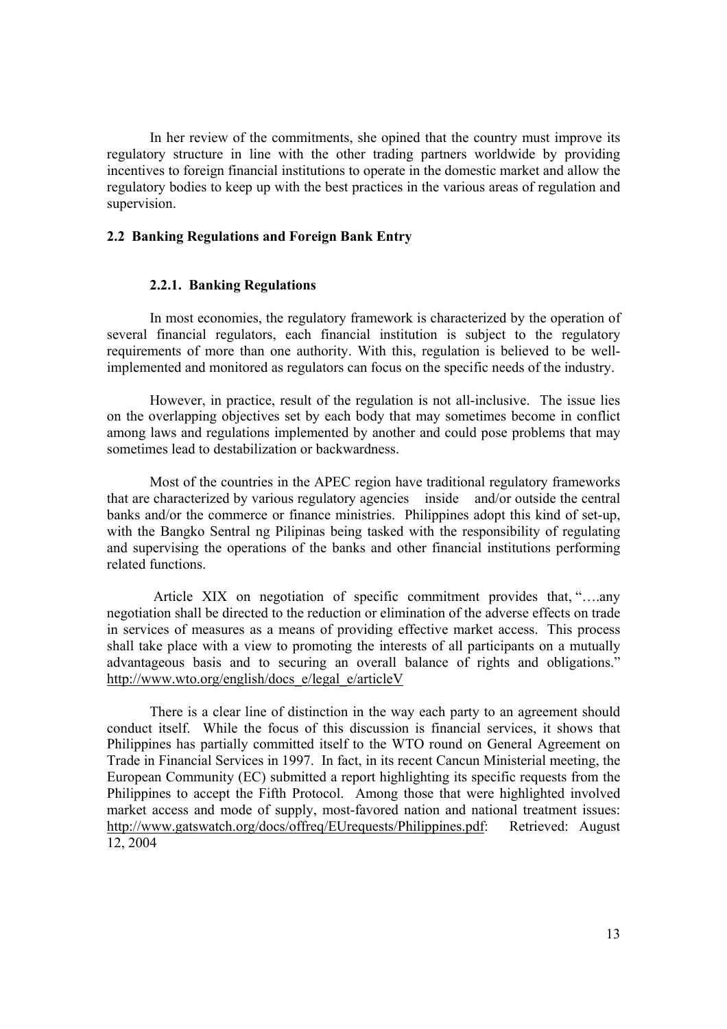In her review of the commitments, she opined that the country must improve its regulatory structure in line with the other trading partners worldwide by providing incentives to foreign financial institutions to operate in the domestic market and allow the regulatory bodies to keep up with the best practices in the various areas of regulation and supervision.

# **2.2 Banking Regulations and Foreign Bank Entry**

#### **2.2.1. Banking Regulations**

In most economies, the regulatory framework is characterized by the operation of several financial regulators, each financial institution is subject to the regulatory requirements of more than one authority. With this, regulation is believed to be wellimplemented and monitored as regulators can focus on the specific needs of the industry.

However, in practice, result of the regulation is not all-inclusive. The issue lies on the overlapping objectives set by each body that may sometimes become in conflict among laws and regulations implemented by another and could pose problems that may sometimes lead to destabilization or backwardness.

Most of the countries in the APEC region have traditional regulatory frameworks that are characterized by various regulatory agencies inside and/or outside the central banks and/or the commerce or finance ministries. Philippines adopt this kind of set-up, with the Bangko Sentral ng Pilipinas being tasked with the responsibility of regulating and supervising the operations of the banks and other financial institutions performing related functions.

 Article XIX on negotiation of specific commitment provides that, "….any negotiation shall be directed to the reduction or elimination of the adverse effects on trade in services of measures as a means of providing effective market access. This process shall take place with a view to promoting the interests of all participants on a mutually advantageous basis and to securing an overall balance of rights and obligations." http://www.wto.org/english/docs\_e/legal\_e/articleV

There is a clear line of distinction in the way each party to an agreement should conduct itself. While the focus of this discussion is financial services, it shows that Philippines has partially committed itself to the WTO round on General Agreement on Trade in Financial Services in 1997. In fact, in its recent Cancun Ministerial meeting, the European Community (EC) submitted a report highlighting its specific requests from the Philippines to accept the Fifth Protocol. Among those that were highlighted involved market access and mode of supply, most-favored nation and national treatment issues: http://www.gatswatch.org/docs/offreq/EUrequests/Philippines.pdf: Retrieved: August 12, 2004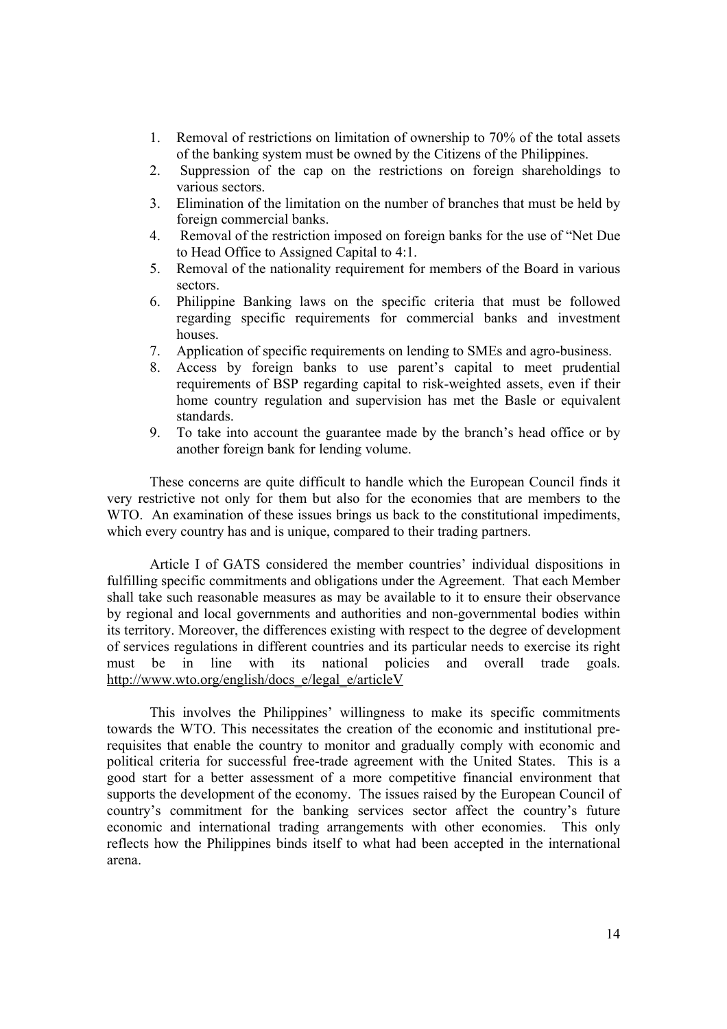- 1. Removal of restrictions on limitation of ownership to 70% of the total assets of the banking system must be owned by the Citizens of the Philippines.
- 2. Suppression of the cap on the restrictions on foreign shareholdings to various sectors.
- 3. Elimination of the limitation on the number of branches that must be held by foreign commercial banks.
- 4. Removal of the restriction imposed on foreign banks for the use of "Net Due to Head Office to Assigned Capital to 4:1.
- 5. Removal of the nationality requirement for members of the Board in various sectors.
- 6. Philippine Banking laws on the specific criteria that must be followed regarding specific requirements for commercial banks and investment houses.
- 7. Application of specific requirements on lending to SMEs and agro-business.
- 8. Access by foreign banks to use parent's capital to meet prudential requirements of BSP regarding capital to risk-weighted assets, even if their home country regulation and supervision has met the Basle or equivalent standards.
- 9. To take into account the guarantee made by the branch's head office or by another foreign bank for lending volume.

These concerns are quite difficult to handle which the European Council finds it very restrictive not only for them but also for the economies that are members to the WTO. An examination of these issues brings us back to the constitutional impediments, which every country has and is unique, compared to their trading partners.

Article I of GATS considered the member countries' individual dispositions in fulfilling specific commitments and obligations under the Agreement. That each Member shall take such reasonable measures as may be available to it to ensure their observance by regional and local governments and authorities and non-governmental bodies within its territory. Moreover, the differences existing with respect to the degree of development of services regulations in different countries and its particular needs to exercise its right must be in line with its national policies and overall trade goals. http://www.wto.org/english/docs\_e/legal\_e/articleV

This involves the Philippines' willingness to make its specific commitments towards the WTO. This necessitates the creation of the economic and institutional prerequisites that enable the country to monitor and gradually comply with economic and political criteria for successful free-trade agreement with the United States. This is a good start for a better assessment of a more competitive financial environment that supports the development of the economy. The issues raised by the European Council of country's commitment for the banking services sector affect the country's future economic and international trading arrangements with other economies. This only reflects how the Philippines binds itself to what had been accepted in the international arena.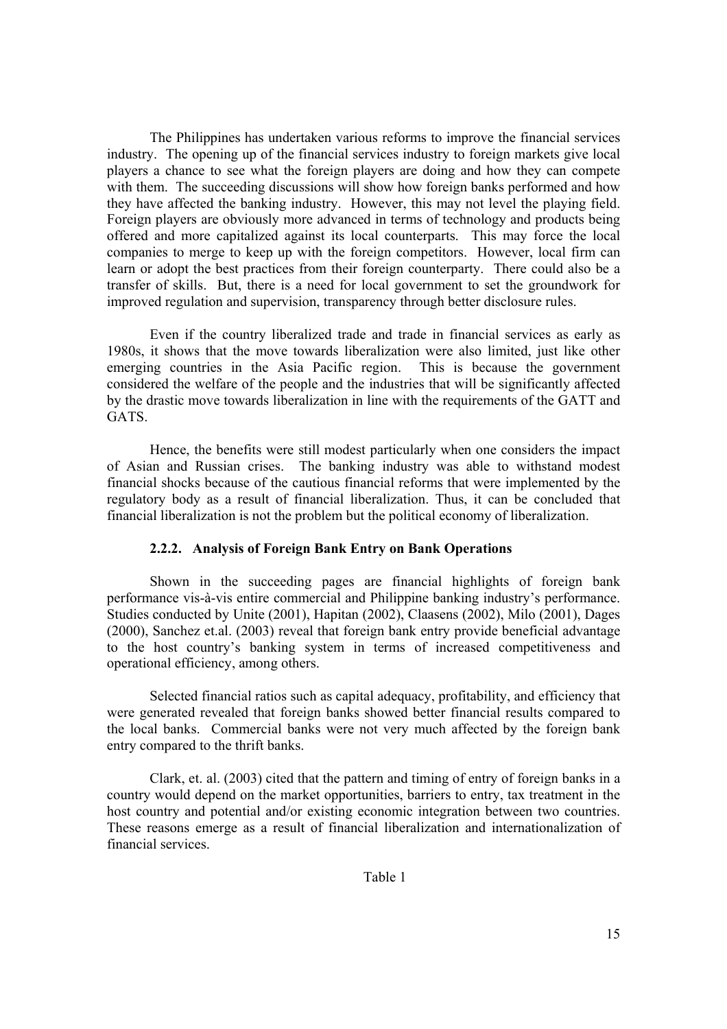The Philippines has undertaken various reforms to improve the financial services industry. The opening up of the financial services industry to foreign markets give local players a chance to see what the foreign players are doing and how they can compete with them. The succeeding discussions will show how foreign banks performed and how they have affected the banking industry. However, this may not level the playing field. Foreign players are obviously more advanced in terms of technology and products being offered and more capitalized against its local counterparts. This may force the local companies to merge to keep up with the foreign competitors. However, local firm can learn or adopt the best practices from their foreign counterparty. There could also be a transfer of skills. But, there is a need for local government to set the groundwork for improved regulation and supervision, transparency through better disclosure rules.

Even if the country liberalized trade and trade in financial services as early as 1980s, it shows that the move towards liberalization were also limited, just like other emerging countries in the Asia Pacific region. This is because the government considered the welfare of the people and the industries that will be significantly affected by the drastic move towards liberalization in line with the requirements of the GATT and GATS.

Hence, the benefits were still modest particularly when one considers the impact of Asian and Russian crises. The banking industry was able to withstand modest financial shocks because of the cautious financial reforms that were implemented by the regulatory body as a result of financial liberalization. Thus, it can be concluded that financial liberalization is not the problem but the political economy of liberalization.

### **2.2.2. Analysis of Foreign Bank Entry on Bank Operations**

Shown in the succeeding pages are financial highlights of foreign bank performance vis-à-vis entire commercial and Philippine banking industry's performance. Studies conducted by Unite (2001), Hapitan (2002), Claasens (2002), Milo (2001), Dages (2000), Sanchez et.al. (2003) reveal that foreign bank entry provide beneficial advantage to the host country's banking system in terms of increased competitiveness and operational efficiency, among others.

Selected financial ratios such as capital adequacy, profitability, and efficiency that were generated revealed that foreign banks showed better financial results compared to the local banks. Commercial banks were not very much affected by the foreign bank entry compared to the thrift banks.

Clark, et. al. (2003) cited that the pattern and timing of entry of foreign banks in a country would depend on the market opportunities, barriers to entry, tax treatment in the host country and potential and/or existing economic integration between two countries. These reasons emerge as a result of financial liberalization and internationalization of financial services.

Table 1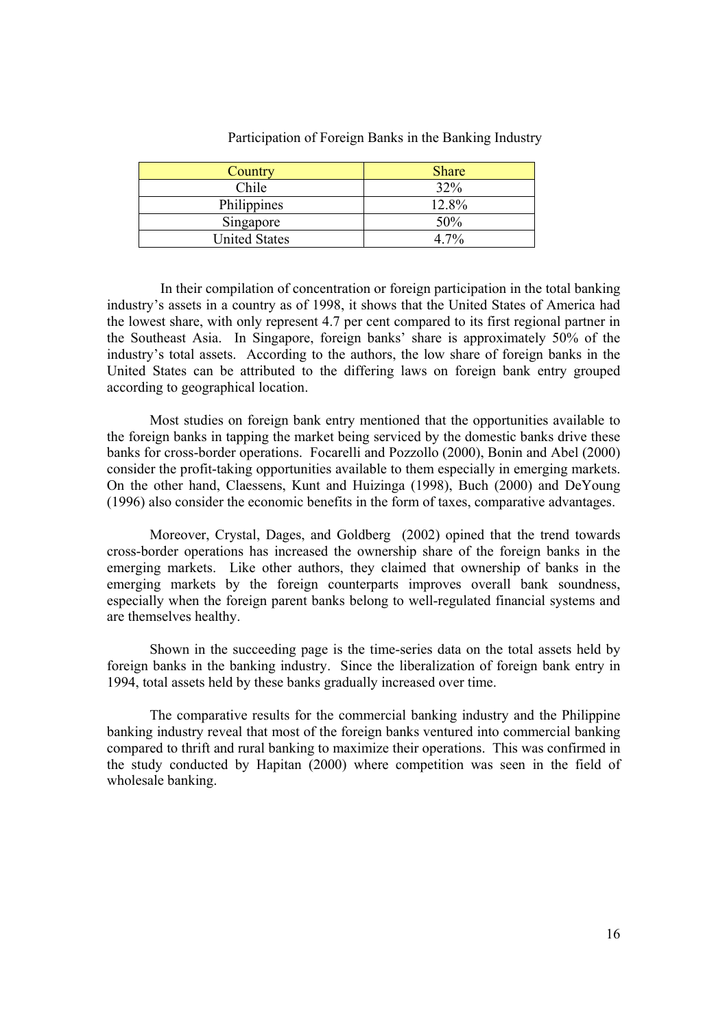| Country              | <b>Share</b> |
|----------------------|--------------|
| Chile                | 32%          |
| Philippines          | 12.8%        |
| Singapore            | 50%          |
| <b>United States</b> |              |

Participation of Foreign Banks in the Banking Industry

 In their compilation of concentration or foreign participation in the total banking industry's assets in a country as of 1998, it shows that the United States of America had the lowest share, with only represent 4.7 per cent compared to its first regional partner in the Southeast Asia. In Singapore, foreign banks' share is approximately 50% of the industry's total assets. According to the authors, the low share of foreign banks in the United States can be attributed to the differing laws on foreign bank entry grouped according to geographical location.

Most studies on foreign bank entry mentioned that the opportunities available to the foreign banks in tapping the market being serviced by the domestic banks drive these banks for cross-border operations. Focarelli and Pozzollo (2000), Bonin and Abel (2000) consider the profit-taking opportunities available to them especially in emerging markets. On the other hand, Claessens, Kunt and Huizinga (1998), Buch (2000) and DeYoung (1996) also consider the economic benefits in the form of taxes, comparative advantages.

Moreover, Crystal, Dages, and Goldberg (2002) opined that the trend towards cross-border operations has increased the ownership share of the foreign banks in the emerging markets. Like other authors, they claimed that ownership of banks in the emerging markets by the foreign counterparts improves overall bank soundness, especially when the foreign parent banks belong to well-regulated financial systems and are themselves healthy.

Shown in the succeeding page is the time-series data on the total assets held by foreign banks in the banking industry. Since the liberalization of foreign bank entry in 1994, total assets held by these banks gradually increased over time.

The comparative results for the commercial banking industry and the Philippine banking industry reveal that most of the foreign banks ventured into commercial banking compared to thrift and rural banking to maximize their operations. This was confirmed in the study conducted by Hapitan (2000) where competition was seen in the field of wholesale banking.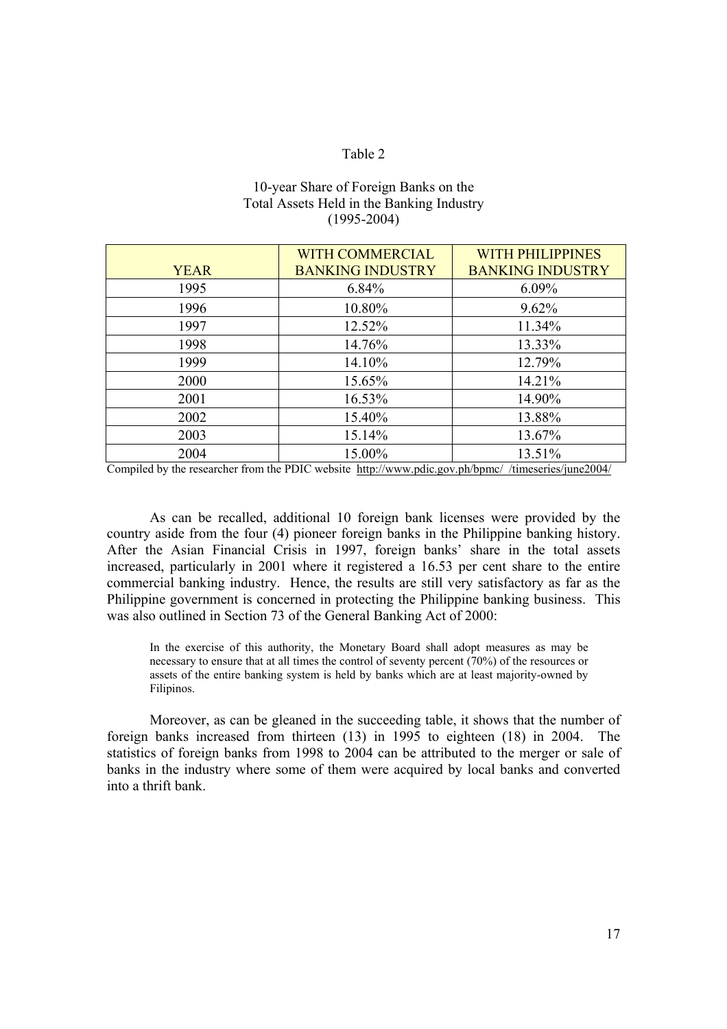# Table 2

| 10-year Share of Foreign Banks on the     |
|-------------------------------------------|
| Total Assets Held in the Banking Industry |
| $(1995 - 2004)$                           |

|             | <b>WITH COMMERCIAL</b>  | <b>WITH PHILIPPINES</b> |
|-------------|-------------------------|-------------------------|
| <b>YEAR</b> | <b>BANKING INDUSTRY</b> | <b>BANKING INDUSTRY</b> |
| 1995        | $6.84\%$                | $6.09\%$                |
| 1996        | 10.80%                  | $9.62\%$                |
| 1997        | 12.52%                  | 11.34%                  |
| 1998        | 14.76%                  | 13.33%                  |
| 1999        | 14.10%                  | 12.79%                  |
| 2000        | 15.65%                  | 14.21%                  |
| 2001        | 16.53%                  | 14.90%                  |
| 2002        | 15.40%                  | 13.88%                  |
| 2003        | 15.14%                  | 13.67%                  |
| 2004        | 15.00%                  | 13.51%                  |

Compiled by the researcher from the PDIC website http://www.pdic.gov.ph/bpmc//timeseries/june2004/

As can be recalled, additional 10 foreign bank licenses were provided by the country aside from the four (4) pioneer foreign banks in the Philippine banking history. After the Asian Financial Crisis in 1997, foreign banks' share in the total assets increased, particularly in 2001 where it registered a 16.53 per cent share to the entire commercial banking industry. Hence, the results are still very satisfactory as far as the Philippine government is concerned in protecting the Philippine banking business. This was also outlined in Section 73 of the General Banking Act of 2000:

In the exercise of this authority, the Monetary Board shall adopt measures as may be necessary to ensure that at all times the control of seventy percent (70%) of the resources or assets of the entire banking system is held by banks which are at least majority-owned by Filipinos.

Moreover, as can be gleaned in the succeeding table, it shows that the number of foreign banks increased from thirteen (13) in 1995 to eighteen (18) in 2004. The statistics of foreign banks from 1998 to 2004 can be attributed to the merger or sale of banks in the industry where some of them were acquired by local banks and converted into a thrift bank.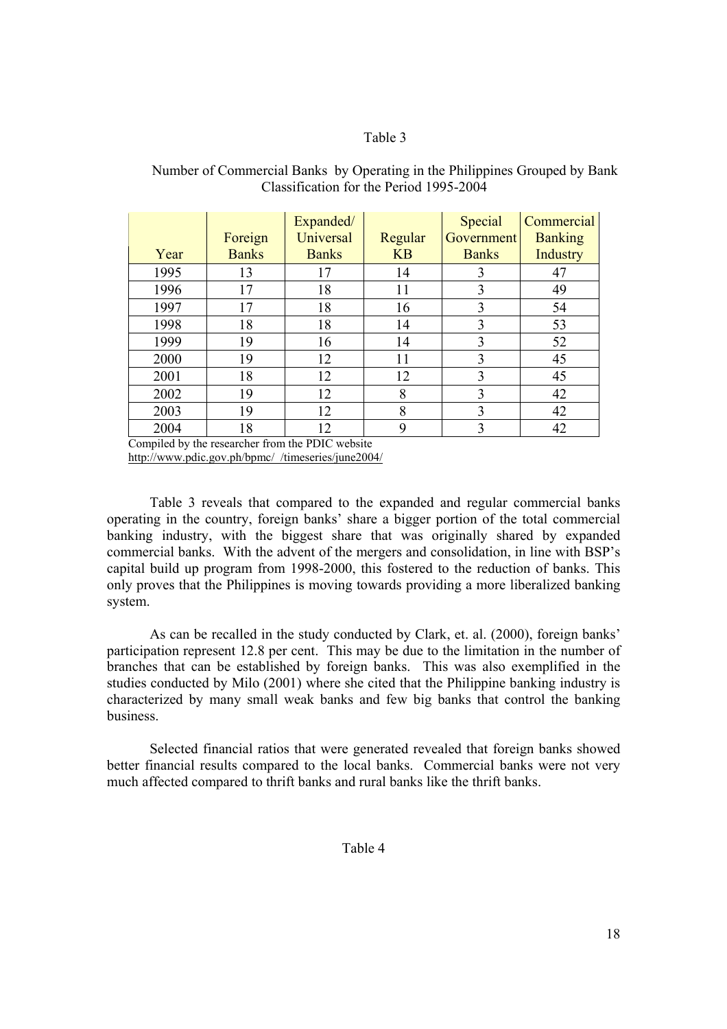# Table 3

|      | Foreign      | Expanded/<br>Universal | Regular   | Special<br>Government | Commercial<br><b>Banking</b> |
|------|--------------|------------------------|-----------|-----------------------|------------------------------|
| Year | <b>Banks</b> | <b>Banks</b>           | <b>KB</b> | <b>Banks</b>          | Industry                     |
| 1995 | 13           | 17                     | 14        | 3                     | 47                           |
| 1996 | 17           | 18                     | 11        | 3                     | 49                           |
| 1997 | 17           | 18                     | 16        | 3                     | 54                           |
| 1998 | 18           | 18                     | 14        | 3                     | 53                           |
| 1999 | 19           | 16                     | 14        | 3                     | 52                           |
| 2000 | 19           | 12                     | 11        | 3                     | 45                           |
| 2001 | 18           | 12                     | 12        | 3                     | 45                           |
| 2002 | 19           | 12                     | 8         | 3                     | 42                           |
| 2003 | 19           | 12                     | 8         | 3                     | 42                           |
| 2004 | 18           | 12                     | 9         | 3                     | 42                           |

# Number of Commercial Banks by Operating in the Philippines Grouped by Bank Classification for the Period 1995-2004

Compiled by the researcher from the PDIC website http://www.pdic.gov.ph/bpmc/\_/timeseries/june2004/

 Table 3 reveals that compared to the expanded and regular commercial banks operating in the country, foreign banks' share a bigger portion of the total commercial banking industry, with the biggest share that was originally shared by expanded commercial banks. With the advent of the mergers and consolidation, in line with BSP's capital build up program from 1998-2000, this fostered to the reduction of banks. This only proves that the Philippines is moving towards providing a more liberalized banking system.

As can be recalled in the study conducted by Clark, et. al. (2000), foreign banks' participation represent 12.8 per cent. This may be due to the limitation in the number of branches that can be established by foreign banks. This was also exemplified in the studies conducted by Milo (2001) where she cited that the Philippine banking industry is characterized by many small weak banks and few big banks that control the banking business.

Selected financial ratios that were generated revealed that foreign banks showed better financial results compared to the local banks. Commercial banks were not very much affected compared to thrift banks and rural banks like the thrift banks.

# Table 4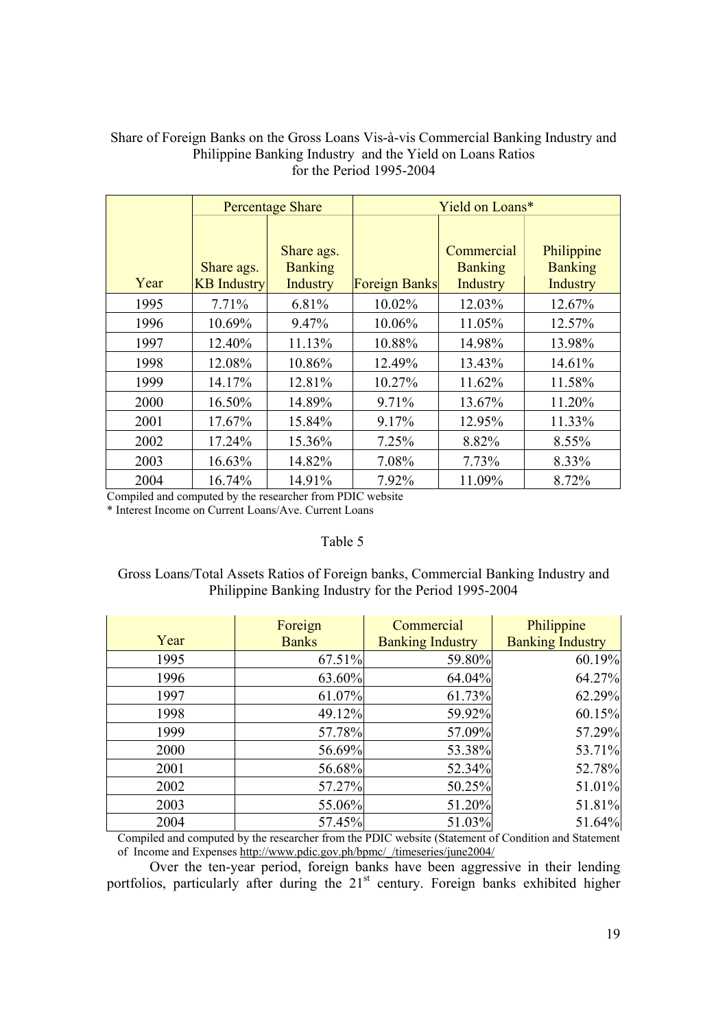# Share of Foreign Banks on the Gross Loans Vis-à-vis Commercial Banking Industry and Philippine Banking Industry and the Yield on Loans Ratios for the Period 1995-2004

|      |                    | <b>Percentage Share</b>      | Yield on Loans*      |                              |                              |
|------|--------------------|------------------------------|----------------------|------------------------------|------------------------------|
|      |                    |                              |                      |                              |                              |
|      | Share ags.         | Share ags.<br><b>Banking</b> |                      | Commercial<br><b>Banking</b> | Philippine<br><b>Banking</b> |
| Year | <b>KB</b> Industry | <b>Industry</b>              | <b>Foreign Banks</b> | Industry                     | Industry                     |
| 1995 | 7.71%              | 6.81%                        | 10.02%               | 12.03%                       | 12.67%                       |
| 1996 | 10.69%             | 9.47%                        | 10.06%               | 11.05%                       | 12.57%                       |
| 1997 | 12.40%             | 11.13%                       | 10.88%               | 14.98%                       | 13.98%                       |
| 1998 | 12.08%             | 10.86%                       | 12.49%               | 13.43%                       | 14.61%                       |
| 1999 | 14.17%             | 12.81%                       | 10.27%               | 11.62%                       | 11.58%                       |
| 2000 | 16.50%             | 14.89%                       | 9.71%                | 13.67%                       | 11.20%                       |
| 2001 | 17.67%             | 15.84%                       | 9.17%                | 12.95%                       | 11.33%                       |
| 2002 | 17.24%             | 15.36%                       | 7.25%                | 8.82%                        | 8.55%                        |
| 2003 | 16.63%             | 14.82%                       | 7.08%                | 7.73%                        | 8.33%                        |
| 2004 | 16.74%             | 14.91%                       | 7.92%                | 11.09%                       | 8.72%                        |

Compiled and computed by the researcher from PDIC website

\* Interest Income on Current Loans/Ave. Current Loans

# Table 5

# Gross Loans/Total Assets Ratios of Foreign banks, Commercial Banking Industry and Philippine Banking Industry for the Period 1995-2004

|      | Foreign      | Commercial              | Philippine              |
|------|--------------|-------------------------|-------------------------|
| Year | <b>Banks</b> | <b>Banking Industry</b> | <b>Banking Industry</b> |
| 1995 | 67.51%       | 59.80%                  | 60.19%                  |
| 1996 | 63.60%       | 64.04%                  | 64.27%                  |
| 1997 | 61.07%       | 61.73%                  | 62.29%                  |
| 1998 | 49.12%       | 59.92%                  | 60.15%                  |
| 1999 | 57.78%       | 57.09%                  | 57.29%                  |
| 2000 | 56.69%       | 53.38%                  | 53.71%                  |
| 2001 | 56.68%       | 52.34%                  | 52.78%                  |
| 2002 | 57.27%       | 50.25%                  | 51.01%                  |
| 2003 | 55.06%       | 51.20%                  | 51.81%                  |
| 2004 | 57.45%       | 51.03%                  | 51.64%                  |

Compiled and computed by the researcher from the PDIC website (Statement of Condition and Statement of Income and Expenses http://www.pdic.gov.ph/bpmc/\_/timeseries/june2004/

Over the ten-year period, foreign banks have been aggressive in their lending portfolios, particularly after during the  $21<sup>st</sup>$  century. Foreign banks exhibited higher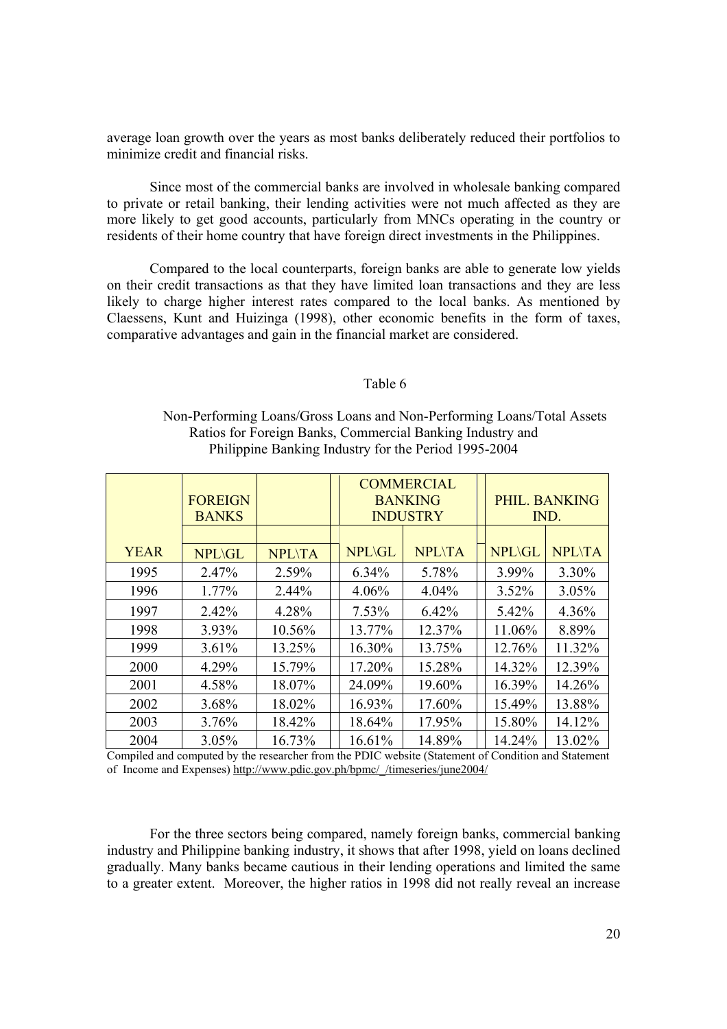average loan growth over the years as most banks deliberately reduced their portfolios to minimize credit and financial risks.

Since most of the commercial banks are involved in wholesale banking compared to private or retail banking, their lending activities were not much affected as they are more likely to get good accounts, particularly from MNCs operating in the country or residents of their home country that have foreign direct investments in the Philippines.

Compared to the local counterparts, foreign banks are able to generate low yields on their credit transactions as that they have limited loan transactions and they are less likely to charge higher interest rates compared to the local banks. As mentioned by Claessens, Kunt and Huizinga (1998), other economic benefits in the form of taxes, comparative advantages and gain in the financial market are considered.

#### Table 6

# Non-Performing Loans/Gross Loans and Non-Performing Loans/Total Assets Ratios for Foreign Banks, Commercial Banking Industry and Philippine Banking Industry for the Period 1995-2004

|             |                |               |               | <b>COMMERCIAL</b> |               |               |
|-------------|----------------|---------------|---------------|-------------------|---------------|---------------|
|             | <b>FOREIGN</b> |               |               | <b>BANKING</b>    |               | PHIL. BANKING |
|             | <b>BANKS</b>   |               |               | <b>INDUSTRY</b>   |               | IND.          |
|             |                |               |               |                   |               |               |
| <b>YEAR</b> | <b>NPL\GL</b>  | <b>NPL\TA</b> | <b>NPL\GL</b> | <b>NPL\TA</b>     | <b>NPL\GL</b> | <b>NPL\TA</b> |
| 1995        | 2.47%          | 2.59%         | 6.34%         | 5.78%             | 3.99%         | 3.30%         |
| 1996        | 1.77%          | 2.44%         | 4.06%         | 4.04%             | 3.52%         | 3.05%         |
| 1997        | 2.42%          | 4.28%         | 7.53%         | 6.42%             | 5.42%         | 4.36%         |
| 1998        | 3.93%          | 10.56%        | 13.77%        | 12.37%            | 11.06%        | 8.89%         |
| 1999        | 3.61%          | 13.25%        | 16.30%        | 13.75%            | 12.76%        | 11.32%        |
| 2000        | 4.29%          | 15.79%        | 17.20%        | 15.28%            | 14.32%        | 12.39%        |
| 2001        | 4.58%          | 18.07%        | 24.09%        | 19.60%            | 16.39%        | 14.26%        |
| 2002        | 3.68%          | 18.02%        | 16.93%        | 17.60%            | 15.49%        | 13.88%        |
| 2003        | 3.76%          | 18.42%        | 18.64%        | 17.95%            | 15.80%        | 14.12%        |
| 2004        | 3.05%          | 16.73%        | 16.61%        | 14.89%            | 14.24%        | 13.02%        |

Compiled and computed by the researcher from the PDIC website (Statement of Condition and Statement of Income and Expenses) http://www.pdic.gov.ph/bpmc/\_/timeseries/june2004/

For the three sectors being compared, namely foreign banks, commercial banking industry and Philippine banking industry, it shows that after 1998, yield on loans declined gradually. Many banks became cautious in their lending operations and limited the same to a greater extent. Moreover, the higher ratios in 1998 did not really reveal an increase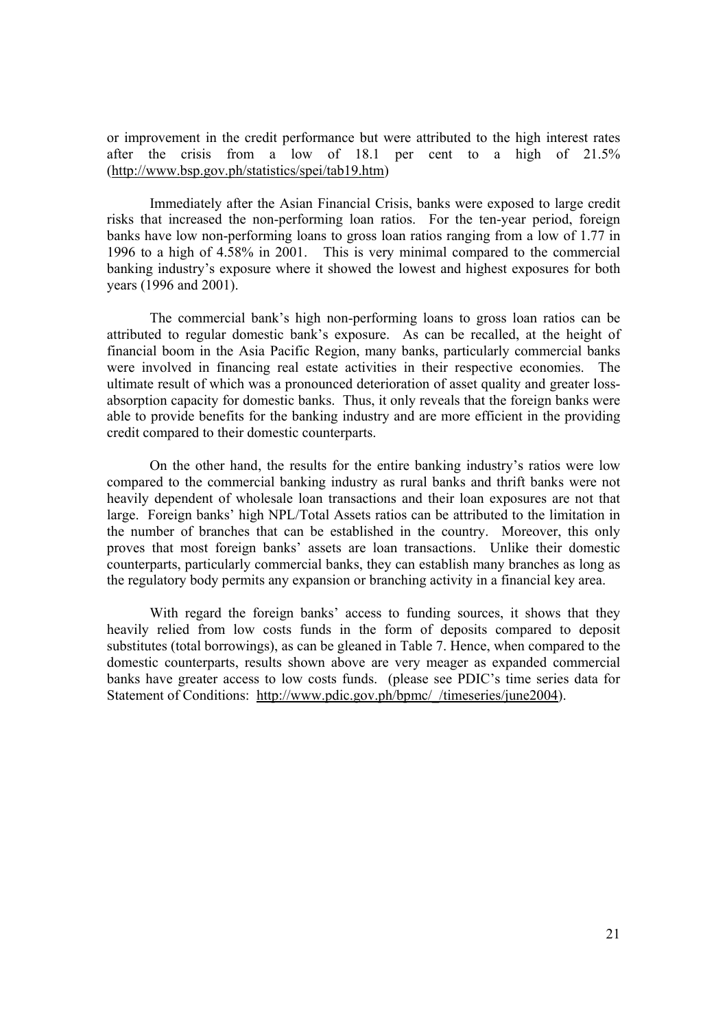or improvement in the credit performance but were attributed to the high interest rates after the crisis from a low of 18.1 per cent to a high of 21.5% (http://www.bsp.gov.ph/statistics/spei/tab19.htm)

Immediately after the Asian Financial Crisis, banks were exposed to large credit risks that increased the non-performing loan ratios. For the ten-year period, foreign banks have low non-performing loans to gross loan ratios ranging from a low of 1.77 in 1996 to a high of 4.58% in 2001. This is very minimal compared to the commercial banking industry's exposure where it showed the lowest and highest exposures for both years (1996 and 2001).

The commercial bank's high non-performing loans to gross loan ratios can be attributed to regular domestic bank's exposure. As can be recalled, at the height of financial boom in the Asia Pacific Region, many banks, particularly commercial banks were involved in financing real estate activities in their respective economies. The ultimate result of which was a pronounced deterioration of asset quality and greater lossabsorption capacity for domestic banks. Thus, it only reveals that the foreign banks were able to provide benefits for the banking industry and are more efficient in the providing credit compared to their domestic counterparts.

On the other hand, the results for the entire banking industry's ratios were low compared to the commercial banking industry as rural banks and thrift banks were not heavily dependent of wholesale loan transactions and their loan exposures are not that large. Foreign banks' high NPL/Total Assets ratios can be attributed to the limitation in the number of branches that can be established in the country. Moreover, this only proves that most foreign banks' assets are loan transactions. Unlike their domestic counterparts, particularly commercial banks, they can establish many branches as long as the regulatory body permits any expansion or branching activity in a financial key area.

With regard the foreign banks' access to funding sources, it shows that they heavily relied from low costs funds in the form of deposits compared to deposit substitutes (total borrowings), as can be gleaned in Table 7. Hence, when compared to the domestic counterparts, results shown above are very meager as expanded commercial banks have greater access to low costs funds. (please see PDIC's time series data for Statement of Conditions: http://www.pdic.gov.ph/bpmc//timeseries/june2004).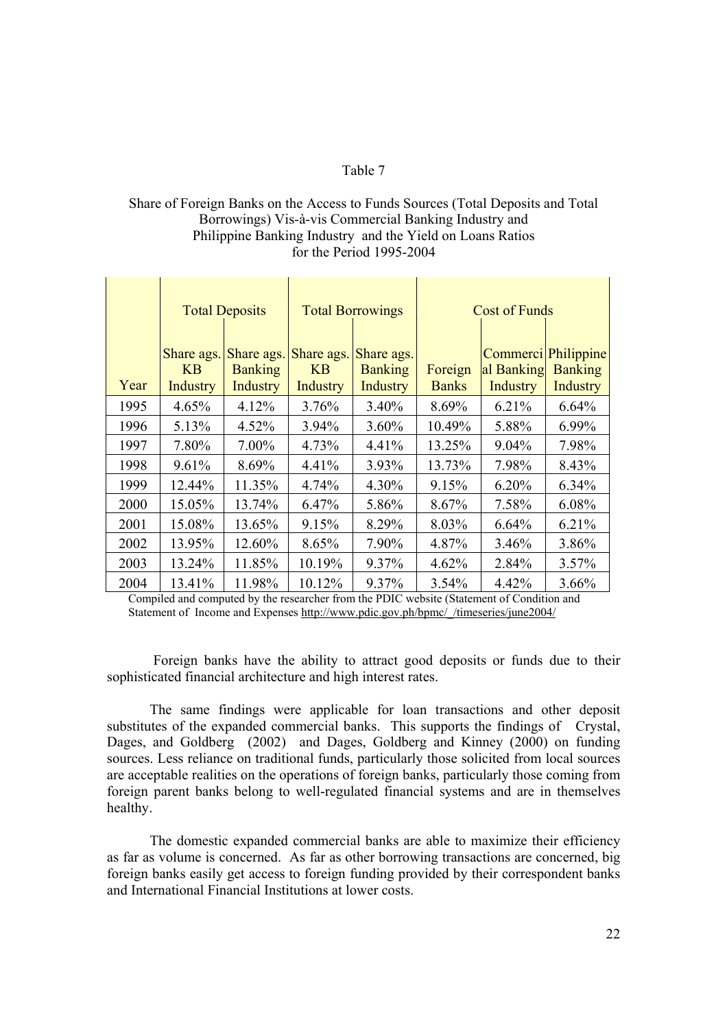# Table 7

# Share of Foreign Banks on the Access to Funds Sources (Total Deposits and Total Borrowings) Vis-à-vis Commercial Banking Industry and Philippine Banking Industry and the Yield on Loans Ratios for the Period 1995-2004

|      |                                            | <b>Total Deposits</b>                    |                                     | <b>Total Borrowings</b>                         |                         | Cost of Funds                      |                                                 |
|------|--------------------------------------------|------------------------------------------|-------------------------------------|-------------------------------------------------|-------------------------|------------------------------------|-------------------------------------------------|
| Year | Share ags.<br><b>KB</b><br><b>Industry</b> | Share ags.<br><b>Banking</b><br>Industry | Share ags.<br><b>KB</b><br>Industry | Share ags.<br><b>Banking</b><br><b>Industry</b> | Foreign<br><b>Banks</b> | Commerci<br>al Banking<br>Industry | <b>Philippine</b><br><b>Banking</b><br>Industry |
| 1995 | 4.65%                                      | 4.12%                                    | 3.76%                               | 3.40%                                           | 8.69%                   | 6.21%                              | 6.64%                                           |
| 1996 | 5.13%                                      | 4.52%                                    | 3.94%                               | 3.60%                                           | 10.49%                  | 5.88%                              | 6.99%                                           |
| 1997 | 7.80%                                      | 7.00%                                    | 4.73%                               | 4.41%                                           | 13.25%                  | 9.04%                              | 7.98%                                           |
| 1998 | 9.61%                                      | 8.69%                                    | 4.41%                               | 3.93%                                           | 13.73%                  | 7.98%                              | 8.43%                                           |
| 1999 | 12.44%                                     | 11.35%                                   | 4.74%                               | 4.30%                                           | 9.15%                   | 6.20%                              | 6.34%                                           |
| 2000 | 15.05%                                     | 13.74%                                   | 6.47%                               | 5.86%                                           | 8.67%                   | 7.58%                              | 6.08%                                           |
| 2001 | 15.08%                                     | 13.65%                                   | 9.15%                               | 8.29%                                           | 8.03%                   | 6.64%                              | 6.21%                                           |
| 2002 | 13.95%                                     | 12.60%                                   | 8.65%                               | 7.90%                                           | 4.87%                   | 3.46%                              | 3.86%                                           |
| 2003 | 13.24%                                     | 11.85%                                   | 10.19%                              | 9.37%                                           | 4.62%                   | 2.84%                              | $3.57\%$                                        |
| 2004 | 13.41%                                     | 11.98%                                   | 10.12%                              | 9.37%                                           | 3.54%                   | 4.42%                              | 3.66%                                           |

Compiled and computed by the researcher from the PDIC website (Statement of Condition and Statement of Income and Expenses http://www.pdic.gov.ph/bpmc//timeseries/june2004/

 Foreign banks have the ability to attract good deposits or funds due to their sophisticated financial architecture and high interest rates.

The same findings were applicable for loan transactions and other deposit substitutes of the expanded commercial banks. This supports the findings of Crystal, Dages, and Goldberg (2002) and Dages, Goldberg and Kinney (2000) on funding sources. Less reliance on traditional funds, particularly those solicited from local sources are acceptable realities on the operations of foreign banks, particularly those coming from foreign parent banks belong to well-regulated financial systems and are in themselves healthy.

The domestic expanded commercial banks are able to maximize their efficiency as far as volume is concerned. As far as other borrowing transactions are concerned, big foreign banks easily get access to foreign funding provided by their correspondent banks and International Financial Institutions at lower costs.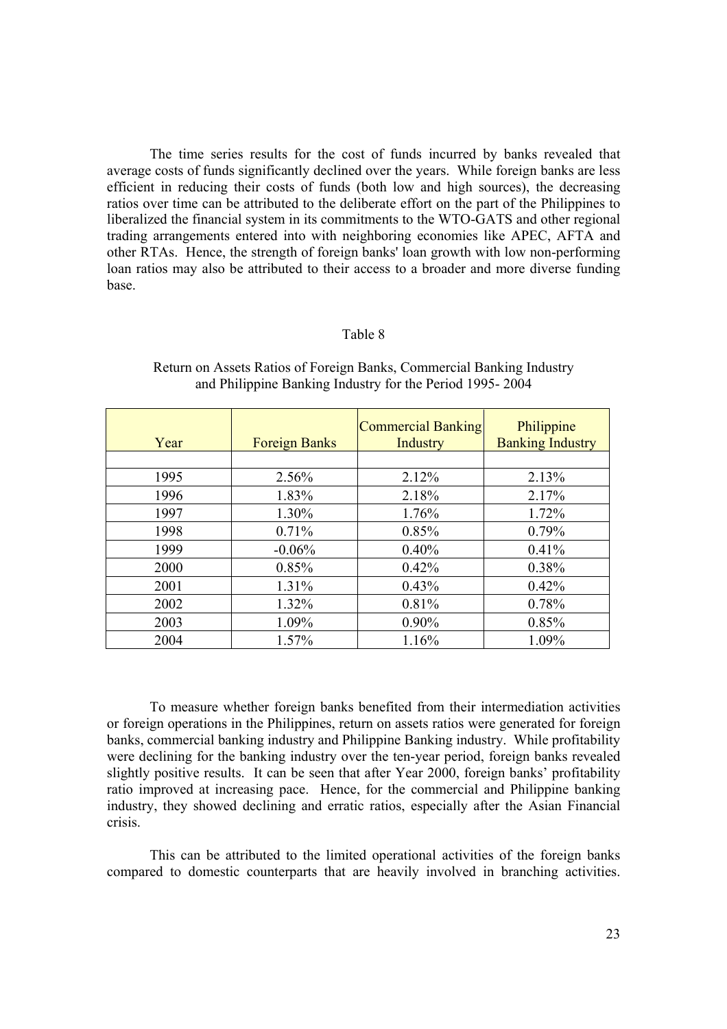The time series results for the cost of funds incurred by banks revealed that average costs of funds significantly declined over the years. While foreign banks are less efficient in reducing their costs of funds (both low and high sources), the decreasing ratios over time can be attributed to the deliberate effort on the part of the Philippines to liberalized the financial system in its commitments to the WTO-GATS and other regional trading arrangements entered into with neighboring economies like APEC, AFTA and other RTAs. Hence, the strength of foreign banks' loan growth with low non-performing loan ratios may also be attributed to their access to a broader and more diverse funding base.

#### Table 8

| Year | <b>Foreign Banks</b> | Commercial Banking<br>Industry | Philippine<br><b>Banking Industry</b> |
|------|----------------------|--------------------------------|---------------------------------------|
|      |                      |                                |                                       |
| 1995 | 2.56%                | 2.12%                          | 2.13%                                 |
| 1996 | 1.83%                | 2.18%                          | 2.17%                                 |
| 1997 | 1.30%                | 1.76%                          | 1.72%                                 |
| 1998 | 0.71%                | 0.85%                          | 0.79%                                 |
| 1999 | $-0.06%$             | 0.40%                          | 0.41%                                 |
| 2000 | 0.85%                | 0.42%                          | 0.38%                                 |
| 2001 | 1.31%                | 0.43%                          | 0.42%                                 |
| 2002 | 1.32%                | 0.81%                          | 0.78%                                 |
| 2003 | 1.09%                | $0.90\%$                       | 0.85%                                 |
| 2004 | 1.57%                | 1.16%                          | 1.09%                                 |

# Return on Assets Ratios of Foreign Banks, Commercial Banking Industry and Philippine Banking Industry for the Period 1995- 2004

To measure whether foreign banks benefited from their intermediation activities or foreign operations in the Philippines, return on assets ratios were generated for foreign banks, commercial banking industry and Philippine Banking industry. While profitability were declining for the banking industry over the ten-year period, foreign banks revealed slightly positive results. It can be seen that after Year 2000, foreign banks' profitability ratio improved at increasing pace. Hence, for the commercial and Philippine banking industry, they showed declining and erratic ratios, especially after the Asian Financial crisis.

This can be attributed to the limited operational activities of the foreign banks compared to domestic counterparts that are heavily involved in branching activities.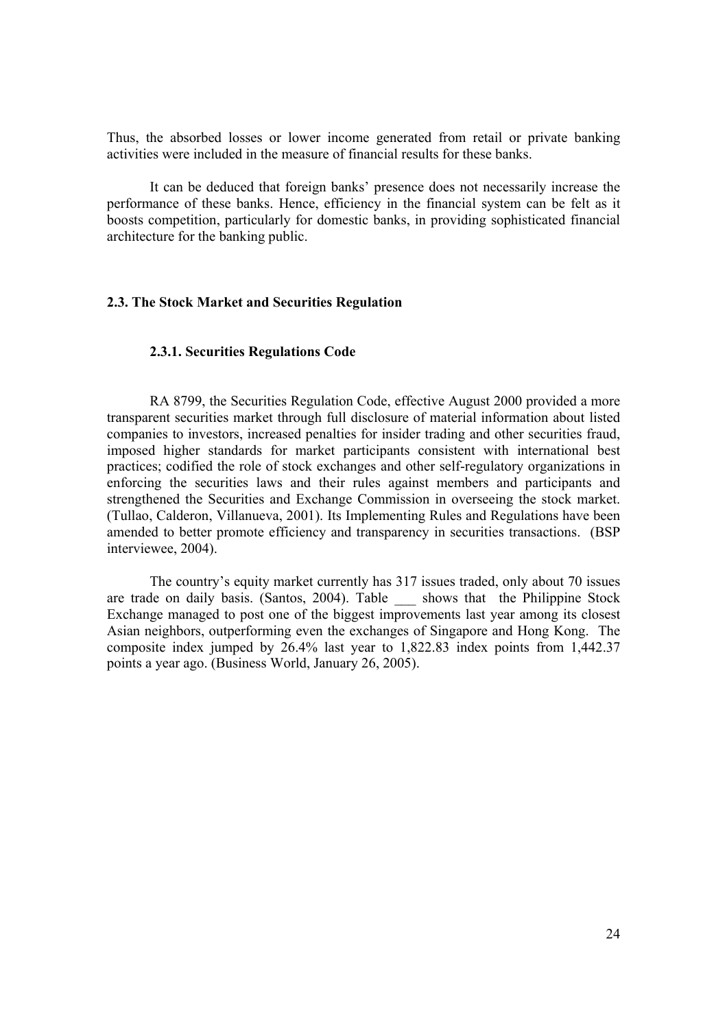Thus, the absorbed losses or lower income generated from retail or private banking activities were included in the measure of financial results for these banks.

It can be deduced that foreign banks' presence does not necessarily increase the performance of these banks. Hence, efficiency in the financial system can be felt as it boosts competition, particularly for domestic banks, in providing sophisticated financial architecture for the banking public.

### **2.3. The Stock Market and Securities Regulation**

#### **2.3.1. Securities Regulations Code**

RA 8799, the Securities Regulation Code, effective August 2000 provided a more transparent securities market through full disclosure of material information about listed companies to investors, increased penalties for insider trading and other securities fraud, imposed higher standards for market participants consistent with international best practices; codified the role of stock exchanges and other self-regulatory organizations in enforcing the securities laws and their rules against members and participants and strengthened the Securities and Exchange Commission in overseeing the stock market. (Tullao, Calderon, Villanueva, 2001). Its Implementing Rules and Regulations have been amended to better promote efficiency and transparency in securities transactions. (BSP interviewee, 2004).

The country's equity market currently has 317 issues traded, only about 70 issues are trade on daily basis. (Santos, 2004). Table \_\_\_ shows that the Philippine Stock Exchange managed to post one of the biggest improvements last year among its closest Asian neighbors, outperforming even the exchanges of Singapore and Hong Kong. The composite index jumped by 26.4% last year to 1,822.83 index points from 1,442.37 points a year ago. (Business World, January 26, 2005).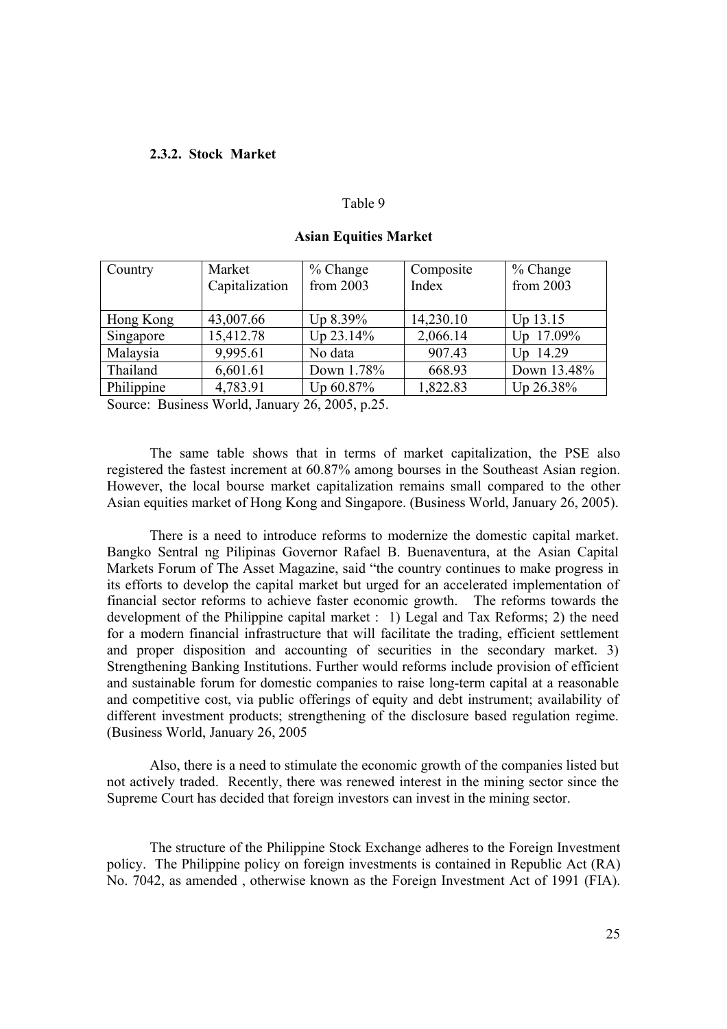#### **2.3.2. Stock Market**

#### Table 9

| Country    | Market<br>Capitalization | $%$ Change<br>from 2003 | Composite<br>Index | $%$ Change<br>from 2003 |
|------------|--------------------------|-------------------------|--------------------|-------------------------|
| Hong Kong  | 43,007.66                | Up 8.39%                | 14,230.10          | Up 13.15                |
| Singapore  | 15,412.78                | $Up$ 23.14%             | 2,066.14           | Up 17.09%               |
| Malaysia   | 9,995.61                 | No data                 | 907.43             | Up 14.29                |
| Thailand   | 6,601.61                 | Down 1.78%              | 668.93             | Down 13.48%             |
| Philippine | 4,783.91                 | Up 60.87%               | 1,822.83           | Up 26.38%               |

### **Asian Equities Market**

Source: Business World, January 26, 2005, p.25.

The same table shows that in terms of market capitalization, the PSE also registered the fastest increment at 60.87% among bourses in the Southeast Asian region. However, the local bourse market capitalization remains small compared to the other Asian equities market of Hong Kong and Singapore. (Business World, January 26, 2005).

There is a need to introduce reforms to modernize the domestic capital market. Bangko Sentral ng Pilipinas Governor Rafael B. Buenaventura, at the Asian Capital Markets Forum of The Asset Magazine, said "the country continues to make progress in its efforts to develop the capital market but urged for an accelerated implementation of financial sector reforms to achieve faster economic growth. The reforms towards the development of the Philippine capital market : 1) Legal and Tax Reforms; 2) the need for a modern financial infrastructure that will facilitate the trading, efficient settlement and proper disposition and accounting of securities in the secondary market. 3) Strengthening Banking Institutions. Further would reforms include provision of efficient and sustainable forum for domestic companies to raise long-term capital at a reasonable and competitive cost, via public offerings of equity and debt instrument; availability of different investment products; strengthening of the disclosure based regulation regime. (Business World, January 26, 2005

Also, there is a need to stimulate the economic growth of the companies listed but not actively traded. Recently, there was renewed interest in the mining sector since the Supreme Court has decided that foreign investors can invest in the mining sector.

The structure of the Philippine Stock Exchange adheres to the Foreign Investment policy. The Philippine policy on foreign investments is contained in Republic Act (RA) No. 7042, as amended , otherwise known as the Foreign Investment Act of 1991 (FIA).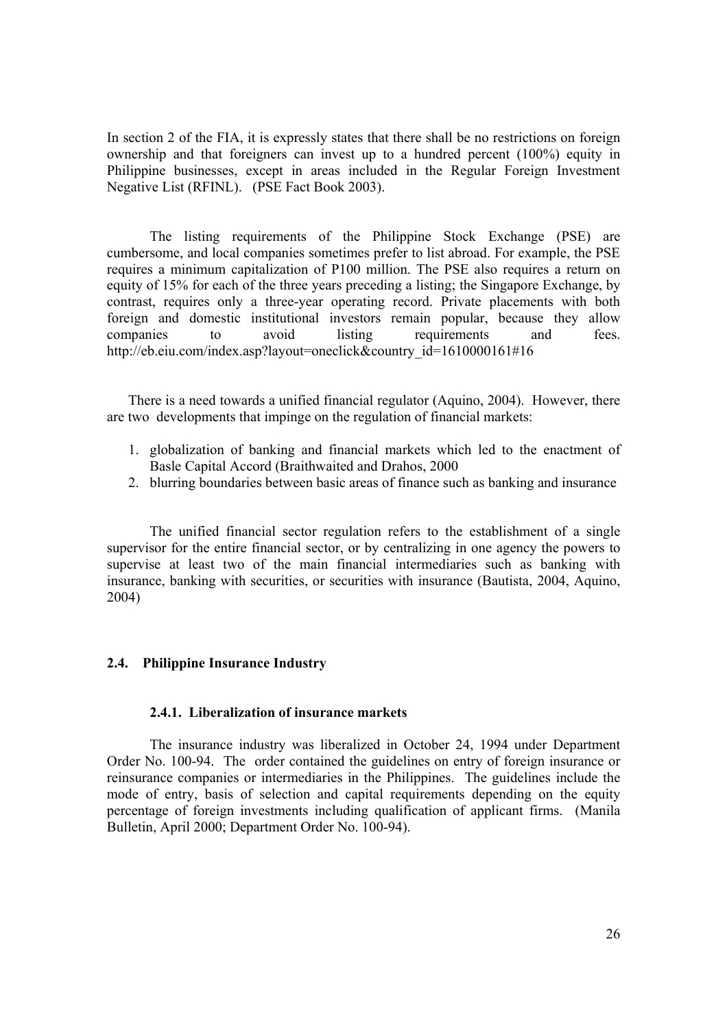In section 2 of the FIA, it is expressly states that there shall be no restrictions on foreign ownership and that foreigners can invest up to a hundred percent (100%) equity in Philippine businesses, except in areas included in the Regular Foreign Investment Negative List (RFINL). (PSE Fact Book 2003).

 The listing requirements of the Philippine Stock Exchange (PSE) are cumbersome, and local companies sometimes prefer to list abroad. For example, the PSE requires a minimum capitalization of P100 million. The PSE also requires a return on equity of 15% for each of the three years preceding a listing; the Singapore Exchange, by contrast, requires only a three-year operating record. Private placements with both foreign and domestic institutional investors remain popular, because they allow companies to avoid listing requirements and fees. http://eb.eiu.com/index.asp?layout=oneclick&country\_id=1610000161#16

There is a need towards a unified financial regulator (Aquino, 2004). However, there are two developments that impinge on the regulation of financial markets:

- 1. globalization of banking and financial markets which led to the enactment of Basle Capital Accord (Braithwaited and Drahos, 2000
- 2. blurring boundaries between basic areas of finance such as banking and insurance

The unified financial sector regulation refers to the establishment of a single supervisor for the entire financial sector, or by centralizing in one agency the powers to supervise at least two of the main financial intermediaries such as banking with insurance, banking with securities, or securities with insurance (Bautista, 2004, Aquino, 2004)

### **2.4. Philippine Insurance Industry**

#### **2.4.1. Liberalization of insurance markets**

The insurance industry was liberalized in October 24, 1994 under Department Order No. 100-94. The order contained the guidelines on entry of foreign insurance or reinsurance companies or intermediaries in the Philippines. The guidelines include the mode of entry, basis of selection and capital requirements depending on the equity percentage of foreign investments including qualification of applicant firms. (Manila Bulletin, April 2000; Department Order No. 100-94).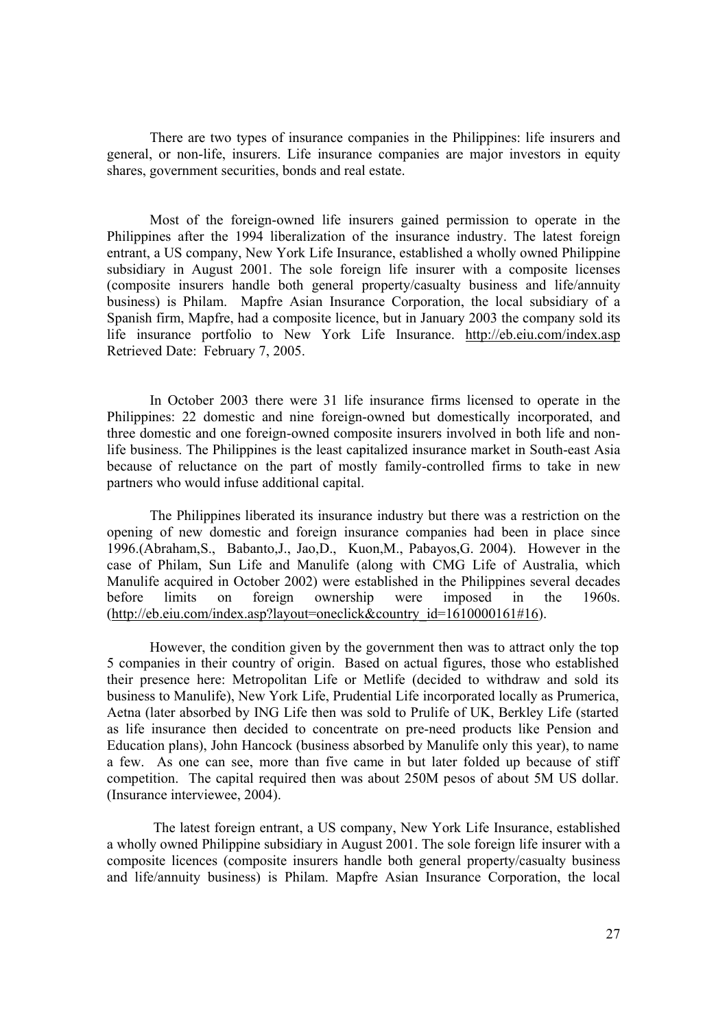There are two types of insurance companies in the Philippines: life insurers and general, or non-life, insurers. Life insurance companies are major investors in equity shares, government securities, bonds and real estate.

Most of the foreign-owned life insurers gained permission to operate in the Philippines after the 1994 liberalization of the insurance industry. The latest foreign entrant, a US company, New York Life Insurance, established a wholly owned Philippine subsidiary in August 2001. The sole foreign life insurer with a composite licenses (composite insurers handle both general property/casualty business and life/annuity business) is Philam. Mapfre Asian Insurance Corporation, the local subsidiary of a Spanish firm, Mapfre, had a composite licence, but in January 2003 the company sold its life insurance portfolio to New York Life Insurance. http://eb.eiu.com/index.asp Retrieved Date: February 7, 2005.

In October 2003 there were 31 life insurance firms licensed to operate in the Philippines: 22 domestic and nine foreign-owned but domestically incorporated, and three domestic and one foreign-owned composite insurers involved in both life and nonlife business. The Philippines is the least capitalized insurance market in South-east Asia because of reluctance on the part of mostly family-controlled firms to take in new partners who would infuse additional capital.

The Philippines liberated its insurance industry but there was a restriction on the opening of new domestic and foreign insurance companies had been in place since 1996.(Abraham,S., Babanto,J., Jao,D., Kuon,M., Pabayos,G. 2004). However in the case of Philam, Sun Life and Manulife (along with CMG Life of Australia, which Manulife acquired in October 2002) were established in the Philippines several decades before limits on foreign ownership were imposed in the 1960s. (http://eb.eiu.com/index.asp?layout=oneclick&country\_id=1610000161#16).

However, the condition given by the government then was to attract only the top 5 companies in their country of origin. Based on actual figures, those who established their presence here: Metropolitan Life or Metlife (decided to withdraw and sold its business to Manulife), New York Life, Prudential Life incorporated locally as Prumerica, Aetna (later absorbed by ING Life then was sold to Prulife of UK, Berkley Life (started as life insurance then decided to concentrate on pre-need products like Pension and Education plans), John Hancock (business absorbed by Manulife only this year), to name a few. As one can see, more than five came in but later folded up because of stiff competition. The capital required then was about 250M pesos of about 5M US dollar. (Insurance interviewee, 2004).

 The latest foreign entrant, a US company, New York Life Insurance, established a wholly owned Philippine subsidiary in August 2001. The sole foreign life insurer with a composite licences (composite insurers handle both general property/casualty business and life/annuity business) is Philam. Mapfre Asian Insurance Corporation, the local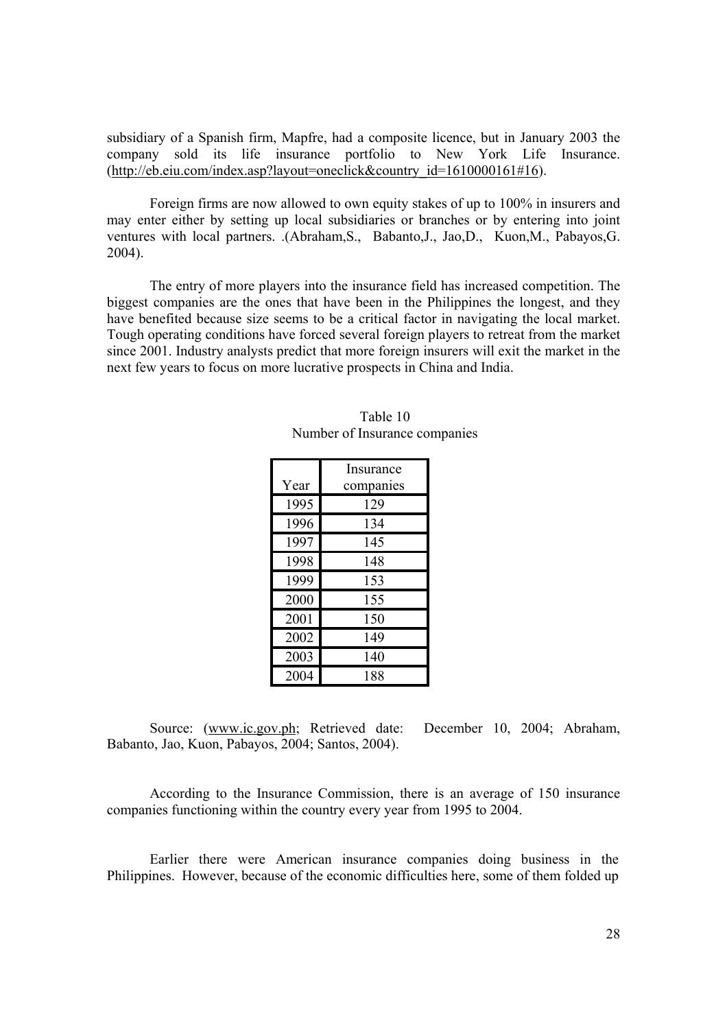subsidiary of a Spanish firm, Mapfre, had a composite licence, but in January 2003 the company sold its life insurance portfolio to New York Life Insurance. (http://eb.eiu.com/index.asp?layout=oneclick&country\_id=1610000161#16).

Foreign firms are now allowed to own equity stakes of up to 100% in insurers and may enter either by setting up local subsidiaries or branches or by entering into joint ventures with local partners. .(Abraham,S., Babanto,J., Jao,D., Kuon,M., Pabayos,G. 2004).

The entry of more players into the insurance field has increased competition. The biggest companies are the ones that have been in the Philippines the longest, and they have benefited because size seems to be a critical factor in navigating the local market. Tough operating conditions have forced several foreign players to retreat from the market since 2001. Industry analysts predict that more foreign insurers will exit the market in the next few years to focus on more lucrative prospects in China and India.

|      | Insurance |
|------|-----------|
| Year | companies |
| 1995 | 129       |
| 1996 | 134       |
| 1997 | 145       |
| 1998 | 148       |
| 1999 | 153       |
| 2000 | 155       |
| 2001 | 150       |
| 2002 | 149       |
| 2003 | 140       |
| 2004 | 188       |

| Table 10                      |
|-------------------------------|
| Number of Insurance companies |

Source: (www.ic.gov.ph; Retrieved date: December 10, 2004; Abraham, Babanto, Jao, Kuon, Pabayos, 2004; Santos, 2004).

According to the Insurance Commission, there is an average of 150 insurance companies functioning within the country every year from 1995 to 2004.

Earlier there were American insurance companies doing business in the Philippines. However, because of the economic difficulties here, some of them folded up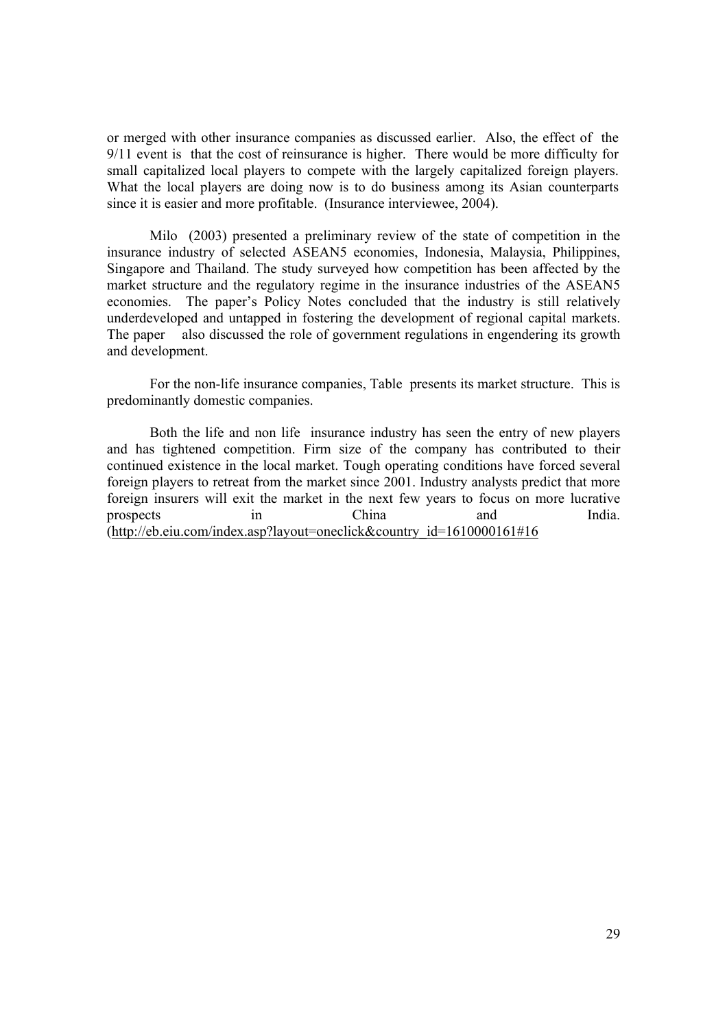or merged with other insurance companies as discussed earlier. Also, the effect of the 9/11 event is that the cost of reinsurance is higher. There would be more difficulty for small capitalized local players to compete with the largely capitalized foreign players. What the local players are doing now is to do business among its Asian counterparts since it is easier and more profitable. (Insurance interviewee, 2004).

Milo (2003) presented a preliminary review of the state of competition in the insurance industry of selected ASEAN5 economies, Indonesia, Malaysia, Philippines, Singapore and Thailand. The study surveyed how competition has been affected by the market structure and the regulatory regime in the insurance industries of the ASEAN5 economies. The paper's Policy Notes concluded that the industry is still relatively underdeveloped and untapped in fostering the development of regional capital markets. The paper also discussed the role of government regulations in engendering its growth and development.

For the non-life insurance companies, Table presents its market structure. This is predominantly domestic companies.

Both the life and non life insurance industry has seen the entry of new players and has tightened competition. Firm size of the company has contributed to their continued existence in the local market. Tough operating conditions have forced several foreign players to retreat from the market since 2001. Industry analysts predict that more foreign insurers will exit the market in the next few years to focus on more lucrative prospects in China and India. (http://eb.eiu.com/index.asp?layout=oneclick&country\_id=1610000161#16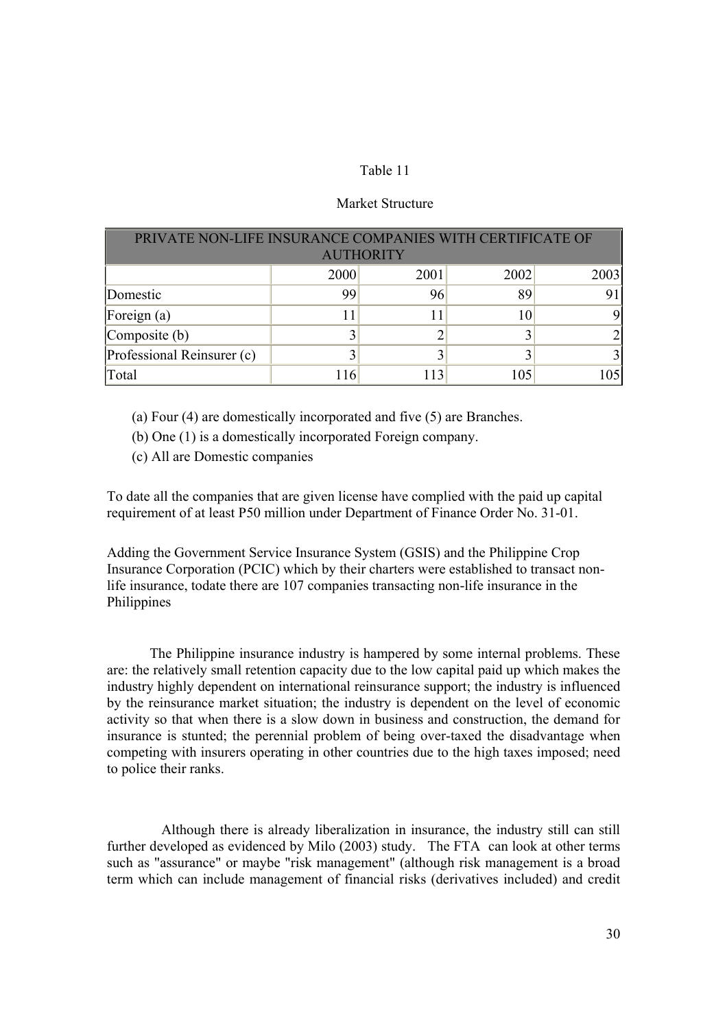# Table 11

# Market Structure

| PRIVATE NON-LIFE INSURANCE COMPANIES WITH CERTIFICATE OF |      |      |      |      |  |  |  |
|----------------------------------------------------------|------|------|------|------|--|--|--|
| <b>AUTHORITY</b>                                         |      |      |      |      |  |  |  |
|                                                          | 2000 | 2001 | 2002 | 2003 |  |  |  |
| Domestic                                                 | 99   | 96   | 89   |      |  |  |  |
| Foreign (a)                                              |      |      | 10   |      |  |  |  |
| Composite (b)                                            |      |      |      |      |  |  |  |
| Professional Reinsurer (c)                               |      |      |      |      |  |  |  |
| Total                                                    | 116  | 113  | 105  | 105  |  |  |  |

(a) Four (4) are domestically incorporated and five (5) are Branches.

(b) One (1) is a domestically incorporated Foreign company.

(c) All are Domestic companies

To date all the companies that are given license have complied with the paid up capital requirement of at least P50 million under Department of Finance Order No. 31-01.

Adding the Government Service Insurance System (GSIS) and the Philippine Crop Insurance Corporation (PCIC) which by their charters were established to transact nonlife insurance, todate there are 107 companies transacting non-life insurance in the Philippines

The Philippine insurance industry is hampered by some internal problems. These are: the relatively small retention capacity due to the low capital paid up which makes the industry highly dependent on international reinsurance support; the industry is influenced by the reinsurance market situation; the industry is dependent on the level of economic activity so that when there is a slow down in business and construction, the demand for insurance is stunted; the perennial problem of being over-taxed the disadvantage when competing with insurers operating in other countries due to the high taxes imposed; need to police their ranks.

 Although there is already liberalization in insurance, the industry still can still further developed as evidenced by Milo (2003) study. The FTA can look at other terms such as "assurance" or maybe "risk management" (although risk management is a broad term which can include management of financial risks (derivatives included) and credit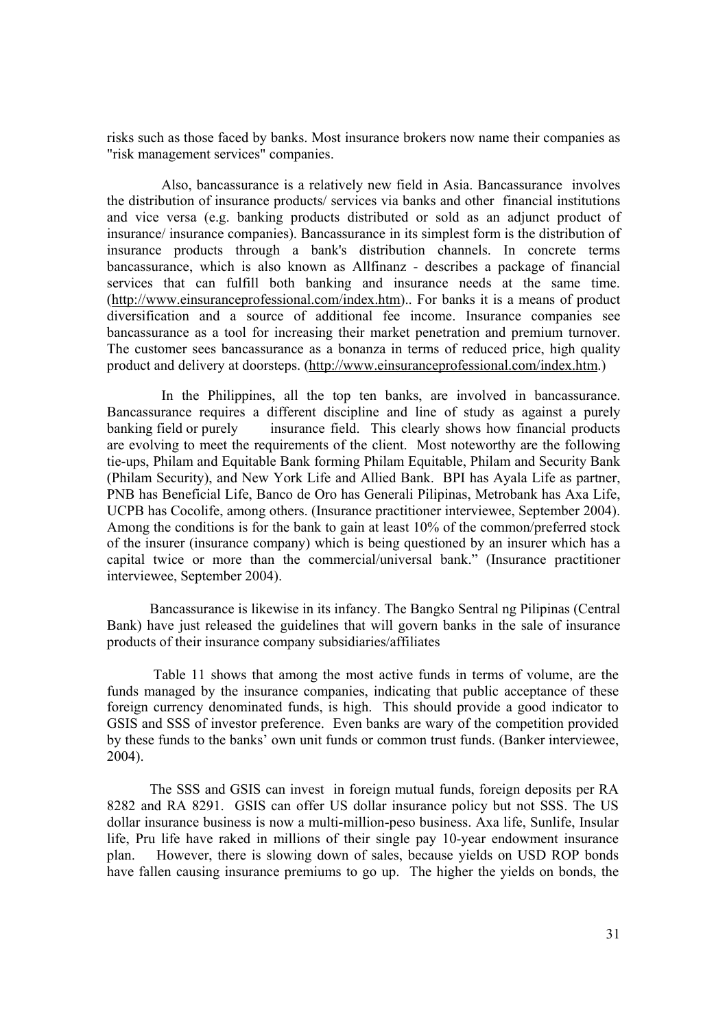risks such as those faced by banks. Most insurance brokers now name their companies as "risk management services" companies.

 Also, bancassurance is a relatively new field in Asia. Bancassurance involves the distribution of insurance products/ services via banks and other financial institutions and vice versa (e.g. banking products distributed or sold as an adjunct product of insurance/ insurance companies). Bancassurance in its simplest form is the distribution of insurance products through a bank's distribution channels. In concrete terms bancassurance, which is also known as Allfinanz - describes a package of financial services that can fulfill both banking and insurance needs at the same time. (http://www.einsuranceprofessional.com/index.htm).. For banks it is a means of product diversification and a source of additional fee income. Insurance companies see bancassurance as a tool for increasing their market penetration and premium turnover. The customer sees bancassurance as a bonanza in terms of reduced price, high quality product and delivery at doorsteps. (http://www.einsuranceprofessional.com/index.htm.)

 In the Philippines, all the top ten banks, are involved in bancassurance. Bancassurance requires a different discipline and line of study as against a purely banking field or purely insurance field. This clearly shows how financial products are evolving to meet the requirements of the client. Most noteworthy are the following tie-ups, Philam and Equitable Bank forming Philam Equitable, Philam and Security Bank (Philam Security), and New York Life and Allied Bank. BPI has Ayala Life as partner, PNB has Beneficial Life, Banco de Oro has Generali Pilipinas, Metrobank has Axa Life, UCPB has Cocolife, among others. (Insurance practitioner interviewee, September 2004). Among the conditions is for the bank to gain at least 10% of the common/preferred stock of the insurer (insurance company) which is being questioned by an insurer which has a capital twice or more than the commercial/universal bank." (Insurance practitioner interviewee, September 2004).

Bancassurance is likewise in its infancy. The Bangko Sentral ng Pilipinas (Central Bank) have just released the guidelines that will govern banks in the sale of insurance products of their insurance company subsidiaries/affiliates

 Table 11 shows that among the most active funds in terms of volume, are the funds managed by the insurance companies, indicating that public acceptance of these foreign currency denominated funds, is high. This should provide a good indicator to GSIS and SSS of investor preference. Even banks are wary of the competition provided by these funds to the banks' own unit funds or common trust funds. (Banker interviewee, 2004).

The SSS and GSIS can invest in foreign mutual funds, foreign deposits per RA 8282 and RA 8291. GSIS can offer US dollar insurance policy but not SSS. The US dollar insurance business is now a multi-million-peso business. Axa life, Sunlife, Insular life, Pru life have raked in millions of their single pay 10-year endowment insurance plan. However, there is slowing down of sales, because yields on USD ROP bonds have fallen causing insurance premiums to go up. The higher the yields on bonds, the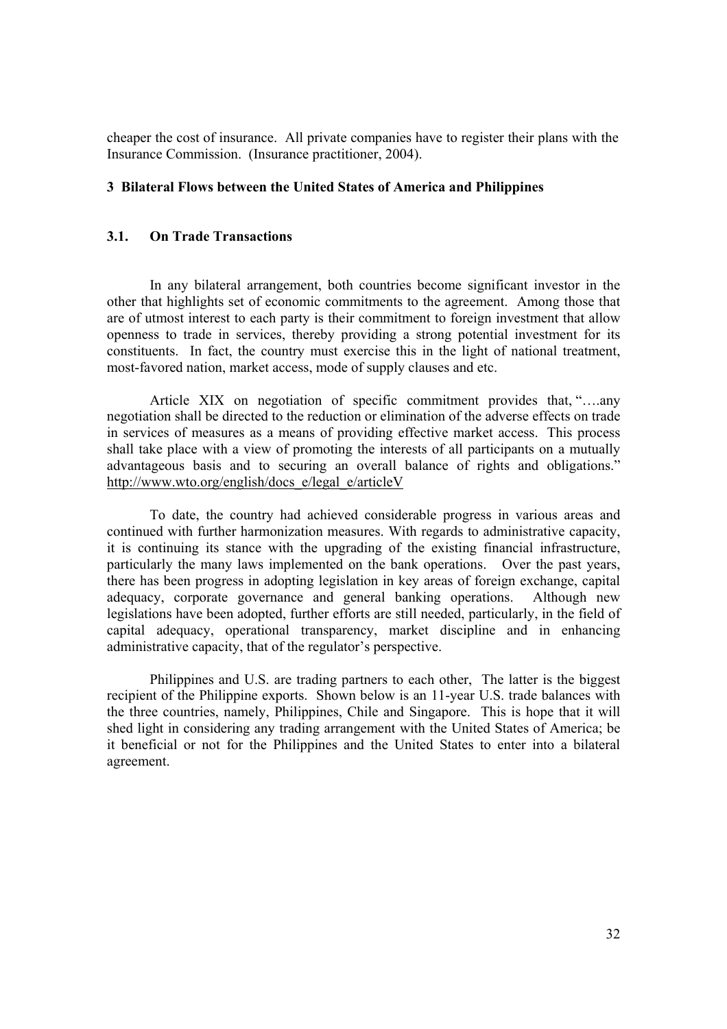cheaper the cost of insurance. All private companies have to register their plans with the Insurance Commission. (Insurance practitioner, 2004).

# **3 Bilateral Flows between the United States of America and Philippines**

# **3.1. On Trade Transactions**

In any bilateral arrangement, both countries become significant investor in the other that highlights set of economic commitments to the agreement. Among those that are of utmost interest to each party is their commitment to foreign investment that allow openness to trade in services, thereby providing a strong potential investment for its constituents. In fact, the country must exercise this in the light of national treatment, most-favored nation, market access, mode of supply clauses and etc.

Article XIX on negotiation of specific commitment provides that, "….any negotiation shall be directed to the reduction or elimination of the adverse effects on trade in services of measures as a means of providing effective market access. This process shall take place with a view of promoting the interests of all participants on a mutually advantageous basis and to securing an overall balance of rights and obligations." http://www.wto.org/english/docs\_e/legal\_e/articleV

To date, the country had achieved considerable progress in various areas and continued with further harmonization measures. With regards to administrative capacity, it is continuing its stance with the upgrading of the existing financial infrastructure, particularly the many laws implemented on the bank operations. Over the past years, there has been progress in adopting legislation in key areas of foreign exchange, capital adequacy, corporate governance and general banking operations. Although new legislations have been adopted, further efforts are still needed, particularly, in the field of capital adequacy, operational transparency, market discipline and in enhancing administrative capacity, that of the regulator's perspective.

Philippines and U.S. are trading partners to each other, The latter is the biggest recipient of the Philippine exports. Shown below is an 11-year U.S. trade balances with the three countries, namely, Philippines, Chile and Singapore. This is hope that it will shed light in considering any trading arrangement with the United States of America; be it beneficial or not for the Philippines and the United States to enter into a bilateral agreement.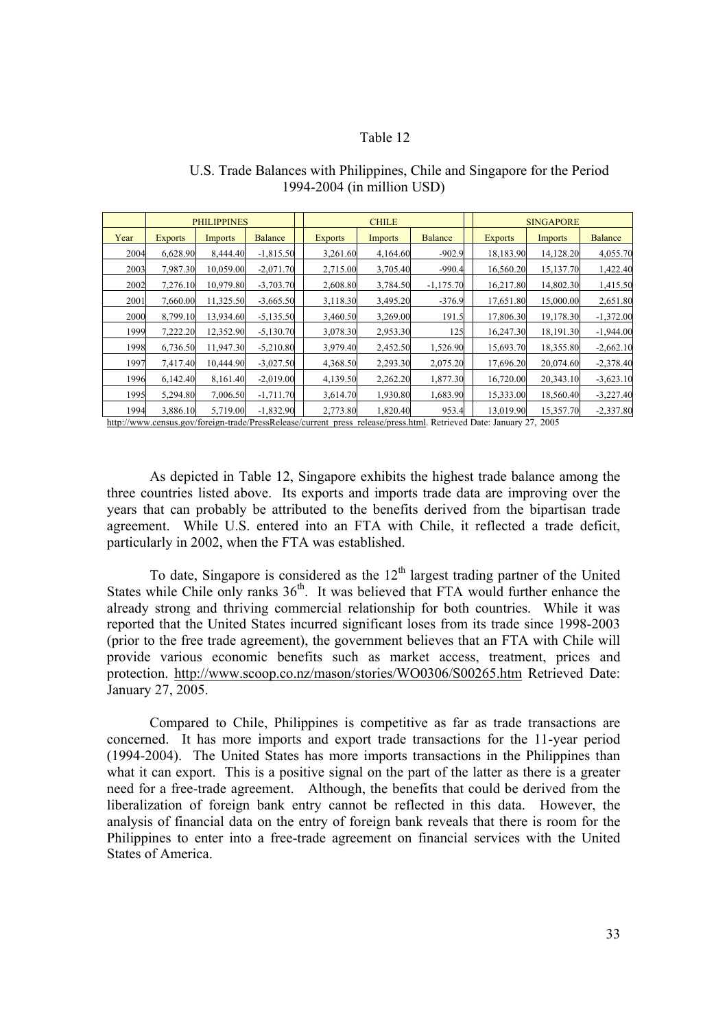# Table 12

|      | <b>PHILIPPINES</b> |                | <b>CHILE</b>   |                | <b>SINGAPORE</b> |                |                |           |                |
|------|--------------------|----------------|----------------|----------------|------------------|----------------|----------------|-----------|----------------|
| Year | <b>Exports</b>     | <b>Imports</b> | <b>Balance</b> | <b>Exports</b> | <b>Imports</b>   | <b>Balance</b> | <b>Exports</b> | Imports   | <b>Balance</b> |
| 2004 | 6,628.90           | 8,444.40       | $-1,815.50$    | 3,261.60       | 4,164.60         | $-902.9$       | 18,183.90      | 14,128.20 | 4,055.70       |
| 2003 | 7,987.30           | 10,059.00      | $-2,071.70$    | 2,715.00       | 3,705.40         | $-990.4$       | 16,560.20      | 15,137.70 | 1,422.40       |
| 2002 | 7,276.10           | 10,979.80      | $-3,703.70$    | 2,608.80       | 3,784.50         | $-1,175.70$    | 16,217.80      | 14,802.30 | 1,415.50       |
| 2001 | 7,660.00           | 11,325.50      | $-3,665.50$    | 3,118.30       | 3,495.20         | $-376.9$       | 17,651.80      | 15,000.00 | 2,651.80       |
| 2000 | 8,799.10           | 13,934.60      | $-5,135.50$    | 3,460.50       | 3,269.00         | 191.5          | 17,806.30      | 19,178.30 | $-1,372.00$    |
| 1999 | 7,222.20           | 12,352.90      | $-5,130.70$    | 3,078.30       | 2,953.30         | 125            | 16,247.30      | 18,191.30 | $-1,944.00$    |
| 1998 | 6,736.50           | 11,947.30      | $-5,210.80$    | 3,979.40       | 2,452.50         | 1,526.90       | 15,693.70      | 18,355.80 | $-2,662.10$    |
| 1997 | 7,417.40           | 10,444.90      | $-3,027.50$    | 4,368.50       | 2,293.30         | 2,075.20       | 17,696.20      | 20,074.60 | $-2,378.40$    |
| 1996 | 6,142.40           | 8,161.40       | $-2,019.00$    | 4,139.50       | 2,262.20         | 1,877.30       | 16,720.00      | 20,343.10 | $-3,623.10$    |
| 1995 | 5,294.80           | 7,006.50       | $-1,711.70$    | 3,614.70       | 1,930.80         | 1,683.90       | 15,333.00      | 18,560.40 | $-3,227,40$    |
| 1994 | 3,886.10           | 5,719.00       | $-1,832.90$    | 2,773.80       | 1,820.40         | 953.4          | 13,019.90      | 15,357.70 | $-2,337.80$    |

# U.S. Trade Balances with Philippines, Chile and Singapore for the Period 1994-2004 (in million USD)

http://www.census.gov/foreign-trade/PressRelease/current\_press\_release/press.html. Retrieved Date: January 27, 2005

As depicted in Table 12, Singapore exhibits the highest trade balance among the three countries listed above. Its exports and imports trade data are improving over the years that can probably be attributed to the benefits derived from the bipartisan trade agreement. While U.S. entered into an FTA with Chile, it reflected a trade deficit, particularly in 2002, when the FTA was established.

To date, Singapore is considered as the  $12<sup>th</sup>$  largest trading partner of the United States while Chile only ranks  $36<sup>th</sup>$ . It was believed that FTA would further enhance the already strong and thriving commercial relationship for both countries. While it was reported that the United States incurred significant loses from its trade since 1998-2003 (prior to the free trade agreement), the government believes that an FTA with Chile will provide various economic benefits such as market access, treatment, prices and protection. http://www.scoop.co.nz/mason/stories/WO0306/S00265.htm Retrieved Date: January 27, 2005.

Compared to Chile, Philippines is competitive as far as trade transactions are concerned. It has more imports and export trade transactions for the 11-year period (1994-2004). The United States has more imports transactions in the Philippines than what it can export. This is a positive signal on the part of the latter as there is a greater need for a free-trade agreement. Although, the benefits that could be derived from the liberalization of foreign bank entry cannot be reflected in this data. However, the analysis of financial data on the entry of foreign bank reveals that there is room for the Philippines to enter into a free-trade agreement on financial services with the United States of America.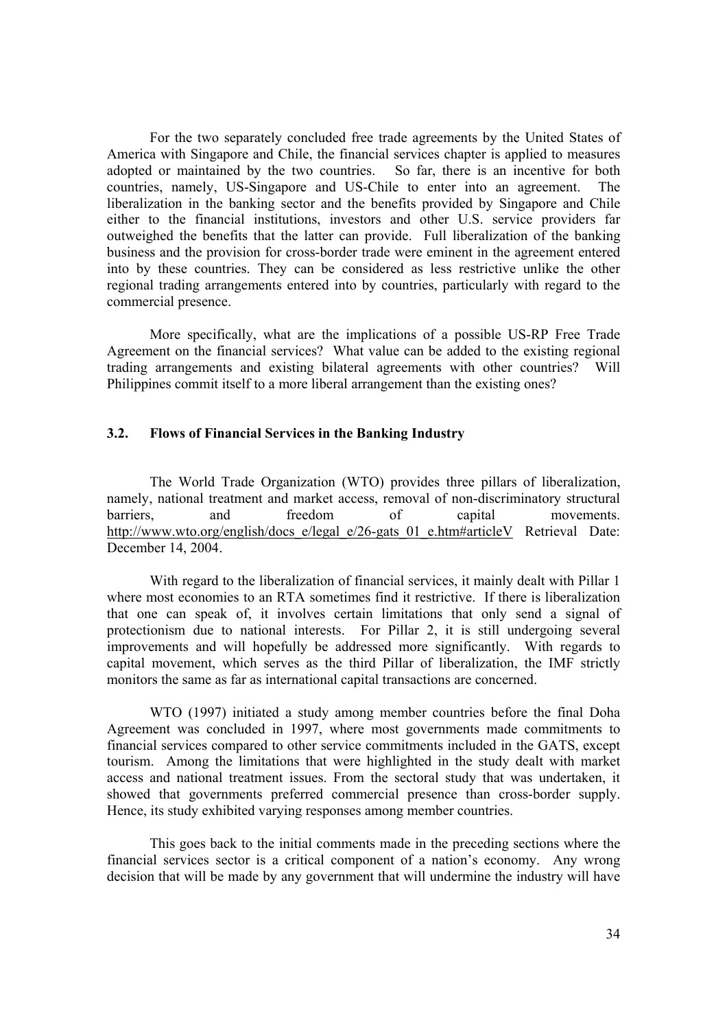For the two separately concluded free trade agreements by the United States of America with Singapore and Chile, the financial services chapter is applied to measures adopted or maintained by the two countries. So far, there is an incentive for both countries, namely, US-Singapore and US-Chile to enter into an agreement. The liberalization in the banking sector and the benefits provided by Singapore and Chile either to the financial institutions, investors and other U.S. service providers far outweighed the benefits that the latter can provide. Full liberalization of the banking business and the provision for cross-border trade were eminent in the agreement entered into by these countries. They can be considered as less restrictive unlike the other regional trading arrangements entered into by countries, particularly with regard to the commercial presence.

More specifically, what are the implications of a possible US-RP Free Trade Agreement on the financial services? What value can be added to the existing regional trading arrangements and existing bilateral agreements with other countries? Will Philippines commit itself to a more liberal arrangement than the existing ones?

### **3.2. Flows of Financial Services in the Banking Industry**

 The World Trade Organization (WTO) provides three pillars of liberalization, namely, national treatment and market access, removal of non-discriminatory structural barriers, and freedom of capital movements. http://www.wto.org/english/docs\_e/legal\_e/26-gats\_01\_e.htm#articleV\_Retrieval\_Date: December 14, 2004.

 With regard to the liberalization of financial services, it mainly dealt with Pillar 1 where most economies to an RTA sometimes find it restrictive. If there is liberalization that one can speak of, it involves certain limitations that only send a signal of protectionism due to national interests. For Pillar 2, it is still undergoing several improvements and will hopefully be addressed more significantly. With regards to capital movement, which serves as the third Pillar of liberalization, the IMF strictly monitors the same as far as international capital transactions are concerned.

WTO (1997) initiated a study among member countries before the final Doha Agreement was concluded in 1997, where most governments made commitments to financial services compared to other service commitments included in the GATS, except tourism. Among the limitations that were highlighted in the study dealt with market access and national treatment issues. From the sectoral study that was undertaken, it showed that governments preferred commercial presence than cross-border supply. Hence, its study exhibited varying responses among member countries.

This goes back to the initial comments made in the preceding sections where the financial services sector is a critical component of a nation's economy. Any wrong decision that will be made by any government that will undermine the industry will have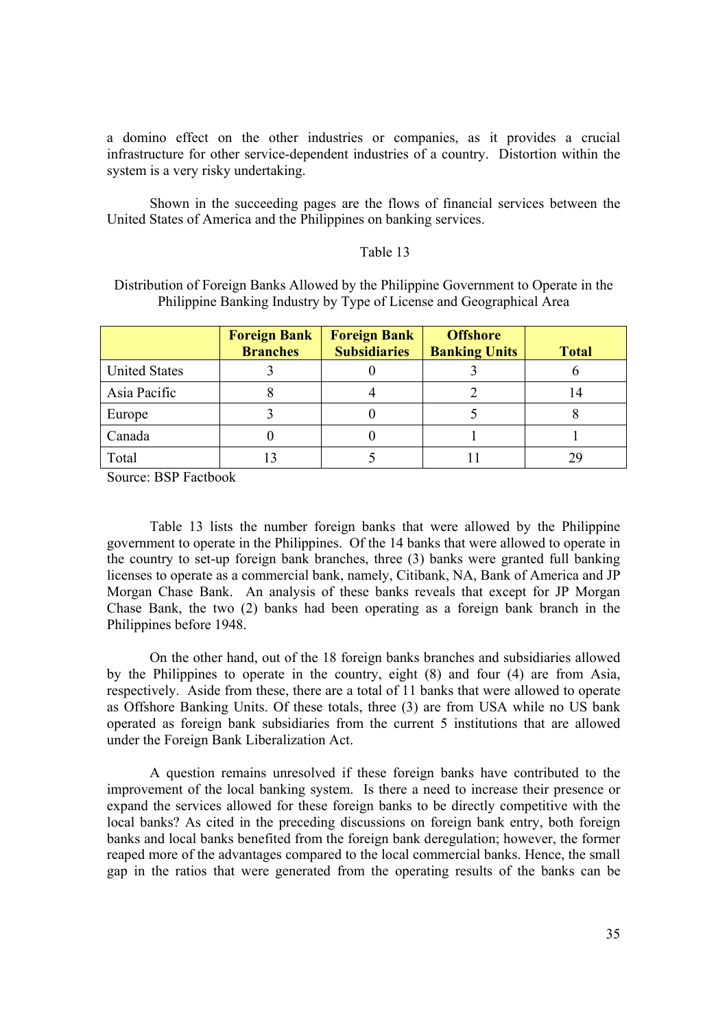a domino effect on the other industries or companies, as it provides a crucial infrastructure for other service-dependent industries of a country. Distortion within the system is a very risky undertaking.

Shown in the succeeding pages are the flows of financial services between the United States of America and the Philippines on banking services.

### Table 13

Distribution of Foreign Banks Allowed by the Philippine Government to Operate in the Philippine Banking Industry by Type of License and Geographical Area

|                      | <b>Foreign Bank</b><br><b>Branches</b> | <b>Foreign Bank</b><br><b>Subsidiaries</b> | <b>Offshore</b><br><b>Banking Units</b> | <b>Total</b> |
|----------------------|----------------------------------------|--------------------------------------------|-----------------------------------------|--------------|
| <b>United States</b> |                                        |                                            |                                         |              |
| Asia Pacific         |                                        |                                            |                                         | 14           |
| Europe               |                                        |                                            |                                         |              |
| Canada               |                                        |                                            |                                         |              |
| Total                |                                        |                                            |                                         |              |

Source: BSP Factbook

Table 13 lists the number foreign banks that were allowed by the Philippine government to operate in the Philippines. Of the 14 banks that were allowed to operate in the country to set-up foreign bank branches, three (3) banks were granted full banking licenses to operate as a commercial bank, namely, Citibank, NA, Bank of America and JP Morgan Chase Bank. An analysis of these banks reveals that except for JP Morgan Chase Bank, the two (2) banks had been operating as a foreign bank branch in the Philippines before 1948.

On the other hand, out of the 18 foreign banks branches and subsidiaries allowed by the Philippines to operate in the country, eight (8) and four (4) are from Asia, respectively. Aside from these, there are a total of 11 banks that were allowed to operate as Offshore Banking Units. Of these totals, three (3) are from USA while no US bank operated as foreign bank subsidiaries from the current 5 institutions that are allowed under the Foreign Bank Liberalization Act.

A question remains unresolved if these foreign banks have contributed to the improvement of the local banking system. Is there a need to increase their presence or expand the services allowed for these foreign banks to be directly competitive with the local banks? As cited in the preceding discussions on foreign bank entry, both foreign banks and local banks benefited from the foreign bank deregulation; however, the former reaped more of the advantages compared to the local commercial banks. Hence, the small gap in the ratios that were generated from the operating results of the banks can be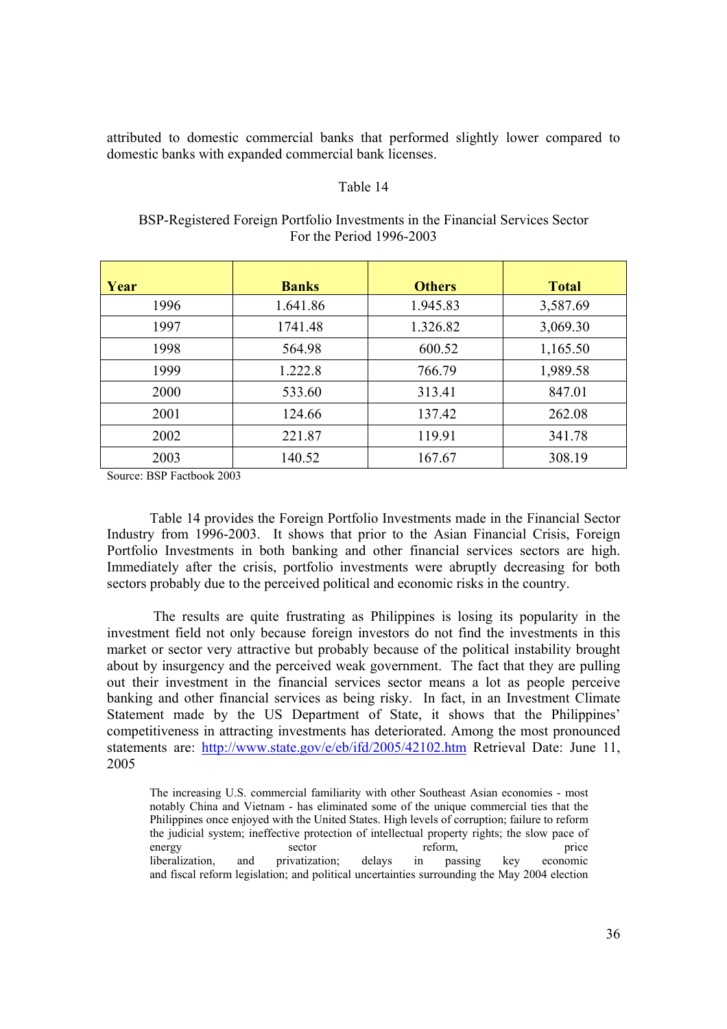attributed to domestic commercial banks that performed slightly lower compared to domestic banks with expanded commercial bank licenses.

#### Table 14

BSP-Registered Foreign Portfolio Investments in the Financial Services Sector For the Period 1996-2003

| Year | <b>Banks</b> | <b>Others</b> | <b>Total</b> |
|------|--------------|---------------|--------------|
| 1996 | 1.641.86     | 1.945.83      | 3,587.69     |
| 1997 | 1741.48      | 1.326.82      | 3,069.30     |
| 1998 | 564.98       | 600.52        | 1,165.50     |
| 1999 | 1.222.8      | 766.79        | 1,989.58     |
| 2000 | 533.60       | 313.41        | 847.01       |
| 2001 | 124.66       | 137.42        | 262.08       |
| 2002 | 221.87       | 119.91        | 341.78       |
| 2003 | 140.52       | 167.67        | 308.19       |

Source: BSP Factbook 2003

Table 14 provides the Foreign Portfolio Investments made in the Financial Sector Industry from 1996-2003. It shows that prior to the Asian Financial Crisis, Foreign Portfolio Investments in both banking and other financial services sectors are high. Immediately after the crisis, portfolio investments were abruptly decreasing for both sectors probably due to the perceived political and economic risks in the country.

 The results are quite frustrating as Philippines is losing its popularity in the investment field not only because foreign investors do not find the investments in this market or sector very attractive but probably because of the political instability brought about by insurgency and the perceived weak government. The fact that they are pulling out their investment in the financial services sector means a lot as people perceive banking and other financial services as being risky. In fact, in an Investment Climate Statement made by the US Department of State, it shows that the Philippines' competitiveness in attracting investments has deteriorated. Among the most pronounced statements are: http://www.state.gov/e/eb/ifd/2005/42102.htm Retrieval Date: June 11, 2005

The increasing U.S. commercial familiarity with other Southeast Asian economies - most notably China and Vietnam - has eliminated some of the unique commercial ties that the Philippines once enjoyed with the United States. High levels of corruption; failure to reform the judicial system; ineffective protection of intellectual property rights; the slow pace of energy sector reform, price liberalization, and privatization; delays in passing key economic and fiscal reform legislation; and political uncertainties surrounding the May 2004 election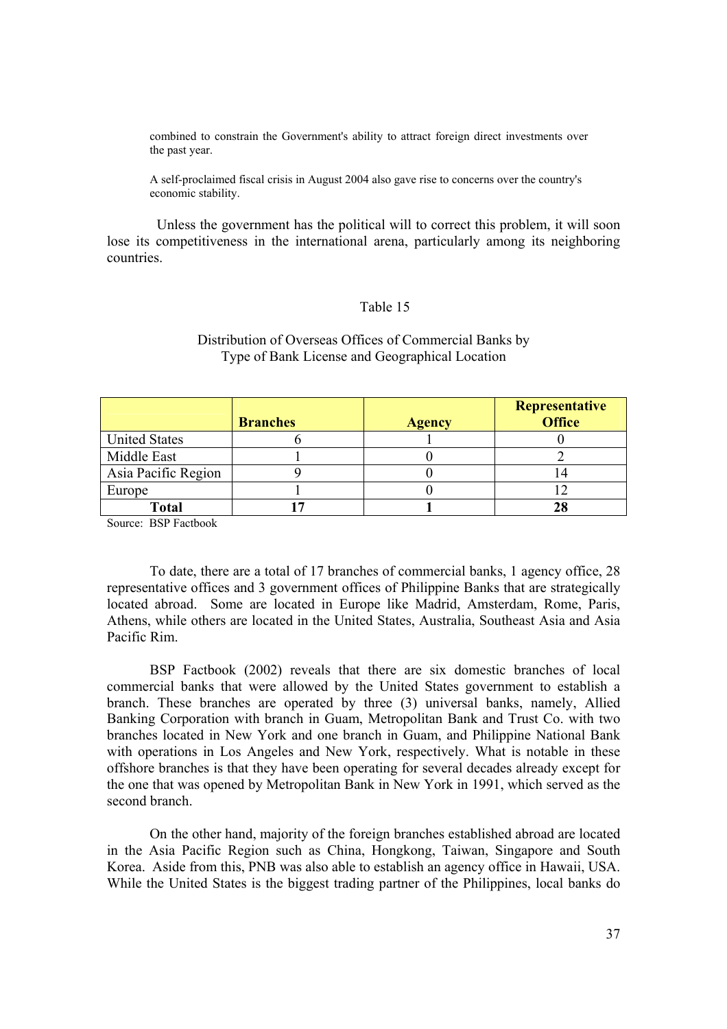combined to constrain the Government's ability to attract foreign direct investments over the past year.

A self-proclaimed fiscal crisis in August 2004 also gave rise to concerns over the country's economic stability.

 Unless the government has the political will to correct this problem, it will soon lose its competitiveness in the international arena, particularly among its neighboring countries.

# Table 15

|                      | <b>Branches</b> | <b>Agency</b> | Representative<br><b>Office</b> |
|----------------------|-----------------|---------------|---------------------------------|
| <b>United States</b> |                 |               |                                 |
| Middle East          |                 |               |                                 |
| Asia Pacific Region  |                 |               |                                 |
| Europe               |                 |               |                                 |
| Total                |                 |               |                                 |

Distribution of Overseas Offices of Commercial Banks by Type of Bank License and Geographical Location

Source: BSP Factbook

To date, there are a total of 17 branches of commercial banks, 1 agency office, 28 representative offices and 3 government offices of Philippine Banks that are strategically located abroad. Some are located in Europe like Madrid, Amsterdam, Rome, Paris, Athens, while others are located in the United States, Australia, Southeast Asia and Asia Pacific Rim.

BSP Factbook (2002) reveals that there are six domestic branches of local commercial banks that were allowed by the United States government to establish a branch. These branches are operated by three (3) universal banks, namely, Allied Banking Corporation with branch in Guam, Metropolitan Bank and Trust Co. with two branches located in New York and one branch in Guam, and Philippine National Bank with operations in Los Angeles and New York, respectively. What is notable in these offshore branches is that they have been operating for several decades already except for the one that was opened by Metropolitan Bank in New York in 1991, which served as the second branch.

On the other hand, majority of the foreign branches established abroad are located in the Asia Pacific Region such as China, Hongkong, Taiwan, Singapore and South Korea. Aside from this, PNB was also able to establish an agency office in Hawaii, USA. While the United States is the biggest trading partner of the Philippines, local banks do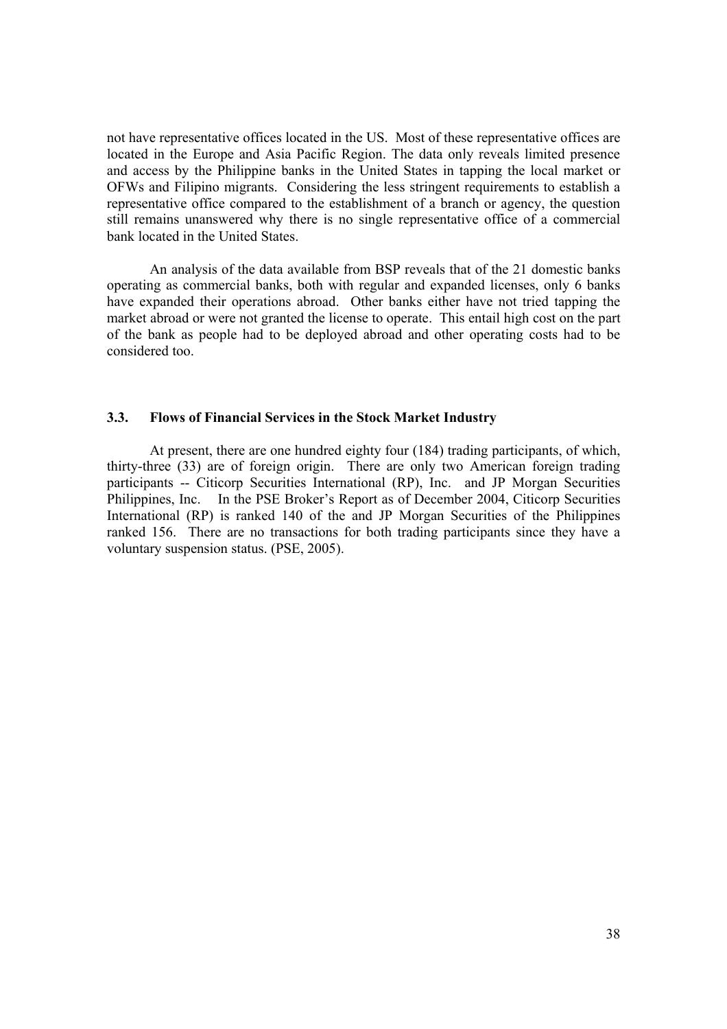not have representative offices located in the US. Most of these representative offices are located in the Europe and Asia Pacific Region. The data only reveals limited presence and access by the Philippine banks in the United States in tapping the local market or OFWs and Filipino migrants. Considering the less stringent requirements to establish a representative office compared to the establishment of a branch or agency, the question still remains unanswered why there is no single representative office of a commercial bank located in the United States.

An analysis of the data available from BSP reveals that of the 21 domestic banks operating as commercial banks, both with regular and expanded licenses, only 6 banks have expanded their operations abroad. Other banks either have not tried tapping the market abroad or were not granted the license to operate. This entail high cost on the part of the bank as people had to be deployed abroad and other operating costs had to be considered too.

## **3.3. Flows of Financial Services in the Stock Market Industry**

At present, there are one hundred eighty four (184) trading participants, of which, thirty-three (33) are of foreign origin. There are only two American foreign trading participants -- Citicorp Securities International (RP), Inc. and JP Morgan Securities Philippines, Inc. In the PSE Broker's Report as of December 2004, Citicorp Securities International (RP) is ranked 140 of the and JP Morgan Securities of the Philippines ranked 156. There are no transactions for both trading participants since they have a voluntary suspension status. (PSE, 2005).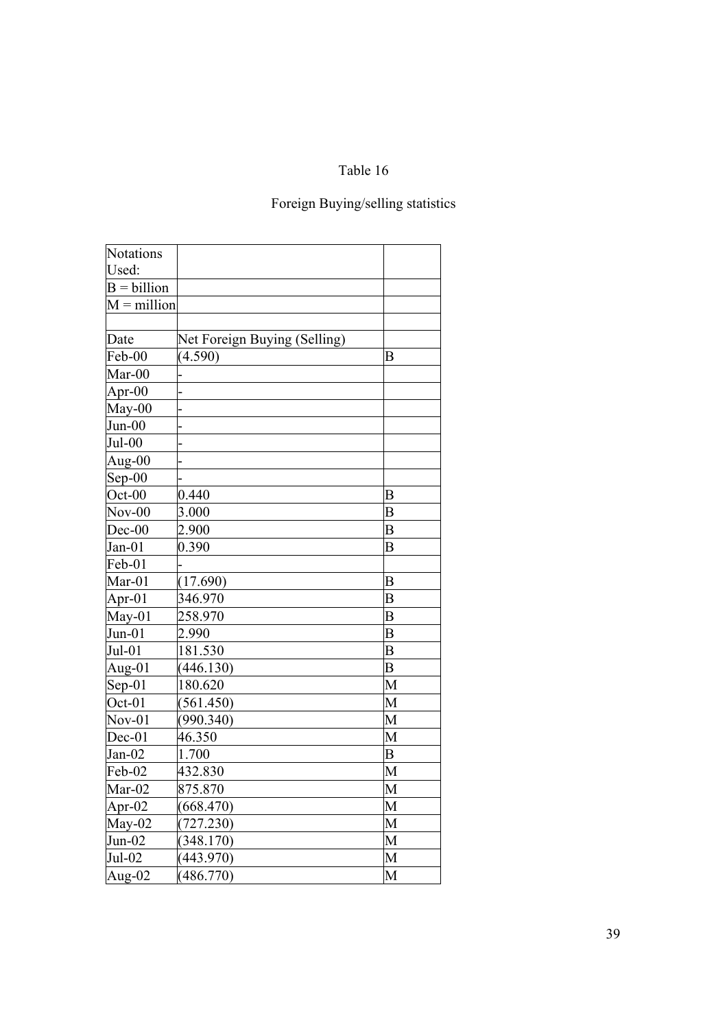# Table 16

# Foreign Buying/selling statistics

| <b>Notations</b> |                              |   |
|------------------|------------------------------|---|
| Used:            |                              |   |
| $B = billion$    |                              |   |
| $M =$ million    |                              |   |
|                  |                              |   |
| Date             | Net Foreign Buying (Selling) |   |
| Feb-00           | (4.590)                      | B |
| $Mar-00$         |                              |   |
| Apr- $00$        |                              |   |
| $May-00$         |                              |   |
| $Jun-00$         |                              |   |
| $Jul-00$         |                              |   |
| Aug- $00$        |                              |   |
| $Sep-00$         |                              |   |
| $Oct-00$         | 0.440                        | B |
| $Nov-00$         | 3.000                        | B |
| $Dec-00$         | 2.900                        | B |
| $Jan-01$         | 0.390                        | B |
| Feb-01           |                              |   |
| $Mar-01$         | (17.690)                     | B |
| Apr- $01$        | 346.970                      | B |
| $May-01$         | 258.970                      | B |
| $Jun-01$         | 2.990                        | B |
| $Jul-01$         | 181.530                      | B |
| Aug- $01$        | (446.130)                    | B |
| $Sep-01$         | 180.620                      | M |
| Oct-01           | (561.450)                    | M |
| $Nov-01$         | (990.340)                    | M |
| $Dec-01$         | 46.350                       | M |
| $Jan-02$         | 1.700                        | B |
| Feb-02           | 432.830                      | M |
| Mar-02           | 875.870                      | M |
| Apr-02           | (668.470)                    | М |
| May-02           | (727.230)                    | М |
| $Jun-02$         | (348.170)                    | М |
| Jul-02           | (443.970)                    | М |
| Aug- $02$        | (486.770)                    | M |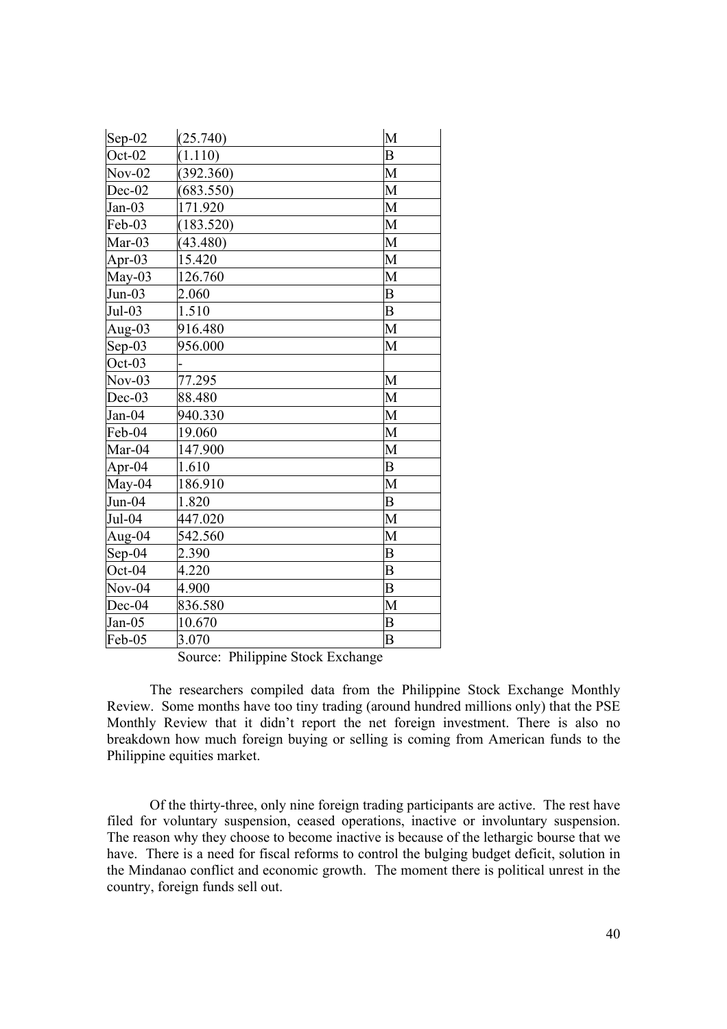| $Sep-02$  | (25.740)  | M              |
|-----------|-----------|----------------|
| $Oct-02$  | (1.110)   | B              |
| $Nov-02$  | (392.360) | M              |
| $Dec-02$  | (683.550) | M              |
| $Jan-03$  | 171.920   | M              |
| Feb-03    | (183.520) | M              |
| Mar-03    | (43.480)  | M              |
| Apr-03    | 15.420    | M              |
| May-03    | 126.760   | M              |
| $Jun-03$  | 2.060     | B              |
| $Jul-03$  | 1.510     | B              |
| Aug- $03$ | 916.480   | M              |
| $Sep-03$  | 956.000   | M              |
| $Oct-03$  |           |                |
| $Nov-03$  | 77.295    | M              |
| $Dec-03$  | 88.480    | M              |
| $Jan-04$  | 940.330   | M              |
| Feb-04    | 19.060    | M              |
| Mar-04    | 147.900   | M              |
| Apr-04    | 1.610     | B              |
| $May-04$  | 186.910   | M              |
| $Jun-04$  | 1.820     | $\overline{B}$ |
| Jul-04    | 447.020   | M              |
| Aug-04    | 542.560   | M              |
| $Sep-04$  | 2.390     | B              |
| Oct-04    | 4.220     | B              |
| $Nov-04$  | 4.900     | B              |
| Dec-04    | 836.580   | M              |
| $Jan-05$  | 10.670    | B              |
| Feb-05    | 3.070     | B              |

Source: Philippine Stock Exchange

The researchers compiled data from the Philippine Stock Exchange Monthly Review. Some months have too tiny trading (around hundred millions only) that the PSE Monthly Review that it didn't report the net foreign investment. There is also no breakdown how much foreign buying or selling is coming from American funds to the Philippine equities market.

 Of the thirty-three, only nine foreign trading participants are active. The rest have filed for voluntary suspension, ceased operations, inactive or involuntary suspension. The reason why they choose to become inactive is because of the lethargic bourse that we have. There is a need for fiscal reforms to control the bulging budget deficit, solution in the Mindanao conflict and economic growth. The moment there is political unrest in the country, foreign funds sell out.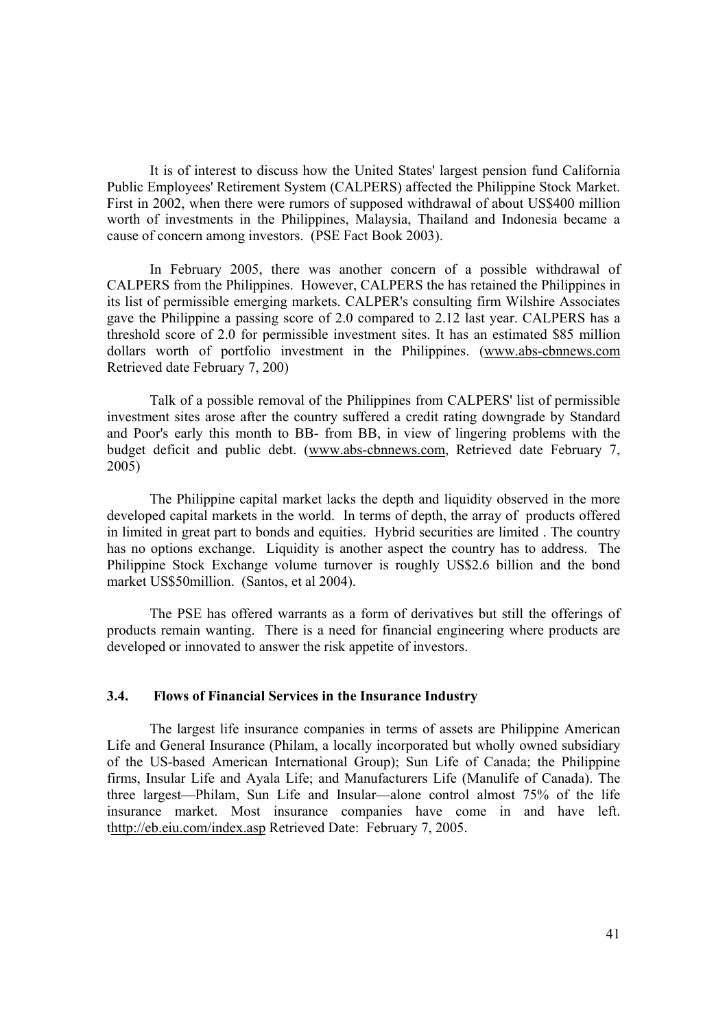It is of interest to discuss how the United States' largest pension fund California Public Employees' Retirement System (CALPERS) affected the Philippine Stock Market. First in 2002, when there were rumors of supposed withdrawal of about US\$400 million worth of investments in the Philippines, Malaysia, Thailand and Indonesia became a cause of concern among investors. (PSE Fact Book 2003).

In February 2005, there was another concern of a possible withdrawal of CALPERS from the Philippines. However, CALPERS the has retained the Philippines in its list of permissible emerging markets. CALPER's consulting firm Wilshire Associates gave the Philippine a passing score of 2.0 compared to 2.12 last year. CALPERS has a threshold score of 2.0 for permissible investment sites. It has an estimated \$85 million dollars worth of portfolio investment in the Philippines. (www.abs-cbnnews.com Retrieved date February 7, 200)

Talk of a possible removal of the Philippines from CALPERS' list of permissible investment sites arose after the country suffered a credit rating downgrade by Standard and Poor's early this month to BB- from BB, in view of lingering problems with the budget deficit and public debt. (www.abs-cbnnews.com, Retrieved date February 7, 2005)

The Philippine capital market lacks the depth and liquidity observed in the more developed capital markets in the world. In terms of depth, the array of products offered in limited in great part to bonds and equities. Hybrid securities are limited . The country has no options exchange. Liquidity is another aspect the country has to address. The Philippine Stock Exchange volume turnover is roughly US\$2.6 billion and the bond market US\$50million. (Santos, et al 2004).

The PSE has offered warrants as a form of derivatives but still the offerings of products remain wanting. There is a need for financial engineering where products are developed or innovated to answer the risk appetite of investors.

# **3.4. Flows of Financial Services in the Insurance Industry**

The largest life insurance companies in terms of assets are Philippine American Life and General Insurance (Philam, a locally incorporated but wholly owned subsidiary of the US-based American International Group); Sun Life of Canada; the Philippine firms, Insular Life and Ayala Life; and Manufacturers Life (Manulife of Canada). The three largest—Philam, Sun Life and Insular—alone control almost 75% of the life insurance market. Most insurance companies have come in and have left. thttp://eb.eiu.com/index.asp Retrieved Date: February 7, 2005.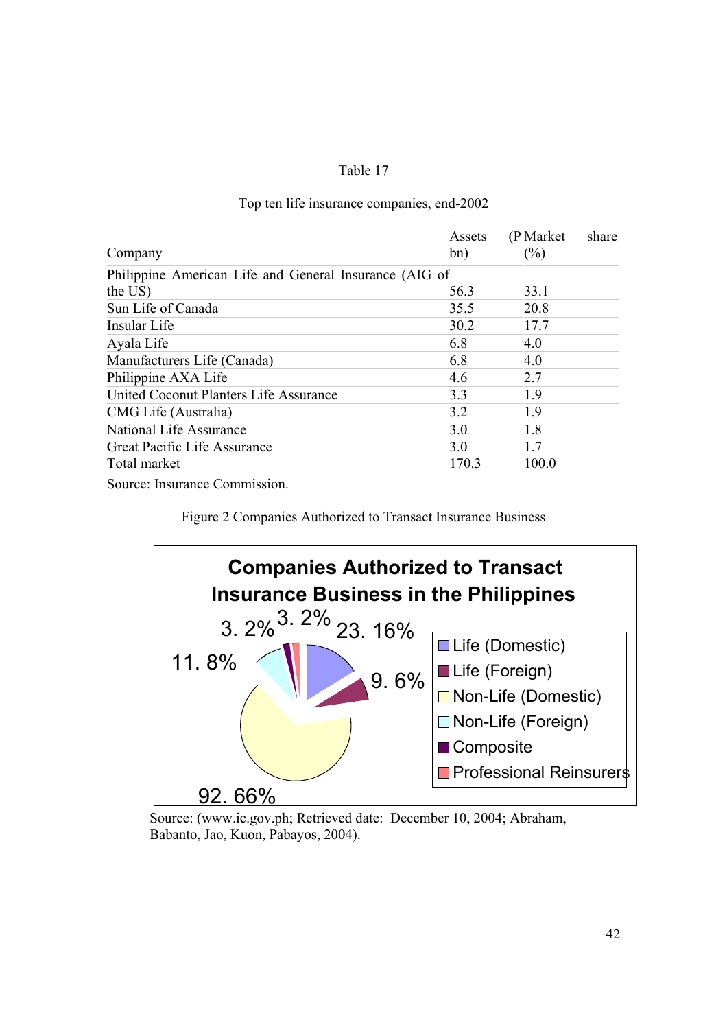# Table 17

# Company Assets bn) (P Market share)  $(%)$ Philippine American Life and General Insurance (AIG of the US)  $56.3$   $33.1$ Sun Life of Canada 35.5 20.8 Insular Life 30.2 17.7 Ayala Life 6.8 4.0 Manufacturers Life (Canada) 6.8 4.0 Philippine AXA Life  $4.6$  2.7 United Coconut Planters Life Assurance 3.3 1.9 CMG Life (Australia) 3.2 1.9 National Life Assurance 3.0 1.8 Great Pacific Life Assurance 3.0 1.7 Total market 170.3 100.0

# Top ten life insurance companies, end-2002

Source: Insurance Commission.

Figure 2 Companies Authorized to Transact Insurance Business



Source: (www.ic.gov.ph; Retrieved date: December 10, 2004; Abraham, Babanto, Jao, Kuon, Pabayos, 2004).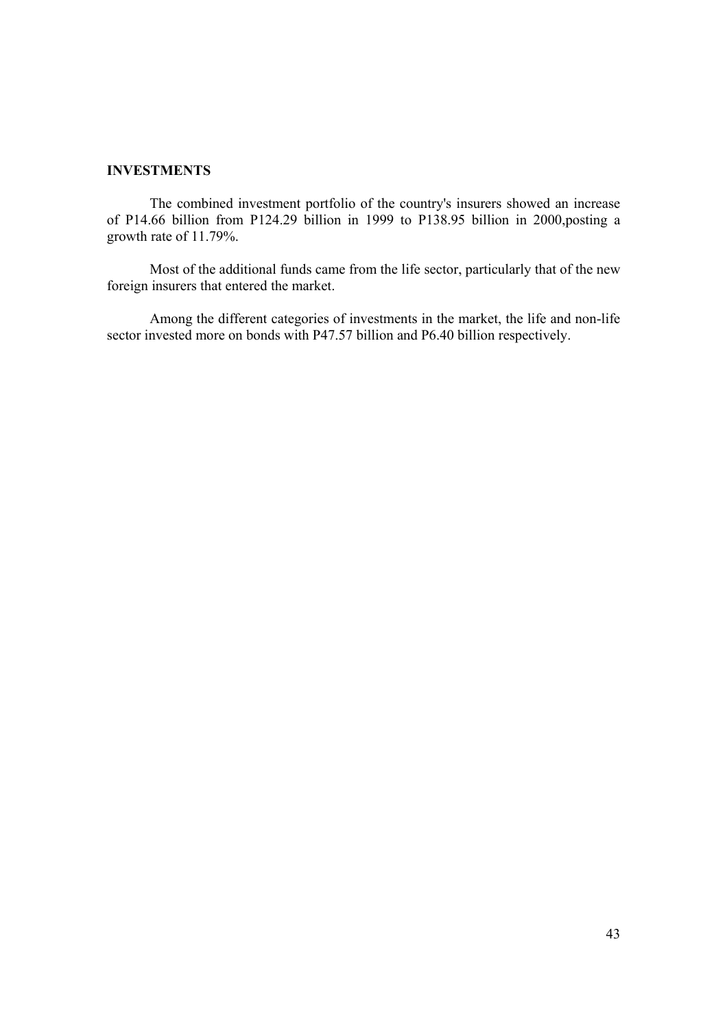# **INVESTMENTS**

The combined investment portfolio of the country's insurers showed an increase of P14.66 billion from P124.29 billion in 1999 to P138.95 billion in 2000,posting a growth rate of 11.79%.

Most of the additional funds came from the life sector, particularly that of the new foreign insurers that entered the market.

Among the different categories of investments in the market, the life and non-life sector invested more on bonds with P47.57 billion and P6.40 billion respectively.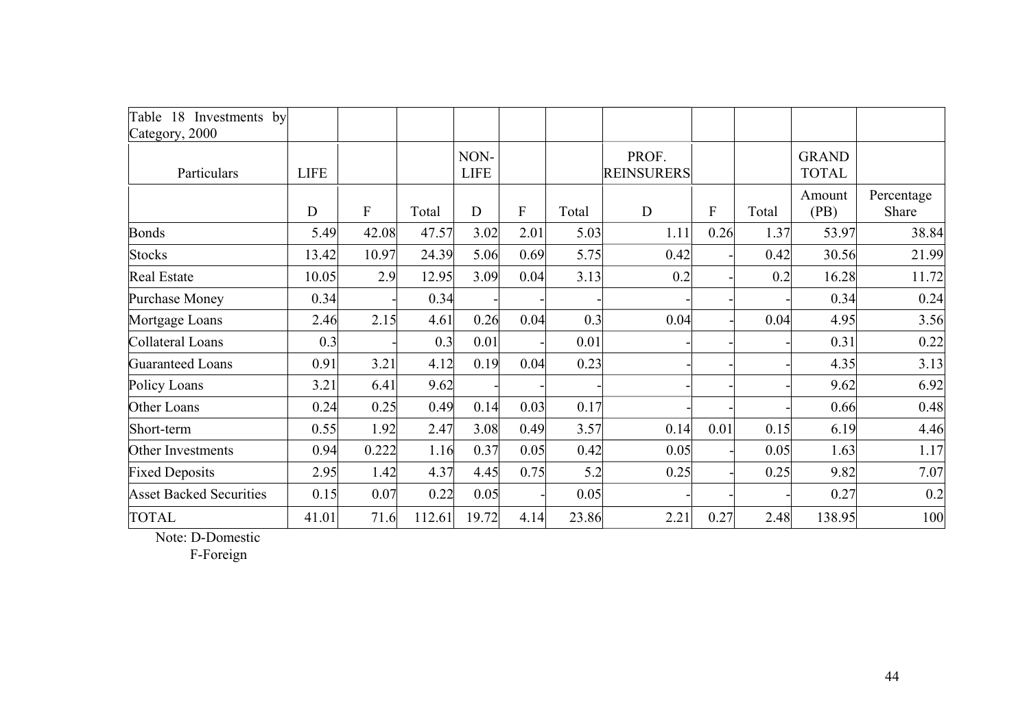| Table 18 Investments by<br>Category, 2000 |             |              |        |                     |      |       |                            |                  |       |                              |                     |
|-------------------------------------------|-------------|--------------|--------|---------------------|------|-------|----------------------------|------------------|-------|------------------------------|---------------------|
| Particulars                               | <b>LIFE</b> |              |        | NON-<br><b>LIFE</b> |      |       | PROF.<br><b>REINSURERS</b> |                  |       | <b>GRAND</b><br><b>TOTAL</b> |                     |
|                                           | D           | $\mathbf{F}$ | Total  | D                   | F    | Total | D                          | $\boldsymbol{F}$ | Total | Amount<br>(PB)               | Percentage<br>Share |
| <b>Bonds</b>                              | 5.49        | 42.08        | 47.57  | 3.02                | 2.01 | 5.03  | 1.11                       | 0.26             | 1.37  | 53.97                        | 38.84               |
| <b>Stocks</b>                             | 13.42       | 10.97        | 24.39  | 5.06                | 0.69 | 5.75  | 0.42                       |                  | 0.42  | 30.56                        | 21.99               |
| <b>Real Estate</b>                        | 10.05       | 2.9          | 12.95  | 3.09                | 0.04 | 3.13  | 0.2                        |                  | 0.2   | 16.28                        | 11.72               |
| Purchase Money                            | 0.34        |              | 0.34   |                     |      |       |                            |                  |       | 0.34                         | 0.24                |
| Mortgage Loans                            | 2.46        | 2.15         | 4.61   | 0.26                | 0.04 | 0.3   | 0.04                       |                  | 0.04  | 4.95                         | 3.56                |
| Collateral Loans                          | 0.3         |              | 0.3    | 0.01                |      | 0.01  |                            |                  |       | 0.31                         | 0.22                |
| <b>Guaranteed Loans</b>                   | 0.91        | 3.21         | 4.12   | 0.19                | 0.04 | 0.23  |                            |                  |       | 4.35                         | 3.13                |
| Policy Loans                              | 3.21        | 6.41         | 9.62   |                     |      |       |                            |                  |       | 9.62                         | 6.92                |
| Other Loans                               | 0.24        | 0.25         | 0.49   | 0.14                | 0.03 | 0.17  |                            |                  |       | 0.66                         | 0.48                |
| Short-term                                | 0.55        | 1.92         | 2.47   | 3.08                | 0.49 | 3.57  | 0.14                       | 0.01             | 0.15  | 6.19                         | 4.46                |
| Other Investments                         | 0.94        | 0.222        | 1.16   | 0.37                | 0.05 | 0.42  | 0.05                       |                  | 0.05  | 1.63                         | 1.17                |
| <b>Fixed Deposits</b>                     | 2.95        | 1.42         | 4.37   | 4.45                | 0.75 | 5.2   | 0.25                       |                  | 0.25  | 9.82                         | 7.07                |
| <b>Asset Backed Securities</b>            | 0.15        | 0.07         | 0.22   | 0.05                |      | 0.05  |                            |                  |       | 0.27                         | 0.2                 |
| <b>TOTAL</b>                              | 41.01       | 71.6         | 112.61 | 19.72               | 4.14 | 23.86 | 2.21                       | 0.27             | 2.48  | 138.95                       | 100                 |

Note: D-Domestic

F-Foreign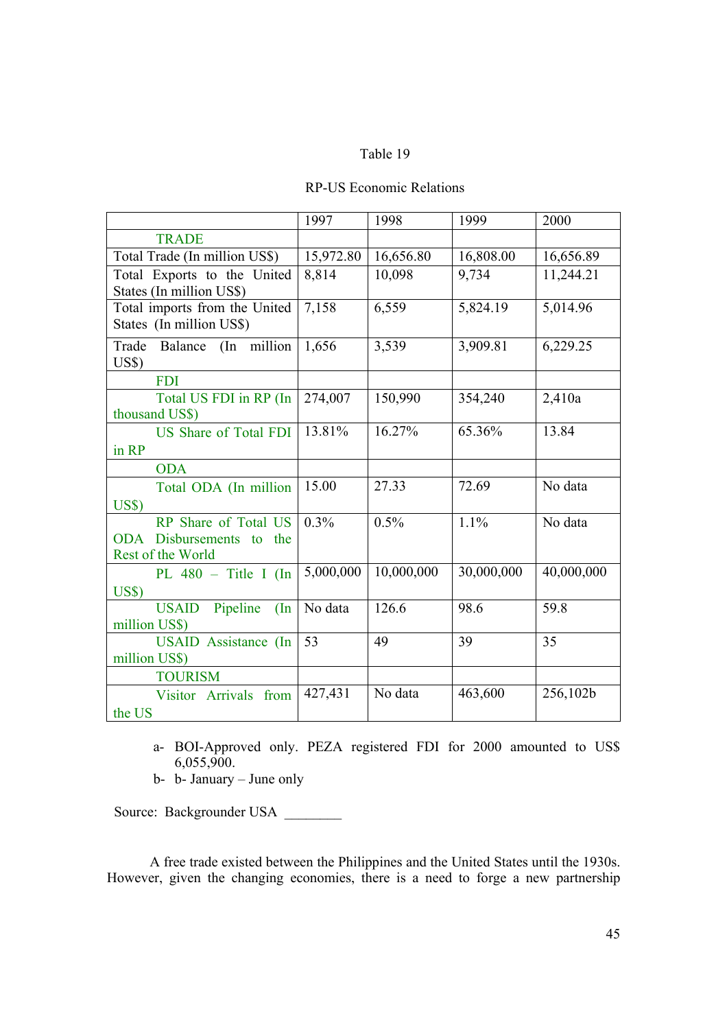# Table 19

# RP-US Economic Relations

|                                 | 1997      | 1998       | 1999       | 2000       |
|---------------------------------|-----------|------------|------------|------------|
| <b>TRADE</b>                    |           |            |            |            |
| Total Trade (In million US\$)   | 15,972.80 | 16,656.80  | 16,808.00  | 16,656.89  |
| Total Exports to the United     | 8,814     | 10,098     | 9,734      | 11,244.21  |
| States (In million US\$)        |           |            |            |            |
| Total imports from the United   | 7,158     | 6,559      | 5,824.19   | 5,014.96   |
| States (In million US\$)        |           |            |            |            |
| Trade Balance (In million       | 1,656     | 3,539      | 3,909.81   | 6,229.25   |
| $\overline{U}$ S\$)             |           |            |            |            |
| <b>FDI</b>                      |           |            |            |            |
| Total US FDI in RP (In          | 274,007   | 150,990    | 354,240    | 2,410a     |
| thousand US\$)                  |           |            |            |            |
| <b>US Share of Total FDI</b>    | 13.81%    | 16.27%     | 65.36%     | 13.84      |
| in RP                           |           |            |            |            |
| <b>ODA</b>                      |           |            |            |            |
| Total ODA (In million           | 15.00     | 27.33      | 72.69      | No data    |
| $\overline{U}$ S\$)             |           |            |            |            |
| RP Share of Total US            | 0.3%      | 0.5%       | 1.1%       | No data    |
| ODA Disbursements to<br>the     |           |            |            |            |
| Rest of the World               |           |            |            |            |
| PL $480 -$ Title I (In          | 5,000,000 | 10,000,000 | 30,000,000 | 40,000,000 |
| US\$)                           |           |            |            |            |
| Pipeline<br><b>USAID</b><br>(In | No data   | 126.6      | 98.6       | 59.8       |
| million US\$)                   |           |            |            |            |
| <b>USAID</b> Assistance (In     | 53        | 49         | 39         | 35         |
| million US\$)                   |           |            |            |            |
| <b>TOURISM</b>                  |           |            |            |            |
| Visitor Arrivals from           | 427,431   | No data    | 463,600    | 256,102b   |
| the US                          |           |            |            |            |

- a- BOI-Approved only. PEZA registered FDI for 2000 amounted to US\$ 6,055,900.
- b- b- January June only

Source: Backgrounder USA

A free trade existed between the Philippines and the United States until the 1930s. However, given the changing economies, there is a need to forge a new partnership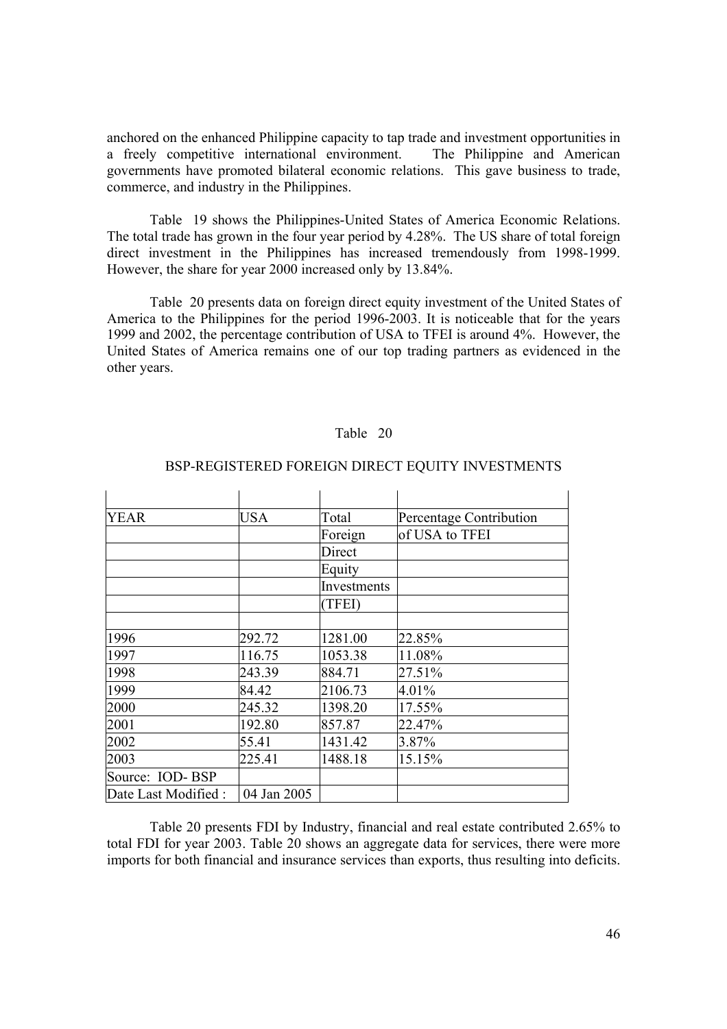anchored on the enhanced Philippine capacity to tap trade and investment opportunities in a freely competitive international environment. The Philippine and American governments have promoted bilateral economic relations. This gave business to trade, commerce, and industry in the Philippines.

Table 19 shows the Philippines-United States of America Economic Relations. The total trade has grown in the four year period by 4.28%. The US share of total foreign direct investment in the Philippines has increased tremendously from 1998-1999. However, the share for year 2000 increased only by 13.84%.

Table 20 presents data on foreign direct equity investment of the United States of America to the Philippines for the period 1996-2003. It is noticeable that for the years 1999 and 2002, the percentage contribution of USA to TFEI is around 4%. However, the United States of America remains one of our top trading partners as evidenced in the other years.

#### Table 20

| <b>YEAR</b>          | <b>USA</b>  | Total       | Percentage Contribution |
|----------------------|-------------|-------------|-------------------------|
|                      |             | Foreign     | of USA to TFEI          |
|                      |             | Direct      |                         |
|                      |             | Equity      |                         |
|                      |             | Investments |                         |
|                      |             | (TFEI)      |                         |
|                      |             |             |                         |
| 1996                 | 292.72      | 1281.00     | 22.85%                  |
| 1997                 | 116.75      | 1053.38     | 11.08%                  |
| 1998                 | 243.39      | 884.71      | 27.51%                  |
| 1999                 | 84.42       | 2106.73     | 4.01%                   |
| 2000                 | 245.32      | 1398.20     | 17.55%                  |
| 2001                 | 192.80      | 857.87      | 22.47%                  |
| 2002                 | 55.41       | 1431.42     | 3.87%                   |
| 2003                 | 225.41      | 1488.18     | 15.15%                  |
| Source: IOD-BSP      |             |             |                         |
| Date Last Modified : | 04 Jan 2005 |             |                         |

#### BSP-REGISTERED FOREIGN DIRECT EQUITY INVESTMENTS

Table 20 presents FDI by Industry, financial and real estate contributed 2.65% to total FDI for year 2003. Table 20 shows an aggregate data for services, there were more imports for both financial and insurance services than exports, thus resulting into deficits.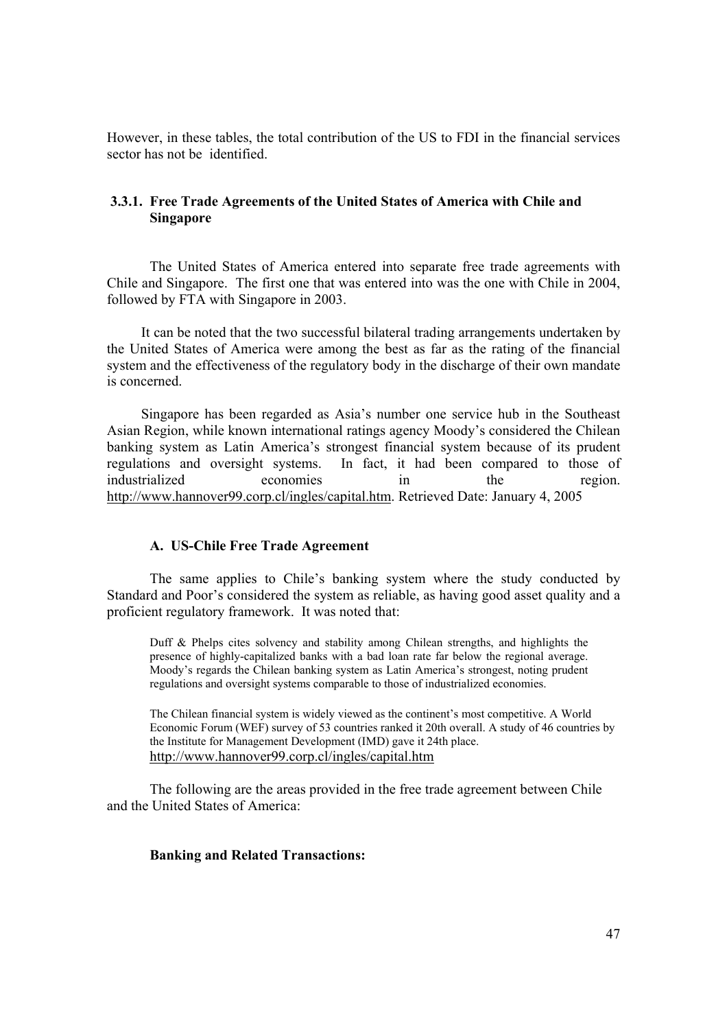However, in these tables, the total contribution of the US to FDI in the financial services sector has not be identified.

# **3.3.1. Free Trade Agreements of the United States of America with Chile and Singapore**

The United States of America entered into separate free trade agreements with Chile and Singapore. The first one that was entered into was the one with Chile in 2004, followed by FTA with Singapore in 2003.

It can be noted that the two successful bilateral trading arrangements undertaken by the United States of America were among the best as far as the rating of the financial system and the effectiveness of the regulatory body in the discharge of their own mandate is concerned.

Singapore has been regarded as Asia's number one service hub in the Southeast Asian Region, while known international ratings agency Moody's considered the Chilean banking system as Latin America's strongest financial system because of its prudent regulations and oversight systems. In fact, it had been compared to those of industrialized economies in the region. http://www.hannover99.corp.cl/ingles/capital.htm. Retrieved Date: January 4, 2005

# **A. US-Chile Free Trade Agreement**

 The same applies to Chile's banking system where the study conducted by Standard and Poor's considered the system as reliable, as having good asset quality and a proficient regulatory framework. It was noted that:

Duff & Phelps cites solvency and stability among Chilean strengths, and highlights the presence of highly-capitalized banks with a bad loan rate far below the regional average. Moody's regards the Chilean banking system as Latin America's strongest, noting prudent regulations and oversight systems comparable to those of industrialized economies.

The Chilean financial system is widely viewed as the continent's most competitive. A World Economic Forum (WEF) survey of 53 countries ranked it 20th overall. A study of 46 countries by the Institute for Management Development (IMD) gave it 24th place. http://www.hannover99.corp.cl/ingles/capital.htm

The following are the areas provided in the free trade agreement between Chile and the United States of America:

# **Banking and Related Transactions:**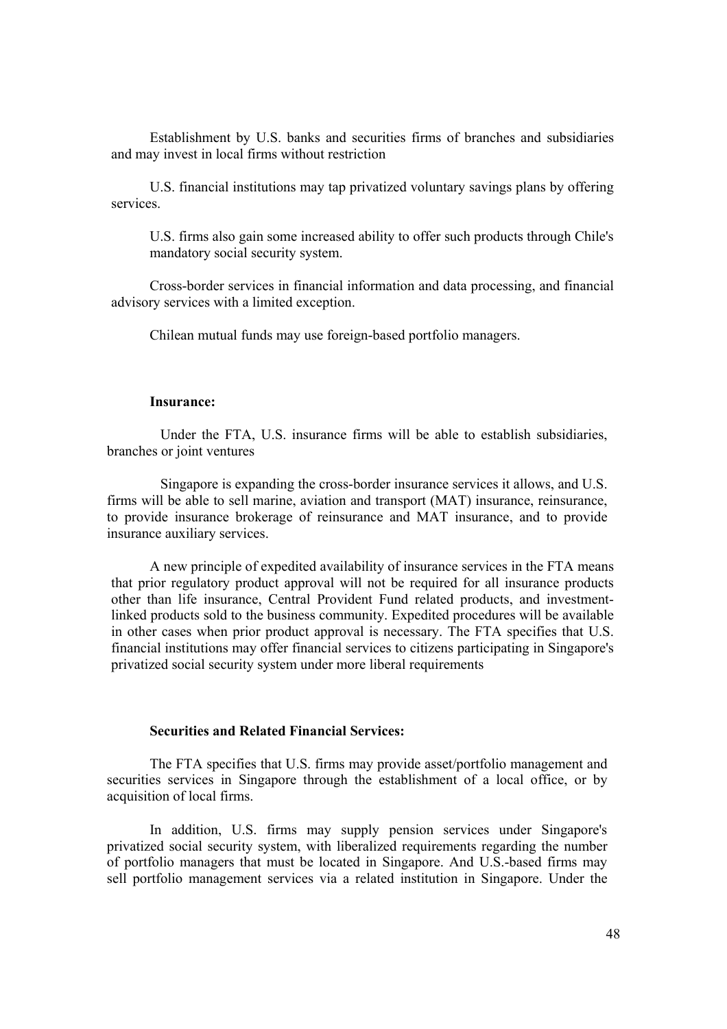Establishment by U.S. banks and securities firms of branches and subsidiaries and may invest in local firms without restriction

 U.S. financial institutions may tap privatized voluntary savings plans by offering services.

U.S. firms also gain some increased ability to offer such products through Chile's mandatory social security system.

 Cross-border services in financial information and data processing, and financial advisory services with a limited exception.

Chilean mutual funds may use foreign-based portfolio managers.

#### **Insurance:**

 Under the FTA, U.S. insurance firms will be able to establish subsidiaries, branches or joint ventures

 Singapore is expanding the cross-border insurance services it allows, and U.S. firms will be able to sell marine, aviation and transport (MAT) insurance, reinsurance, to provide insurance brokerage of reinsurance and MAT insurance, and to provide insurance auxiliary services.

 A new principle of expedited availability of insurance services in the FTA means that prior regulatory product approval will not be required for all insurance products other than life insurance, Central Provident Fund related products, and investmentlinked products sold to the business community. Expedited procedures will be available in other cases when prior product approval is necessary. The FTA specifies that U.S. financial institutions may offer financial services to citizens participating in Singapore's privatized social security system under more liberal requirements

### **Securities and Related Financial Services:**

The FTA specifies that U.S. firms may provide asset/portfolio management and securities services in Singapore through the establishment of a local office, or by acquisition of local firms.

In addition, U.S. firms may supply pension services under Singapore's privatized social security system, with liberalized requirements regarding the number of portfolio managers that must be located in Singapore. And U.S.-based firms may sell portfolio management services via a related institution in Singapore. Under the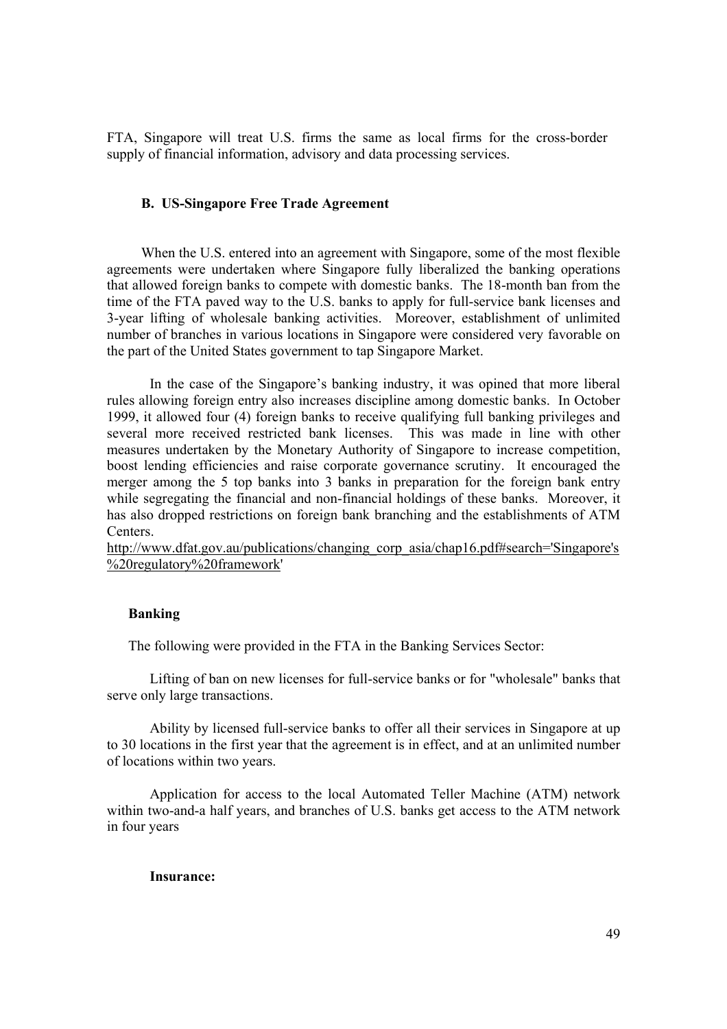FTA, Singapore will treat U.S. firms the same as local firms for the cross-border supply of financial information, advisory and data processing services.

## **B. US-Singapore Free Trade Agreement**

When the U.S. entered into an agreement with Singapore, some of the most flexible agreements were undertaken where Singapore fully liberalized the banking operations that allowed foreign banks to compete with domestic banks. The 18-month ban from the time of the FTA paved way to the U.S. banks to apply for full-service bank licenses and 3-year lifting of wholesale banking activities. Moreover, establishment of unlimited number of branches in various locations in Singapore were considered very favorable on the part of the United States government to tap Singapore Market.

In the case of the Singapore's banking industry, it was opined that more liberal rules allowing foreign entry also increases discipline among domestic banks. In October 1999, it allowed four (4) foreign banks to receive qualifying full banking privileges and several more received restricted bank licenses. This was made in line with other measures undertaken by the Monetary Authority of Singapore to increase competition, boost lending efficiencies and raise corporate governance scrutiny. It encouraged the merger among the 5 top banks into 3 banks in preparation for the foreign bank entry while segregating the financial and non-financial holdings of these banks. Moreover, it has also dropped restrictions on foreign bank branching and the establishments of ATM Centers.

http://www.dfat.gov.au/publications/changing\_corp\_asia/chap16.pdf#search='Singapore's %20regulatory%20framework'

# **Banking**

The following were provided in the FTA in the Banking Services Sector:

Lifting of ban on new licenses for full-service banks or for "wholesale" banks that serve only large transactions.

Ability by licensed full-service banks to offer all their services in Singapore at up to 30 locations in the first year that the agreement is in effect, and at an unlimited number of locations within two years.

Application for access to the local Automated Teller Machine (ATM) network within two-and-a half years, and branches of U.S. banks get access to the ATM network in four years

#### **Insurance:**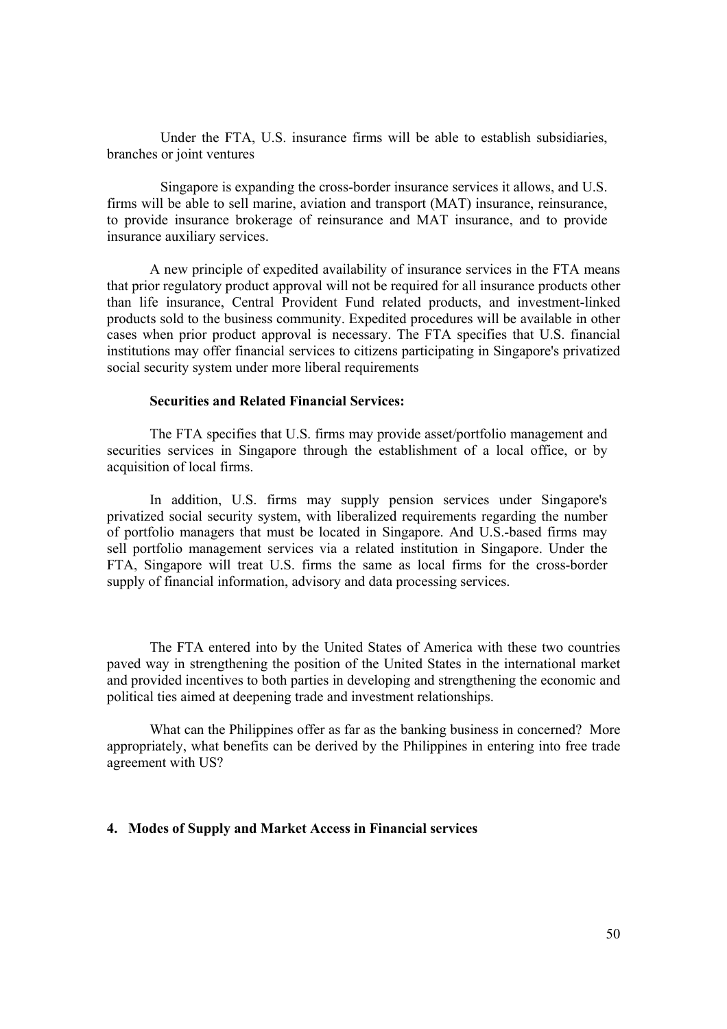Under the FTA, U.S. insurance firms will be able to establish subsidiaries, branches or joint ventures

 Singapore is expanding the cross-border insurance services it allows, and U.S. firms will be able to sell marine, aviation and transport (MAT) insurance, reinsurance, to provide insurance brokerage of reinsurance and MAT insurance, and to provide insurance auxiliary services.

A new principle of expedited availability of insurance services in the FTA means that prior regulatory product approval will not be required for all insurance products other than life insurance, Central Provident Fund related products, and investment-linked products sold to the business community. Expedited procedures will be available in other cases when prior product approval is necessary. The FTA specifies that U.S. financial institutions may offer financial services to citizens participating in Singapore's privatized social security system under more liberal requirements

### **Securities and Related Financial Services:**

The FTA specifies that U.S. firms may provide asset/portfolio management and securities services in Singapore through the establishment of a local office, or by acquisition of local firms.

In addition, U.S. firms may supply pension services under Singapore's privatized social security system, with liberalized requirements regarding the number of portfolio managers that must be located in Singapore. And U.S.-based firms may sell portfolio management services via a related institution in Singapore. Under the FTA, Singapore will treat U.S. firms the same as local firms for the cross-border supply of financial information, advisory and data processing services.

The FTA entered into by the United States of America with these two countries paved way in strengthening the position of the United States in the international market and provided incentives to both parties in developing and strengthening the economic and political ties aimed at deepening trade and investment relationships.

What can the Philippines offer as far as the banking business in concerned? More appropriately, what benefits can be derived by the Philippines in entering into free trade agreement with US?

# **4. Modes of Supply and Market Access in Financial services**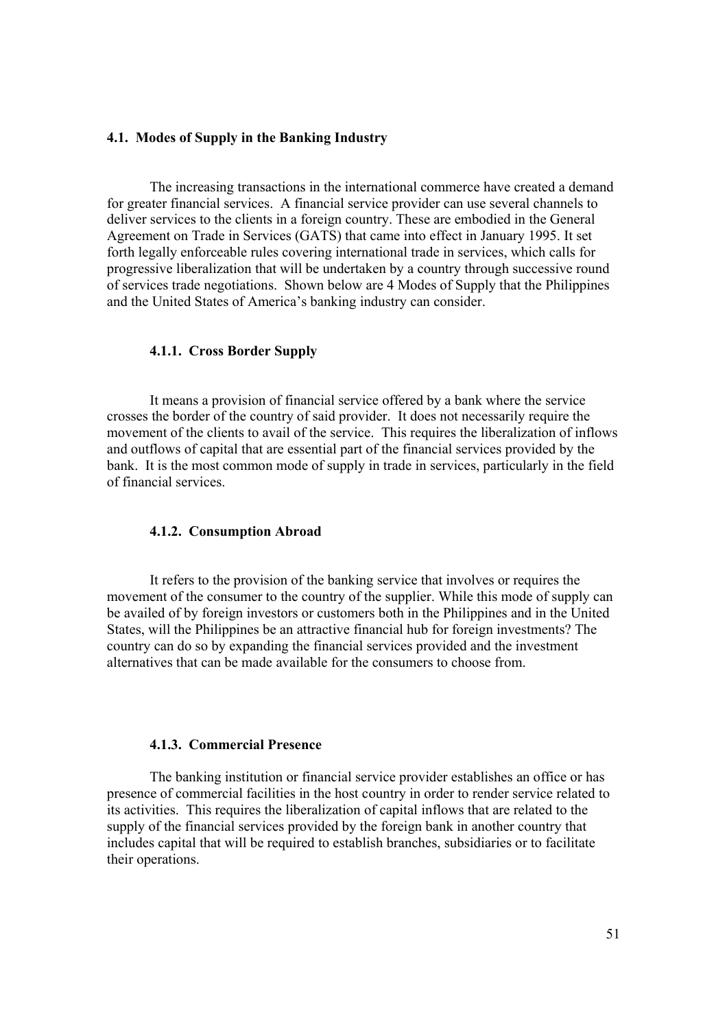#### **4.1. Modes of Supply in the Banking Industry**

The increasing transactions in the international commerce have created a demand for greater financial services. A financial service provider can use several channels to deliver services to the clients in a foreign country. These are embodied in the General Agreement on Trade in Services (GATS) that came into effect in January 1995. It set forth legally enforceable rules covering international trade in services, which calls for progressive liberalization that will be undertaken by a country through successive round of services trade negotiations. Shown below are 4 Modes of Supply that the Philippines and the United States of America's banking industry can consider.

#### **4.1.1. Cross Border Supply**

 It means a provision of financial service offered by a bank where the service crosses the border of the country of said provider. It does not necessarily require the movement of the clients to avail of the service. This requires the liberalization of inflows and outflows of capital that are essential part of the financial services provided by the bank. It is the most common mode of supply in trade in services, particularly in the field of financial services.

#### **4.1.2. Consumption Abroad**

 It refers to the provision of the banking service that involves or requires the movement of the consumer to the country of the supplier. While this mode of supply can be availed of by foreign investors or customers both in the Philippines and in the United States, will the Philippines be an attractive financial hub for foreign investments? The country can do so by expanding the financial services provided and the investment alternatives that can be made available for the consumers to choose from.

#### **4.1.3. Commercial Presence**

 The banking institution or financial service provider establishes an office or has presence of commercial facilities in the host country in order to render service related to its activities. This requires the liberalization of capital inflows that are related to the supply of the financial services provided by the foreign bank in another country that includes capital that will be required to establish branches, subsidiaries or to facilitate their operations.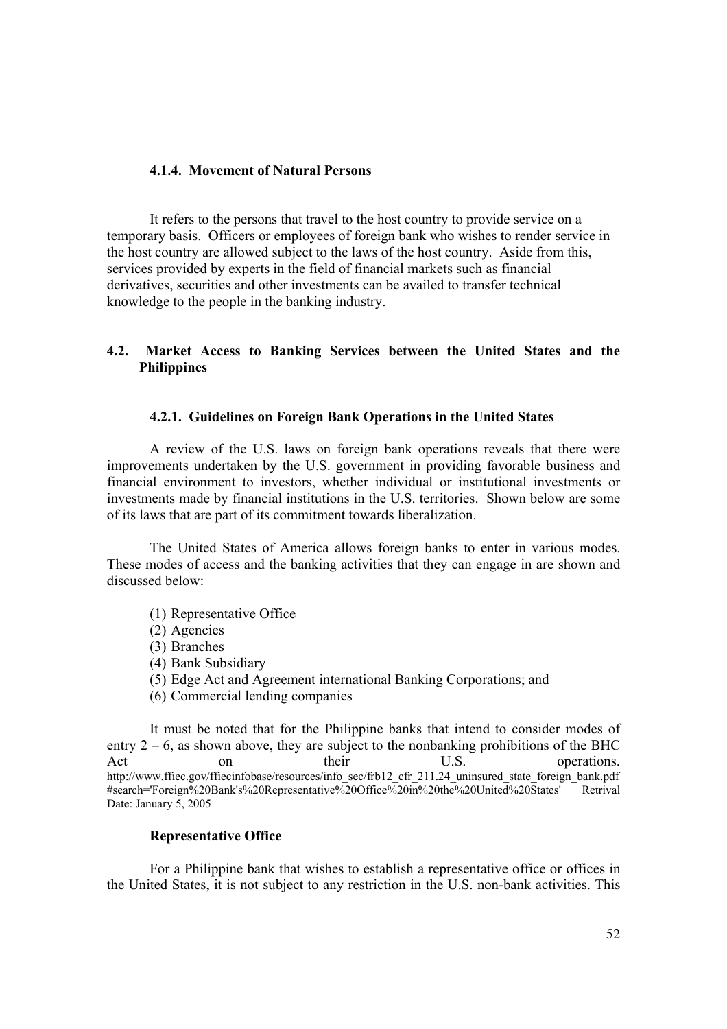# **4.1.4. Movement of Natural Persons**

 It refers to the persons that travel to the host country to provide service on a temporary basis. Officers or employees of foreign bank who wishes to render service in the host country are allowed subject to the laws of the host country. Aside from this, services provided by experts in the field of financial markets such as financial derivatives, securities and other investments can be availed to transfer technical knowledge to the people in the banking industry.

# **4.2. Market Access to Banking Services between the United States and the Philippines**

### **4.2.1. Guidelines on Foreign Bank Operations in the United States**

A review of the U.S. laws on foreign bank operations reveals that there were improvements undertaken by the U.S. government in providing favorable business and financial environment to investors, whether individual or institutional investments or investments made by financial institutions in the U.S. territories. Shown below are some of its laws that are part of its commitment towards liberalization.

The United States of America allows foreign banks to enter in various modes. These modes of access and the banking activities that they can engage in are shown and discussed below:

- (1) Representative Office
- (2) Agencies
- (3) Branches
- (4) Bank Subsidiary
- (5) Edge Act and Agreement international Banking Corporations; and
- (6) Commercial lending companies

It must be noted that for the Philippine banks that intend to consider modes of entry  $2 - 6$ , as shown above, they are subject to the nonbanking prohibitions of the BHC Act on their U.S. operations. http://www.ffiec.gov/ffiecinfobase/resources/info\_sec/frb12\_cfr\_211.24\_uninsured\_state\_foreign\_bank.pdf #search='Foreign%20Bank's%20Representative%20Office%20in%20the%20United%20States' Retrival Date: January 5, 2005

## **Representative Office**

For a Philippine bank that wishes to establish a representative office or offices in the United States, it is not subject to any restriction in the U.S. non-bank activities. This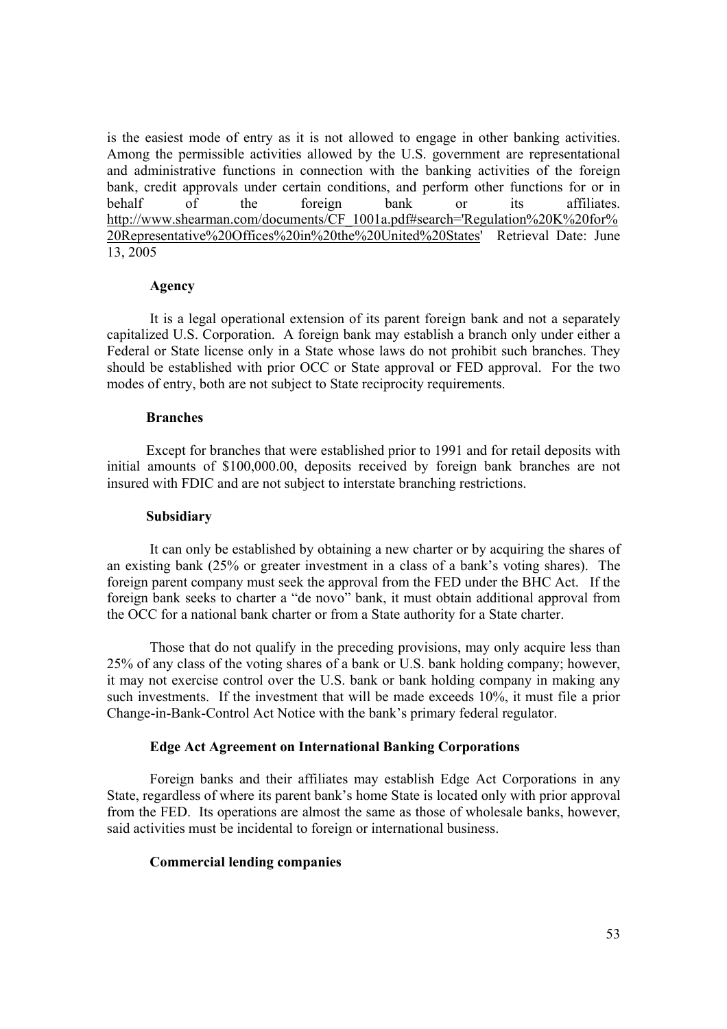is the easiest mode of entry as it is not allowed to engage in other banking activities. Among the permissible activities allowed by the U.S. government are representational and administrative functions in connection with the banking activities of the foreign bank, credit approvals under certain conditions, and perform other functions for or in behalf of the foreign bank or its affiliates. http://www.shearman.com/documents/CF\_1001a.pdf#search='Regulation%20K%20for% 20Representative%20Offices%20in%20the%20United%20States' Retrieval Date: June 13, 2005

#### **Agency**

It is a legal operational extension of its parent foreign bank and not a separately capitalized U.S. Corporation. A foreign bank may establish a branch only under either a Federal or State license only in a State whose laws do not prohibit such branches. They should be established with prior OCC or State approval or FED approval. For the two modes of entry, both are not subject to State reciprocity requirements.

#### **Branches**

 Except for branches that were established prior to 1991 and for retail deposits with initial amounts of \$100,000.00, deposits received by foreign bank branches are not insured with FDIC and are not subject to interstate branching restrictions.

# **Subsidiary**

It can only be established by obtaining a new charter or by acquiring the shares of an existing bank (25% or greater investment in a class of a bank's voting shares). The foreign parent company must seek the approval from the FED under the BHC Act. If the foreign bank seeks to charter a "de novo" bank, it must obtain additional approval from the OCC for a national bank charter or from a State authority for a State charter.

Those that do not qualify in the preceding provisions, may only acquire less than 25% of any class of the voting shares of a bank or U.S. bank holding company; however, it may not exercise control over the U.S. bank or bank holding company in making any such investments. If the investment that will be made exceeds 10%, it must file a prior Change-in-Bank-Control Act Notice with the bank's primary federal regulator.

# **Edge Act Agreement on International Banking Corporations**

 Foreign banks and their affiliates may establish Edge Act Corporations in any State, regardless of where its parent bank's home State is located only with prior approval from the FED. Its operations are almost the same as those of wholesale banks, however, said activities must be incidental to foreign or international business.

## **Commercial lending companies**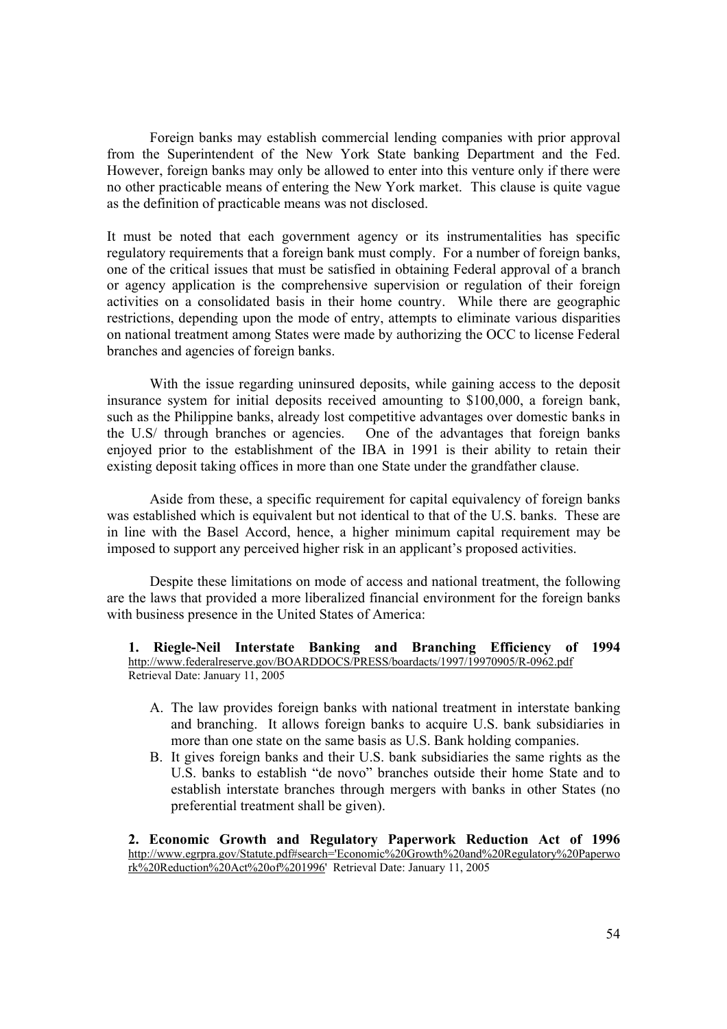Foreign banks may establish commercial lending companies with prior approval from the Superintendent of the New York State banking Department and the Fed. However, foreign banks may only be allowed to enter into this venture only if there were no other practicable means of entering the New York market. This clause is quite vague as the definition of practicable means was not disclosed.

It must be noted that each government agency or its instrumentalities has specific regulatory requirements that a foreign bank must comply. For a number of foreign banks, one of the critical issues that must be satisfied in obtaining Federal approval of a branch or agency application is the comprehensive supervision or regulation of their foreign activities on a consolidated basis in their home country. While there are geographic restrictions, depending upon the mode of entry, attempts to eliminate various disparities on national treatment among States were made by authorizing the OCC to license Federal branches and agencies of foreign banks.

With the issue regarding uninsured deposits, while gaining access to the deposit insurance system for initial deposits received amounting to \$100,000, a foreign bank, such as the Philippine banks, already lost competitive advantages over domestic banks in the U.S/ through branches or agencies. One of the advantages that foreign banks enjoyed prior to the establishment of the IBA in 1991 is their ability to retain their existing deposit taking offices in more than one State under the grandfather clause.

 Aside from these, a specific requirement for capital equivalency of foreign banks was established which is equivalent but not identical to that of the U.S. banks. These are in line with the Basel Accord, hence, a higher minimum capital requirement may be imposed to support any perceived higher risk in an applicant's proposed activities.

Despite these limitations on mode of access and national treatment, the following are the laws that provided a more liberalized financial environment for the foreign banks with business presence in the United States of America:

**1. Riegle-Neil Interstate Banking and Branching Efficiency of 1994**  http://www.federalreserve.gov/BOARDDOCS/PRESS/boardacts/1997/19970905/R-0962.pdf Retrieval Date: January 11, 2005

- A. The law provides foreign banks with national treatment in interstate banking and branching. It allows foreign banks to acquire U.S. bank subsidiaries in more than one state on the same basis as U.S. Bank holding companies.
- B. It gives foreign banks and their U.S. bank subsidiaries the same rights as the U.S. banks to establish "de novo" branches outside their home State and to establish interstate branches through mergers with banks in other States (no preferential treatment shall be given).

**2. Economic Growth and Regulatory Paperwork Reduction Act of 1996**  http://www.egrpra.gov/Statute.pdf#search='Economic%20Growth%20and%20Regulatory%20Paperwo rk%20Reduction%20Act%20of%201996' Retrieval Date: January 11, 2005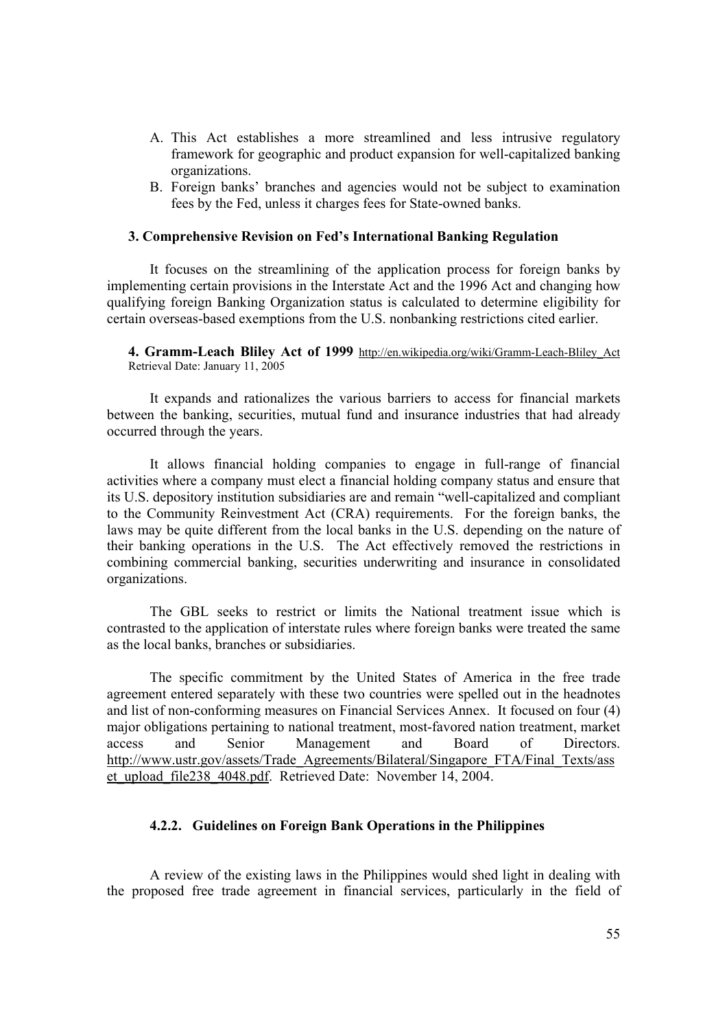- A. This Act establishes a more streamlined and less intrusive regulatory framework for geographic and product expansion for well-capitalized banking organizations.
- B. Foreign banks' branches and agencies would not be subject to examination fees by the Fed, unless it charges fees for State-owned banks.

### **3. Comprehensive Revision on Fed's International Banking Regulation**

It focuses on the streamlining of the application process for foreign banks by implementing certain provisions in the Interstate Act and the 1996 Act and changing how qualifying foreign Banking Organization status is calculated to determine eligibility for certain overseas-based exemptions from the U.S. nonbanking restrictions cited earlier.

**4. Gramm-Leach Bliley Act of 1999** http://en.wikipedia.org/wiki/Gramm-Leach-Bliley\_Act Retrieval Date: January 11, 2005

It expands and rationalizes the various barriers to access for financial markets between the banking, securities, mutual fund and insurance industries that had already occurred through the years.

It allows financial holding companies to engage in full-range of financial activities where a company must elect a financial holding company status and ensure that its U.S. depository institution subsidiaries are and remain "well-capitalized and compliant to the Community Reinvestment Act (CRA) requirements. For the foreign banks, the laws may be quite different from the local banks in the U.S. depending on the nature of their banking operations in the U.S. The Act effectively removed the restrictions in combining commercial banking, securities underwriting and insurance in consolidated organizations.

The GBL seeks to restrict or limits the National treatment issue which is contrasted to the application of interstate rules where foreign banks were treated the same as the local banks, branches or subsidiaries.

The specific commitment by the United States of America in the free trade agreement entered separately with these two countries were spelled out in the headnotes and list of non-conforming measures on Financial Services Annex. It focused on four (4) major obligations pertaining to national treatment, most-favored nation treatment, market access and Senior Management and Board of Directors. http://www.ustr.gov/assets/Trade\_Agreements/Bilateral/Singapore\_FTA/Final\_Texts/ass et upload file238 4048.pdf. Retrieved Date: November 14, 2004.

# **4.2.2. Guidelines on Foreign Bank Operations in the Philippines**

A review of the existing laws in the Philippines would shed light in dealing with the proposed free trade agreement in financial services, particularly in the field of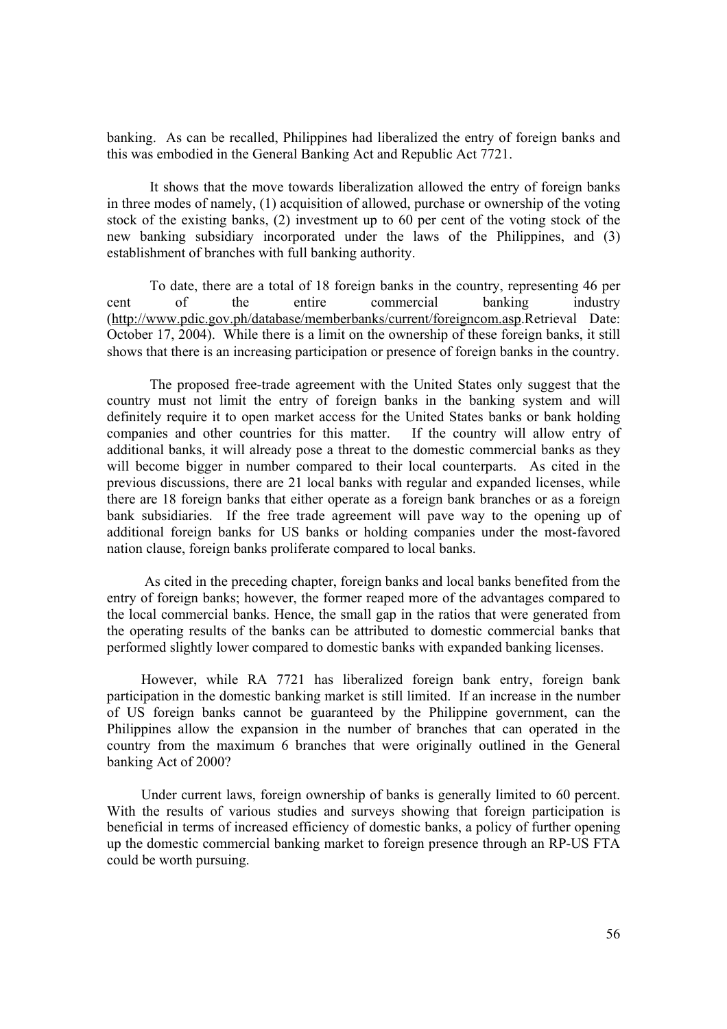banking. As can be recalled, Philippines had liberalized the entry of foreign banks and this was embodied in the General Banking Act and Republic Act 7721.

It shows that the move towards liberalization allowed the entry of foreign banks in three modes of namely, (1) acquisition of allowed, purchase or ownership of the voting stock of the existing banks, (2) investment up to 60 per cent of the voting stock of the new banking subsidiary incorporated under the laws of the Philippines, and (3) establishment of branches with full banking authority.

To date, there are a total of 18 foreign banks in the country, representing 46 per cent of the entire commercial banking industry (http://www.pdic.gov.ph/database/memberbanks/current/foreigncom.asp.Retrieval Date: October 17, 2004). While there is a limit on the ownership of these foreign banks, it still shows that there is an increasing participation or presence of foreign banks in the country.

The proposed free-trade agreement with the United States only suggest that the country must not limit the entry of foreign banks in the banking system and will definitely require it to open market access for the United States banks or bank holding companies and other countries for this matter. If the country will allow entry of additional banks, it will already pose a threat to the domestic commercial banks as they will become bigger in number compared to their local counterparts. As cited in the previous discussions, there are 21 local banks with regular and expanded licenses, while there are 18 foreign banks that either operate as a foreign bank branches or as a foreign bank subsidiaries. If the free trade agreement will pave way to the opening up of additional foreign banks for US banks or holding companies under the most-favored nation clause, foreign banks proliferate compared to local banks.

 As cited in the preceding chapter, foreign banks and local banks benefited from the entry of foreign banks; however, the former reaped more of the advantages compared to the local commercial banks. Hence, the small gap in the ratios that were generated from the operating results of the banks can be attributed to domestic commercial banks that performed slightly lower compared to domestic banks with expanded banking licenses.

However, while RA 7721 has liberalized foreign bank entry, foreign bank participation in the domestic banking market is still limited. If an increase in the number of US foreign banks cannot be guaranteed by the Philippine government, can the Philippines allow the expansion in the number of branches that can operated in the country from the maximum 6 branches that were originally outlined in the General banking Act of 2000?

Under current laws, foreign ownership of banks is generally limited to 60 percent. With the results of various studies and surveys showing that foreign participation is beneficial in terms of increased efficiency of domestic banks, a policy of further opening up the domestic commercial banking market to foreign presence through an RP-US FTA could be worth pursuing.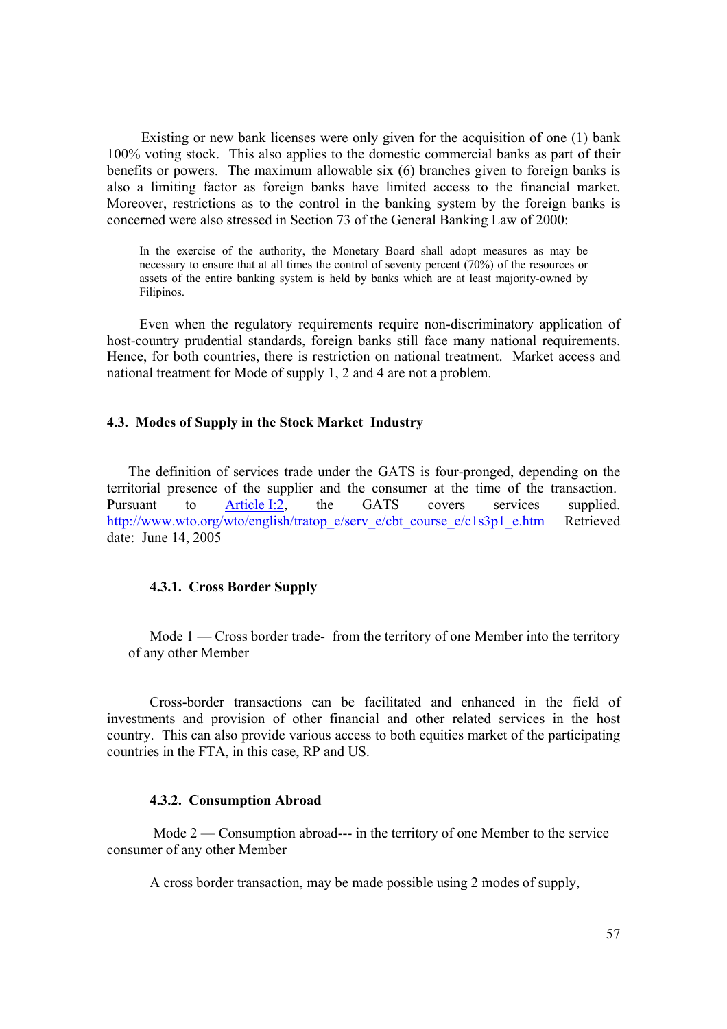Existing or new bank licenses were only given for the acquisition of one (1) bank 100% voting stock. This also applies to the domestic commercial banks as part of their benefits or powers. The maximum allowable six (6) branches given to foreign banks is also a limiting factor as foreign banks have limited access to the financial market. Moreover, restrictions as to the control in the banking system by the foreign banks is concerned were also stressed in Section 73 of the General Banking Law of 2000:

In the exercise of the authority, the Monetary Board shall adopt measures as may be necessary to ensure that at all times the control of seventy percent (70%) of the resources or assets of the entire banking system is held by banks which are at least majority-owned by Filipinos.

Even when the regulatory requirements require non-discriminatory application of host-country prudential standards, foreign banks still face many national requirements. Hence, for both countries, there is restriction on national treatment. Market access and national treatment for Mode of supply 1, 2 and 4 are not a problem.

# **4.3. Modes of Supply in the Stock Market Industry**

The definition of services trade under the GATS is four-pronged, depending on the territorial presence of the supplier and the consumer at the time of the transaction. Pursuant to Article I:2, the GATS covers services supplied. http://www.wto.org/wto/english/tratop\_e/serv\_e/cbt\_course\_e/c1s3p1\_e.htm Retrieved date: June 14, 2005

# **4.3.1. Cross Border Supply**

Mode 1 — Cross border trade- from the territory of one Member into the territory of any other Member

Cross-border transactions can be facilitated and enhanced in the field of investments and provision of other financial and other related services in the host country. This can also provide various access to both equities market of the participating countries in the FTA, in this case, RP and US.

# **4.3.2. Consumption Abroad**

 Mode 2 — Consumption abroad--- in the territory of one Member to the service consumer of any other Member

A cross border transaction, may be made possible using 2 modes of supply,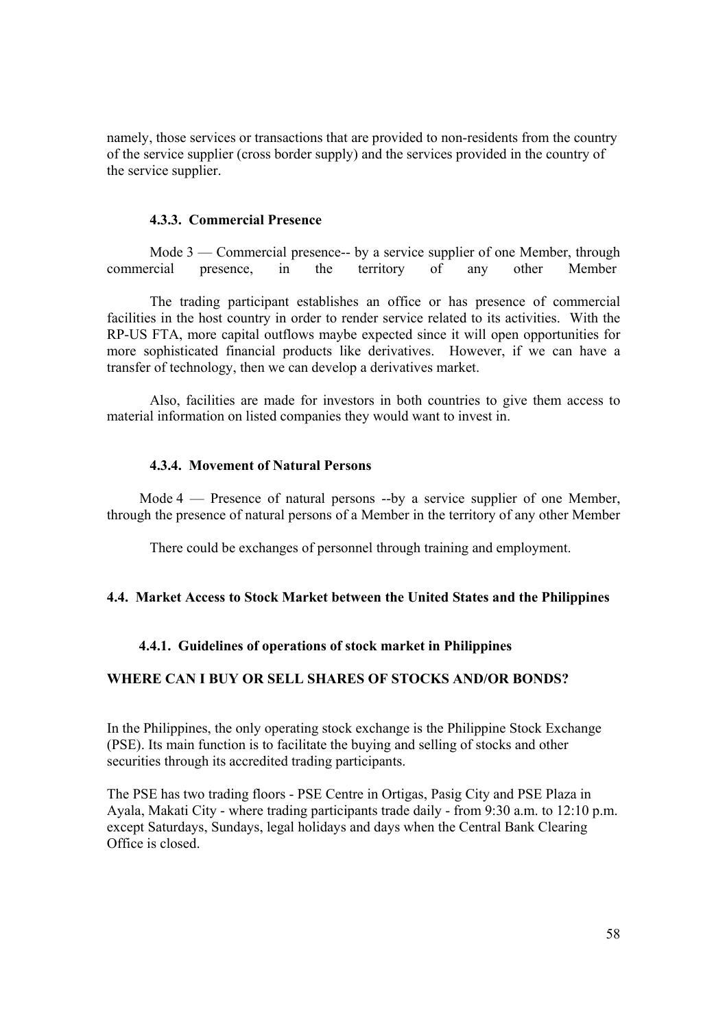namely, those services or transactions that are provided to non-residents from the country of the service supplier (cross border supply) and the services provided in the country of the service supplier.

# **4.3.3. Commercial Presence**

Mode 3 — Commercial presence-- by a service supplier of one Member, through commercial presence, in the territory of any other Member

The trading participant establishes an office or has presence of commercial facilities in the host country in order to render service related to its activities. With the RP-US FTA, more capital outflows maybe expected since it will open opportunities for more sophisticated financial products like derivatives. However, if we can have a transfer of technology, then we can develop a derivatives market.

Also, facilities are made for investors in both countries to give them access to material information on listed companies they would want to invest in.

# **4.3.4. Movement of Natural Persons**

Mode 4 — Presence of natural persons --by a service supplier of one Member, through the presence of natural persons of a Member in the territory of any other Member

There could be exchanges of personnel through training and employment.

# **4.4. Market Access to Stock Market between the United States and the Philippines**

# **4.4.1. Guidelines of operations of stock market in Philippines**

# **WHERE CAN I BUY OR SELL SHARES OF STOCKS AND/OR BONDS?**

In the Philippines, the only operating stock exchange is the Philippine Stock Exchange (PSE). Its main function is to facilitate the buying and selling of stocks and other securities through its accredited trading participants.

The PSE has two trading floors - PSE Centre in Ortigas, Pasig City and PSE Plaza in Ayala, Makati City - where trading participants trade daily - from 9:30 a.m. to 12:10 p.m. except Saturdays, Sundays, legal holidays and days when the Central Bank Clearing Office is closed.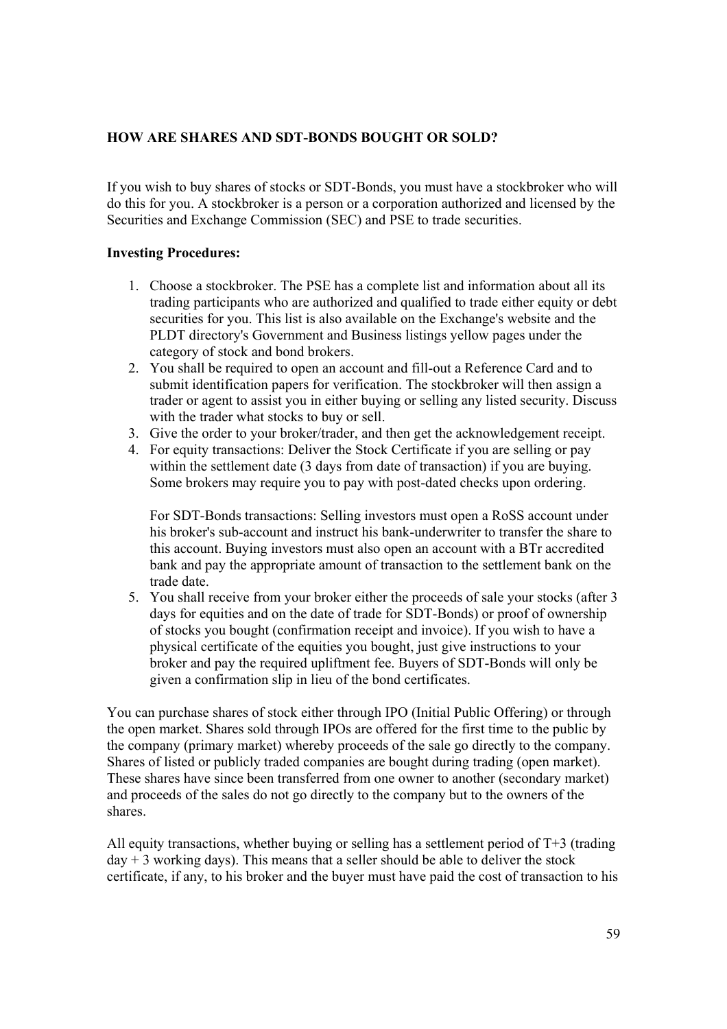# **HOW ARE SHARES AND SDT-BONDS BOUGHT OR SOLD?**

If you wish to buy shares of stocks or SDT-Bonds, you must have a stockbroker who will do this for you. A stockbroker is a person or a corporation authorized and licensed by the Securities and Exchange Commission (SEC) and PSE to trade securities.

# **Investing Procedures:**

- 1. Choose a stockbroker. The PSE has a complete list and information about all its trading participants who are authorized and qualified to trade either equity or debt securities for you. This list is also available on the Exchange's website and the PLDT directory's Government and Business listings yellow pages under the category of stock and bond brokers.
- 2. You shall be required to open an account and fill-out a Reference Card and to submit identification papers for verification. The stockbroker will then assign a trader or agent to assist you in either buying or selling any listed security. Discuss with the trader what stocks to buy or sell.
- 3. Give the order to your broker/trader, and then get the acknowledgement receipt.
- 4. For equity transactions: Deliver the Stock Certificate if you are selling or pay within the settlement date (3 days from date of transaction) if you are buying. Some brokers may require you to pay with post-dated checks upon ordering.

For SDT-Bonds transactions: Selling investors must open a RoSS account under his broker's sub-account and instruct his bank-underwriter to transfer the share to this account. Buying investors must also open an account with a BTr accredited bank and pay the appropriate amount of transaction to the settlement bank on the trade date.

5. You shall receive from your broker either the proceeds of sale your stocks (after 3 days for equities and on the date of trade for SDT-Bonds) or proof of ownership of stocks you bought (confirmation receipt and invoice). If you wish to have a physical certificate of the equities you bought, just give instructions to your broker and pay the required upliftment fee. Buyers of SDT-Bonds will only be given a confirmation slip in lieu of the bond certificates.

You can purchase shares of stock either through IPO (Initial Public Offering) or through the open market. Shares sold through IPOs are offered for the first time to the public by the company (primary market) whereby proceeds of the sale go directly to the company. Shares of listed or publicly traded companies are bought during trading (open market). These shares have since been transferred from one owner to another (secondary market) and proceeds of the sales do not go directly to the company but to the owners of the shares.

All equity transactions, whether buying or selling has a settlement period of  $T+3$  (trading  $day + 3$  working days). This means that a seller should be able to deliver the stock certificate, if any, to his broker and the buyer must have paid the cost of transaction to his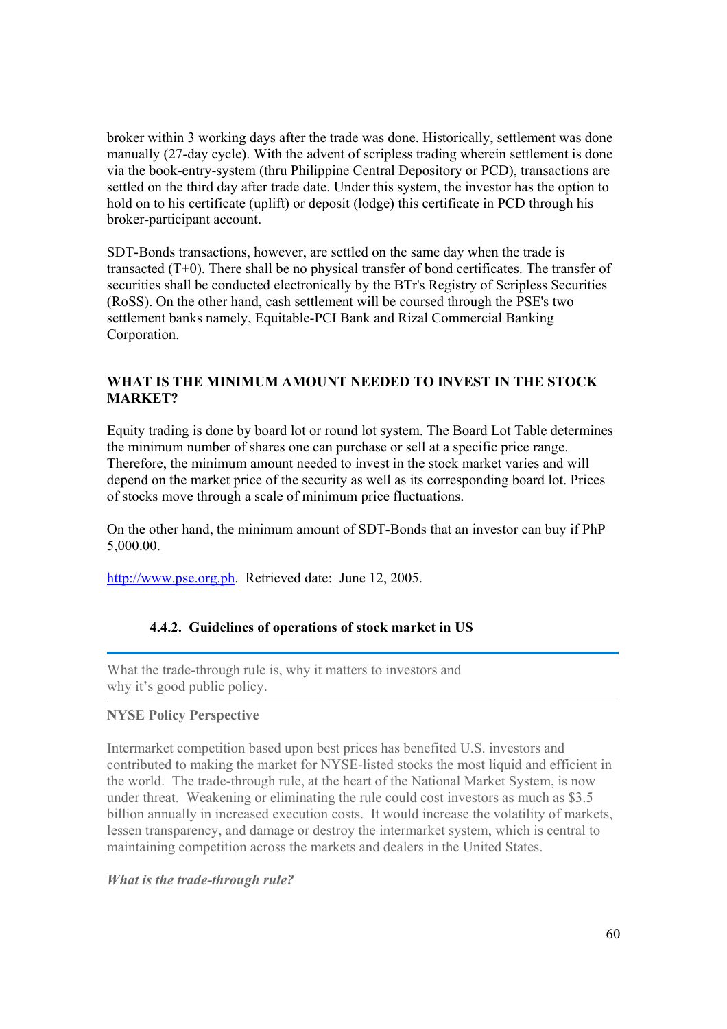broker within 3 working days after the trade was done. Historically, settlement was done manually (27-day cycle). With the advent of scripless trading wherein settlement is done via the book-entry-system (thru Philippine Central Depository or PCD), transactions are settled on the third day after trade date. Under this system, the investor has the option to hold on to his certificate (uplift) or deposit (lodge) this certificate in PCD through his broker-participant account.

SDT-Bonds transactions, however, are settled on the same day when the trade is transacted (T+0). There shall be no physical transfer of bond certificates. The transfer of securities shall be conducted electronically by the BTr's Registry of Scripless Securities (RoSS). On the other hand, cash settlement will be coursed through the PSE's two settlement banks namely, Equitable-PCI Bank and Rizal Commercial Banking Corporation.

# **WHAT IS THE MINIMUM AMOUNT NEEDED TO INVEST IN THE STOCK MARKET?**

Equity trading is done by board lot or round lot system. The Board Lot Table determines the minimum number of shares one can purchase or sell at a specific price range. Therefore, the minimum amount needed to invest in the stock market varies and will depend on the market price of the security as well as its corresponding board lot. Prices of stocks move through a scale of minimum price fluctuations.

On the other hand, the minimum amount of SDT-Bonds that an investor can buy if PhP 5,000.00.

http://www.pse.org.ph. Retrieved date: June 12, 2005.

# **4.4.2. Guidelines of operations of stock market in US**

What the trade-through rule is, why it matters to investors and why it's good public policy.

# **NYSE Policy Perspective**

Intermarket competition based upon best prices has benefited U.S. investors and contributed to making the market for NYSE-listed stocks the most liquid and efficient in the world. The trade-through rule, at the heart of the National Market System, is now under threat. Weakening or eliminating the rule could cost investors as much as \$3.5 billion annually in increased execution costs. It would increase the volatility of markets, lessen transparency, and damage or destroy the intermarket system, which is central to maintaining competition across the markets and dealers in the United States.

*What is the trade-through rule?*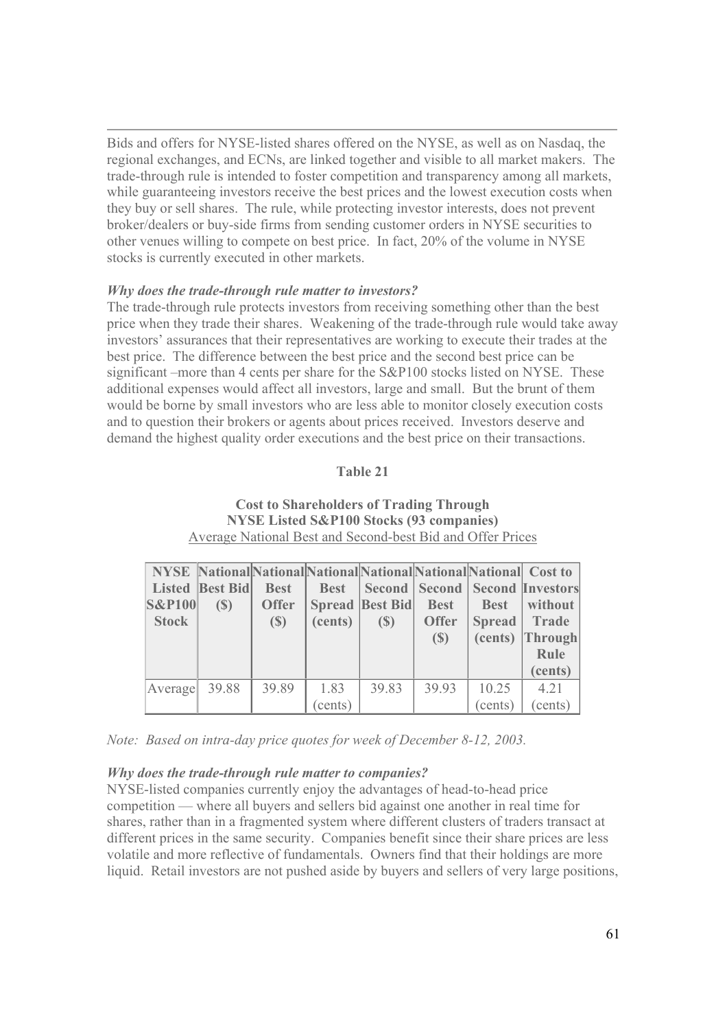Bids and offers for NYSE-listed shares offered on the NYSE, as well as on Nasdaq, the regional exchanges, and ECNs, are linked together and visible to all market makers. The trade-through rule is intended to foster competition and transparency among all markets, while guaranteeing investors receive the best prices and the lowest execution costs when they buy or sell shares. The rule, while protecting investor interests, does not prevent broker/dealers or buy-side firms from sending customer orders in NYSE securities to other venues willing to compete on best price. In fact, 20% of the volume in NYSE stocks is currently executed in other markets.

# *Why does the trade-through rule matter to investors?*

The trade-through rule protects investors from receiving something other than the best price when they trade their shares. Weakening of the trade-through rule would take away investors' assurances that their representatives are working to execute their trades at the best price. The difference between the best price and the second best price can be significant –more than 4 cents per share for the S&P100 stocks listed on NYSE. These additional expenses would affect all investors, large and small. But the brunt of them would be borne by small investors who are less able to monitor closely execution costs and to question their brokers or agents about prices received. Investors deserve and demand the highest quality order executions and the best price on their transactions.

# **Table 21**

# **Cost to Shareholders of Trading Through NYSE Listed S&P100 Stocks (93 companies)**  Average National Best and Second-best Bid and Offer Prices

| <b>S&amp;P100</b><br><b>Stock</b> | NYSE NationalNationalNationalNationalNationalNational Cost to<br>Listed Best Bid<br>$\left( \mathbb{S}\right)$ | <b>Best</b><br><b>Offer</b><br>$\left( \mathbb{S}\right)$ | <b>Best</b><br>(cents) | <b>Spread Best Bid</b><br>$\left( \mathbb{S}\right)$ | <b>Best</b><br><b>Offer</b><br>(S) | <b>Best</b><br><b>Spread</b><br>(cents) | <b>Second Second Second Investors</b><br>without<br><b>Trade</b><br><b>Through</b><br>Rule<br>(cents) |
|-----------------------------------|----------------------------------------------------------------------------------------------------------------|-----------------------------------------------------------|------------------------|------------------------------------------------------|------------------------------------|-----------------------------------------|-------------------------------------------------------------------------------------------------------|
| Average                           | 39.88                                                                                                          | 39.89                                                     | 1.83                   | 39.83                                                | 39.93                              | 10.25                                   | 4.21                                                                                                  |
|                                   |                                                                                                                |                                                           | (cents)                |                                                      |                                    | (cents)                                 | (cents)                                                                                               |

*Note: Based on intra-day price quotes for week of December 8-12, 2003.*

# *Why does the trade-through rule matter to companies?*

NYSE-listed companies currently enjoy the advantages of head-to-head price competition — where all buyers and sellers bid against one another in real time for shares, rather than in a fragmented system where different clusters of traders transact at different prices in the same security. Companies benefit since their share prices are less volatile and more reflective of fundamentals. Owners find that their holdings are more liquid. Retail investors are not pushed aside by buyers and sellers of very large positions,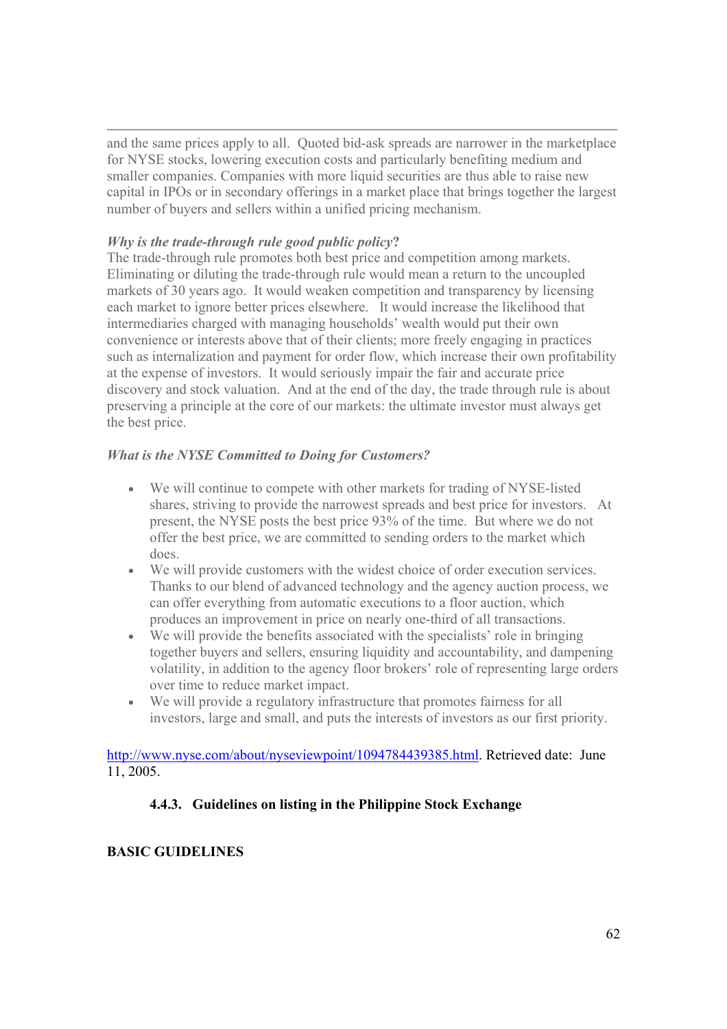and the same prices apply to all. Quoted bid-ask spreads are narrower in the marketplace for NYSE stocks, lowering execution costs and particularly benefiting medium and smaller companies. Companies with more liquid securities are thus able to raise new capital in IPOs or in secondary offerings in a market place that brings together the largest number of buyers and sellers within a unified pricing mechanism.

# *Why is the trade-through rule good public policy***?**

The trade-through rule promotes both best price and competition among markets. Eliminating or diluting the trade-through rule would mean a return to the uncoupled markets of 30 years ago. It would weaken competition and transparency by licensing each market to ignore better prices elsewhere. It would increase the likelihood that intermediaries charged with managing households' wealth would put their own convenience or interests above that of their clients; more freely engaging in practices such as internalization and payment for order flow, which increase their own profitability at the expense of investors. It would seriously impair the fair and accurate price discovery and stock valuation. And at the end of the day, the trade through rule is about preserving a principle at the core of our markets: the ultimate investor must always get the best price.

# *What is the NYSE Committed to Doing for Customers?*

- We will continue to compete with other markets for trading of NYSE-listed shares, striving to provide the narrowest spreads and best price for investors. At present, the NYSE posts the best price 93% of the time. But where we do not offer the best price, we are committed to sending orders to the market which does.
- We will provide customers with the widest choice of order execution services. Thanks to our blend of advanced technology and the agency auction process, we can offer everything from automatic executions to a floor auction, which produces an improvement in price on nearly one-third of all transactions.
- We will provide the benefits associated with the specialists' role in bringing together buyers and sellers, ensuring liquidity and accountability, and dampening volatility, in addition to the agency floor brokers' role of representing large orders over time to reduce market impact.
- We will provide a regulatory infrastructure that promotes fairness for all investors, large and small, and puts the interests of investors as our first priority.

http://www.nyse.com/about/nyseviewpoint/1094784439385.html. Retrieved date: June 11, 2005.

# **4.4.3. Guidelines on listing in the Philippine Stock Exchange**

# **BASIC GUIDELINES**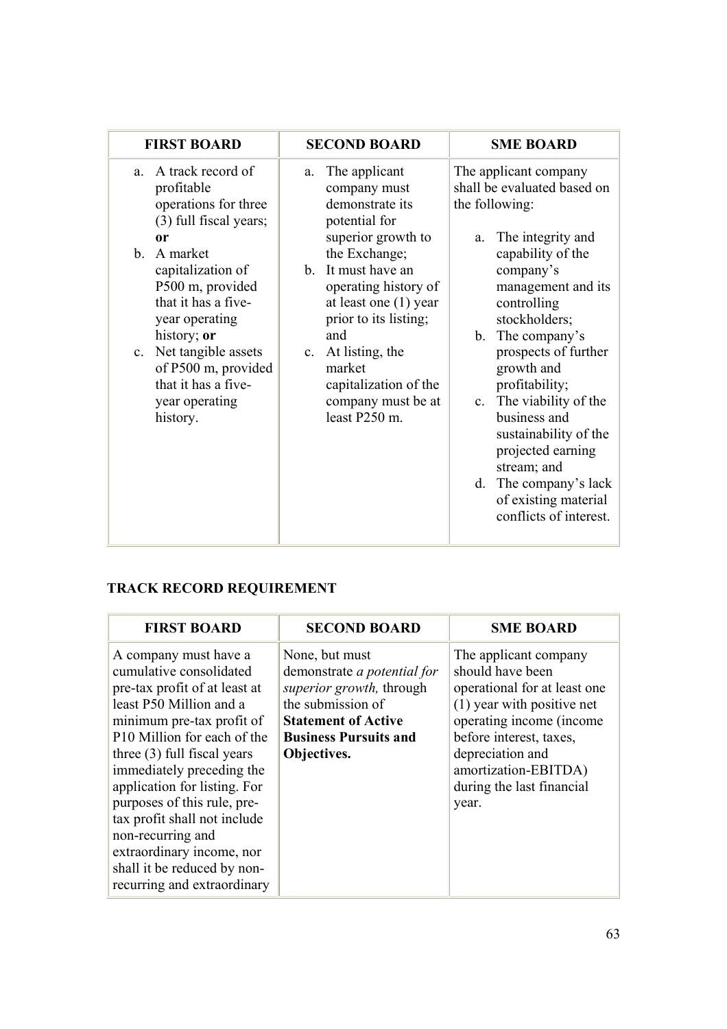| <b>FIRST BOARD</b>                                                                                                                                                                                                                                                                                                                      | <b>SECOND BOARD</b>                                                                                                                                                                                                                                                                                                                              | <b>SME BOARD</b>                                                                                                                                                                                                                                                                                                                                                                                                                                         |
|-----------------------------------------------------------------------------------------------------------------------------------------------------------------------------------------------------------------------------------------------------------------------------------------------------------------------------------------|--------------------------------------------------------------------------------------------------------------------------------------------------------------------------------------------------------------------------------------------------------------------------------------------------------------------------------------------------|----------------------------------------------------------------------------------------------------------------------------------------------------------------------------------------------------------------------------------------------------------------------------------------------------------------------------------------------------------------------------------------------------------------------------------------------------------|
| A track record of<br>$a_{-}$<br>profitable<br>operations for three<br>(3) full fiscal years;<br>or<br>$\mathbf{b}$ .<br>A market<br>capitalization of<br>P500 m, provided<br>that it has a five-<br>year operating<br>history; or<br>c. Net tangible assets<br>of P500 m, provided<br>that it has a five-<br>year operating<br>history. | The applicant<br>a.<br>company must<br>demonstrate its<br>potential for<br>superior growth to<br>the Exchange;<br>It must have an<br>$\mathbf{b}$<br>operating history of<br>at least one $(1)$ year<br>prior to its listing;<br>and<br>At listing, the<br>$c_{\cdot}$<br>market<br>capitalization of the<br>company must be at<br>least P250 m. | The applicant company<br>shall be evaluated based on<br>the following:<br>The integrity and<br>a.<br>capability of the<br>company's<br>management and its<br>controlling<br>stockholders;<br>b. The company's<br>prospects of further<br>growth and<br>profitability;<br>c. The viability of the<br>business and<br>sustainability of the<br>projected earning<br>stream; and<br>d. The company's lack<br>of existing material<br>conflicts of interest. |

# **TRACK RECORD REQUIREMENT**

| <b>FIRST BOARD</b>                                                                                                                                                                                                                                                                                                                                                                                                                                    | <b>SECOND BOARD</b>                                                                                                                                                                | <b>SME BOARD</b>                                                                                                                                                                                                                                 |
|-------------------------------------------------------------------------------------------------------------------------------------------------------------------------------------------------------------------------------------------------------------------------------------------------------------------------------------------------------------------------------------------------------------------------------------------------------|------------------------------------------------------------------------------------------------------------------------------------------------------------------------------------|--------------------------------------------------------------------------------------------------------------------------------------------------------------------------------------------------------------------------------------------------|
| A company must have a<br>cumulative consolidated<br>pre-tax profit of at least at<br>least P50 Million and a<br>minimum pre-tax profit of<br>P10 Million for each of the<br>three $(3)$ full fiscal years<br>immediately preceding the<br>application for listing. For<br>purposes of this rule, pre-<br>tax profit shall not include<br>non-recurring and<br>extraordinary income, nor<br>shall it be reduced by non-<br>recurring and extraordinary | None, but must<br>demonstrate <i>a potential for</i><br>superior growth, through<br>the submission of<br><b>Statement of Active</b><br><b>Business Pursuits and</b><br>Objectives. | The applicant company<br>should have been<br>operational for at least one<br>(1) year with positive net<br>operating income (income<br>before interest, taxes,<br>depreciation and<br>amortization-EBITDA)<br>during the last financial<br>year. |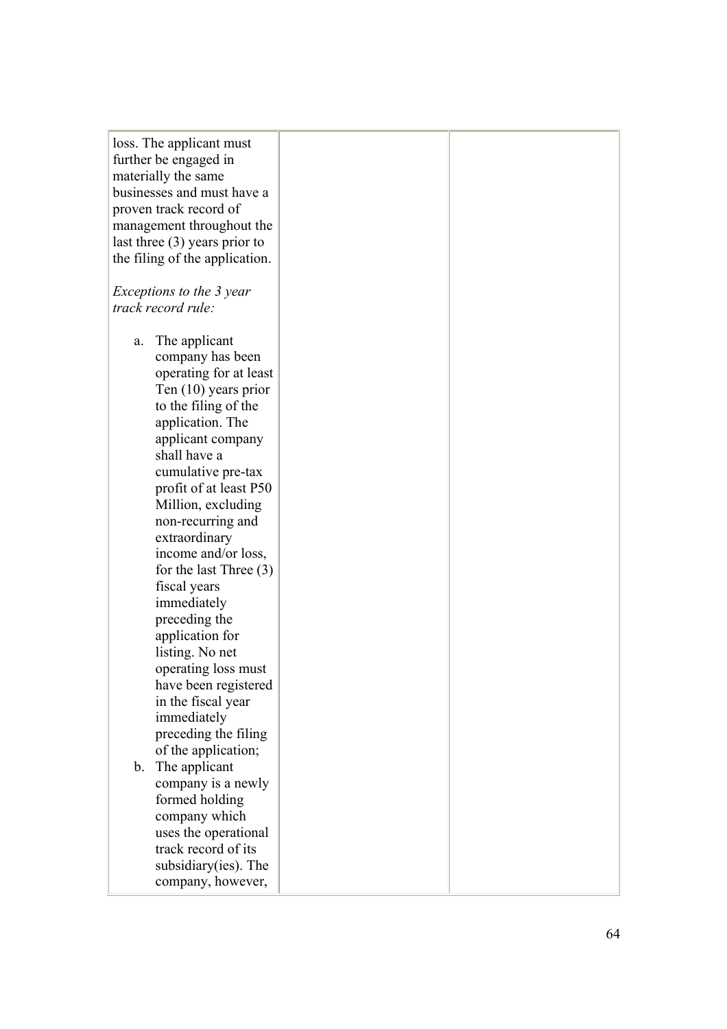| loss. The applicant must        |  |
|---------------------------------|--|
| further be engaged in           |  |
| materially the same             |  |
| businesses and must have a      |  |
| proven track record of          |  |
| management throughout the       |  |
| last three $(3)$ years prior to |  |
| the filing of the application.  |  |
|                                 |  |
| Exceptions to the 3 year        |  |
| track record rule:              |  |
|                                 |  |
| The applicant<br>a.             |  |
| company has been                |  |
| operating for at least          |  |
| Ten $(10)$ years prior          |  |
| to the filing of the            |  |
| application. The                |  |
| applicant company               |  |
| shall have a                    |  |
| cumulative pre-tax              |  |
|                                 |  |
| profit of at least P50          |  |
| Million, excluding              |  |
| non-recurring and               |  |
| extraordinary                   |  |
| income and/or loss,             |  |
| for the last Three $(3)$        |  |
| fiscal years                    |  |
| immediately                     |  |
| preceding the                   |  |
| application for                 |  |
| listing. No net                 |  |
| operating loss must             |  |
| have been registered            |  |
| in the fiscal year              |  |
| immediately                     |  |
| preceding the filing            |  |
| of the application;             |  |
| The applicant<br>$b_{-}$        |  |
| company is a newly              |  |
| formed holding                  |  |
| company which                   |  |
| uses the operational            |  |
| track record of its             |  |
| subsidiary (ies). The           |  |
| company, however,               |  |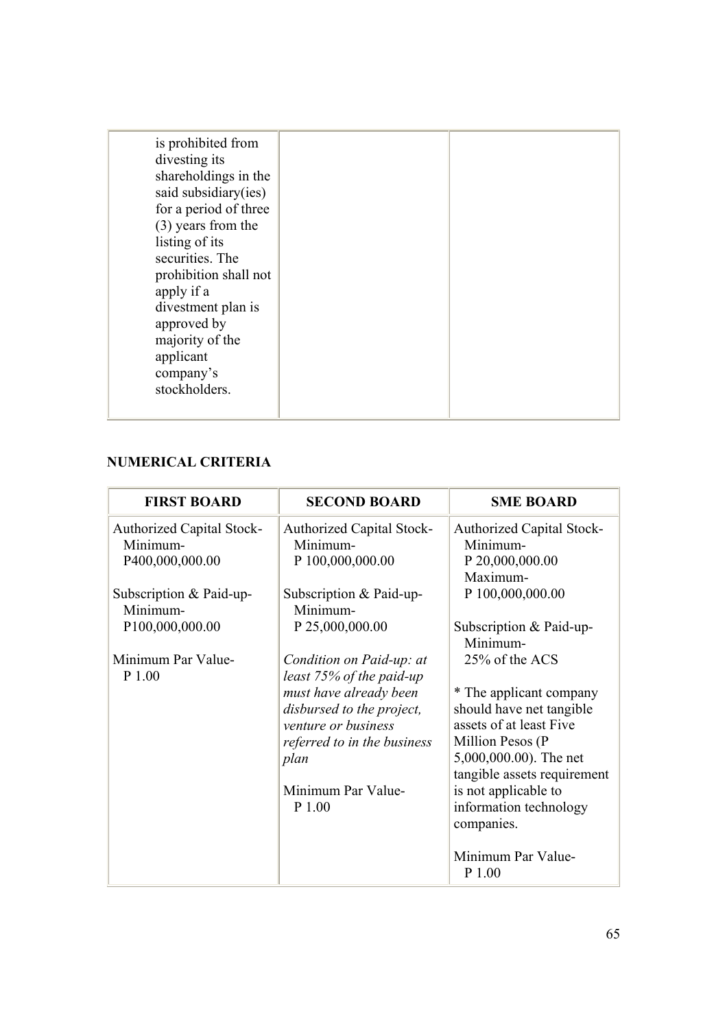# **NUMERICAL CRITERIA**

| <b>FIRST BOARD</b>                                              | <b>SECOND BOARD</b>                                              | <b>SME BOARD</b>                                                |
|-----------------------------------------------------------------|------------------------------------------------------------------|-----------------------------------------------------------------|
| <b>Authorized Capital Stock-</b><br>Minimum-<br>P400,000,000.00 | <b>Authorized Capital Stock-</b><br>Minimum-<br>P 100,000,000.00 | <b>Authorized Capital Stock-</b><br>Minimum-<br>P 20,000,000.00 |
|                                                                 |                                                                  | Maximum-                                                        |
| Subscription & Paid-up-<br>Minimum-                             | Subscription & Paid-up-<br>Minimum-                              | P 100,000,000.00                                                |
| P100,000,000.00                                                 | P 25,000,000.00                                                  | Subscription & Paid-up-<br>Minimum-                             |
| Minimum Par Value-<br>P 1.00                                    | Condition on Paid-up: at<br>least 75% of the paid-up             | 25% of the ACS                                                  |
|                                                                 | must have already been                                           | * The applicant company<br>should have net tangible             |
|                                                                 | disbursed to the project,<br>venture or business                 | assets of at least Five                                         |
|                                                                 | referred to in the business<br>plan                              | Million Pesos (P<br>5,000,000.00). The net                      |
|                                                                 | Minimum Par Value-                                               | tangible assets requirement<br>is not applicable to             |
|                                                                 | P 1.00                                                           | information technology<br>companies.                            |
|                                                                 |                                                                  | Minimum Par Value-<br>P 1.00                                    |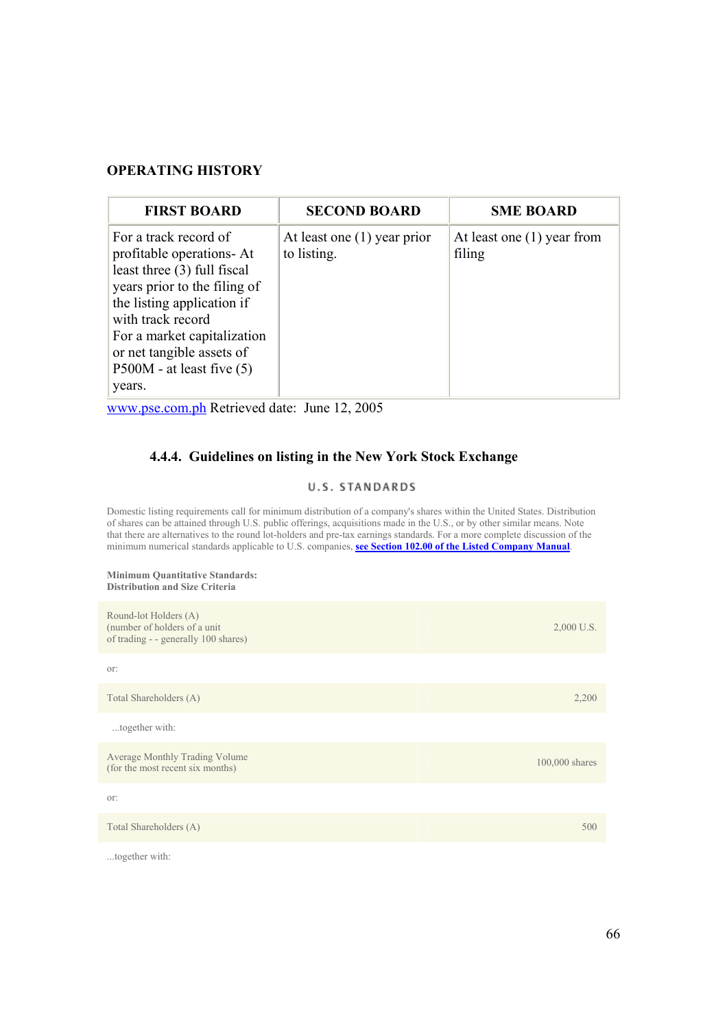# **OPERATING HISTORY**

| <b>FIRST BOARD</b>                                                                                                                                                                                                                                                          | <b>SECOND BOARD</b>                          | <b>SME BOARD</b>                       |
|-----------------------------------------------------------------------------------------------------------------------------------------------------------------------------------------------------------------------------------------------------------------------------|----------------------------------------------|----------------------------------------|
| For a track record of<br>profitable operations- At<br>least three (3) full fiscal<br>years prior to the filing of<br>the listing application if<br>with track record<br>For a market capitalization<br>or net tangible assets of<br>$P500M$ - at least five $(5)$<br>years. | At least one $(1)$ year prior<br>to listing. | At least one $(1)$ year from<br>filing |

www.pse.com.ph Retrieved date: June 12, 2005

# **4.4.4. Guidelines on listing in the New York Stock Exchange**

#### U.S. STANDARDS

Domestic listing requirements call for minimum distribution of a company's shares within the United States. Distribution of shares can be attained through U.S. public offerings, acquisitions made in the U.S., or by other similar means. Note that there are alternatives to the round lot-holders and pre-tax earnings standards. For a more complete discussion of the minimum numerical standards applicable to U.S. companies, **see Section 102.00 of the Listed Company Manual**.

#### **Minimum Quantitative Standards: Distribution and Size Criteria**

...together with:

| Round-lot Holders (A)<br>(number of holders of a unit)<br>of trading - - generally 100 shares) | 2,000 U.S.     |
|------------------------------------------------------------------------------------------------|----------------|
| or:                                                                                            |                |
| Total Shareholders (A)                                                                         | 2,200          |
| together with:                                                                                 |                |
| Average Monthly Trading Volume<br>(for the most recent six months)                             | 100,000 shares |
| or:                                                                                            |                |
| Total Shareholders (A)                                                                         | 500            |
|                                                                                                |                |

66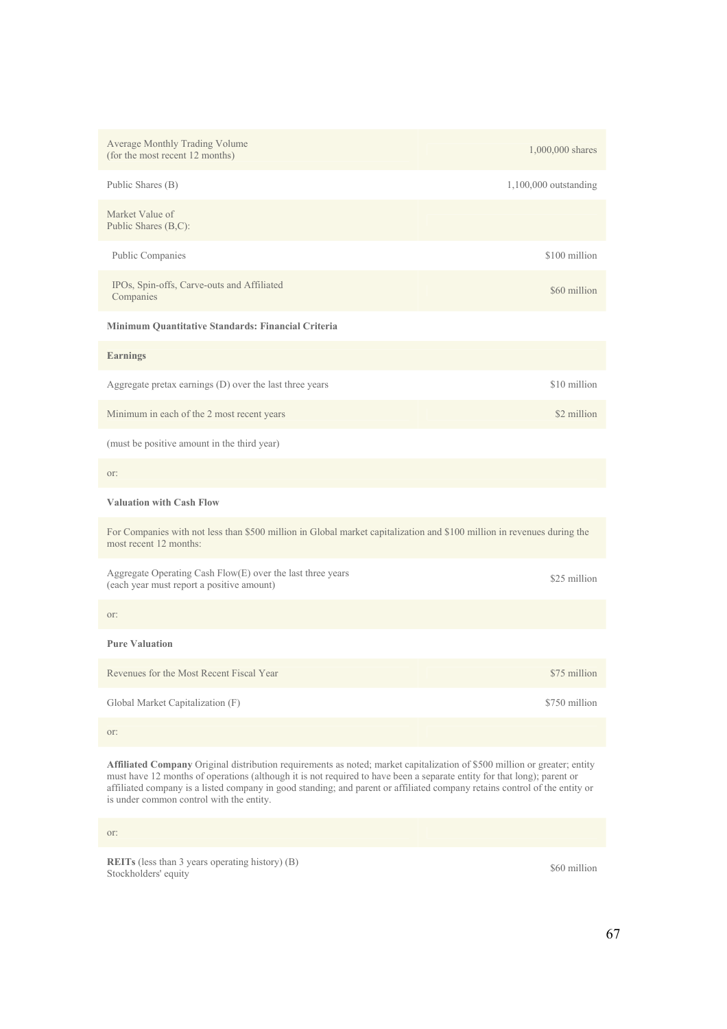| Average Monthly Trading Volume<br>(for the most recent 12 months)                                                                                 | 1,000,000 shares        |  |
|---------------------------------------------------------------------------------------------------------------------------------------------------|-------------------------|--|
| Public Shares (B)                                                                                                                                 | $1,100,000$ outstanding |  |
| Market Value of<br>Public Shares (B,C):                                                                                                           |                         |  |
| Public Companies                                                                                                                                  | \$100 million           |  |
| IPOs, Spin-offs, Carve-outs and Affiliated<br>Companies                                                                                           | \$60 million            |  |
| Minimum Quantitative Standards: Financial Criteria                                                                                                |                         |  |
| <b>Earnings</b>                                                                                                                                   |                         |  |
| Aggregate pretax earnings $(D)$ over the last three years                                                                                         | \$10 million            |  |
| Minimum in each of the 2 most recent years                                                                                                        | \$2 million             |  |
| (must be positive amount in the third year)                                                                                                       |                         |  |
| or:                                                                                                                                               |                         |  |
| <b>Valuation with Cash Flow</b>                                                                                                                   |                         |  |
| For Companies with not less than \$500 million in Global market capitalization and \$100 million in revenues during the<br>most recent 12 months: |                         |  |
| Aggregate Operating Cash Flow(E) over the last three years<br>(each year must report a positive amount)                                           | \$25 million            |  |
| or:                                                                                                                                               |                         |  |
| <b>Pure Valuation</b>                                                                                                                             |                         |  |
| Revenues for the Most Recent Fiscal Year                                                                                                          | \$75 million            |  |
| Global Market Capitalization (F)                                                                                                                  | \$750 million           |  |
| or:                                                                                                                                               |                         |  |

**Affiliated Company** Original distribution requirements as noted; market capitalization of \$500 million or greater; entity must have 12 months of operations (although it is not required to have been a separate entity for that long); parent or affiliated company is a listed company in good standing; and parent or affiliated company retains control of the entity or is under common control with the entity.

or:

**REITs** (less than 3 years operating history) (B)  $$60$  million Stockholders' equity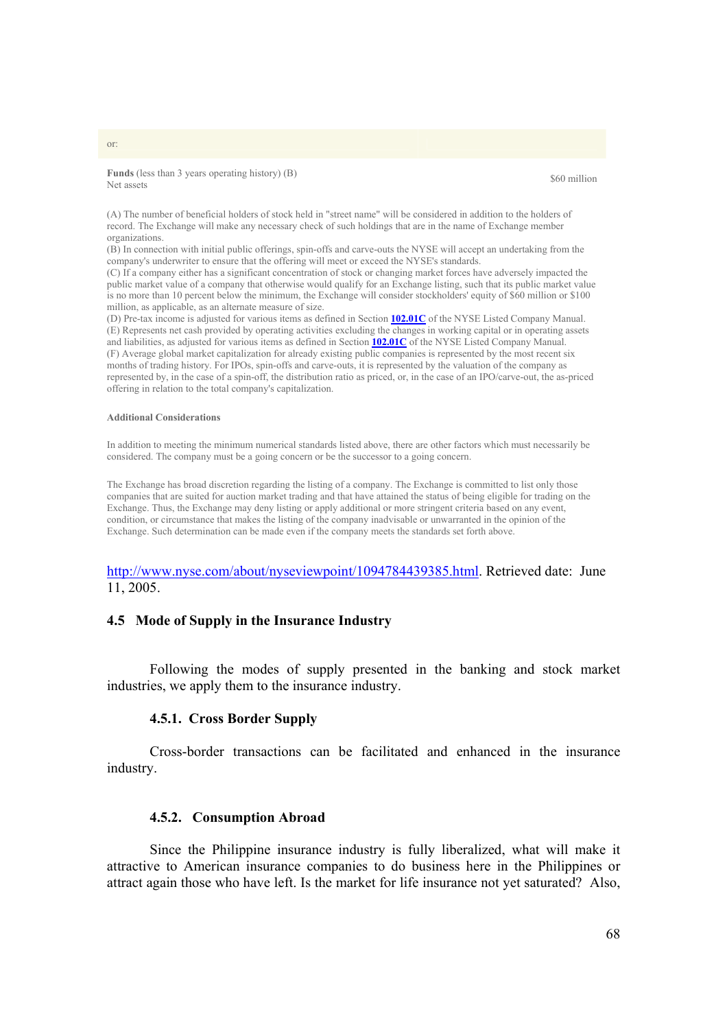**Funds** (less than 3 years operating history) (B)  $\qquad$  \$60 million \$60 million

(A) The number of beneficial holders of stock held in "street name" will be considered in addition to the holders of record. The Exchange will make any necessary check of such holdings that are in the name of Exchange member organizations.

(B) In connection with initial public offerings, spin-offs and carve-outs the NYSE will accept an undertaking from the company's underwriter to ensure that the offering will meet or exceed the NYSE's standards.

(C) If a company either has a significant concentration of stock or changing market forces have adversely impacted the public market value of a company that otherwise would qualify for an Exchange listing, such that its public market value is no more than 10 percent below the minimum, the Exchange will consider stockholders' equity of \$60 million or \$100 million, as applicable, as an alternate measure of size.

(D) Pre-tax income is adjusted for various items as defined in Section **102.01C** of the NYSE Listed Company Manual. (E) Represents net cash provided by operating activities excluding the changes in working capital or in operating assets and liabilities, as adjusted for various items as defined in Section **102.01C** of the NYSE Listed Company Manual. (F) Average global market capitalization for already existing public companies is represented by the most recent six months of trading history. For IPOs, spin-offs and carve-outs, it is represented by the valuation of the company as represented by, in the case of a spin-off, the distribution ratio as priced, or, in the case of an IPO/carve-out, the as-priced offering in relation to the total company's capitalization.

#### **Additional Considerations**

In addition to meeting the minimum numerical standards listed above, there are other factors which must necessarily be considered. The company must be a going concern or be the successor to a going concern.

The Exchange has broad discretion regarding the listing of a company. The Exchange is committed to list only those companies that are suited for auction market trading and that have attained the status of being eligible for trading on the Exchange. Thus, the Exchange may deny listing or apply additional or more stringent criteria based on any event, condition, or circumstance that makes the listing of the company inadvisable or unwarranted in the opinion of the Exchange. Such determination can be made even if the company meets the standards set forth above.

# http://www.nyse.com/about/nyseviewpoint/1094784439385.html. Retrieved date: June 11, 2005.

#### **4.5 Mode of Supply in the Insurance Industry**

 Following the modes of supply presented in the banking and stock market industries, we apply them to the insurance industry.

#### **4.5.1. Cross Border Supply**

Cross-border transactions can be facilitated and enhanced in the insurance industry.

# **4.5.2. Consumption Abroad**

Since the Philippine insurance industry is fully liberalized, what will make it attractive to American insurance companies to do business here in the Philippines or attract again those who have left. Is the market for life insurance not yet saturated? Also,

#### or: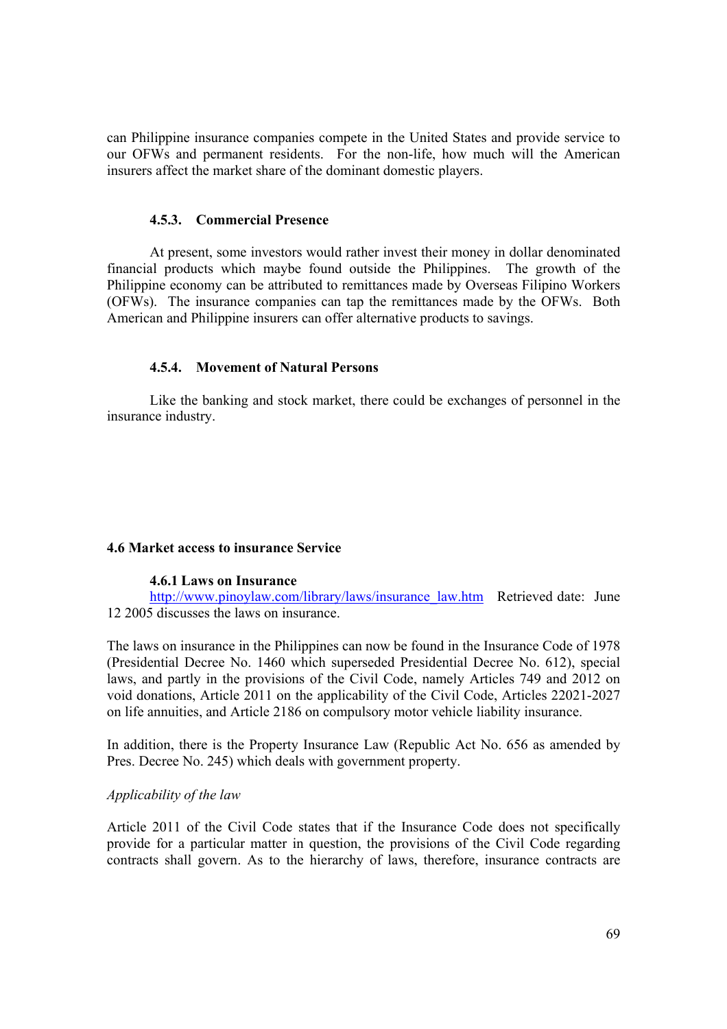can Philippine insurance companies compete in the United States and provide service to our OFWs and permanent residents. For the non-life, how much will the American insurers affect the market share of the dominant domestic players.

#### **4.5.3. Commercial Presence**

At present, some investors would rather invest their money in dollar denominated financial products which maybe found outside the Philippines. The growth of the Philippine economy can be attributed to remittances made by Overseas Filipino Workers (OFWs). The insurance companies can tap the remittances made by the OFWs. Both American and Philippine insurers can offer alternative products to savings.

### **4.5.4. Movement of Natural Persons**

Like the banking and stock market, there could be exchanges of personnel in the insurance industry.

#### **4.6 Market access to insurance Service**

### **4.6.1 Laws on Insurance**

http://www.pinoylaw.com/library/laws/insurance\_law.htm Retrieved date: June 12 2005 discusses the laws on insurance.

The laws on insurance in the Philippines can now be found in the Insurance Code of 1978 (Presidential Decree No. 1460 which superseded Presidential Decree No. 612), special laws, and partly in the provisions of the Civil Code, namely Articles 749 and 2012 on void donations, Article 2011 on the applicability of the Civil Code, Articles 22021-2027 on life annuities, and Article 2186 on compulsory motor vehicle liability insurance.

In addition, there is the Property Insurance Law (Republic Act No. 656 as amended by Pres. Decree No. 245) which deals with government property.

## *Applicability of the law*

Article 2011 of the Civil Code states that if the Insurance Code does not specifically provide for a particular matter in question, the provisions of the Civil Code regarding contracts shall govern. As to the hierarchy of laws, therefore, insurance contracts are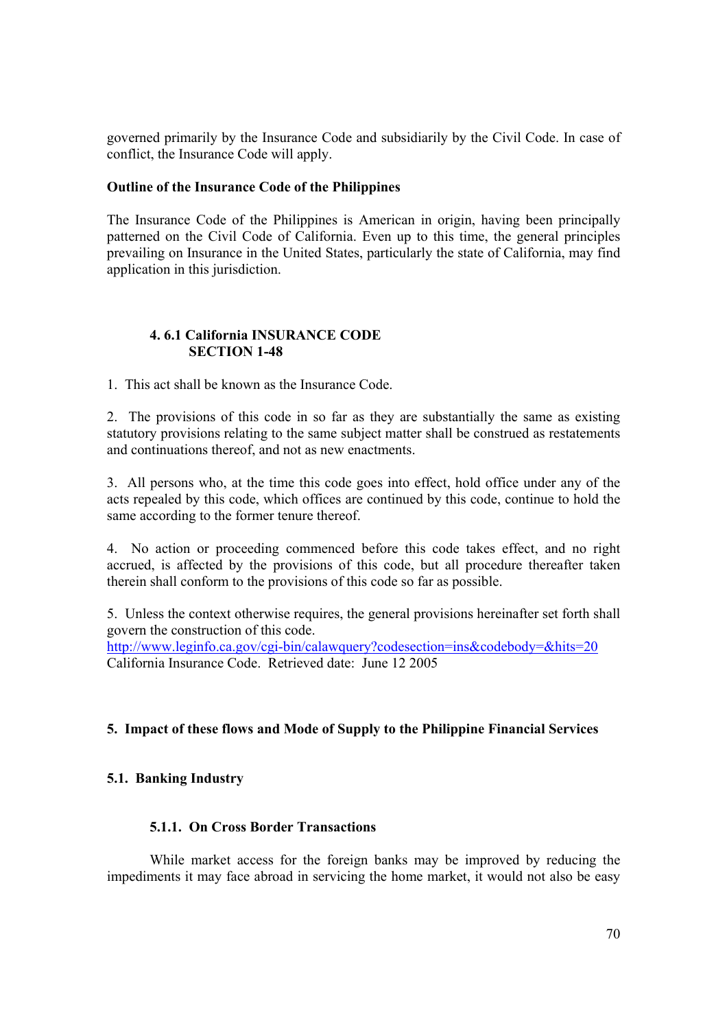governed primarily by the Insurance Code and subsidiarily by the Civil Code. In case of conflict, the Insurance Code will apply.

# **Outline of the Insurance Code of the Philippines**

The Insurance Code of the Philippines is American in origin, having been principally patterned on the Civil Code of California. Even up to this time, the general principles prevailing on Insurance in the United States, particularly the state of California, may find application in this jurisdiction.

# **4. 6.1 California INSURANCE CODE SECTION 1-48**

1. This act shall be known as the Insurance Code.

2. The provisions of this code in so far as they are substantially the same as existing statutory provisions relating to the same subject matter shall be construed as restatements and continuations thereof, and not as new enactments.

3. All persons who, at the time this code goes into effect, hold office under any of the acts repealed by this code, which offices are continued by this code, continue to hold the same according to the former tenure thereof.

4. No action or proceeding commenced before this code takes effect, and no right accrued, is affected by the provisions of this code, but all procedure thereafter taken therein shall conform to the provisions of this code so far as possible.

5. Unless the context otherwise requires, the general provisions hereinafter set forth shall govern the construction of this code. http://www.leginfo.ca.gov/cgi-bin/calawquery?codesection=ins&codebody=&hits=20 California Insurance Code. Retrieved date: June 12 2005

# **5. Impact of these flows and Mode of Supply to the Philippine Financial Services**

# **5.1. Banking Industry**

# **5.1.1. On Cross Border Transactions**

While market access for the foreign banks may be improved by reducing the impediments it may face abroad in servicing the home market, it would not also be easy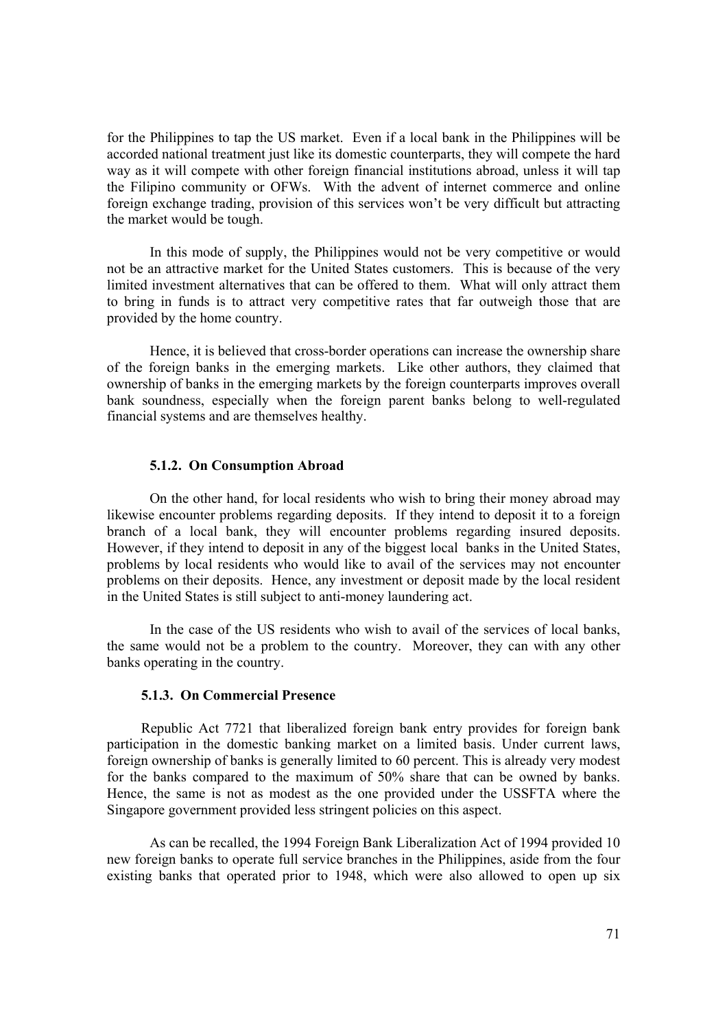for the Philippines to tap the US market. Even if a local bank in the Philippines will be accorded national treatment just like its domestic counterparts, they will compete the hard way as it will compete with other foreign financial institutions abroad, unless it will tap the Filipino community or OFWs. With the advent of internet commerce and online foreign exchange trading, provision of this services won't be very difficult but attracting the market would be tough.

In this mode of supply, the Philippines would not be very competitive or would not be an attractive market for the United States customers. This is because of the very limited investment alternatives that can be offered to them. What will only attract them to bring in funds is to attract very competitive rates that far outweigh those that are provided by the home country.

Hence, it is believed that cross-border operations can increase the ownership share of the foreign banks in the emerging markets. Like other authors, they claimed that ownership of banks in the emerging markets by the foreign counterparts improves overall bank soundness, especially when the foreign parent banks belong to well-regulated financial systems and are themselves healthy.

# **5.1.2. On Consumption Abroad**

On the other hand, for local residents who wish to bring their money abroad may likewise encounter problems regarding deposits. If they intend to deposit it to a foreign branch of a local bank, they will encounter problems regarding insured deposits. However, if they intend to deposit in any of the biggest local banks in the United States, problems by local residents who would like to avail of the services may not encounter problems on their deposits. Hence, any investment or deposit made by the local resident in the United States is still subject to anti-money laundering act.

In the case of the US residents who wish to avail of the services of local banks, the same would not be a problem to the country. Moreover, they can with any other banks operating in the country.

## **5.1.3. On Commercial Presence**

Republic Act 7721 that liberalized foreign bank entry provides for foreign bank participation in the domestic banking market on a limited basis. Under current laws, foreign ownership of banks is generally limited to 60 percent. This is already very modest for the banks compared to the maximum of 50% share that can be owned by banks. Hence, the same is not as modest as the one provided under the USSFTA where the Singapore government provided less stringent policies on this aspect.

As can be recalled, the 1994 Foreign Bank Liberalization Act of 1994 provided 10 new foreign banks to operate full service branches in the Philippines, aside from the four existing banks that operated prior to 1948, which were also allowed to open up six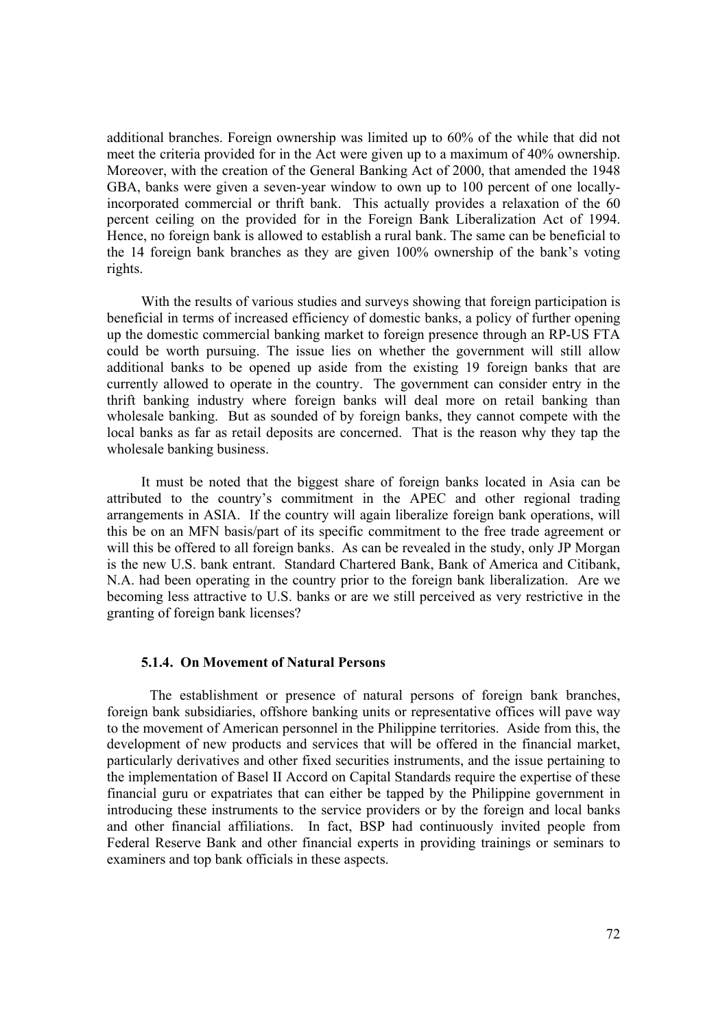additional branches. Foreign ownership was limited up to 60% of the while that did not meet the criteria provided for in the Act were given up to a maximum of 40% ownership. Moreover, with the creation of the General Banking Act of 2000, that amended the 1948 GBA, banks were given a seven-year window to own up to 100 percent of one locallyincorporated commercial or thrift bank. This actually provides a relaxation of the 60 percent ceiling on the provided for in the Foreign Bank Liberalization Act of 1994. Hence, no foreign bank is allowed to establish a rural bank. The same can be beneficial to the 14 foreign bank branches as they are given 100% ownership of the bank's voting rights.

With the results of various studies and surveys showing that foreign participation is beneficial in terms of increased efficiency of domestic banks, a policy of further opening up the domestic commercial banking market to foreign presence through an RP-US FTA could be worth pursuing. The issue lies on whether the government will still allow additional banks to be opened up aside from the existing 19 foreign banks that are currently allowed to operate in the country. The government can consider entry in the thrift banking industry where foreign banks will deal more on retail banking than wholesale banking. But as sounded of by foreign banks, they cannot compete with the local banks as far as retail deposits are concerned. That is the reason why they tap the wholesale banking business.

It must be noted that the biggest share of foreign banks located in Asia can be attributed to the country's commitment in the APEC and other regional trading arrangements in ASIA. If the country will again liberalize foreign bank operations, will this be on an MFN basis/part of its specific commitment to the free trade agreement or will this be offered to all foreign banks. As can be revealed in the study, only JP Morgan is the new U.S. bank entrant. Standard Chartered Bank, Bank of America and Citibank, N.A. had been operating in the country prior to the foreign bank liberalization. Are we becoming less attractive to U.S. banks or are we still perceived as very restrictive in the granting of foreign bank licenses?

#### **5.1.4. On Movement of Natural Persons**

 The establishment or presence of natural persons of foreign bank branches, foreign bank subsidiaries, offshore banking units or representative offices will pave way to the movement of American personnel in the Philippine territories. Aside from this, the development of new products and services that will be offered in the financial market, particularly derivatives and other fixed securities instruments, and the issue pertaining to the implementation of Basel II Accord on Capital Standards require the expertise of these financial guru or expatriates that can either be tapped by the Philippine government in introducing these instruments to the service providers or by the foreign and local banks and other financial affiliations. In fact, BSP had continuously invited people from Federal Reserve Bank and other financial experts in providing trainings or seminars to examiners and top bank officials in these aspects.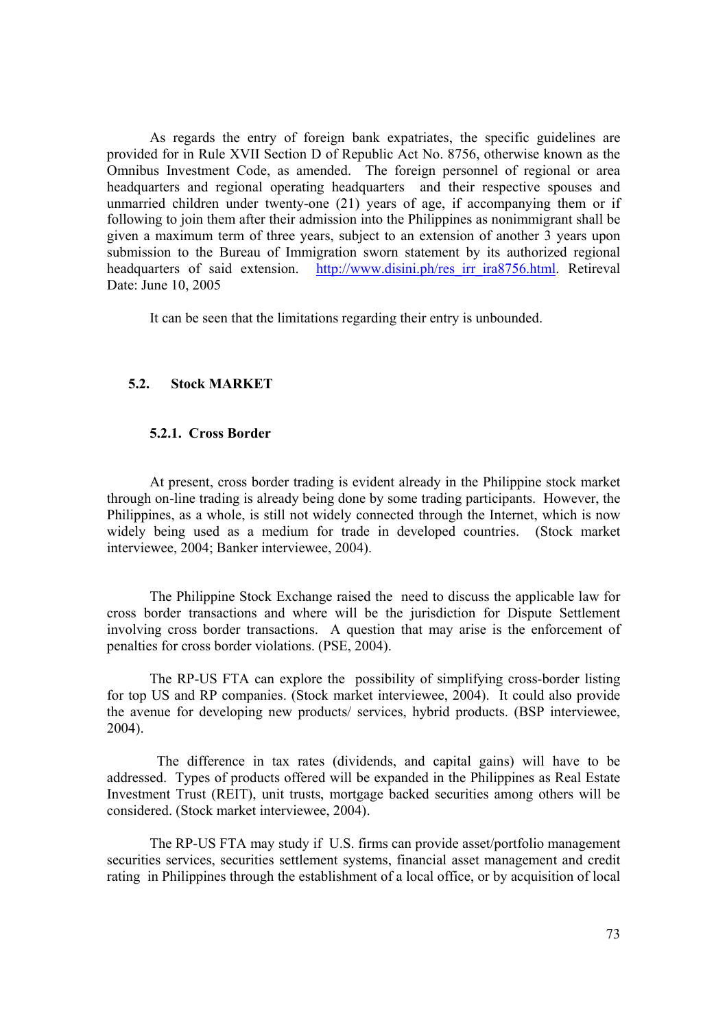As regards the entry of foreign bank expatriates, the specific guidelines are provided for in Rule XVII Section D of Republic Act No. 8756, otherwise known as the Omnibus Investment Code, as amended. The foreign personnel of regional or area headquarters and regional operating headquarters and their respective spouses and unmarried children under twenty-one (21) years of age, if accompanying them or if following to join them after their admission into the Philippines as nonimmigrant shall be given a maximum term of three years, subject to an extension of another 3 years upon submission to the Bureau of Immigration sworn statement by its authorized regional headquarters of said extension. http://www.disini.ph/res\_irr\_ira8756.html. Retireval Date: June 10, 2005

It can be seen that the limitations regarding their entry is unbounded.

# **5.2. Stock MARKET**

#### **5.2.1. Cross Border**

At present, cross border trading is evident already in the Philippine stock market through on-line trading is already being done by some trading participants. However, the Philippines, as a whole, is still not widely connected through the Internet, which is now widely being used as a medium for trade in developed countries. (Stock market interviewee, 2004; Banker interviewee, 2004).

 The Philippine Stock Exchange raised the need to discuss the applicable law for cross border transactions and where will be the jurisdiction for Dispute Settlement involving cross border transactions. A question that may arise is the enforcement of penalties for cross border violations. (PSE, 2004).

The RP-US FTA can explore the possibility of simplifying cross-border listing for top US and RP companies. (Stock market interviewee, 2004). It could also provide the avenue for developing new products/ services, hybrid products. (BSP interviewee, 2004).

 The difference in tax rates (dividends, and capital gains) will have to be addressed. Types of products offered will be expanded in the Philippines as Real Estate Investment Trust (REIT), unit trusts, mortgage backed securities among others will be considered. (Stock market interviewee, 2004).

The RP-US FTA may study if U.S. firms can provide asset/portfolio management securities services, securities settlement systems, financial asset management and credit rating in Philippines through the establishment of a local office, or by acquisition of local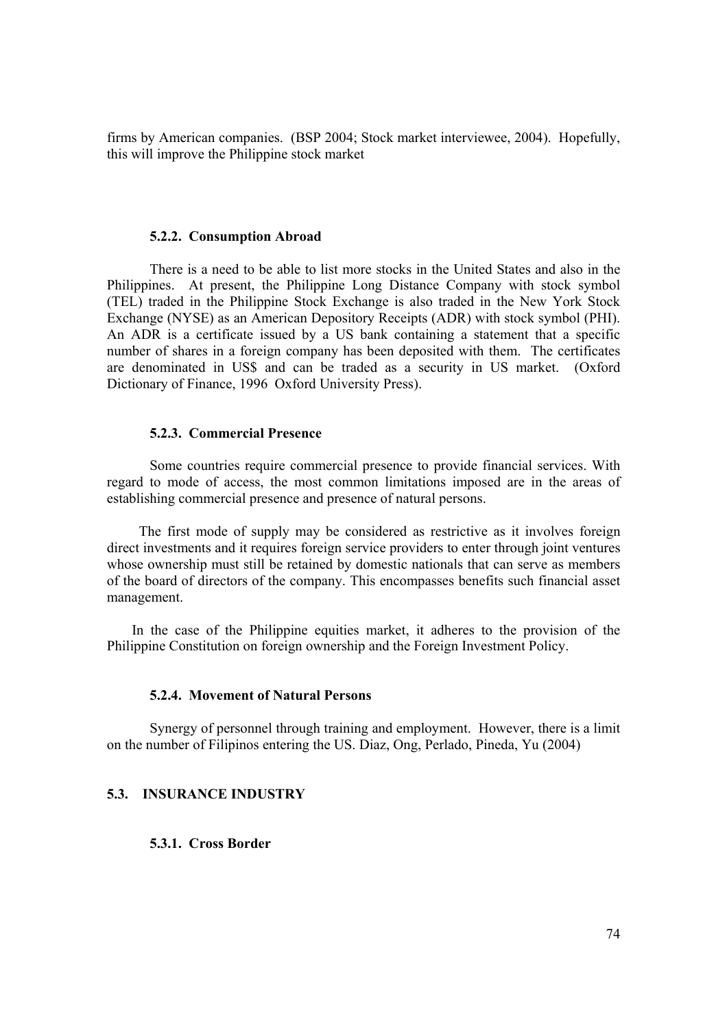firms by American companies. (BSP 2004; Stock market interviewee, 2004). Hopefully, this will improve the Philippine stock market

## **5.2.2. Consumption Abroad**

 There is a need to be able to list more stocks in the United States and also in the Philippines. At present, the Philippine Long Distance Company with stock symbol (TEL) traded in the Philippine Stock Exchange is also traded in the New York Stock Exchange (NYSE) as an American Depository Receipts (ADR) with stock symbol (PHI). An ADR is a certificate issued by a US bank containing a statement that a specific number of shares in a foreign company has been deposited with them. The certificates are denominated in US\$ and can be traded as a security in US market. (Oxford Dictionary of Finance, 1996 Oxford University Press).

## **5.2.3. Commercial Presence**

Some countries require commercial presence to provide financial services. With regard to mode of access, the most common limitations imposed are in the areas of establishing commercial presence and presence of natural persons.

 The first mode of supply may be considered as restrictive as it involves foreign direct investments and it requires foreign service providers to enter through joint ventures whose ownership must still be retained by domestic nationals that can serve as members of the board of directors of the company. This encompasses benefits such financial asset management.

 In the case of the Philippine equities market, it adheres to the provision of the Philippine Constitution on foreign ownership and the Foreign Investment Policy.

## **5.2.4. Movement of Natural Persons**

Synergy of personnel through training and employment. However, there is a limit on the number of Filipinos entering the US. Diaz, Ong, Perlado, Pineda, Yu (2004)

## **5.3. INSURANCE INDUSTRY**

**5.3.1. Cross Border**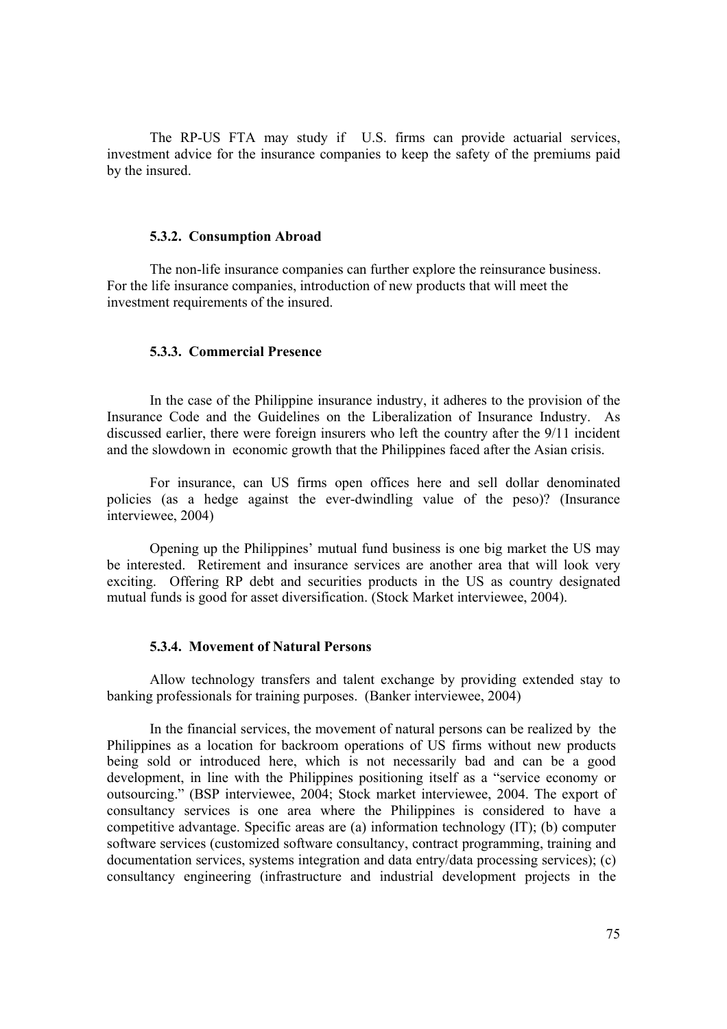The RP-US FTA may study if U.S. firms can provide actuarial services, investment advice for the insurance companies to keep the safety of the premiums paid by the insured.

## **5.3.2. Consumption Abroad**

 The non-life insurance companies can further explore the reinsurance business. For the life insurance companies, introduction of new products that will meet the investment requirements of the insured.

#### **5.3.3. Commercial Presence**

In the case of the Philippine insurance industry, it adheres to the provision of the Insurance Code and the Guidelines on the Liberalization of Insurance Industry. As discussed earlier, there were foreign insurers who left the country after the 9/11 incident and the slowdown in economic growth that the Philippines faced after the Asian crisis.

For insurance, can US firms open offices here and sell dollar denominated policies (as a hedge against the ever-dwindling value of the peso)? (Insurance interviewee, 2004)

Opening up the Philippines' mutual fund business is one big market the US may be interested. Retirement and insurance services are another area that will look very exciting. Offering RP debt and securities products in the US as country designated mutual funds is good for asset diversification. (Stock Market interviewee, 2004).

# **5.3.4. Movement of Natural Persons**

Allow technology transfers and talent exchange by providing extended stay to banking professionals for training purposes. (Banker interviewee, 2004)

In the financial services, the movement of natural persons can be realized by the Philippines as a location for backroom operations of US firms without new products being sold or introduced here, which is not necessarily bad and can be a good development, in line with the Philippines positioning itself as a "service economy or outsourcing." (BSP interviewee, 2004; Stock market interviewee, 2004. The export of consultancy services is one area where the Philippines is considered to have a competitive advantage. Specific areas are (a) information technology (IT); (b) computer software services (customized software consultancy, contract programming, training and documentation services, systems integration and data entry/data processing services); (c) consultancy engineering (infrastructure and industrial development projects in the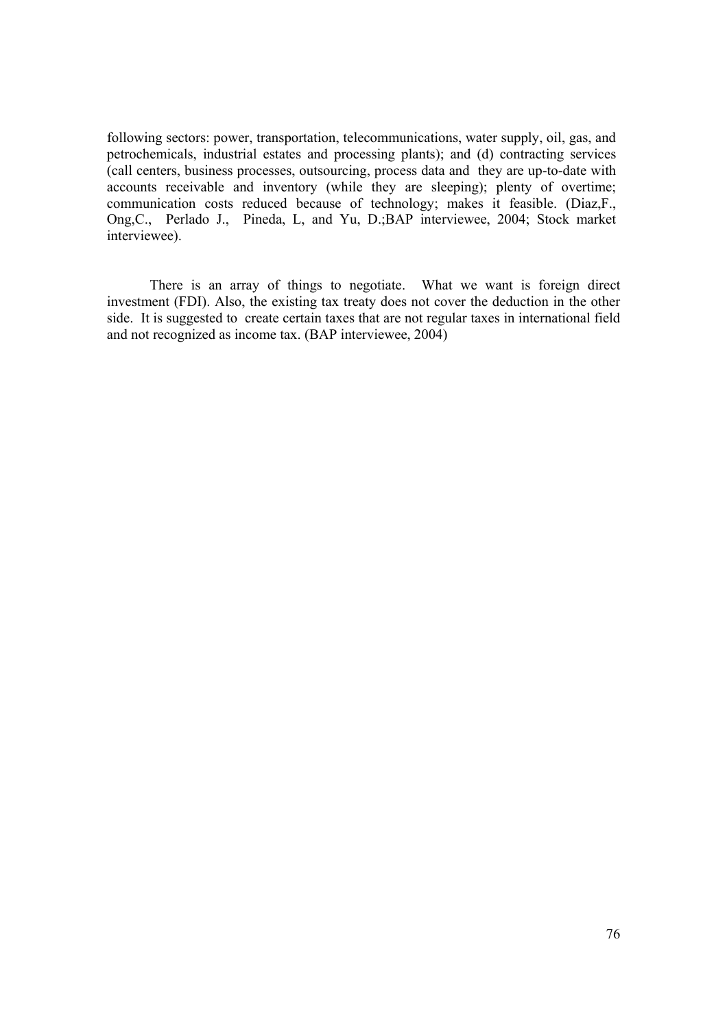following sectors: power, transportation, telecommunications, water supply, oil, gas, and petrochemicals, industrial estates and processing plants); and (d) contracting services (call centers, business processes, outsourcing, process data and they are up-to-date with accounts receivable and inventory (while they are sleeping); plenty of overtime; communication costs reduced because of technology; makes it feasible. (Diaz,F., Ong,C., Perlado J., Pineda, L, and Yu, D.;BAP interviewee, 2004; Stock market interviewee).

There is an array of things to negotiate. What we want is foreign direct investment (FDI). Also, the existing tax treaty does not cover the deduction in the other side. It is suggested to create certain taxes that are not regular taxes in international field and not recognized as income tax. (BAP interviewee, 2004)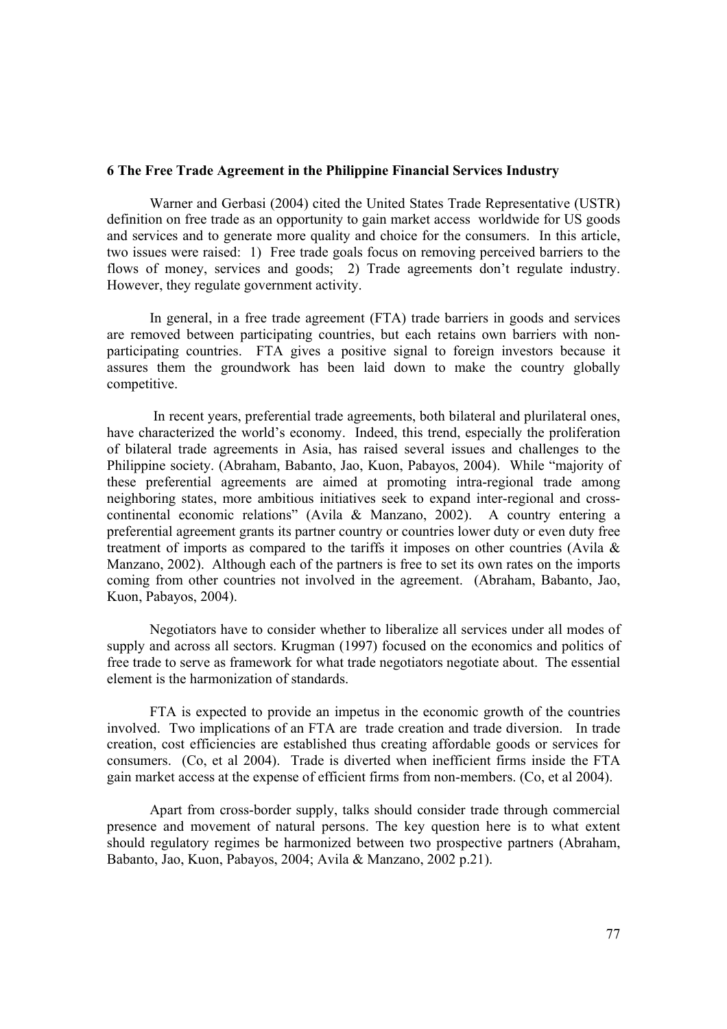## **6 The Free Trade Agreement in the Philippine Financial Services Industry**

Warner and Gerbasi (2004) cited the United States Trade Representative (USTR) definition on free trade as an opportunity to gain market access worldwide for US goods and services and to generate more quality and choice for the consumers. In this article, two issues were raised: 1) Free trade goals focus on removing perceived barriers to the flows of money, services and goods; 2) Trade agreements don't regulate industry. However, they regulate government activity.

 In general, in a free trade agreement (FTA) trade barriers in goods and services are removed between participating countries, but each retains own barriers with nonparticipating countries. FTA gives a positive signal to foreign investors because it assures them the groundwork has been laid down to make the country globally competitive.

 In recent years, preferential trade agreements, both bilateral and plurilateral ones, have characterized the world's economy. Indeed, this trend, especially the proliferation of bilateral trade agreements in Asia, has raised several issues and challenges to the Philippine society. (Abraham, Babanto, Jao, Kuon, Pabayos, 2004). While "majority of these preferential agreements are aimed at promoting intra-regional trade among neighboring states, more ambitious initiatives seek to expand inter-regional and crosscontinental economic relations" (Avila & Manzano, 2002). A country entering a preferential agreement grants its partner country or countries lower duty or even duty free treatment of imports as compared to the tariffs it imposes on other countries (Avila & Manzano, 2002). Although each of the partners is free to set its own rates on the imports coming from other countries not involved in the agreement. (Abraham, Babanto, Jao, Kuon, Pabayos, 2004).

Negotiators have to consider whether to liberalize all services under all modes of supply and across all sectors. Krugman (1997) focused on the economics and politics of free trade to serve as framework for what trade negotiators negotiate about. The essential element is the harmonization of standards.

FTA is expected to provide an impetus in the economic growth of the countries involved. Two implications of an FTA are trade creation and trade diversion. In trade creation, cost efficiencies are established thus creating affordable goods or services for consumers. (Co, et al 2004). Trade is diverted when inefficient firms inside the FTA gain market access at the expense of efficient firms from non-members. (Co, et al 2004).

Apart from cross-border supply, talks should consider trade through commercial presence and movement of natural persons. The key question here is to what extent should regulatory regimes be harmonized between two prospective partners (Abraham, Babanto, Jao, Kuon, Pabayos, 2004; Avila & Manzano, 2002 p.21).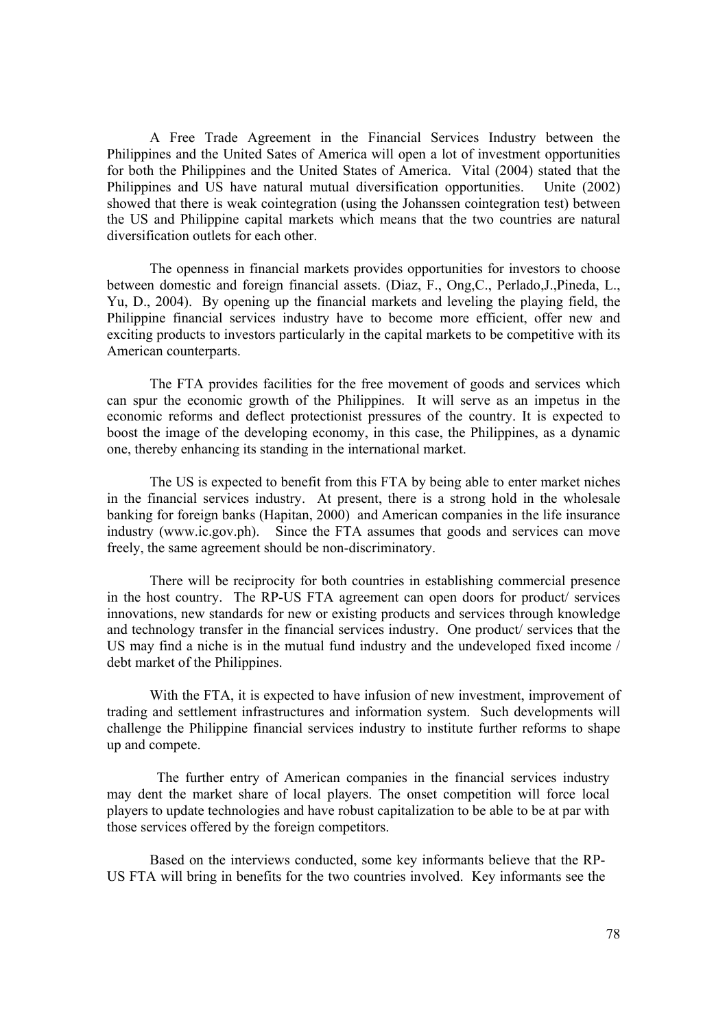A Free Trade Agreement in the Financial Services Industry between the Philippines and the United Sates of America will open a lot of investment opportunities for both the Philippines and the United States of America. Vital (2004) stated that the Philippines and US have natural mutual diversification opportunities. Unite (2002) showed that there is weak cointegration (using the Johanssen cointegration test) between the US and Philippine capital markets which means that the two countries are natural diversification outlets for each other.

The openness in financial markets provides opportunities for investors to choose between domestic and foreign financial assets. (Diaz, F., Ong,C., Perlado,J.,Pineda, L., Yu, D., 2004). By opening up the financial markets and leveling the playing field, the Philippine financial services industry have to become more efficient, offer new and exciting products to investors particularly in the capital markets to be competitive with its American counterparts.

The FTA provides facilities for the free movement of goods and services which can spur the economic growth of the Philippines. It will serve as an impetus in the economic reforms and deflect protectionist pressures of the country. It is expected to boost the image of the developing economy, in this case, the Philippines, as a dynamic one, thereby enhancing its standing in the international market.

The US is expected to benefit from this FTA by being able to enter market niches in the financial services industry. At present, there is a strong hold in the wholesale banking for foreign banks (Hapitan, 2000) and American companies in the life insurance industry (www.ic.gov.ph). Since the FTA assumes that goods and services can move freely, the same agreement should be non-discriminatory.

There will be reciprocity for both countries in establishing commercial presence in the host country. The RP-US FTA agreement can open doors for product/ services innovations, new standards for new or existing products and services through knowledge and technology transfer in the financial services industry. One product/ services that the US may find a niche is in the mutual fund industry and the undeveloped fixed income / debt market of the Philippines.

With the FTA, it is expected to have infusion of new investment, improvement of trading and settlement infrastructures and information system. Such developments will challenge the Philippine financial services industry to institute further reforms to shape up and compete.

 The further entry of American companies in the financial services industry may dent the market share of local players. The onset competition will force local players to update technologies and have robust capitalization to be able to be at par with those services offered by the foreign competitors.

 Based on the interviews conducted, some key informants believe that the RP-US FTA will bring in benefits for the two countries involved. Key informants see the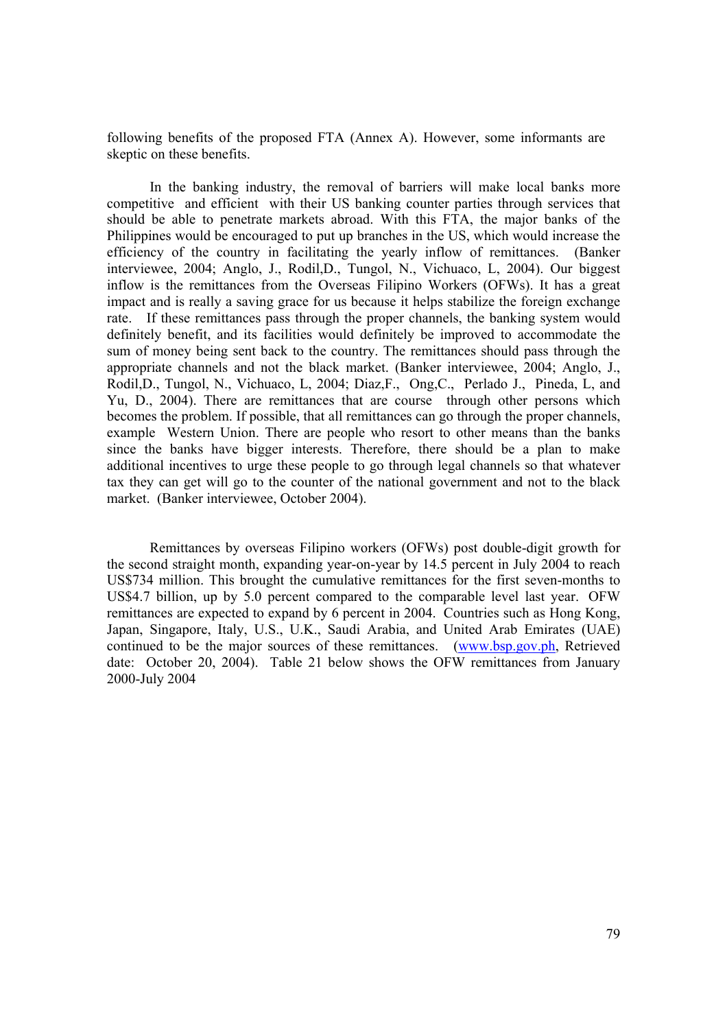following benefits of the proposed FTA (Annex A). However, some informants are skeptic on these benefits.

In the banking industry, the removal of barriers will make local banks more competitive and efficient with their US banking counter parties through services that should be able to penetrate markets abroad. With this FTA, the major banks of the Philippines would be encouraged to put up branches in the US, which would increase the efficiency of the country in facilitating the yearly inflow of remittances. (Banker interviewee, 2004; Anglo, J., Rodil,D., Tungol, N., Vichuaco, L, 2004). Our biggest inflow is the remittances from the Overseas Filipino Workers (OFWs). It has a great impact and is really a saving grace for us because it helps stabilize the foreign exchange rate. If these remittances pass through the proper channels, the banking system would definitely benefit, and its facilities would definitely be improved to accommodate the sum of money being sent back to the country. The remittances should pass through the appropriate channels and not the black market. (Banker interviewee, 2004; Anglo, J., Rodil,D., Tungol, N., Vichuaco, L, 2004; Diaz,F., Ong,C., Perlado J., Pineda, L, and Yu, D., 2004). There are remittances that are course through other persons which becomes the problem. If possible, that all remittances can go through the proper channels, example Western Union. There are people who resort to other means than the banks since the banks have bigger interests. Therefore, there should be a plan to make additional incentives to urge these people to go through legal channels so that whatever tax they can get will go to the counter of the national government and not to the black market. (Banker interviewee, October 2004).

Remittances by overseas Filipino workers (OFWs) post double-digit growth for the second straight month, expanding year-on-year by 14.5 percent in July 2004 to reach US\$734 million. This brought the cumulative remittances for the first seven-months to US\$4.7 billion, up by 5.0 percent compared to the comparable level last year. OFW remittances are expected to expand by 6 percent in 2004. Countries such as Hong Kong, Japan, Singapore, Italy, U.S., U.K., Saudi Arabia, and United Arab Emirates (UAE) continued to be the major sources of these remittances. (www.bsp.gov.ph, Retrieved date: October 20, 2004). Table 21 below shows the OFW remittances from January 2000-July 2004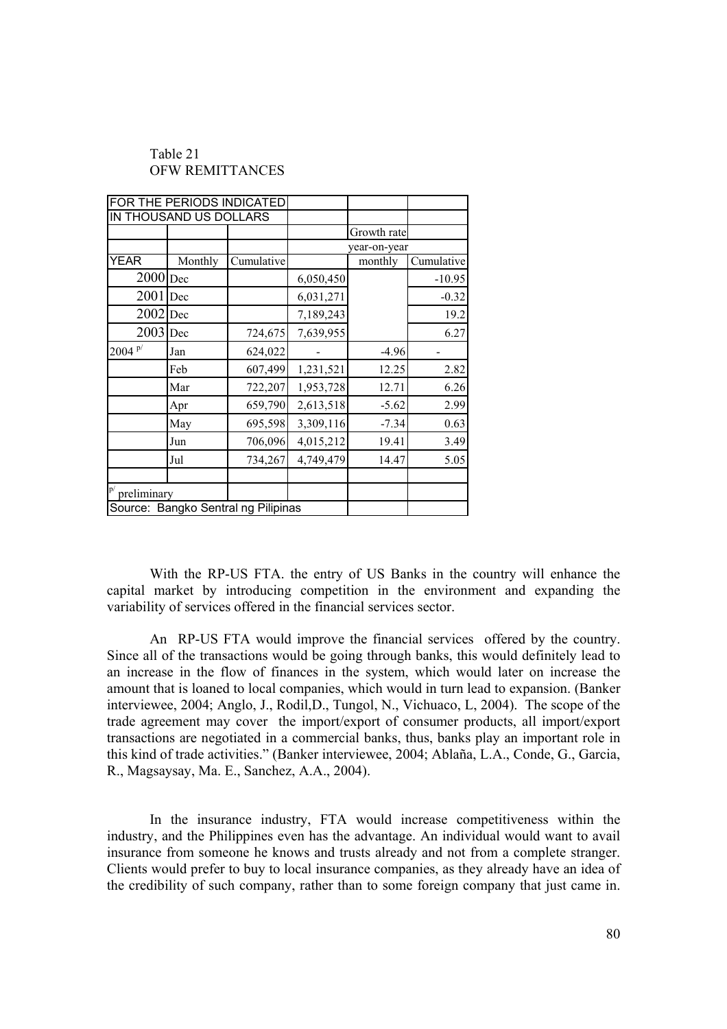|                   | FOR THE PERIODS INDICATED |                                     |              |             |            |
|-------------------|---------------------------|-------------------------------------|--------------|-------------|------------|
|                   | IN THOUSAND US DOLLARS    |                                     |              |             |            |
|                   |                           |                                     |              | Growth rate |            |
|                   |                           |                                     | year-on-year |             |            |
| <b>YEAR</b>       | Monthly                   | Cumulative                          |              | monthly     | Cumulative |
| $2000$ Dec        |                           |                                     | 6,050,450    |             | $-10.95$   |
| 2001              | Dec                       |                                     | 6,031,271    |             | $-0.32$    |
| 2002              | Dec                       |                                     | 7,189,243    |             | 19.2       |
| $2003$ Dec        |                           | 724,675                             | 7,639,955    |             | 6.27       |
| $2004^{p/2}$      | Jan                       | 624,022                             |              | $-4.96$     |            |
|                   | Feb                       | 607,499                             | 1,231,521    | 12.25       | 2.82       |
|                   | Mar                       | 722,207                             | 1,953,728    | 12.71       | 6.26       |
|                   | Apr                       | 659,790                             | 2,613,518    | $-5.62$     | 2.99       |
|                   | May                       | 695,598                             | 3,309,116    | $-7.34$     | 0.63       |
|                   | Jun                       | 706,096                             | 4,015,212    | 19.41       | 3.49       |
|                   | Jul                       | 734,267                             | 4,749,479    | 14.47       | 5.05       |
|                   |                           |                                     |              |             |            |
| p/<br>preliminary |                           |                                     |              |             |            |
|                   |                           | Source: Bangko Sentral ng Pilipinas |              |             |            |

# Table 21 OFW REMITTANCES

With the RP-US FTA. the entry of US Banks in the country will enhance the capital market by introducing competition in the environment and expanding the variability of services offered in the financial services sector.

An RP-US FTA would improve the financial services offered by the country. Since all of the transactions would be going through banks, this would definitely lead to an increase in the flow of finances in the system, which would later on increase the amount that is loaned to local companies, which would in turn lead to expansion. (Banker interviewee, 2004; Anglo, J., Rodil,D., Tungol, N., Vichuaco, L, 2004). The scope of the trade agreement may cover the import/export of consumer products, all import/export transactions are negotiated in a commercial banks, thus, banks play an important role in this kind of trade activities." (Banker interviewee, 2004; Ablaña, L.A., Conde, G., Garcia, R., Magsaysay, Ma. E., Sanchez, A.A., 2004).

In the insurance industry, FTA would increase competitiveness within the industry, and the Philippines even has the advantage. An individual would want to avail insurance from someone he knows and trusts already and not from a complete stranger. Clients would prefer to buy to local insurance companies, as they already have an idea of the credibility of such company, rather than to some foreign company that just came in.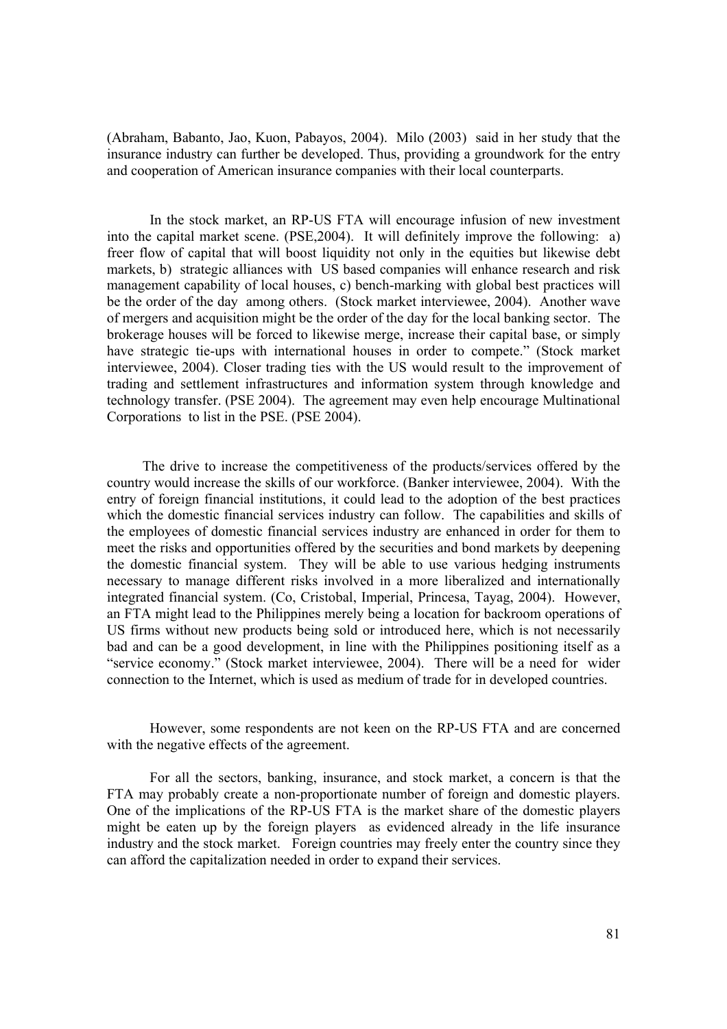(Abraham, Babanto, Jao, Kuon, Pabayos, 2004). Milo (2003) said in her study that the insurance industry can further be developed. Thus, providing a groundwork for the entry and cooperation of American insurance companies with their local counterparts.

In the stock market, an RP-US FTA will encourage infusion of new investment into the capital market scene. (PSE,2004). It will definitely improve the following: a) freer flow of capital that will boost liquidity not only in the equities but likewise debt markets, b) strategic alliances with US based companies will enhance research and risk management capability of local houses, c) bench-marking with global best practices will be the order of the day among others. (Stock market interviewee, 2004). Another wave of mergers and acquisition might be the order of the day for the local banking sector. The brokerage houses will be forced to likewise merge, increase their capital base, or simply have strategic tie-ups with international houses in order to compete." (Stock market interviewee, 2004). Closer trading ties with the US would result to the improvement of trading and settlement infrastructures and information system through knowledge and technology transfer. (PSE 2004). The agreement may even help encourage Multinational Corporations to list in the PSE. (PSE 2004).

 The drive to increase the competitiveness of the products/services offered by the country would increase the skills of our workforce. (Banker interviewee, 2004). With the entry of foreign financial institutions, it could lead to the adoption of the best practices which the domestic financial services industry can follow. The capabilities and skills of the employees of domestic financial services industry are enhanced in order for them to meet the risks and opportunities offered by the securities and bond markets by deepening the domestic financial system. They will be able to use various hedging instruments necessary to manage different risks involved in a more liberalized and internationally integrated financial system. (Co, Cristobal, Imperial, Princesa, Tayag, 2004). However, an FTA might lead to the Philippines merely being a location for backroom operations of US firms without new products being sold or introduced here, which is not necessarily bad and can be a good development, in line with the Philippines positioning itself as a "service economy." (Stock market interviewee, 2004). There will be a need for wider connection to the Internet, which is used as medium of trade for in developed countries.

However, some respondents are not keen on the RP-US FTA and are concerned with the negative effects of the agreement.

For all the sectors, banking, insurance, and stock market, a concern is that the FTA may probably create a non-proportionate number of foreign and domestic players. One of the implications of the RP-US FTA is the market share of the domestic players might be eaten up by the foreign players as evidenced already in the life insurance industry and the stock market. Foreign countries may freely enter the country since they can afford the capitalization needed in order to expand their services.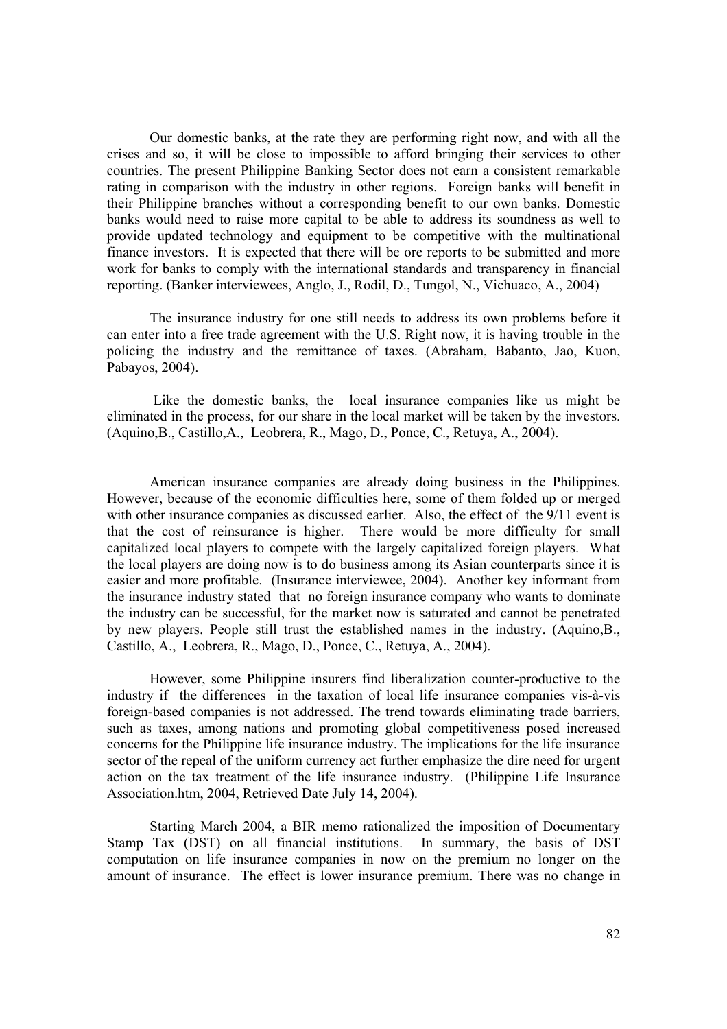Our domestic banks, at the rate they are performing right now, and with all the crises and so, it will be close to impossible to afford bringing their services to other countries. The present Philippine Banking Sector does not earn a consistent remarkable rating in comparison with the industry in other regions. Foreign banks will benefit in their Philippine branches without a corresponding benefit to our own banks. Domestic banks would need to raise more capital to be able to address its soundness as well to provide updated technology and equipment to be competitive with the multinational finance investors. It is expected that there will be ore reports to be submitted and more work for banks to comply with the international standards and transparency in financial reporting. (Banker interviewees, Anglo, J., Rodil, D., Tungol, N., Vichuaco, A., 2004)

The insurance industry for one still needs to address its own problems before it can enter into a free trade agreement with the U.S. Right now, it is having trouble in the policing the industry and the remittance of taxes. (Abraham, Babanto, Jao, Kuon, Pabayos, 2004).

 Like the domestic banks, the local insurance companies like us might be eliminated in the process, for our share in the local market will be taken by the investors. (Aquino,B., Castillo,A., Leobrera, R., Mago, D., Ponce, C., Retuya, A., 2004).

American insurance companies are already doing business in the Philippines. However, because of the economic difficulties here, some of them folded up or merged with other insurance companies as discussed earlier. Also, the effect of the 9/11 event is that the cost of reinsurance is higher. There would be more difficulty for small capitalized local players to compete with the largely capitalized foreign players. What the local players are doing now is to do business among its Asian counterparts since it is easier and more profitable. (Insurance interviewee, 2004). Another key informant from the insurance industry stated that no foreign insurance company who wants to dominate the industry can be successful, for the market now is saturated and cannot be penetrated by new players. People still trust the established names in the industry. (Aquino,B., Castillo, A., Leobrera, R., Mago, D., Ponce, C., Retuya, A., 2004).

However, some Philippine insurers find liberalization counter-productive to the industry if the differences in the taxation of local life insurance companies vis-à-vis foreign-based companies is not addressed. The trend towards eliminating trade barriers, such as taxes, among nations and promoting global competitiveness posed increased concerns for the Philippine life insurance industry. The implications for the life insurance sector of the repeal of the uniform currency act further emphasize the dire need for urgent action on the tax treatment of the life insurance industry. (Philippine Life Insurance Association.htm, 2004, Retrieved Date July 14, 2004).

Starting March 2004, a BIR memo rationalized the imposition of Documentary Stamp Tax (DST) on all financial institutions. In summary, the basis of DST computation on life insurance companies in now on the premium no longer on the amount of insurance. The effect is lower insurance premium. There was no change in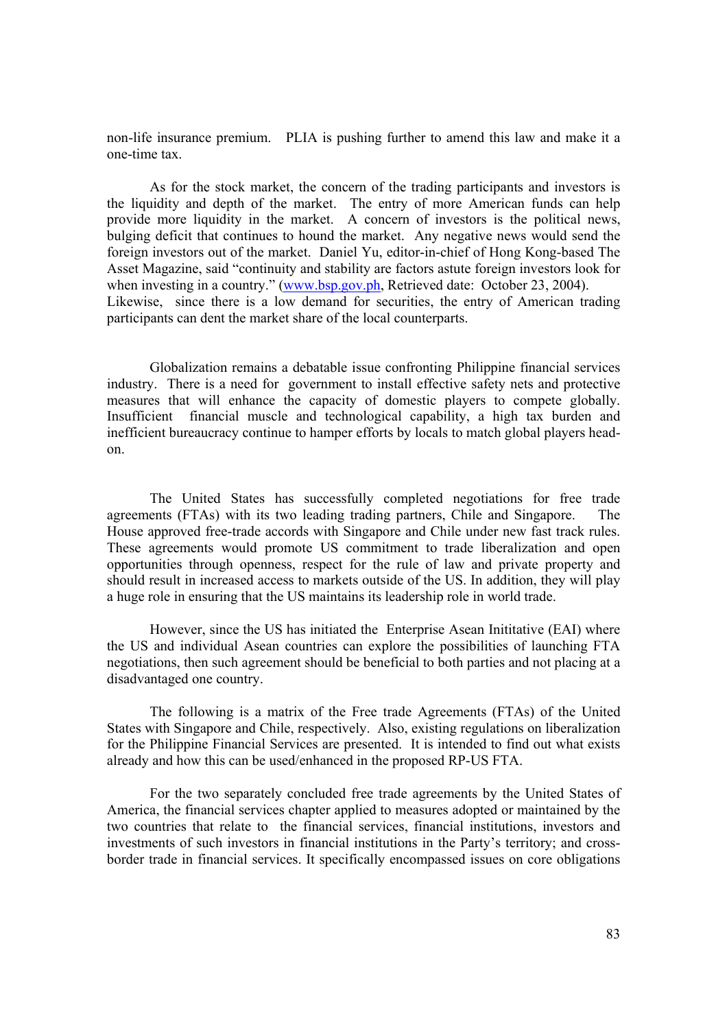non-life insurance premium. PLIA is pushing further to amend this law and make it a one-time tax.

As for the stock market, the concern of the trading participants and investors is the liquidity and depth of the market. The entry of more American funds can help provide more liquidity in the market. A concern of investors is the political news, bulging deficit that continues to hound the market. Any negative news would send the foreign investors out of the market. Daniel Yu, editor-in-chief of Hong Kong-based The Asset Magazine, said "continuity and stability are factors astute foreign investors look for when investing in a country." (www.bsp.gov.ph, Retrieved date: October 23, 2004). Likewise, since there is a low demand for securities, the entry of American trading participants can dent the market share of the local counterparts.

Globalization remains a debatable issue confronting Philippine financial services industry. There is a need for government to install effective safety nets and protective measures that will enhance the capacity of domestic players to compete globally. Insufficient financial muscle and technological capability, a high tax burden and inefficient bureaucracy continue to hamper efforts by locals to match global players headon.

The United States has successfully completed negotiations for free trade agreements (FTAs) with its two leading trading partners, Chile and Singapore. The House approved free-trade accords with Singapore and Chile under new fast track rules. These agreements would promote US commitment to trade liberalization and open opportunities through openness, respect for the rule of law and private property and should result in increased access to markets outside of the US. In addition, they will play a huge role in ensuring that the US maintains its leadership role in world trade.

However, since the US has initiated the Enterprise Asean Inititative (EAI) where the US and individual Asean countries can explore the possibilities of launching FTA negotiations, then such agreement should be beneficial to both parties and not placing at a disadvantaged one country.

The following is a matrix of the Free trade Agreements (FTAs) of the United States with Singapore and Chile, respectively. Also, existing regulations on liberalization for the Philippine Financial Services are presented. It is intended to find out what exists already and how this can be used/enhanced in the proposed RP-US FTA.

 For the two separately concluded free trade agreements by the United States of America, the financial services chapter applied to measures adopted or maintained by the two countries that relate to the financial services, financial institutions, investors and investments of such investors in financial institutions in the Party's territory; and crossborder trade in financial services. It specifically encompassed issues on core obligations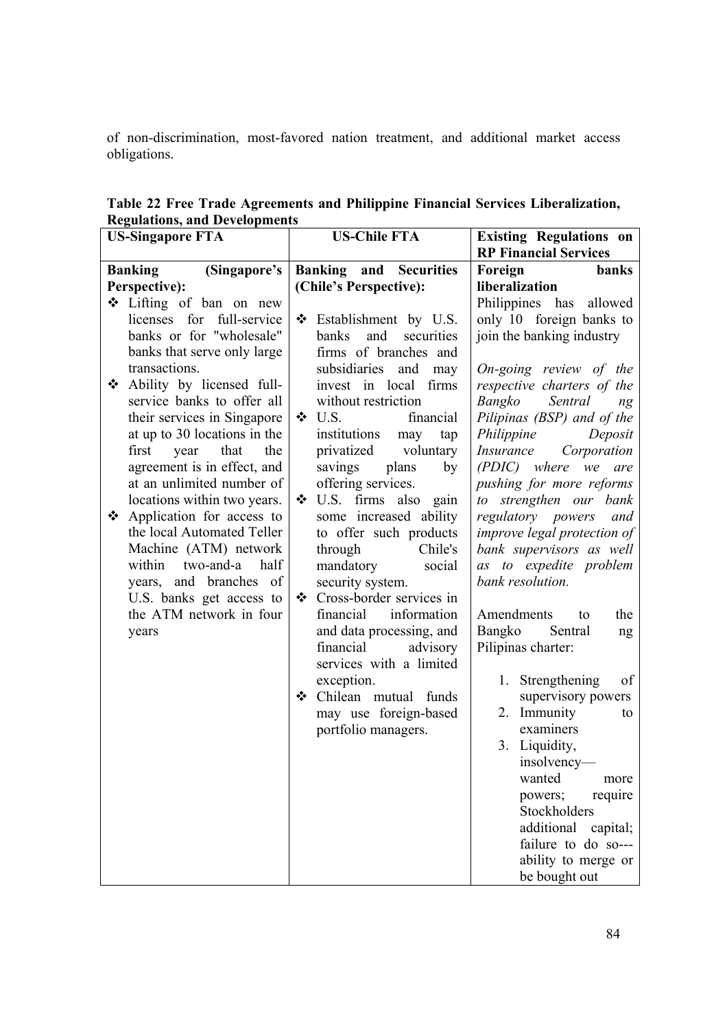of non-discrimination, most-favored nation treatment, and additional market access obligations.

**Table 22 Free Trade Agreements and Philippine Financial Services Liberalization, Regulations, and Developments** 

| $\mathbf{S}$ and $\mathbf{S}$ and $\mathbf{S}$ of $\mathbf{S}$ .<br><b>US-Singapore FTA</b> | <b>US-Chile FTA</b>                       | <b>Existing Regulations on</b><br><b>RP Financial Services</b> |  |
|---------------------------------------------------------------------------------------------|-------------------------------------------|----------------------------------------------------------------|--|
| (Singapore's<br><b>Banking</b>                                                              | Banking and<br><b>Securities</b>          | Foreign<br>banks                                               |  |
| Perspective):                                                                               | (Chile's Perspective):                    | liberalization                                                 |  |
| ❖ Lifting of ban on new                                                                     |                                           | Philippines has allowed                                        |  |
| licenses for full-service                                                                   | ❖<br>Establishment by U.S.                | only 10 foreign banks to                                       |  |
| banks or for "wholesale"                                                                    | <b>banks</b><br>and<br>securities         | join the banking industry                                      |  |
| banks that serve only large                                                                 | firms of branches and                     |                                                                |  |
| transactions.                                                                               | subsidiaries and may                      | On-going review of the                                         |  |
| Ability by licensed full-                                                                   | invest in local firms                     | respective charters of the                                     |  |
| service banks to offer all                                                                  | without restriction                       | Bangko<br>Sentral<br>n g                                       |  |
| their services in Singapore                                                                 | $\div$ U.S.<br>financial                  | Pilipinas (BSP) and of the                                     |  |
| at up to 30 locations in the                                                                | institutions<br>may<br>tap                | Philippine Deposit                                             |  |
| first year that<br>the                                                                      | privatized voluntary                      | <i>Insurance Corporation</i>                                   |  |
| agreement is in effect, and                                                                 | savings plans<br>by                       | (PDIC) where we are                                            |  |
| at an unlimited number of                                                                   | offering services.                        | pushing for more reforms                                       |  |
| locations within two years.                                                                 | U.S. firms also gain<br>❖                 | to strengthen our bank                                         |  |
| ❖ Application for access to                                                                 | some increased ability                    | regulatory powers and                                          |  |
| the local Automated Teller                                                                  | to offer such products                    | improve legal protection of                                    |  |
| Machine (ATM) network                                                                       | through<br>Chile's                        | bank supervisors as well                                       |  |
| half<br>within<br>two-and-a                                                                 | mandatory social                          | as to expedite problem                                         |  |
| years, and branches of                                                                      | security system.                          | bank resolution.                                               |  |
| U.S. banks get access to                                                                    | Cross-border services in<br>$\cdot \cdot$ |                                                                |  |
| the ATM network in four                                                                     | financial<br>information                  | Amendments<br>the<br>to                                        |  |
| years                                                                                       | and data processing, and                  | Bangko Sentral<br>ng                                           |  |
|                                                                                             | financial advisory                        | Pilipinas charter:                                             |  |
|                                                                                             | services with a limited                   |                                                                |  |
|                                                                                             | exception.                                | of<br>1. Strengthening                                         |  |
|                                                                                             | ❖ Chilean mutual funds                    | supervisory powers                                             |  |
|                                                                                             | may use foreign-based                     | 2. Immunity<br>to<br>examiners                                 |  |
|                                                                                             | portfolio managers.                       |                                                                |  |
|                                                                                             |                                           | 3. Liquidity,<br>insolvency-                                   |  |
|                                                                                             |                                           | wanted                                                         |  |
|                                                                                             |                                           | more                                                           |  |
|                                                                                             |                                           | require<br>powers;<br>Stockholders                             |  |
|                                                                                             |                                           | additional capital;                                            |  |
|                                                                                             |                                           | failure to do so---                                            |  |
|                                                                                             |                                           | ability to merge or                                            |  |
|                                                                                             |                                           | be bought out                                                  |  |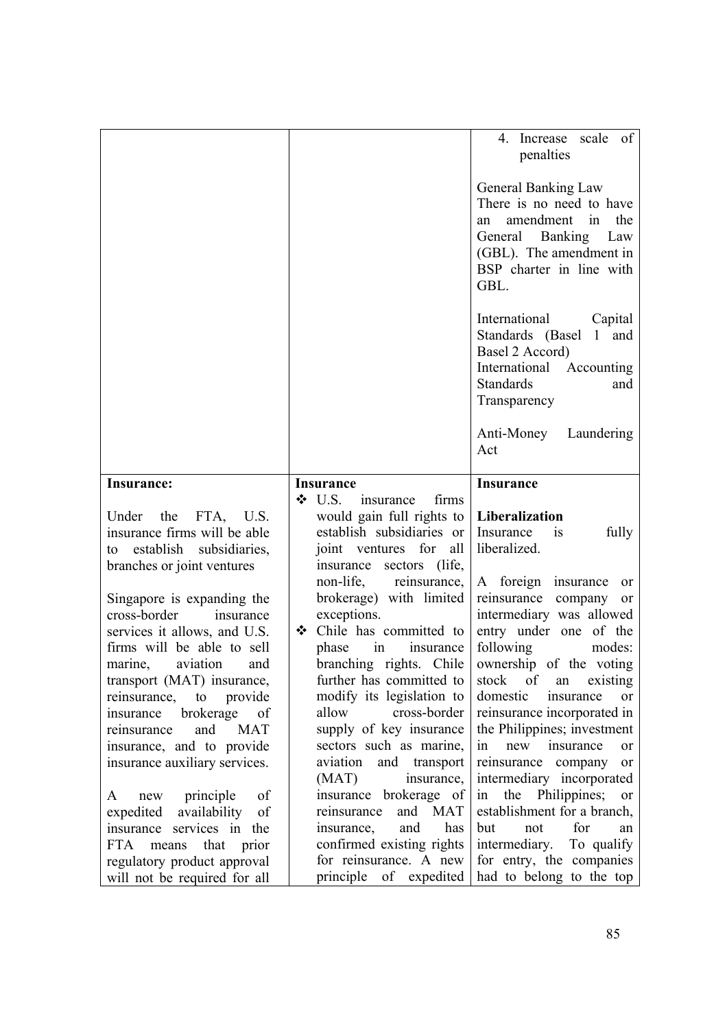|                                                                                                                                                                                                                                                                                                                                                   |                                                                                                                                                                                                                                                                                                                               | 4. Increase scale of<br>penalties                                                                                                                                                                                                                                                                                                    |
|---------------------------------------------------------------------------------------------------------------------------------------------------------------------------------------------------------------------------------------------------------------------------------------------------------------------------------------------------|-------------------------------------------------------------------------------------------------------------------------------------------------------------------------------------------------------------------------------------------------------------------------------------------------------------------------------|--------------------------------------------------------------------------------------------------------------------------------------------------------------------------------------------------------------------------------------------------------------------------------------------------------------------------------------|
|                                                                                                                                                                                                                                                                                                                                                   |                                                                                                                                                                                                                                                                                                                               | General Banking Law<br>There is no need to have<br>amendment in<br>the<br>an<br>General Banking<br>Law<br>(GBL). The amendment in<br>BSP charter in line with<br>GBL.                                                                                                                                                                |
|                                                                                                                                                                                                                                                                                                                                                   |                                                                                                                                                                                                                                                                                                                               | International<br>Capital<br>Standards (Basel<br>1 and<br>Basel 2 Accord)<br>International Accounting<br><b>Standards</b><br>and<br>Transparency                                                                                                                                                                                      |
|                                                                                                                                                                                                                                                                                                                                                   |                                                                                                                                                                                                                                                                                                                               | Anti-Money Laundering<br>Act                                                                                                                                                                                                                                                                                                         |
| Insurance:                                                                                                                                                                                                                                                                                                                                        | <b>Insurance</b>                                                                                                                                                                                                                                                                                                              | <b>Insurance</b>                                                                                                                                                                                                                                                                                                                     |
| Under the<br>FTA, U.S.<br>insurance firms will be able<br>establish subsidiaries,<br>to                                                                                                                                                                                                                                                           | $\div$ U.S.<br>firms<br>insurance<br>would gain full rights to<br>establish subsidiaries or<br>joint ventures for<br>all                                                                                                                                                                                                      | Liberalization<br>Insurance<br>is<br>fully<br>liberalized.                                                                                                                                                                                                                                                                           |
| branches or joint ventures<br>Singapore is expanding the<br>cross-border<br>insurance<br>services it allows, and U.S.<br>firms will be able to sell<br>marine,<br>aviation<br>and<br>transport (MAT) insurance,<br>to<br>provide<br>reinsurance,<br>brokerage<br>of<br>insurance<br>and<br><b>MAT</b><br>reinsurance<br>insurance, and to provide | insurance sectors<br>(life,<br>reinsurance,<br>non-life,<br>brokerage) with limited<br>exceptions.<br>❖ Chile has committed to<br>insurance<br>phase<br>in<br>branching rights. Chile<br>further has committed to<br>modify its legislation to<br>allow<br>cross-border<br>supply of key insurance<br>sectors such as marine, | A foreign insurance<br>or<br>reinsurance company<br>or<br>intermediary was allowed<br>entry under one of the<br>following<br>modes:<br>ownership of the voting<br>stock<br>of<br>existing<br>an<br>domestic<br>insurance<br>or<br>reinsurance incorporated in<br>the Philippines; investment<br>in<br>new insurance<br><sub>or</sub> |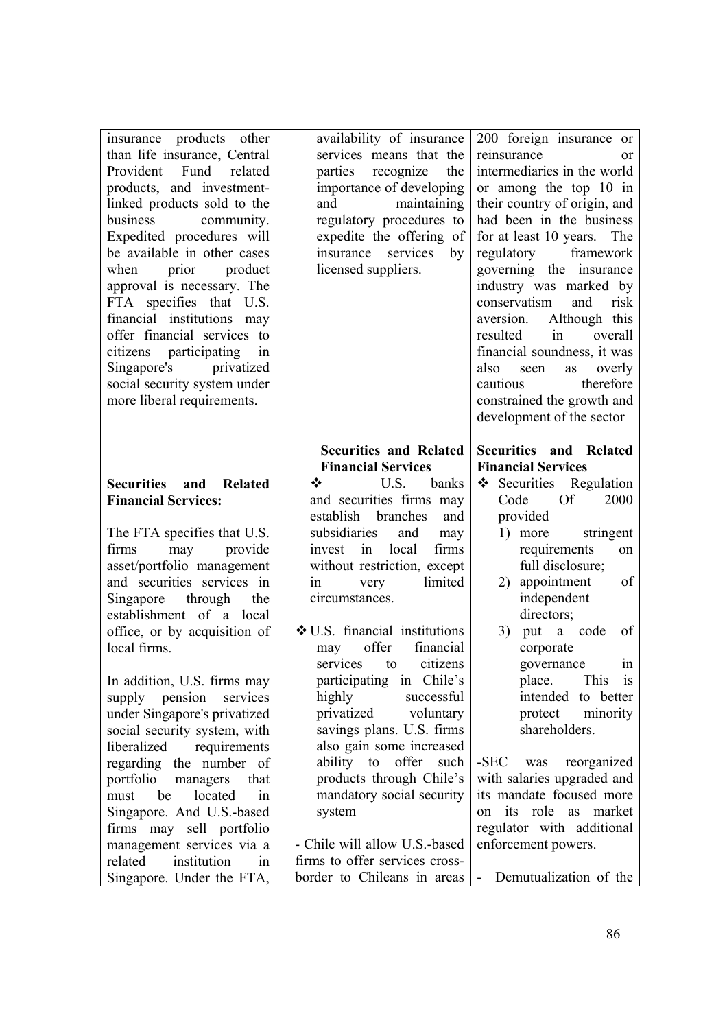| insurance products other<br>than life insurance, Central<br>Provident<br>Fund related<br>products, and investment-<br>linked products sold to the<br>business<br>community.<br>Expedited procedures will<br>be available in other cases<br>product<br>when<br>prior<br>approval is necessary. The<br>FTA specifies that U.S.<br>financial institutions may<br>offer financial services to<br>citizens participating in<br>Singapore's privatized<br>social security system under<br>more liberal requirements. | availability of insurance<br>services means that the<br>parties recognize<br>the<br>importance of developing<br>and<br>maintaining<br>regulatory procedures to<br>expedite the offering of<br>services<br>insurance<br>by<br>licensed suppliers.                                                                                                                                                                                                                                                 | 200 foreign insurance or<br>reinsurance<br>0r<br>intermediaries in the world<br>or among the top 10 in<br>their country of origin, and<br>had been in the business<br>for at least 10 years. The<br>regulatory<br>framework<br>governing the insurance<br>industry was marked by<br>conservatism<br>and<br>risk<br>Although this<br>aversion.<br>resulted<br>in<br>overall<br>financial soundness, it was<br>also seen<br>overly<br>as<br>cautious<br>therefore<br>constrained the growth and<br>development of the sector |
|----------------------------------------------------------------------------------------------------------------------------------------------------------------------------------------------------------------------------------------------------------------------------------------------------------------------------------------------------------------------------------------------------------------------------------------------------------------------------------------------------------------|--------------------------------------------------------------------------------------------------------------------------------------------------------------------------------------------------------------------------------------------------------------------------------------------------------------------------------------------------------------------------------------------------------------------------------------------------------------------------------------------------|----------------------------------------------------------------------------------------------------------------------------------------------------------------------------------------------------------------------------------------------------------------------------------------------------------------------------------------------------------------------------------------------------------------------------------------------------------------------------------------------------------------------------|
| Securities and<br>Related<br><b>Financial Services:</b><br>The FTA specifies that U.S.<br>may provide<br>firms<br>asset/portfolio management<br>and securities services in<br>Singapore through<br>the<br>establishment of a local<br>office, or by acquisition of<br>local firms.<br>In addition, U.S. firms may<br>supply pension<br>services<br>under Singapore's privatized<br>social security system, with                                                                                                | <b>Securities and Related</b><br><b>Financial Services</b><br>❖<br>U.S.<br>banks<br>and securities firms may<br>establish<br>branches<br>and<br>subsidiaries<br>and<br>may<br>firms<br>invest in<br>local<br>without restriction, except<br>limited<br>very<br>1n<br>circumstances.<br>$\div$ U.S. financial institutions<br>financial<br>offer<br>may<br>citizens<br>services<br>to<br>participating in Chile's<br>highly<br>successful<br>privatized<br>voluntary<br>savings plans. U.S. firms | Securities and Related<br><b>Financial Services</b><br>❖ Securities Regulation<br>2000<br>Code<br>Of<br>provided<br>stringent<br>1) more<br>requirements<br>on<br>full disclosure;<br>appointment<br>of<br>2)<br>independent<br>directors;<br>3) put a code<br>of<br>corporate<br>governance<br>1n<br>This is<br>place.<br>intended to better<br>minority<br>protect<br>shareholders.                                                                                                                                      |
| liberalized<br>requirements<br>regarding the number of<br>portfolio<br>managers<br>that<br>located<br>be<br>must<br>in<br>Singapore. And U.S.-based<br>firms may sell portfolio<br>management services via a<br>related<br>institution<br>in<br>Singapore. Under the FTA,                                                                                                                                                                                                                                      | also gain some increased<br>ability to<br>offer<br>such<br>products through Chile's<br>mandatory social security<br>system<br>- Chile will allow U.S.-based<br>firms to offer services cross-<br>border to Chileans in areas                                                                                                                                                                                                                                                                     | -SEC<br>reorganized<br>was<br>with salaries upgraded and<br>its mandate focused more<br>its role as market<br>on<br>regulator with additional<br>enforcement powers.<br>Demutualization of the<br>$\sim$                                                                                                                                                                                                                                                                                                                   |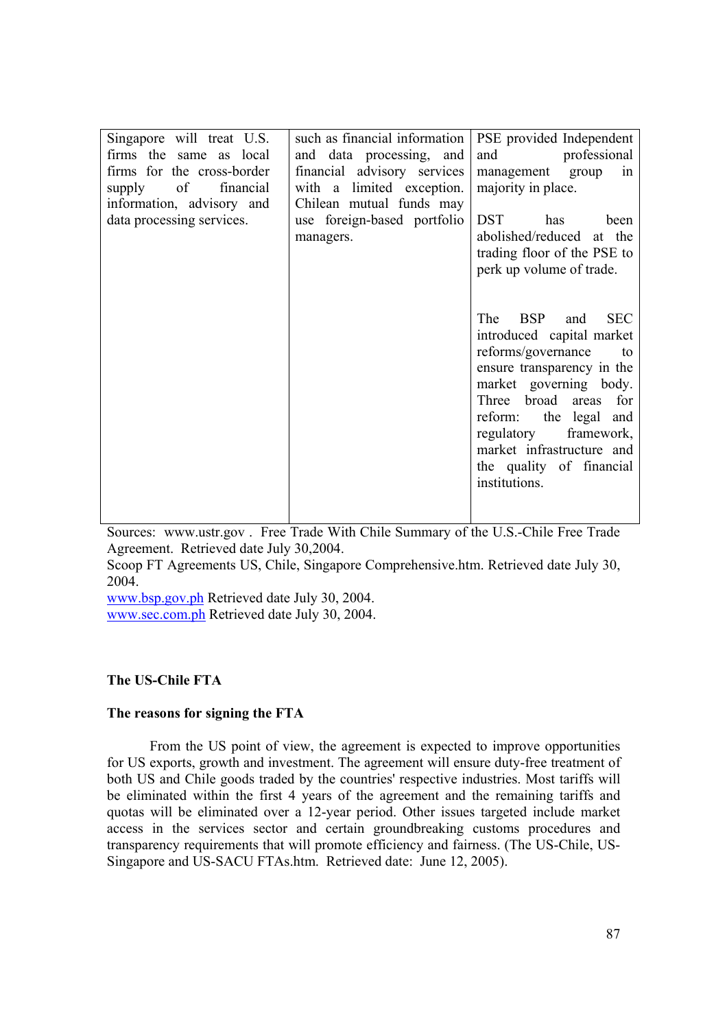| Singapore will treat U.S.<br>firms the same as local<br>firms for the cross-border<br>supply of financial<br>information, advisory and<br>data processing services. | such as financial information<br>and data processing, and<br>financial advisory services<br>with a limited exception.<br>Chilean mutual funds may<br>use foreign-based portfolio<br>managers. | PSE provided Independent<br>and<br>professional<br>management group<br>in<br>majority in place.<br><b>DST</b><br>has<br>been<br>abolished/reduced at the<br>trading floor of the PSE to<br>perk up volume of trade.                                                                          |
|---------------------------------------------------------------------------------------------------------------------------------------------------------------------|-----------------------------------------------------------------------------------------------------------------------------------------------------------------------------------------------|----------------------------------------------------------------------------------------------------------------------------------------------------------------------------------------------------------------------------------------------------------------------------------------------|
|                                                                                                                                                                     |                                                                                                                                                                                               | The BSP and<br><b>SEC</b><br>introduced capital market<br>reforms/governance to<br>ensure transparency in the<br>market governing body.<br>Three broad areas for<br>reform: the legal and<br>regulatory framework,<br>market infrastructure and<br>the quality of financial<br>institutions. |

Sources: www.ustr.gov . Free Trade With Chile Summary of the U.S.-Chile Free Trade Agreement. Retrieved date July 30,2004.

Scoop FT Agreements US, Chile, Singapore Comprehensive.htm. Retrieved date July 30, 2004.

www.bsp.gov.ph Retrieved date July 30, 2004. www.sec.com.ph Retrieved date July 30, 2004.

## **The US-Chile FTA**

## **The reasons for signing the FTA**

From the US point of view, the agreement is expected to improve opportunities for US exports, growth and investment. The agreement will ensure duty-free treatment of both US and Chile goods traded by the countries' respective industries. Most tariffs will be eliminated within the first 4 years of the agreement and the remaining tariffs and quotas will be eliminated over a 12-year period. Other issues targeted include market access in the services sector and certain groundbreaking customs procedures and transparency requirements that will promote efficiency and fairness. (The US-Chile, US-Singapore and US-SACU FTAs.htm. Retrieved date: June 12, 2005).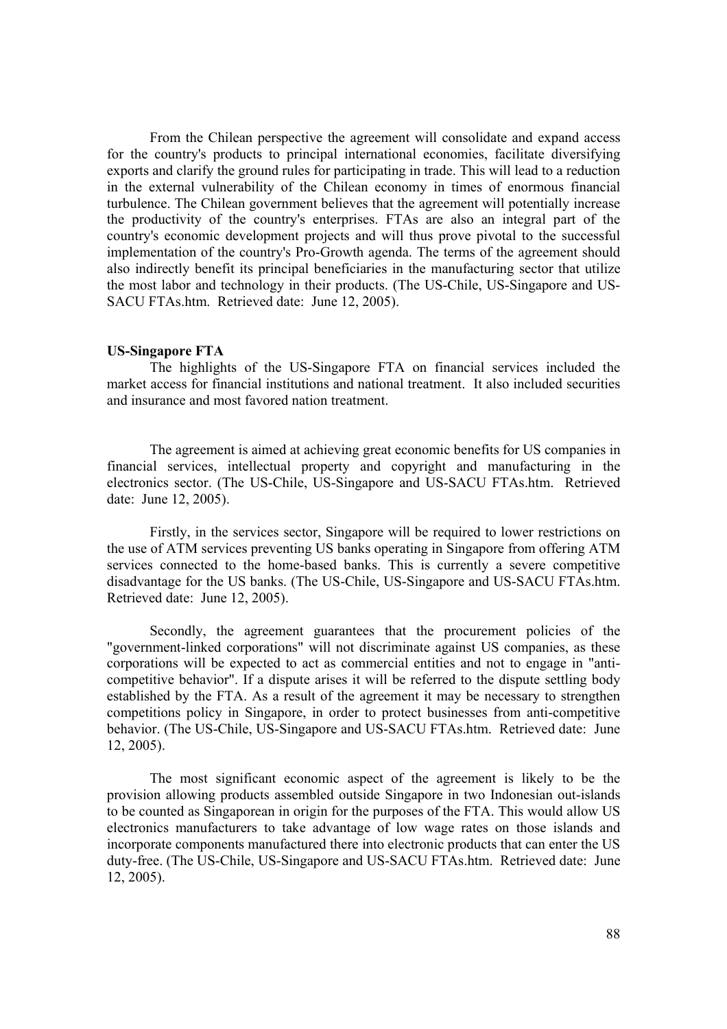From the Chilean perspective the agreement will consolidate and expand access for the country's products to principal international economies, facilitate diversifying exports and clarify the ground rules for participating in trade. This will lead to a reduction in the external vulnerability of the Chilean economy in times of enormous financial turbulence. The Chilean government believes that the agreement will potentially increase the productivity of the country's enterprises. FTAs are also an integral part of the country's economic development projects and will thus prove pivotal to the successful implementation of the country's Pro-Growth agenda. The terms of the agreement should also indirectly benefit its principal beneficiaries in the manufacturing sector that utilize the most labor and technology in their products. (The US-Chile, US-Singapore and US-SACU FTAs.htm. Retrieved date: June 12, 2005).

#### **US-Singapore FTA**

The highlights of the US-Singapore FTA on financial services included the market access for financial institutions and national treatment. It also included securities and insurance and most favored nation treatment.

The agreement is aimed at achieving great economic benefits for US companies in financial services, intellectual property and copyright and manufacturing in the electronics sector. (The US-Chile, US-Singapore and US-SACU FTAs.htm. Retrieved date: June 12, 2005).

Firstly, in the services sector, Singapore will be required to lower restrictions on the use of ATM services preventing US banks operating in Singapore from offering ATM services connected to the home-based banks. This is currently a severe competitive disadvantage for the US banks. (The US-Chile, US-Singapore and US-SACU FTAs.htm. Retrieved date: June 12, 2005).

Secondly, the agreement guarantees that the procurement policies of the "government-linked corporations" will not discriminate against US companies, as these corporations will be expected to act as commercial entities and not to engage in "anticompetitive behavior". If a dispute arises it will be referred to the dispute settling body established by the FTA. As a result of the agreement it may be necessary to strengthen competitions policy in Singapore, in order to protect businesses from anti-competitive behavior. (The US-Chile, US-Singapore and US-SACU FTAs.htm. Retrieved date: June 12, 2005).

The most significant economic aspect of the agreement is likely to be the provision allowing products assembled outside Singapore in two Indonesian out-islands to be counted as Singaporean in origin for the purposes of the FTA. This would allow US electronics manufacturers to take advantage of low wage rates on those islands and incorporate components manufactured there into electronic products that can enter the US duty-free. (The US-Chile, US-Singapore and US-SACU FTAs.htm. Retrieved date: June 12, 2005).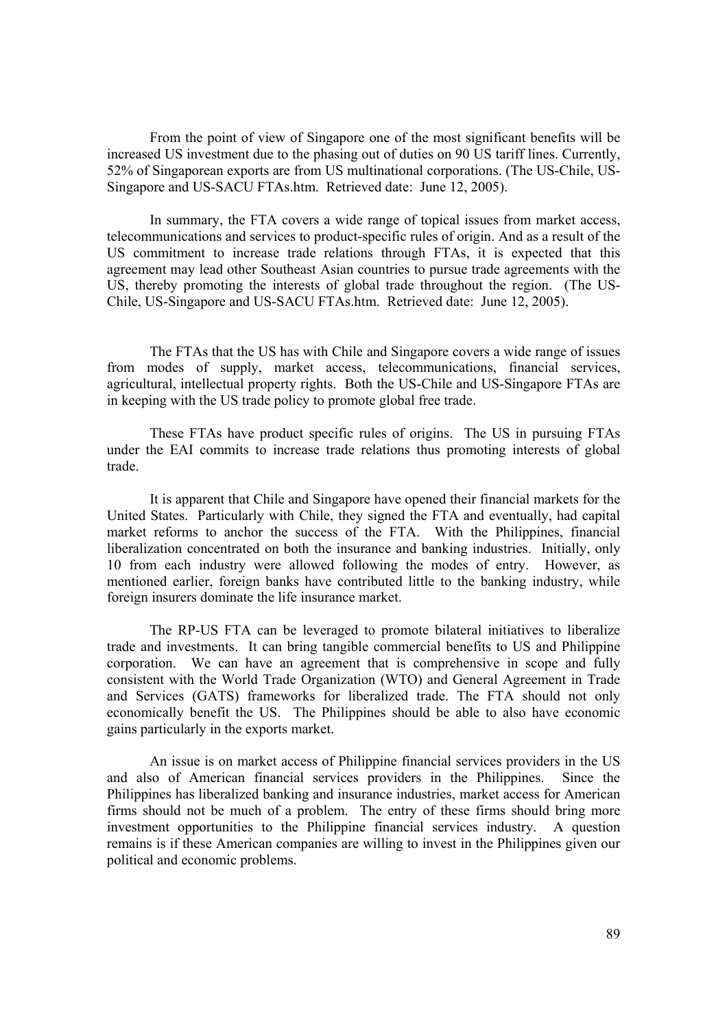From the point of view of Singapore one of the most significant benefits will be increased US investment due to the phasing out of duties on 90 US tariff lines. Currently, 52% of Singaporean exports are from US multinational corporations. (The US-Chile, US-Singapore and US-SACU FTAs.htm. Retrieved date: June 12, 2005).

In summary, the FTA covers a wide range of topical issues from market access, telecommunications and services to product-specific rules of origin. And as a result of the US commitment to increase trade relations through FTAs, it is expected that this agreement may lead other Southeast Asian countries to pursue trade agreements with the US, thereby promoting the interests of global trade throughout the region. (The US-Chile, US-Singapore and US-SACU FTAs.htm. Retrieved date: June 12, 2005).

The FTAs that the US has with Chile and Singapore covers a wide range of issues from modes of supply, market access, telecommunications, financial services, agricultural, intellectual property rights. Both the US-Chile and US-Singapore FTAs are in keeping with the US trade policy to promote global free trade.

These FTAs have product specific rules of origins. The US in pursuing FTAs under the EAI commits to increase trade relations thus promoting interests of global trade.

It is apparent that Chile and Singapore have opened their financial markets for the United States. Particularly with Chile, they signed the FTA and eventually, had capital market reforms to anchor the success of the FTA. With the Philippines, financial liberalization concentrated on both the insurance and banking industries. Initially, only 10 from each industry were allowed following the modes of entry. However, as mentioned earlier, foreign banks have contributed little to the banking industry, while foreign insurers dominate the life insurance market.

The RP-US FTA can be leveraged to promote bilateral initiatives to liberalize trade and investments. It can bring tangible commercial benefits to US and Philippine corporation. We can have an agreement that is comprehensive in scope and fully consistent with the World Trade Organization (WTO) and General Agreement in Trade and Services (GATS) frameworks for liberalized trade. The FTA should not only economically benefit the US. The Philippines should be able to also have economic gains particularly in the exports market.

An issue is on market access of Philippine financial services providers in the US and also of American financial services providers in the Philippines. Since the Philippines has liberalized banking and insurance industries, market access for American firms should not be much of a problem. The entry of these firms should bring more investment opportunities to the Philippine financial services industry. A question remains is if these American companies are willing to invest in the Philippines given our political and economic problems.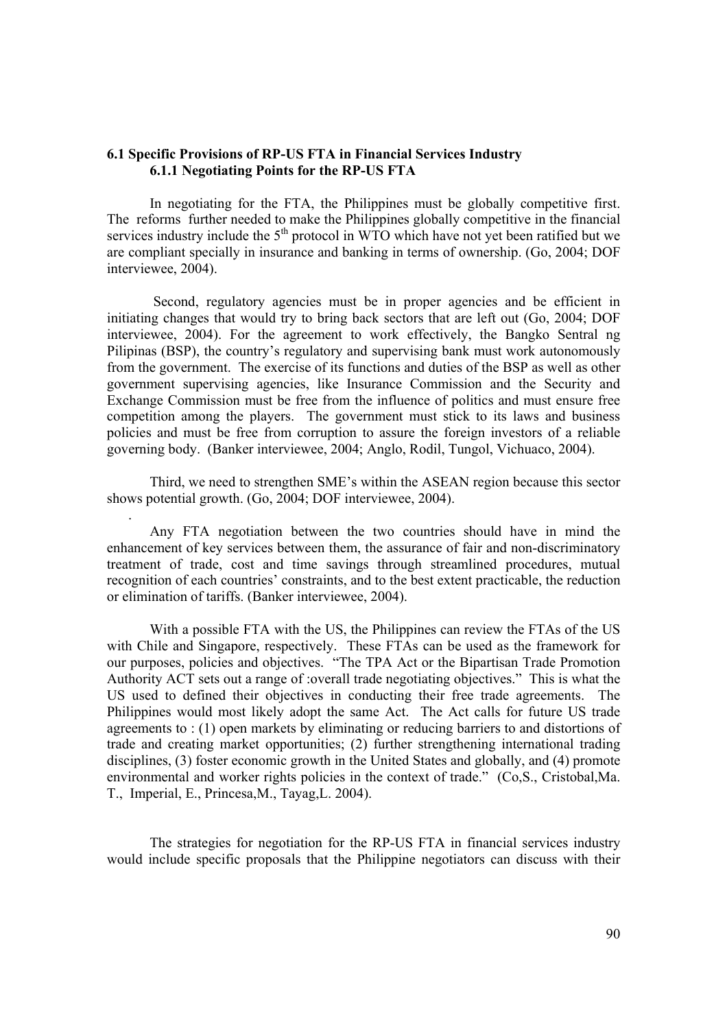# **6.1 Specific Provisions of RP-US FTA in Financial Services Industry 6.1.1 Negotiating Points for the RP-US FTA**

In negotiating for the FTA, the Philippines must be globally competitive first. The reforms further needed to make the Philippines globally competitive in the financial services industry include the  $5<sup>th</sup>$  protocol in WTO which have not yet been ratified but we are compliant specially in insurance and banking in terms of ownership. (Go, 2004; DOF interviewee, 2004).

 Second, regulatory agencies must be in proper agencies and be efficient in initiating changes that would try to bring back sectors that are left out (Go, 2004; DOF interviewee, 2004). For the agreement to work effectively, the Bangko Sentral ng Pilipinas (BSP), the country's regulatory and supervising bank must work autonomously from the government. The exercise of its functions and duties of the BSP as well as other government supervising agencies, like Insurance Commission and the Security and Exchange Commission must be free from the influence of politics and must ensure free competition among the players. The government must stick to its laws and business policies and must be free from corruption to assure the foreign investors of a reliable governing body. (Banker interviewee, 2004; Anglo, Rodil, Tungol, Vichuaco, 2004).

Third, we need to strengthen SME's within the ASEAN region because this sector shows potential growth. (Go, 2004; DOF interviewee, 2004).

.

Any FTA negotiation between the two countries should have in mind the enhancement of key services between them, the assurance of fair and non-discriminatory treatment of trade, cost and time savings through streamlined procedures, mutual recognition of each countries' constraints, and to the best extent practicable, the reduction or elimination of tariffs. (Banker interviewee, 2004).

With a possible FTA with the US, the Philippines can review the FTAs of the US with Chile and Singapore, respectively. These FTAs can be used as the framework for our purposes, policies and objectives. "The TPA Act or the Bipartisan Trade Promotion Authority ACT sets out a range of :overall trade negotiating objectives." This is what the US used to defined their objectives in conducting their free trade agreements. The Philippines would most likely adopt the same Act. The Act calls for future US trade agreements to : (1) open markets by eliminating or reducing barriers to and distortions of trade and creating market opportunities; (2) further strengthening international trading disciplines, (3) foster economic growth in the United States and globally, and (4) promote environmental and worker rights policies in the context of trade." (Co,S., Cristobal,Ma. T., Imperial, E., Princesa,M., Tayag,L. 2004).

The strategies for negotiation for the RP-US FTA in financial services industry would include specific proposals that the Philippine negotiators can discuss with their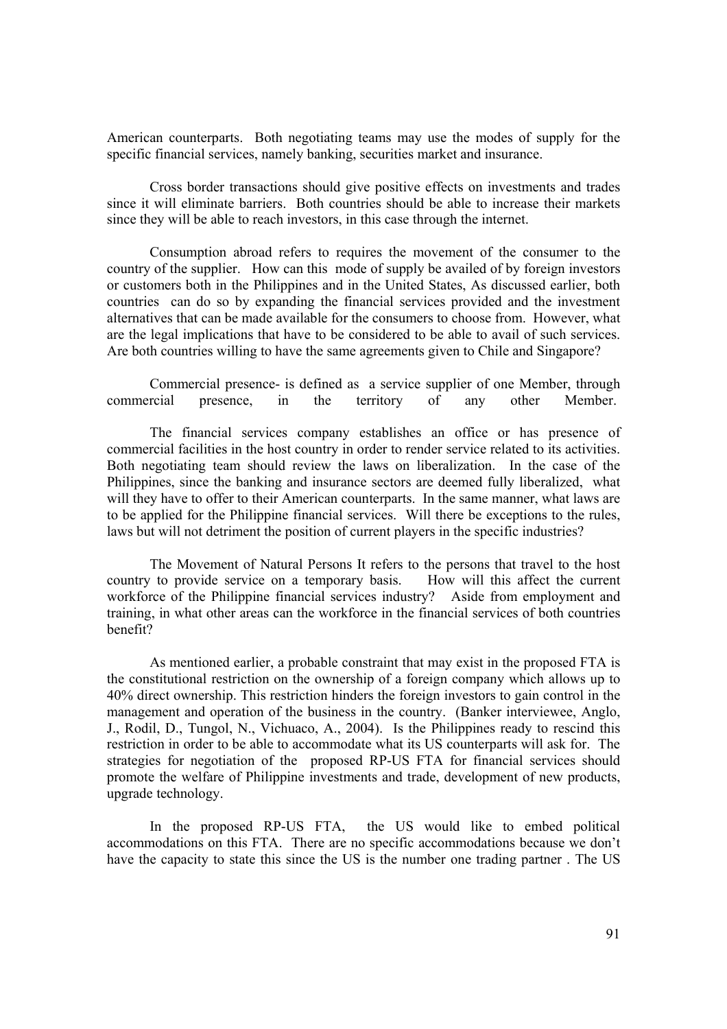American counterparts. Both negotiating teams may use the modes of supply for the specific financial services, namely banking, securities market and insurance.

Cross border transactions should give positive effects on investments and trades since it will eliminate barriers. Both countries should be able to increase their markets since they will be able to reach investors, in this case through the internet.

Consumption abroad refers to requires the movement of the consumer to the country of the supplier. How can this mode of supply be availed of by foreign investors or customers both in the Philippines and in the United States, As discussed earlier, both countries can do so by expanding the financial services provided and the investment alternatives that can be made available for the consumers to choose from. However, what are the legal implications that have to be considered to be able to avail of such services. Are both countries willing to have the same agreements given to Chile and Singapore?

Commercial presence- is defined as a service supplier of one Member, through commercial presence, in the territory of any other Member.

The financial services company establishes an office or has presence of commercial facilities in the host country in order to render service related to its activities. Both negotiating team should review the laws on liberalization. In the case of the Philippines, since the banking and insurance sectors are deemed fully liberalized, what will they have to offer to their American counterparts. In the same manner, what laws are to be applied for the Philippine financial services. Will there be exceptions to the rules, laws but will not detriment the position of current players in the specific industries?

The Movement of Natural Persons It refers to the persons that travel to the host country to provide service on a temporary basis. How will this affect the current workforce of the Philippine financial services industry? Aside from employment and training, in what other areas can the workforce in the financial services of both countries benefit?

As mentioned earlier, a probable constraint that may exist in the proposed FTA is the constitutional restriction on the ownership of a foreign company which allows up to 40% direct ownership. This restriction hinders the foreign investors to gain control in the management and operation of the business in the country. (Banker interviewee, Anglo, J., Rodil, D., Tungol, N., Vichuaco, A., 2004). Is the Philippines ready to rescind this restriction in order to be able to accommodate what its US counterparts will ask for. The strategies for negotiation of the proposed RP-US FTA for financial services should promote the welfare of Philippine investments and trade, development of new products, upgrade technology.

In the proposed RP-US FTA, the US would like to embed political accommodations on this FTA. There are no specific accommodations because we don't have the capacity to state this since the US is the number one trading partner . The US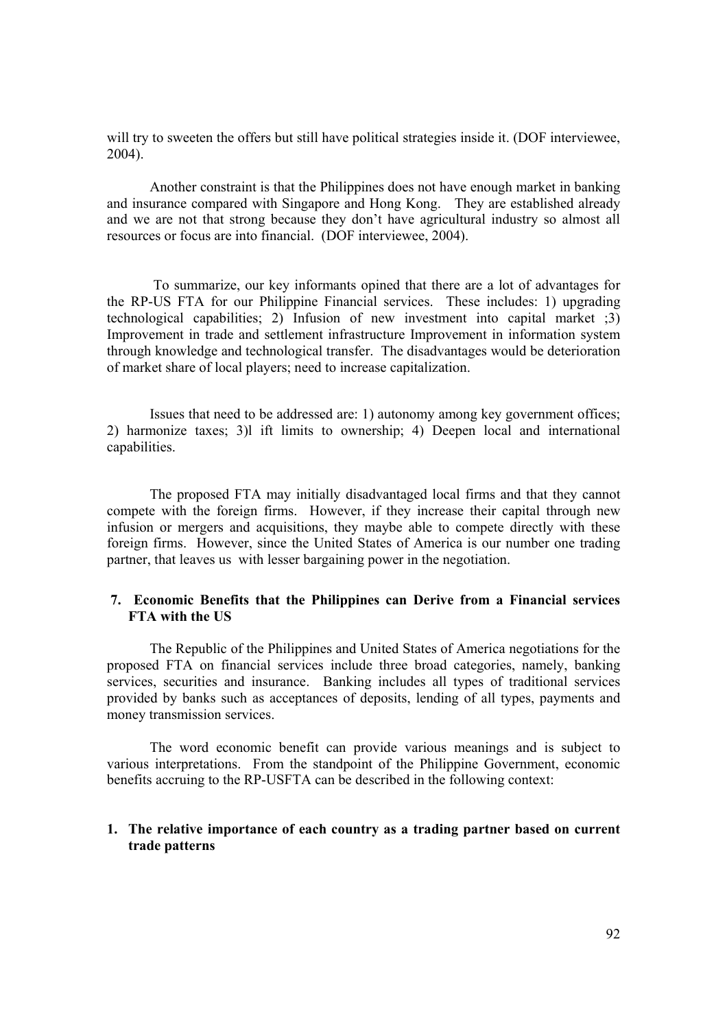will try to sweeten the offers but still have political strategies inside it. (DOF interviewee, 2004).

Another constraint is that the Philippines does not have enough market in banking and insurance compared with Singapore and Hong Kong. They are established already and we are not that strong because they don't have agricultural industry so almost all resources or focus are into financial. (DOF interviewee, 2004).

 To summarize, our key informants opined that there are a lot of advantages for the RP-US FTA for our Philippine Financial services. These includes: 1) upgrading technological capabilities; 2) Infusion of new investment into capital market ;3) Improvement in trade and settlement infrastructure Improvement in information system through knowledge and technological transfer. The disadvantages would be deterioration of market share of local players; need to increase capitalization.

Issues that need to be addressed are: 1) autonomy among key government offices; 2) harmonize taxes; 3)l ift limits to ownership; 4) Deepen local and international capabilities.

The proposed FTA may initially disadvantaged local firms and that they cannot compete with the foreign firms. However, if they increase their capital through new infusion or mergers and acquisitions, they maybe able to compete directly with these foreign firms. However, since the United States of America is our number one trading partner, that leaves us with lesser bargaining power in the negotiation.

# **7. Economic Benefits that the Philippines can Derive from a Financial services FTA with the US**

The Republic of the Philippines and United States of America negotiations for the proposed FTA on financial services include three broad categories, namely, banking services, securities and insurance. Banking includes all types of traditional services provided by banks such as acceptances of deposits, lending of all types, payments and money transmission services.

The word economic benefit can provide various meanings and is subject to various interpretations. From the standpoint of the Philippine Government, economic benefits accruing to the RP-USFTA can be described in the following context:

# **1. The relative importance of each country as a trading partner based on current trade patterns**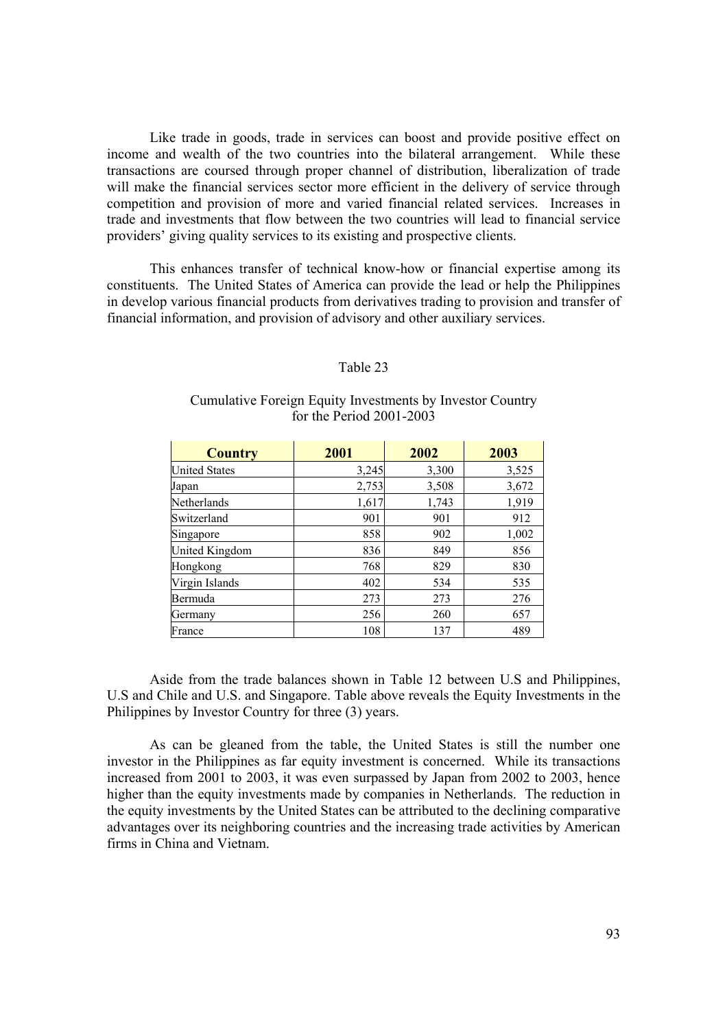Like trade in goods, trade in services can boost and provide positive effect on income and wealth of the two countries into the bilateral arrangement. While these transactions are coursed through proper channel of distribution, liberalization of trade will make the financial services sector more efficient in the delivery of service through competition and provision of more and varied financial related services. Increases in trade and investments that flow between the two countries will lead to financial service providers' giving quality services to its existing and prospective clients.

This enhances transfer of technical know-how or financial expertise among its constituents. The United States of America can provide the lead or help the Philippines in develop various financial products from derivatives trading to provision and transfer of financial information, and provision of advisory and other auxiliary services.

#### Table 23

# Cumulative Foreign Equity Investments by Investor Country for the Period 2001-2003

| <b>Country</b>       | 2001  | 2002  | 2003  |
|----------------------|-------|-------|-------|
| <b>United States</b> | 3,245 | 3,300 | 3,525 |
| Japan                | 2,753 | 3,508 | 3,672 |
| Netherlands          | 1,617 | 1,743 | 1,919 |
| Switzerland          | 901   | 901   | 912   |
| Singapore            | 858   | 902   | 1,002 |
| United Kingdom       | 836   | 849   | 856   |
| Hongkong             | 768   | 829   | 830   |
| Virgin Islands       | 402   | 534   | 535   |
| Bermuda              | 273   | 273   | 276   |
| Germany              | 256   | 260   | 657   |
| France               | 108   | 137   | 489   |

Aside from the trade balances shown in Table 12 between U.S and Philippines, U.S and Chile and U.S. and Singapore. Table above reveals the Equity Investments in the Philippines by Investor Country for three (3) years.

As can be gleaned from the table, the United States is still the number one investor in the Philippines as far equity investment is concerned. While its transactions increased from 2001 to 2003, it was even surpassed by Japan from 2002 to 2003, hence higher than the equity investments made by companies in Netherlands. The reduction in the equity investments by the United States can be attributed to the declining comparative advantages over its neighboring countries and the increasing trade activities by American firms in China and Vietnam.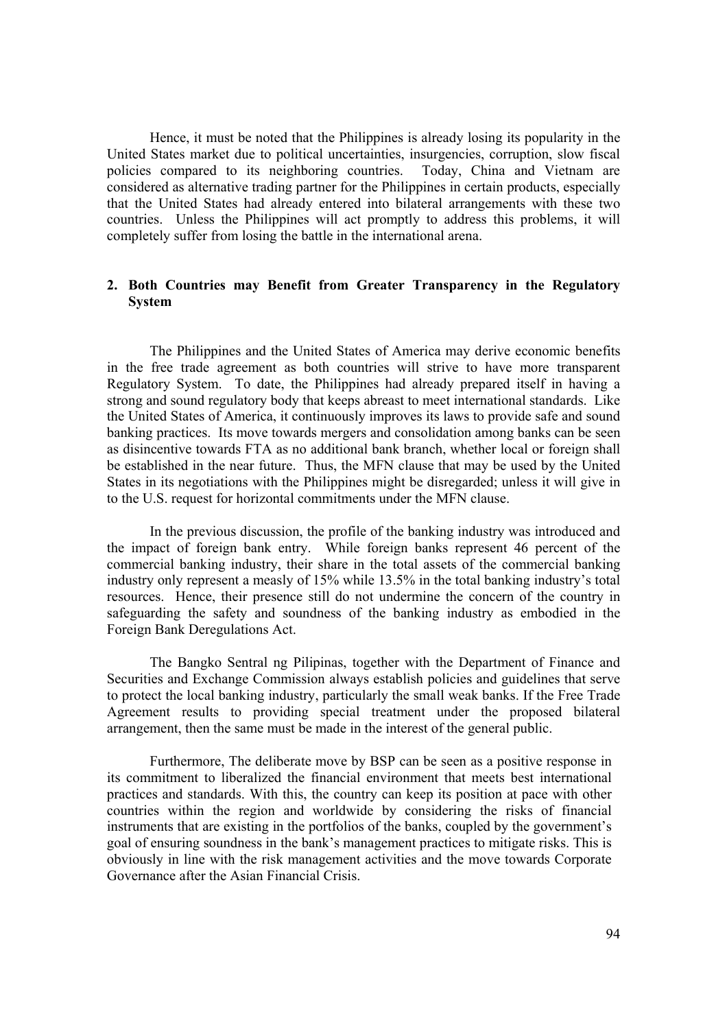Hence, it must be noted that the Philippines is already losing its popularity in the United States market due to political uncertainties, insurgencies, corruption, slow fiscal policies compared to its neighboring countries. Today, China and Vietnam are considered as alternative trading partner for the Philippines in certain products, especially that the United States had already entered into bilateral arrangements with these two countries. Unless the Philippines will act promptly to address this problems, it will completely suffer from losing the battle in the international arena.

# **2. Both Countries may Benefit from Greater Transparency in the Regulatory System**

The Philippines and the United States of America may derive economic benefits in the free trade agreement as both countries will strive to have more transparent Regulatory System. To date, the Philippines had already prepared itself in having a strong and sound regulatory body that keeps abreast to meet international standards. Like the United States of America, it continuously improves its laws to provide safe and sound banking practices. Its move towards mergers and consolidation among banks can be seen as disincentive towards FTA as no additional bank branch, whether local or foreign shall be established in the near future. Thus, the MFN clause that may be used by the United States in its negotiations with the Philippines might be disregarded; unless it will give in to the U.S. request for horizontal commitments under the MFN clause.

In the previous discussion, the profile of the banking industry was introduced and the impact of foreign bank entry. While foreign banks represent 46 percent of the commercial banking industry, their share in the total assets of the commercial banking industry only represent a measly of 15% while 13.5% in the total banking industry's total resources. Hence, their presence still do not undermine the concern of the country in safeguarding the safety and soundness of the banking industry as embodied in the Foreign Bank Deregulations Act.

The Bangko Sentral ng Pilipinas, together with the Department of Finance and Securities and Exchange Commission always establish policies and guidelines that serve to protect the local banking industry, particularly the small weak banks. If the Free Trade Agreement results to providing special treatment under the proposed bilateral arrangement, then the same must be made in the interest of the general public.

Furthermore, The deliberate move by BSP can be seen as a positive response in its commitment to liberalized the financial environment that meets best international practices and standards. With this, the country can keep its position at pace with other countries within the region and worldwide by considering the risks of financial instruments that are existing in the portfolios of the banks, coupled by the government's goal of ensuring soundness in the bank's management practices to mitigate risks. This is obviously in line with the risk management activities and the move towards Corporate Governance after the Asian Financial Crisis.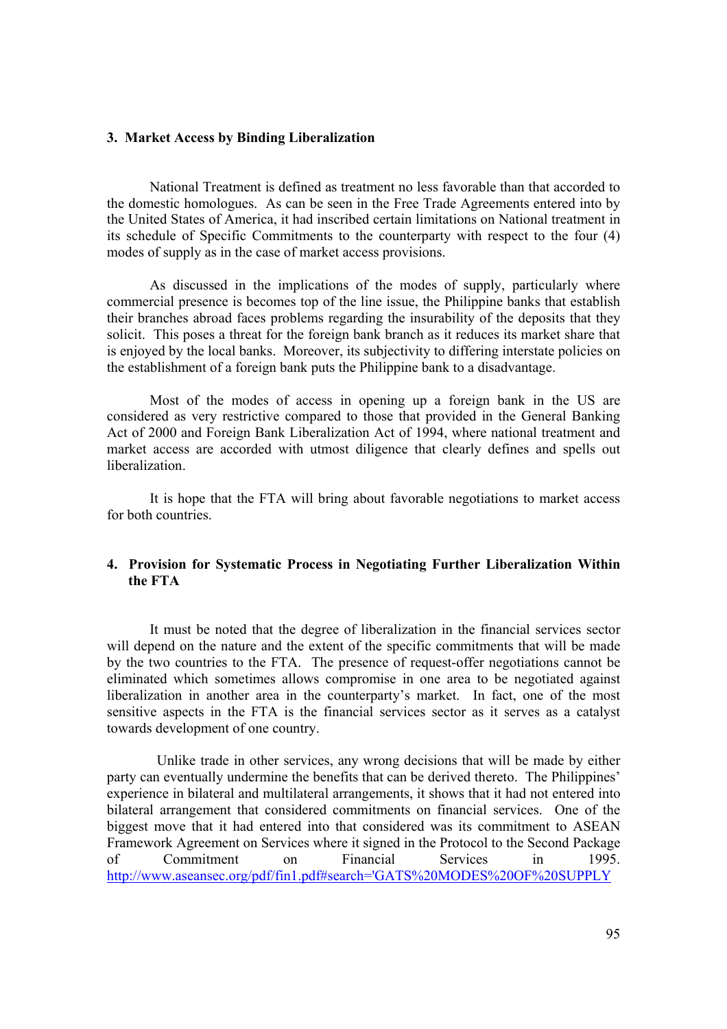#### **3. Market Access by Binding Liberalization**

National Treatment is defined as treatment no less favorable than that accorded to the domestic homologues. As can be seen in the Free Trade Agreements entered into by the United States of America, it had inscribed certain limitations on National treatment in its schedule of Specific Commitments to the counterparty with respect to the four (4) modes of supply as in the case of market access provisions.

As discussed in the implications of the modes of supply, particularly where commercial presence is becomes top of the line issue, the Philippine banks that establish their branches abroad faces problems regarding the insurability of the deposits that they solicit. This poses a threat for the foreign bank branch as it reduces its market share that is enjoyed by the local banks. Moreover, its subjectivity to differing interstate policies on the establishment of a foreign bank puts the Philippine bank to a disadvantage.

Most of the modes of access in opening up a foreign bank in the US are considered as very restrictive compared to those that provided in the General Banking Act of 2000 and Foreign Bank Liberalization Act of 1994, where national treatment and market access are accorded with utmost diligence that clearly defines and spells out liberalization.

It is hope that the FTA will bring about favorable negotiations to market access for both countries.

# **4. Provision for Systematic Process in Negotiating Further Liberalization Within the FTA**

It must be noted that the degree of liberalization in the financial services sector will depend on the nature and the extent of the specific commitments that will be made by the two countries to the FTA. The presence of request-offer negotiations cannot be eliminated which sometimes allows compromise in one area to be negotiated against liberalization in another area in the counterparty's market. In fact, one of the most sensitive aspects in the FTA is the financial services sector as it serves as a catalyst towards development of one country.

 Unlike trade in other services, any wrong decisions that will be made by either party can eventually undermine the benefits that can be derived thereto. The Philippines' experience in bilateral and multilateral arrangements, it shows that it had not entered into bilateral arrangement that considered commitments on financial services. One of the biggest move that it had entered into that considered was its commitment to ASEAN Framework Agreement on Services where it signed in the Protocol to the Second Package of Commitment on Financial Services in 1995. http://www.aseansec.org/pdf/fin1.pdf#search='GATS%20MODES%20OF%20SUPPLY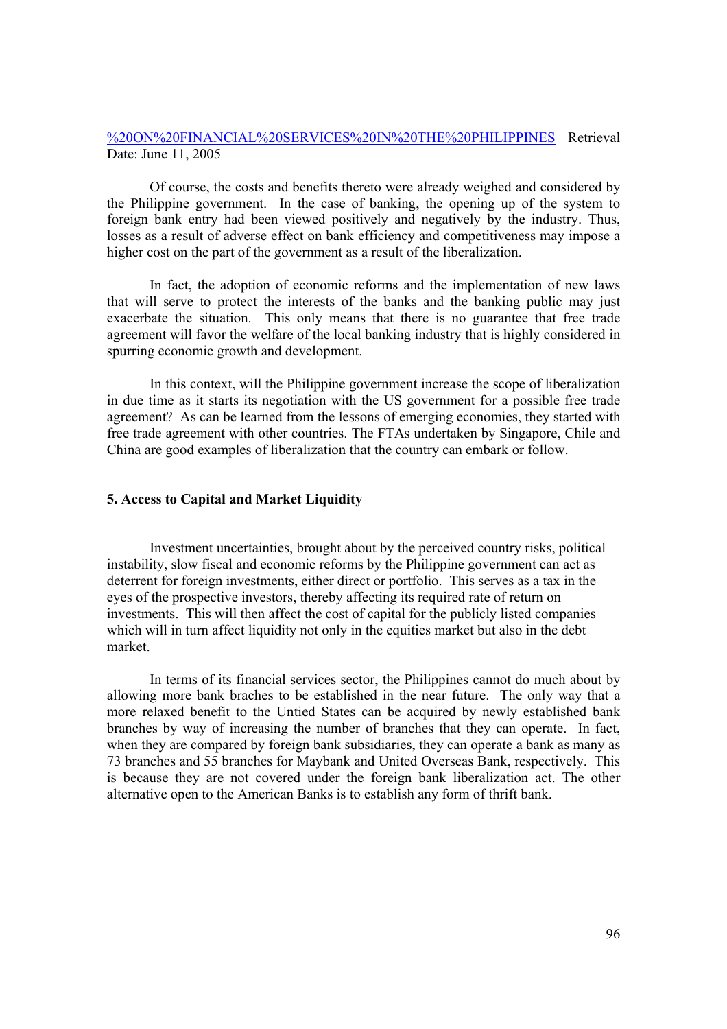# %20ON%20FINANCIAL%20SERVICES%20IN%20THE%20PHILIPPINES Retrieval Date: June 11, 2005

Of course, the costs and benefits thereto were already weighed and considered by the Philippine government. In the case of banking, the opening up of the system to foreign bank entry had been viewed positively and negatively by the industry. Thus, losses as a result of adverse effect on bank efficiency and competitiveness may impose a higher cost on the part of the government as a result of the liberalization.

In fact, the adoption of economic reforms and the implementation of new laws that will serve to protect the interests of the banks and the banking public may just exacerbate the situation. This only means that there is no guarantee that free trade agreement will favor the welfare of the local banking industry that is highly considered in spurring economic growth and development.

In this context, will the Philippine government increase the scope of liberalization in due time as it starts its negotiation with the US government for a possible free trade agreement? As can be learned from the lessons of emerging economies, they started with free trade agreement with other countries. The FTAs undertaken by Singapore, Chile and China are good examples of liberalization that the country can embark or follow.

## **5. Access to Capital and Market Liquidity**

Investment uncertainties, brought about by the perceived country risks, political instability, slow fiscal and economic reforms by the Philippine government can act as deterrent for foreign investments, either direct or portfolio. This serves as a tax in the eyes of the prospective investors, thereby affecting its required rate of return on investments. This will then affect the cost of capital for the publicly listed companies which will in turn affect liquidity not only in the equities market but also in the debt market.

In terms of its financial services sector, the Philippines cannot do much about by allowing more bank braches to be established in the near future. The only way that a more relaxed benefit to the Untied States can be acquired by newly established bank branches by way of increasing the number of branches that they can operate. In fact, when they are compared by foreign bank subsidiaries, they can operate a bank as many as 73 branches and 55 branches for Maybank and United Overseas Bank, respectively. This is because they are not covered under the foreign bank liberalization act. The other alternative open to the American Banks is to establish any form of thrift bank.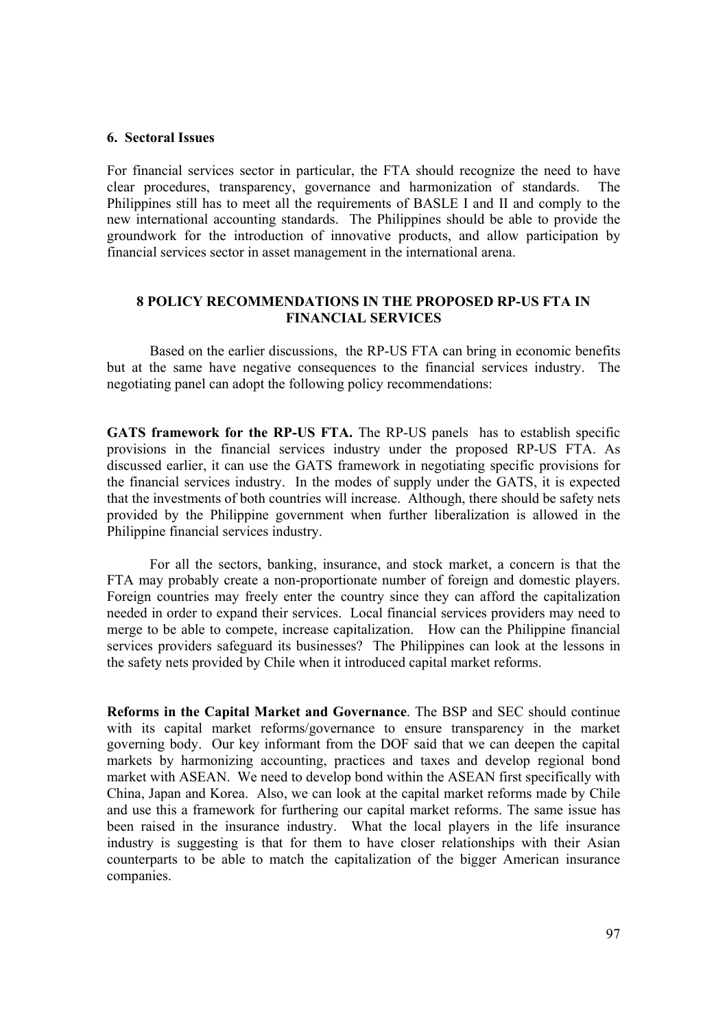#### **6. Sectoral Issues**

For financial services sector in particular, the FTA should recognize the need to have clear procedures, transparency, governance and harmonization of standards. The Philippines still has to meet all the requirements of BASLE I and II and comply to the new international accounting standards. The Philippines should be able to provide the groundwork for the introduction of innovative products, and allow participation by financial services sector in asset management in the international arena.

# **8 POLICY RECOMMENDATIONS IN THE PROPOSED RP-US FTA IN FINANCIAL SERVICES**

Based on the earlier discussions, the RP-US FTA can bring in economic benefits but at the same have negative consequences to the financial services industry. The negotiating panel can adopt the following policy recommendations:

**GATS framework for the RP-US FTA.** The RP-US panels has to establish specific provisions in the financial services industry under the proposed RP-US FTA. As discussed earlier, it can use the GATS framework in negotiating specific provisions for the financial services industry. In the modes of supply under the GATS, it is expected that the investments of both countries will increase. Although, there should be safety nets provided by the Philippine government when further liberalization is allowed in the Philippine financial services industry.

For all the sectors, banking, insurance, and stock market, a concern is that the FTA may probably create a non-proportionate number of foreign and domestic players. Foreign countries may freely enter the country since they can afford the capitalization needed in order to expand their services. Local financial services providers may need to merge to be able to compete, increase capitalization. How can the Philippine financial services providers safeguard its businesses? The Philippines can look at the lessons in the safety nets provided by Chile when it introduced capital market reforms.

**Reforms in the Capital Market and Governance**. The BSP and SEC should continue with its capital market reforms/governance to ensure transparency in the market governing body. Our key informant from the DOF said that we can deepen the capital markets by harmonizing accounting, practices and taxes and develop regional bond market with ASEAN. We need to develop bond within the ASEAN first specifically with China, Japan and Korea. Also, we can look at the capital market reforms made by Chile and use this a framework for furthering our capital market reforms. The same issue has been raised in the insurance industry. What the local players in the life insurance industry is suggesting is that for them to have closer relationships with their Asian counterparts to be able to match the capitalization of the bigger American insurance companies.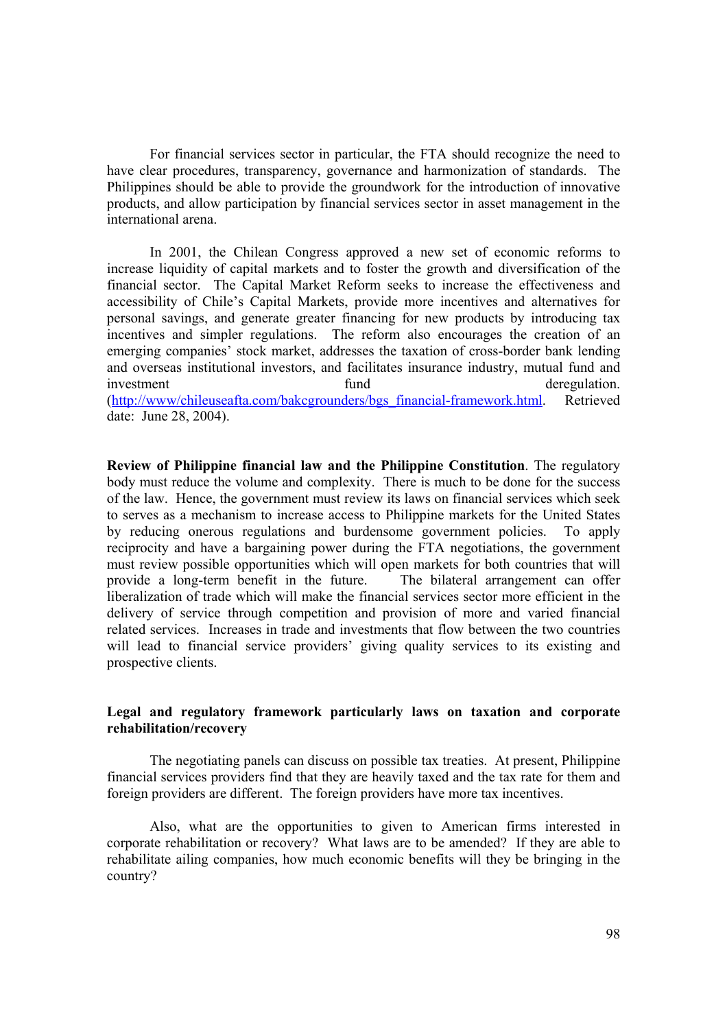For financial services sector in particular, the FTA should recognize the need to have clear procedures, transparency, governance and harmonization of standards. The Philippines should be able to provide the groundwork for the introduction of innovative products, and allow participation by financial services sector in asset management in the international arena.

In 2001, the Chilean Congress approved a new set of economic reforms to increase liquidity of capital markets and to foster the growth and diversification of the financial sector. The Capital Market Reform seeks to increase the effectiveness and accessibility of Chile's Capital Markets, provide more incentives and alternatives for personal savings, and generate greater financing for new products by introducing tax incentives and simpler regulations. The reform also encourages the creation of an emerging companies' stock market, addresses the taxation of cross-border bank lending and overseas institutional investors, and facilitates insurance industry, mutual fund and investment fund fund deregulation. (http://www/chileuseafta.com/bakcgrounders/bgs\_financial-framework.html. Retrieved date: June 28, 2004).

**Review of Philippine financial law and the Philippine Constitution**. The regulatory body must reduce the volume and complexity. There is much to be done for the success of the law. Hence, the government must review its laws on financial services which seek to serves as a mechanism to increase access to Philippine markets for the United States by reducing onerous regulations and burdensome government policies. To apply reciprocity and have a bargaining power during the FTA negotiations, the government must review possible opportunities which will open markets for both countries that will provide a long-term benefit in the future. The bilateral arrangement can offer liberalization of trade which will make the financial services sector more efficient in the delivery of service through competition and provision of more and varied financial related services. Increases in trade and investments that flow between the two countries will lead to financial service providers' giving quality services to its existing and prospective clients.

# **Legal and regulatory framework particularly laws on taxation and corporate rehabilitation/recovery**

The negotiating panels can discuss on possible tax treaties. At present, Philippine financial services providers find that they are heavily taxed and the tax rate for them and foreign providers are different. The foreign providers have more tax incentives.

 Also, what are the opportunities to given to American firms interested in corporate rehabilitation or recovery? What laws are to be amended? If they are able to rehabilitate ailing companies, how much economic benefits will they be bringing in the country?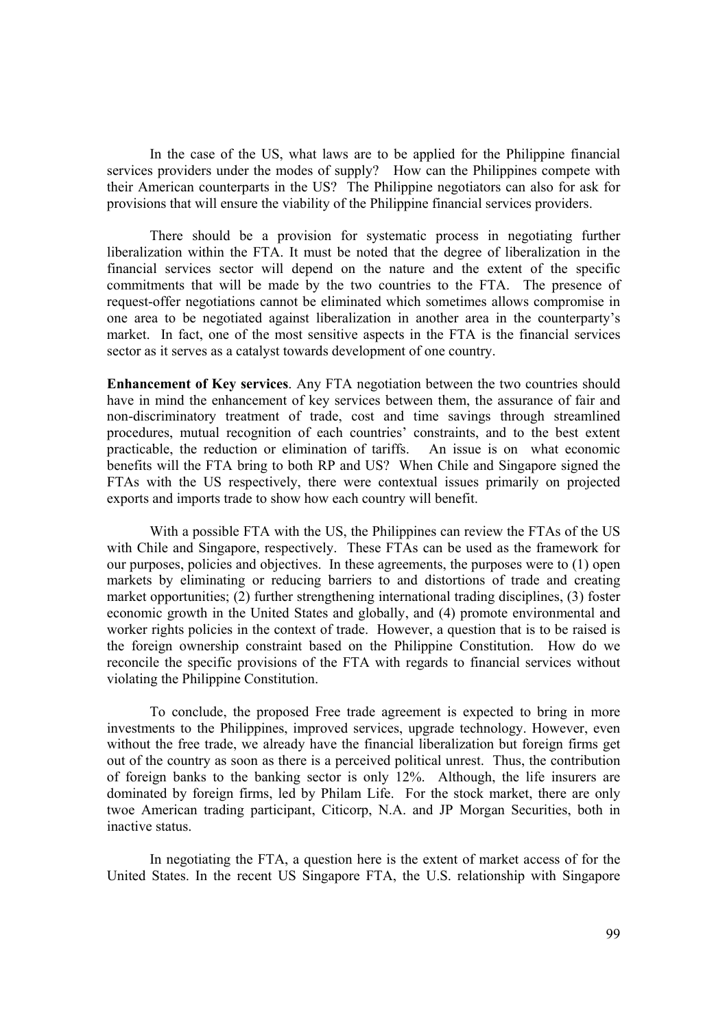In the case of the US, what laws are to be applied for the Philippine financial services providers under the modes of supply? How can the Philippines compete with their American counterparts in the US? The Philippine negotiators can also for ask for provisions that will ensure the viability of the Philippine financial services providers.

There should be a provision for systematic process in negotiating further liberalization within the FTA. It must be noted that the degree of liberalization in the financial services sector will depend on the nature and the extent of the specific commitments that will be made by the two countries to the FTA. The presence of request-offer negotiations cannot be eliminated which sometimes allows compromise in one area to be negotiated against liberalization in another area in the counterparty's market. In fact, one of the most sensitive aspects in the FTA is the financial services sector as it serves as a catalyst towards development of one country.

**Enhancement of Key services**. Any FTA negotiation between the two countries should have in mind the enhancement of key services between them, the assurance of fair and non-discriminatory treatment of trade, cost and time savings through streamlined procedures, mutual recognition of each countries' constraints, and to the best extent practicable, the reduction or elimination of tariffs. An issue is on what economic benefits will the FTA bring to both RP and US? When Chile and Singapore signed the FTAs with the US respectively, there were contextual issues primarily on projected exports and imports trade to show how each country will benefit.

With a possible FTA with the US, the Philippines can review the FTAs of the US with Chile and Singapore, respectively. These FTAs can be used as the framework for our purposes, policies and objectives. In these agreements, the purposes were to (1) open markets by eliminating or reducing barriers to and distortions of trade and creating market opportunities; (2) further strengthening international trading disciplines, (3) foster economic growth in the United States and globally, and (4) promote environmental and worker rights policies in the context of trade. However, a question that is to be raised is the foreign ownership constraint based on the Philippine Constitution. How do we reconcile the specific provisions of the FTA with regards to financial services without violating the Philippine Constitution.

To conclude, the proposed Free trade agreement is expected to bring in more investments to the Philippines, improved services, upgrade technology. However, even without the free trade, we already have the financial liberalization but foreign firms get out of the country as soon as there is a perceived political unrest. Thus, the contribution of foreign banks to the banking sector is only 12%. Although, the life insurers are dominated by foreign firms, led by Philam Life. For the stock market, there are only twoe American trading participant, Citicorp, N.A. and JP Morgan Securities, both in inactive status.

In negotiating the FTA, a question here is the extent of market access of for the United States. In the recent US Singapore FTA, the U.S. relationship with Singapore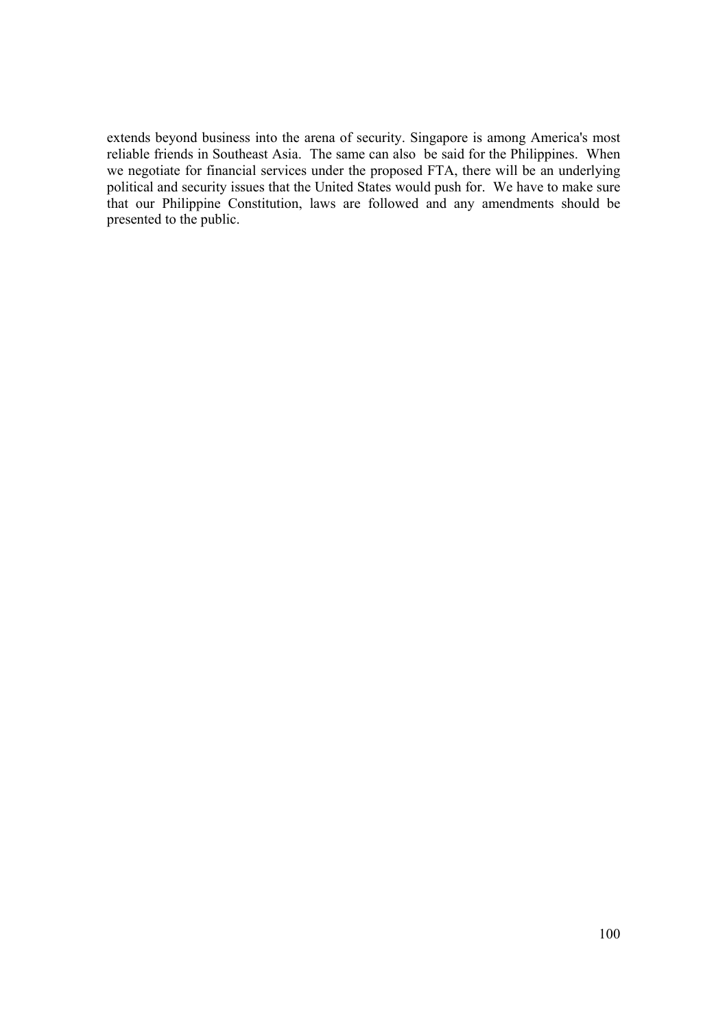extends beyond business into the arena of security. Singapore is among America's most reliable friends in Southeast Asia. The same can also be said for the Philippines. When we negotiate for financial services under the proposed FTA, there will be an underlying political and security issues that the United States would push for. We have to make sure that our Philippine Constitution, laws are followed and any amendments should be presented to the public.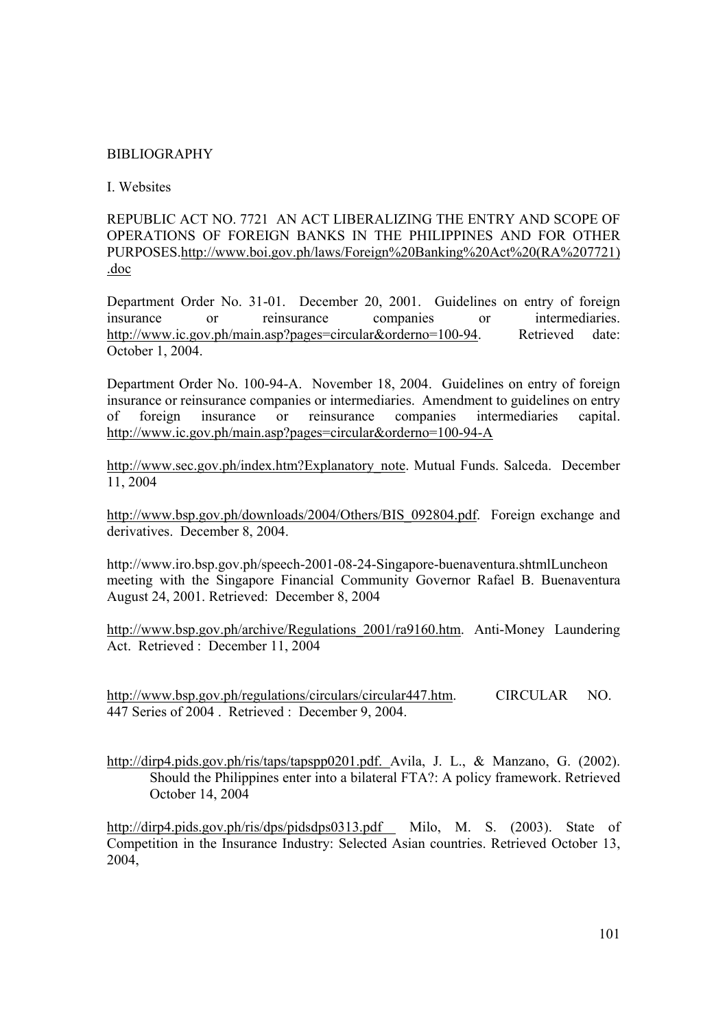# BIBLIOGRAPHY

# I. Websites

REPUBLIC ACT NO. 7721 AN ACT LIBERALIZING THE ENTRY AND SCOPE OF OPERATIONS OF FOREIGN BANKS IN THE PHILIPPINES AND FOR OTHER PURPOSES.http://www.boi.gov.ph/laws/Foreign%20Banking%20Act%20(RA%207721) .doc

Department Order No. 31-01. December 20, 2001. Guidelines on entry of foreign insurance or reinsurance companies or intermediaries. http://www.ic.gov.ph/main.asp?pages=circular&orderno=100-94. Retrieved date: October 1, 2004.

Department Order No. 100-94-A. November 18, 2004. Guidelines on entry of foreign insurance or reinsurance companies or intermediaries. Amendment to guidelines on entry of foreign insurance or reinsurance companies intermediaries capital. http://www.ic.gov.ph/main.asp?pages=circular&orderno=100-94-A

http://www.sec.gov.ph/index.htm?Explanatory\_note. Mutual Funds. Salceda. December 11, 2004

http://www.bsp.gov.ph/downloads/2004/Others/BIS\_092804.pdf. Foreign exchange and derivatives. December 8, 2004.

http://www.iro.bsp.gov.ph/speech-2001-08-24-Singapore-buenaventura.shtmlLuncheon meeting with the Singapore Financial Community Governor Rafael B. Buenaventura August 24, 2001. Retrieved: December 8, 2004

http://www.bsp.gov.ph/archive/Regulations\_2001/ra9160.htm. Anti-Money Laundering Act. Retrieved : December 11, 2004

http://www.bsp.gov.ph/regulations/circulars/circular447.htm. CIRCULAR NO. 447 Series of 2004 . Retrieved : December 9, 2004.

http://dirp4.pids.gov.ph/ris/taps/tapspp0201.pdf. Avila, J. L., & Manzano, G. (2002). Should the Philippines enter into a bilateral FTA?: A policy framework. Retrieved October 14, 2004

http://dirp4.pids.gov.ph/ris/dps/pidsdps0313.pdf Milo, M. S. (2003). State of Competition in the Insurance Industry: Selected Asian countries. Retrieved October 13, 2004,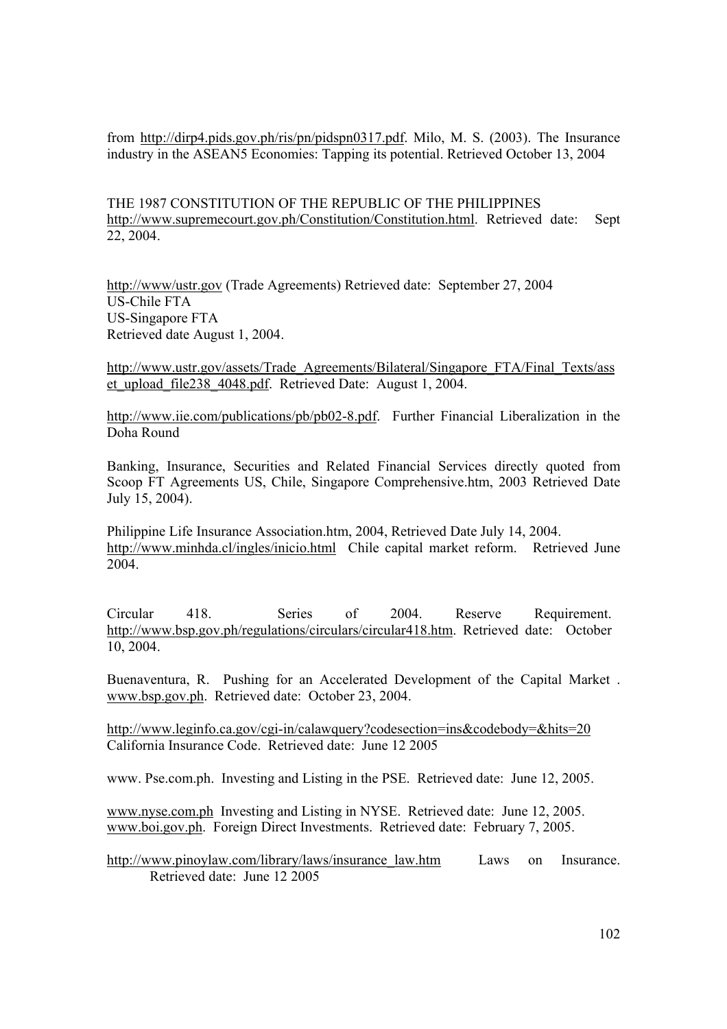from http://dirp4.pids.gov.ph/ris/pn/pidspn0317.pdf. Milo, M. S. (2003). The Insurance industry in the ASEAN5 Economies: Tapping its potential. Retrieved October 13, 2004

THE 1987 CONSTITUTION OF THE REPUBLIC OF THE PHILIPPINES http://www.supremecourt.gov.ph/Constitution/Constitution.html. Retrieved date: Sept 22, 2004.

http://www/ustr.gov (Trade Agreements) Retrieved date: September 27, 2004 US-Chile FTA US-Singapore FTA Retrieved date August 1, 2004.

http://www.ustr.gov/assets/Trade\_Agreements/Bilateral/Singapore\_FTA/Final\_Texts/ass et upload file238 4048.pdf. Retrieved Date: August 1, 2004.

http://www.iie.com/publications/pb/pb02-8.pdf. Further Financial Liberalization in the Doha Round

Banking, Insurance, Securities and Related Financial Services directly quoted from Scoop FT Agreements US, Chile, Singapore Comprehensive.htm, 2003 Retrieved Date July 15, 2004).

Philippine Life Insurance Association.htm, 2004, Retrieved Date July 14, 2004. http://www.minhda.cl/ingles/inicio.html Chile capital market reform. Retrieved June 2004.

Circular 418. Series of 2004. Reserve Requirement. http://www.bsp.gov.ph/regulations/circulars/circular418.htm. Retrieved date: October 10, 2004.

Buenaventura, R. Pushing for an Accelerated Development of the Capital Market . www.bsp.gov.ph. Retrieved date: October 23, 2004.

http://www.leginfo.ca.gov/cgi-in/calawquery?codesection=ins&codebody=&hits=20 California Insurance Code. Retrieved date: June 12 2005

www. Pse.com.ph. Investing and Listing in the PSE. Retrieved date: June 12, 2005.

www.nyse.com.ph Investing and Listing in NYSE. Retrieved date: June 12, 2005. www.boi.gov.ph. Foreign Direct Investments. Retrieved date: February 7, 2005.

http://www.pinoylaw.com/library/laws/insurance\_law.htm Laws on Insurance. Retrieved date: June 12 2005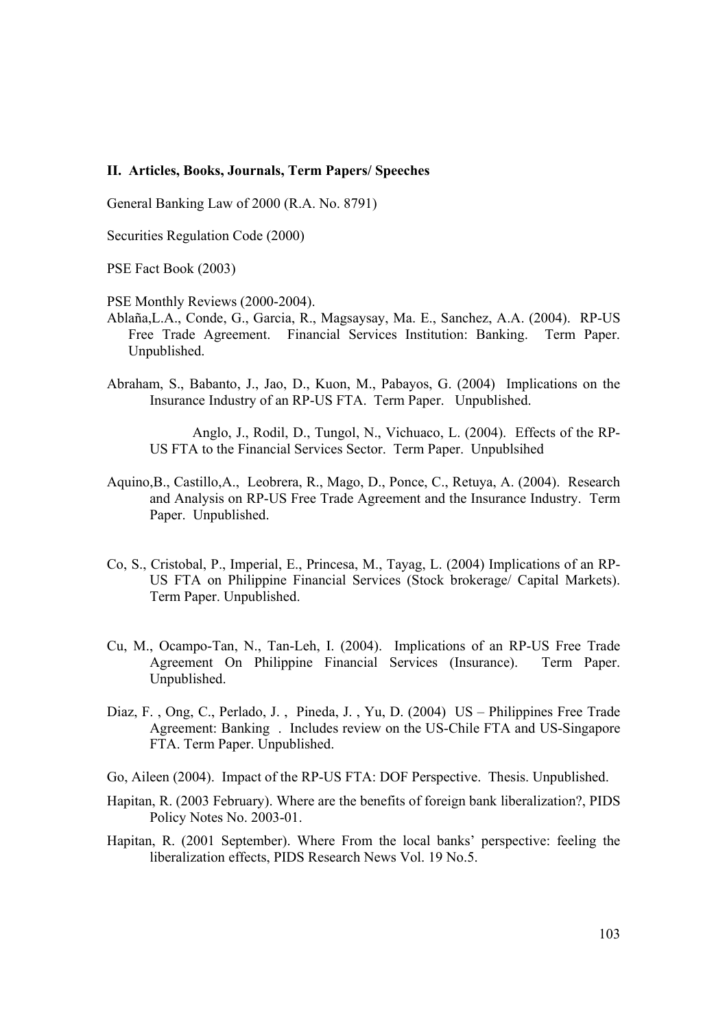## **II. Articles, Books, Journals, Term Papers/ Speeches**

General Banking Law of 2000 (R.A. No. 8791)

Securities Regulation Code (2000)

PSE Fact Book (2003)

PSE Monthly Reviews (2000-2004).

- Ablaña,L.A., Conde, G., Garcia, R., Magsaysay, Ma. E., Sanchez, A.A. (2004). RP-US Free Trade Agreement. Financial Services Institution: Banking. Term Paper. Unpublished.
- Abraham, S., Babanto, J., Jao, D., Kuon, M., Pabayos, G. (2004) Implications on the Insurance Industry of an RP-US FTA. Term Paper. Unpublished.

Anglo, J., Rodil, D., Tungol, N., Vichuaco, L. (2004). Effects of the RP-US FTA to the Financial Services Sector. Term Paper. Unpublsihed

- Aquino,B., Castillo,A., Leobrera, R., Mago, D., Ponce, C., Retuya, A. (2004). Research and Analysis on RP-US Free Trade Agreement and the Insurance Industry. Term Paper. Unpublished.
- Co, S., Cristobal, P., Imperial, E., Princesa, M., Tayag, L. (2004) Implications of an RP-US FTA on Philippine Financial Services (Stock brokerage/ Capital Markets). Term Paper. Unpublished.
- Cu, M., Ocampo-Tan, N., Tan-Leh, I. (2004). Implications of an RP-US Free Trade Agreement On Philippine Financial Services (Insurance). Term Paper. Unpublished.
- Diaz, F. , Ong, C., Perlado, J. , Pineda, J. , Yu, D. (2004) US Philippines Free Trade Agreement: Banking . Includes review on the US-Chile FTA and US-Singapore FTA. Term Paper. Unpublished.
- Go, Aileen (2004). Impact of the RP-US FTA: DOF Perspective. Thesis. Unpublished.
- Hapitan, R. (2003 February). Where are the benefits of foreign bank liberalization?, PIDS Policy Notes No. 2003-01.
- Hapitan, R. (2001 September). Where From the local banks' perspective: feeling the liberalization effects, PIDS Research News Vol. 19 No.5.